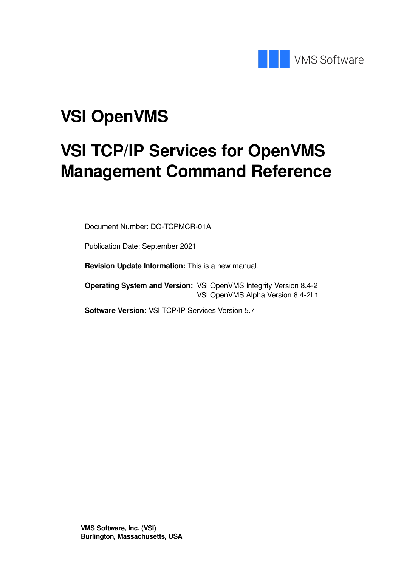

# **VSI OpenVMS**

# **VSI TCP/IP Services for OpenVMS Management Command Reference**

Document Number: DO-TCPMCR-01A

Publication Date: September 2021

**Revision Update Information:** This is a new manual.

**Operating System and Version:** VSI OpenVMS Integrity Version 8.4-2 VSI OpenVMS Alpha Version 8.4-2L1

**Software Version:** VSI TCP/IP Services Version 5.7

**VMS Software, Inc. (VSI) Burlington, Massachusetts, USA**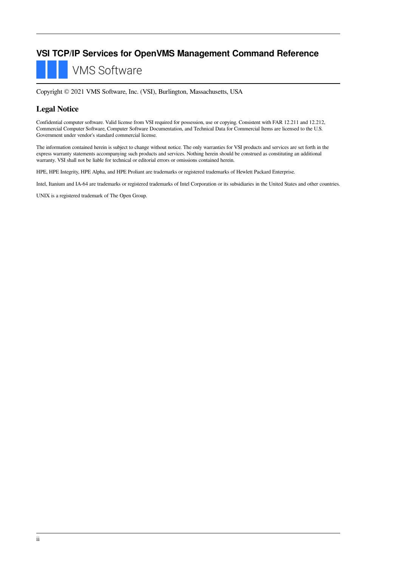### **VSI TCP/IP Services for OpenVMS Management Command Reference**

**VMS Software** 

Copyright © 2021 VMS Software, Inc. (VSI), Burlington, Massachusetts, USA

### **Legal Notice**

Confidential computer software. Valid license from VSI required for possession, use or copying. Consistent with FAR 12.211 and 12.212, Commercial Computer Software, Computer Software Documentation, and Technical Data for Commercial Items are licensed to the U.S. Government under vendor's standard commercial license.

The information contained herein is subject to change without notice. The only warranties for VSI products and services are set forth in the express warranty statements accompanying such products and services. Nothing herein should be construed as constituting an additional warranty. VSI shall not be liable for technical or editorial errors or omissions contained herein.

HPE, HPE Integrity, HPE Alpha, and HPE Proliant are trademarks or registered trademarks of Hewlett Packard Enterprise.

Intel, Itanium and IA-64 are trademarks or registered trademarks of Intel Corporation or its subsidiaries in the United States and other countries.

UNIX is a registered trademark of The Open Group.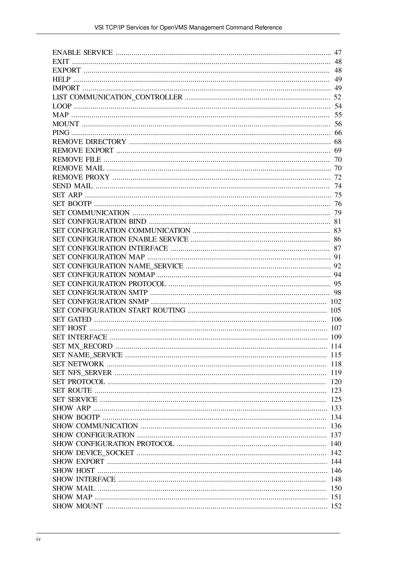| 120 |
|-----|
|     |
|     |
|     |
|     |
|     |
|     |
|     |
|     |
|     |
|     |
|     |
|     |
|     |
|     |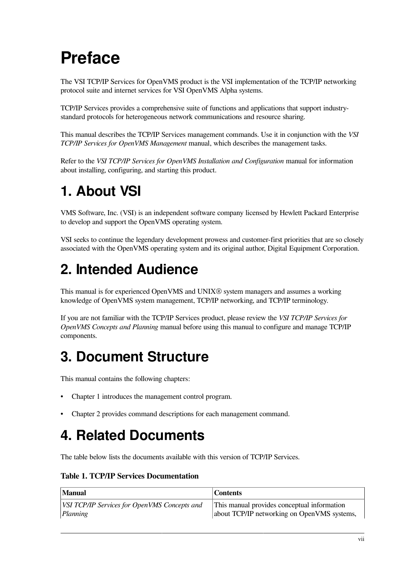# <span id="page-6-0"></span>**Preface**

The VSI TCP/IP Services for OpenVMS product is the VSI implementation of the TCP/IP networking protocol suite and internet services for VSI OpenVMS Alpha systems.

TCP/IP Services provides a comprehensive suite of functions and applications that support industrystandard protocols for heterogeneous network communications and resource sharing.

This manual describes the TCP/IP Services management commands. Use it in conjunction with the *VSI TCP/IP Services for OpenVMS Management* manual, which describes the management tasks.

Refer to the *VSI TCP/IP Services for OpenVMS Installation and Configuration* manual for information about installing, configuring, and starting this product.

# <span id="page-6-1"></span>**1. About VSI**

VMS Software, Inc. (VSI) is an independent software company licensed by Hewlett Packard Enterprise to develop and support the OpenVMS operating system.

VSI seeks to continue the legendary development prowess and customer-first priorities that are so closely associated with the OpenVMS operating system and its original author, Digital Equipment Corporation.

# <span id="page-6-2"></span>**2. Intended Audience**

This manual is for experienced OpenVMS and UNIX® system managers and assumes a working knowledge of OpenVMS system management, TCP/IP networking, and TCP/IP terminology.

If you are not familiar with the TCP/IP Services product, please review the *VSI TCP/IP Services for OpenVMS Concepts and Planning* manual before using this manual to configure and manage TCP/IP components.

# <span id="page-6-3"></span>**3. Document Structure**

This manual contains the following chapters:

- [Chapter](#page-10-0) 1 introduces the management control program.
- [Chapter](#page-20-0) 2 provides command descriptions for each management command.

# <span id="page-6-4"></span>**4. Related Documents**

The table below lists the documents available with this version of TCP/IP Services.

**Table 1. TCP/IP Services Documentation**

| Manual                                       | Contents                                    |
|----------------------------------------------|---------------------------------------------|
| VSI TCP/IP Services for OpenVMS Concepts and | This manual provides conceptual information |
| Planning                                     | about TCP/IP networking on OpenVMS systems, |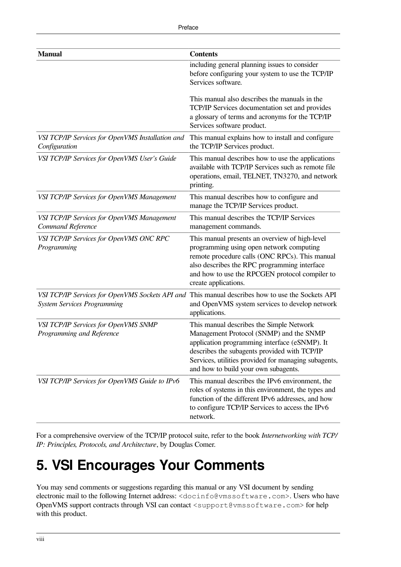| <b>Manual</b>                                                                         | <b>Contents</b>                                                                                                                                                                                                                                                                      |
|---------------------------------------------------------------------------------------|--------------------------------------------------------------------------------------------------------------------------------------------------------------------------------------------------------------------------------------------------------------------------------------|
|                                                                                       | including general planning issues to consider<br>before configuring your system to use the TCP/IP<br>Services software.                                                                                                                                                              |
|                                                                                       | This manual also describes the manuals in the<br>TCP/IP Services documentation set and provides<br>a glossary of terms and acronyms for the TCP/IP<br>Services software product.                                                                                                     |
| VSI TCP/IP Services for OpenVMS Installation and<br>Configuration                     | This manual explains how to install and configure<br>the TCP/IP Services product.                                                                                                                                                                                                    |
| VSI TCP/IP Services for OpenVMS User's Guide                                          | This manual describes how to use the applications<br>available with TCP/IP Services such as remote file<br>operations, email, TELNET, TN3270, and network<br>printing.                                                                                                               |
| VSI TCP/IP Services for OpenVMS Management                                            | This manual describes how to configure and<br>manage the TCP/IP Services product.                                                                                                                                                                                                    |
| VSI TCP/IP Services for OpenVMS Management<br>Command Reference                       | This manual describes the TCP/IP Services<br>management commands.                                                                                                                                                                                                                    |
| VSI TCP/IP Services for OpenVMS ONC RPC<br>Programming                                | This manual presents an overview of high-level<br>programming using open network computing<br>remote procedure calls (ONC RPCs). This manual<br>also describes the RPC programming interface<br>and how to use the RPCGEN protocol compiler to<br>create applications.               |
| VSI TCP/IP Services for OpenVMS Sockets API and<br><b>System Services Programming</b> | This manual describes how to use the Sockets API<br>and OpenVMS system services to develop network<br>applications.                                                                                                                                                                  |
| VSI TCP/IP Services for OpenVMS SNMP<br>Programming and Reference                     | This manual describes the Simple Network<br>Management Protocol (SNMP) and the SNMP<br>application programming interface (eSNMP). It<br>describes the subagents provided with TCP/IP<br>Services, utilities provided for managing subagents,<br>and how to build your own subagents. |
| VSI TCP/IP Services for OpenVMS Guide to IPv6                                         | This manual describes the IPv6 environment, the<br>roles of systems in this environment, the types and<br>function of the different IPv6 addresses, and how<br>to configure TCP/IP Services to access the IPv6<br>network.                                                           |

For a comprehensive overview of the TCP/IP protocol suite, refer to the book *Internetworking with TCP/ IP: Principles, Protocols, and Architecture*, by Douglas Comer.

# <span id="page-7-0"></span>**5. VSI Encourages Your Comments**

You may send comments or suggestions regarding this manual or any VSI document by sending electronic mail to the following Internet address: <docinfo@vmssoftware.com>. Users who have OpenVMS support contracts through VSI can contact <support@vmssoftware.com> for help with this product.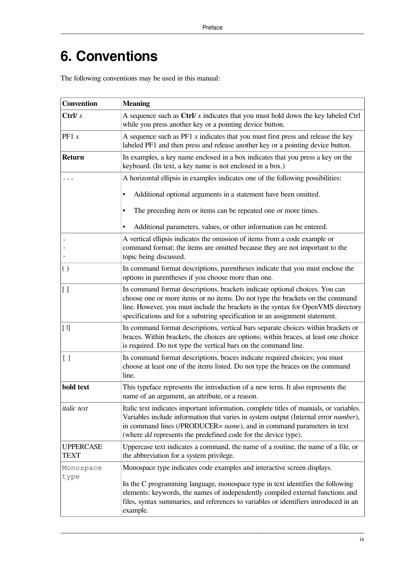# <span id="page-8-0"></span>**6. Conventions**

The following conventions may be used in this manual:

| <b>Convention</b>               | <b>Meaning</b>                                                                                                                                                                                                                                                                                                                          |
|---------------------------------|-----------------------------------------------------------------------------------------------------------------------------------------------------------------------------------------------------------------------------------------------------------------------------------------------------------------------------------------|
| Ctrl/ $x$                       | A sequence such as $\text{Ctrl}/x$ indicates that you must hold down the key labeled $\text{Ctrl}$<br>while you press another key or a pointing device button.                                                                                                                                                                          |
| PF1 $x$                         | A sequence such as $PF1 x$ indicates that you must first press and release the key<br>labeled PF1 and then press and release another key or a pointing device button.                                                                                                                                                                   |
| <b>Return</b>                   | In examples, a key name enclosed in a box indicates that you press a key on the<br>keyboard. (In text, a key name is not enclosed in a box.)                                                                                                                                                                                            |
|                                 | A horizontal ellipsis in examples indicates one of the following possibilities:                                                                                                                                                                                                                                                         |
|                                 | Additional optional arguments in a statement have been omitted.                                                                                                                                                                                                                                                                         |
|                                 | The preceding item or items can be repeated one or more times.                                                                                                                                                                                                                                                                          |
|                                 | Additional parameters, values, or other information can be entered.                                                                                                                                                                                                                                                                     |
|                                 | A vertical ellipsis indicates the omission of items from a code example or<br>command format; the items are omitted because they are not important to the<br>topic being discussed.                                                                                                                                                     |
| $\left( \right)$                | In command format descriptions, parentheses indicate that you must enclose the<br>options in parentheses if you choose more than one.                                                                                                                                                                                                   |
| [ ]                             | In command format descriptions, brackets indicate optional choices. You can<br>choose one or more items or no items. Do not type the brackets on the command<br>line. However, you must include the brackets in the syntax for OpenVMS directory<br>specifications and for a substring specification in an assignment statement.        |
| $[ \ ]$                         | In command format descriptions, vertical bars separate choices within brackets or<br>braces. Within brackets, the choices are options; within braces, at least one choice<br>is required. Do not type the vertical bars on the command line.                                                                                            |
| $\{\ \}$                        | In command format descriptions, braces indicate required choices; you must<br>choose at least one of the items listed. Do not type the braces on the command<br>line.                                                                                                                                                                   |
| bold text                       | This typeface represents the introduction of a new term. It also represents the<br>name of an argument, an attribute, or a reason.                                                                                                                                                                                                      |
| <i>italic</i> text              | Italic text indicates important information, complete titles of manuals, or variables.<br>Variables include information that varies in system output (Internal error number),<br>in command lines (/PRODUCER= <i>name</i> ), and in command parameters in text<br>(where <i>dd</i> represents the predefined code for the device type). |
| <b>UPPERCASE</b><br><b>TEXT</b> | Uppercase text indicates a command, the name of a routine, the name of a file, or<br>the abbreviation for a system privilege.                                                                                                                                                                                                           |
| Monospace                       | Monospace type indicates code examples and interactive screen displays.                                                                                                                                                                                                                                                                 |
| type                            | In the C programming language, monospace type in text identifies the following<br>elements: keywords, the names of independently compiled external functions and<br>files, syntax summaries, and references to variables or identifiers introduced in an<br>example.                                                                    |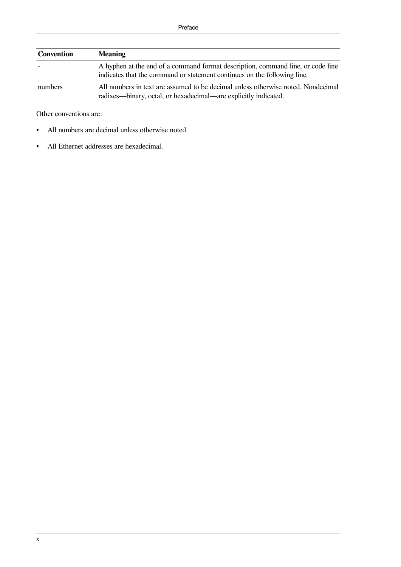| Convention | <b>Meaning</b>                                                                                                                                              |
|------------|-------------------------------------------------------------------------------------------------------------------------------------------------------------|
|            | A hyphen at the end of a command format description, command line, or code line<br>indicates that the command or statement continues on the following line. |
| numbers    | All numbers in text are assumed to be decimal unless otherwise noted. Nondecimal<br>radixes—binary, octal, or hexadecimal—are explicitly indicated.         |

Other conventions are:

- All numbers are decimal unless otherwise noted.
- All Ethernet addresses are hexadecimal.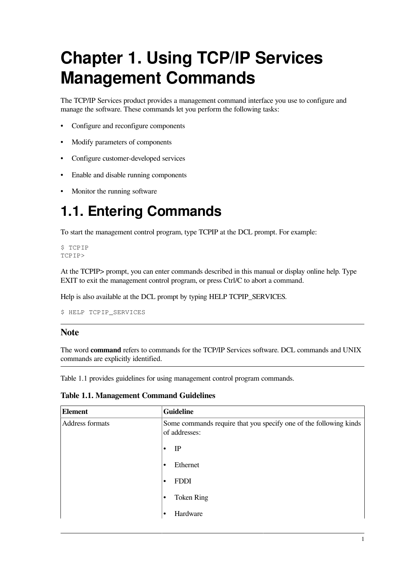# <span id="page-10-0"></span>**Chapter 1. Using TCP/IP Services Management Commands**

The TCP/IP Services product provides a management command interface you use to configure and manage the software. These commands let you perform the following tasks:

- Configure and reconfigure components
- Modify parameters of components
- Configure customer-developed services
- Enable and disable running components
- Monitor the running software

# <span id="page-10-1"></span>**1.1. Entering Commands**

To start the management control program, type TCPIP at the DCL prompt. For example:

\$ TCPIP TCPIP>

At the TCPIP> prompt, you can enter commands described in this manual or display online help. Type EXIT to exit the management control program, or press Ctrl/C to abort a command.

Help is also available at the DCL prompt by typing HELP TCPIP\_SERVICES.

```
$ HELP TCPIP_SERVICES
```
### **Note**

The word **command** refers to commands for the TCP/IP Services software. DCL commands and UNIX commands are explicitly identified.

<span id="page-10-2"></span>[Table](#page-10-2) 1.1 provides guidelines for using management control program commands.

| <b>Element</b>  | <b>Guideline</b>                                                                   |
|-----------------|------------------------------------------------------------------------------------|
| Address formats | Some commands require that you specify one of the following kinds<br>of addresses: |
|                 | IP<br>$\bullet$                                                                    |
|                 | Ethernet<br>٠                                                                      |
|                 | <b>FDDI</b><br>$\bullet$                                                           |
|                 | <b>Token Ring</b><br>$\bullet$                                                     |
|                 | Hardware<br>٠                                                                      |

#### **Table 1.1. Management Command Guidelines**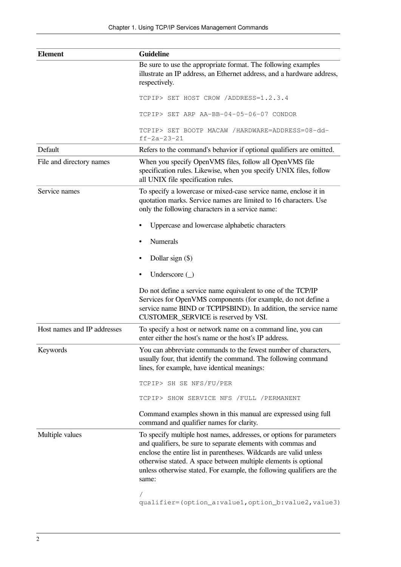| <b>Element</b>              | <b>Guideline</b>                                                                                                                                                                                                                                                                                                                                                 |
|-----------------------------|------------------------------------------------------------------------------------------------------------------------------------------------------------------------------------------------------------------------------------------------------------------------------------------------------------------------------------------------------------------|
|                             | Be sure to use the appropriate format. The following examples<br>illustrate an IP address, an Ethernet address, and a hardware address,<br>respectively.                                                                                                                                                                                                         |
|                             | TCPIP> SET HOST CROW /ADDRESS=1.2.3.4                                                                                                                                                                                                                                                                                                                            |
|                             | TCPIP> SET ARP AA-BB-04-05-06-07 CONDOR                                                                                                                                                                                                                                                                                                                          |
|                             | TCPIP> SET BOOTP MACAW /HARDWARE=ADDRESS=08-dd-<br>$ff - 2a - 23 - 21$                                                                                                                                                                                                                                                                                           |
| Default                     | Refers to the command's behavior if optional qualifiers are omitted.                                                                                                                                                                                                                                                                                             |
| File and directory names    | When you specify OpenVMS files, follow all OpenVMS file<br>specification rules. Likewise, when you specify UNIX files, follow<br>all UNIX file specification rules.                                                                                                                                                                                              |
| Service names               | To specify a lowercase or mixed-case service name, enclose it in<br>quotation marks. Service names are limited to 16 characters. Use<br>only the following characters in a service name:                                                                                                                                                                         |
|                             | Uppercase and lowercase alphabetic characters<br>٠                                                                                                                                                                                                                                                                                                               |
|                             | <b>Numerals</b>                                                                                                                                                                                                                                                                                                                                                  |
|                             | Dollar sign $(\$)$                                                                                                                                                                                                                                                                                                                                               |
|                             | Underscore $(\_)$                                                                                                                                                                                                                                                                                                                                                |
|                             | Do not define a service name equivalent to one of the TCP/IP<br>Services for OpenVMS components (for example, do not define a<br>service name BIND or TCPIP\$BIND). In addition, the service name<br>CUSTOMER_SERVICE is reserved by VSI.                                                                                                                        |
| Host names and IP addresses | To specify a host or network name on a command line, you can<br>enter either the host's name or the host's IP address.                                                                                                                                                                                                                                           |
| Keywords                    | You can abbreviate commands to the fewest number of characters,<br>usually four, that identify the command. The following command<br>lines, for example, have identical meanings:                                                                                                                                                                                |
|                             | TCPIP> SH SE NFS/FU/PER                                                                                                                                                                                                                                                                                                                                          |
|                             | TCPIP> SHOW SERVICE NFS /FULL /PERMANENT                                                                                                                                                                                                                                                                                                                         |
|                             | Command examples shown in this manual are expressed using full<br>command and qualifier names for clarity.                                                                                                                                                                                                                                                       |
| Multiple values             | To specify multiple host names, addresses, or options for parameters<br>and qualifiers, be sure to separate elements with commas and<br>enclose the entire list in parentheses. Wildcards are valid unless<br>otherwise stated. A space between multiple elements is optional<br>unless otherwise stated. For example, the following qualifiers are the<br>same: |
|                             | qualifier=(option_a:value1,option_b:value2,value3)                                                                                                                                                                                                                                                                                                               |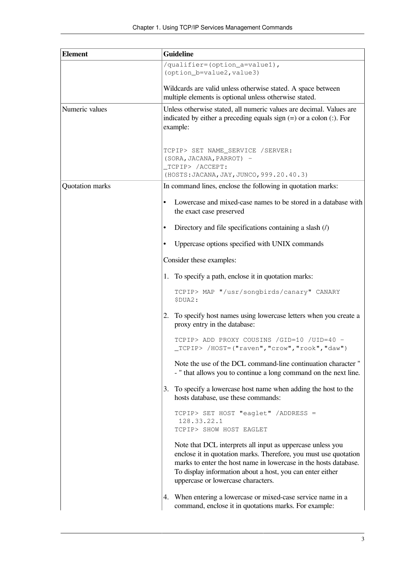| <b>Element</b>  | <b>Guideline</b>                                                                                                                                                                                                                                                                                      |
|-----------------|-------------------------------------------------------------------------------------------------------------------------------------------------------------------------------------------------------------------------------------------------------------------------------------------------------|
|                 | /qualifier=(option_a=value1),                                                                                                                                                                                                                                                                         |
|                 | (option_b=value2, value3)                                                                                                                                                                                                                                                                             |
|                 | Wildcards are valid unless otherwise stated. A space between                                                                                                                                                                                                                                          |
|                 | multiple elements is optional unless otherwise stated.                                                                                                                                                                                                                                                |
| Numeric values  | Unless otherwise stated, all numeric values are decimal. Values are<br>indicated by either a preceding equals sign $(=)$ or a colon $(:)$ . For<br>example:                                                                                                                                           |
|                 |                                                                                                                                                                                                                                                                                                       |
|                 | TCPIP> SET NAME_SERVICE /SERVER:                                                                                                                                                                                                                                                                      |
|                 | (SORA, JACANA, PARROT) -                                                                                                                                                                                                                                                                              |
|                 | _TCPIP> /ACCEPT:<br>(HOSTS: JACANA, JAY, JUNCO, 999.20.40.3)                                                                                                                                                                                                                                          |
| Quotation marks | In command lines, enclose the following in quotation marks:                                                                                                                                                                                                                                           |
|                 |                                                                                                                                                                                                                                                                                                       |
|                 | Lowercase and mixed-case names to be stored in a database with<br>$\bullet$<br>the exact case preserved                                                                                                                                                                                               |
|                 | Directory and file specifications containing a slash $($ )                                                                                                                                                                                                                                            |
|                 | Uppercase options specified with UNIX commands                                                                                                                                                                                                                                                        |
|                 | Consider these examples:                                                                                                                                                                                                                                                                              |
|                 | 1. To specify a path, enclose it in quotation marks:                                                                                                                                                                                                                                                  |
|                 | TCPIP> MAP "/usr/songbirds/canary" CANARY<br>\$DUA2:                                                                                                                                                                                                                                                  |
|                 | 2. To specify host names using lowercase letters when you create a<br>proxy entry in the database:                                                                                                                                                                                                    |
|                 | TCPIP> ADD PROXY COUSINS /GID=10 /UID=40 -<br>TCPIP> /HOST=("raven","crow","rook","daw")                                                                                                                                                                                                              |
|                 | Note the use of the DCL command-line continuation character "<br>- " that allows you to continue a long command on the next line.                                                                                                                                                                     |
|                 | To specify a lowercase host name when adding the host to the<br>3.<br>hosts database, use these commands:                                                                                                                                                                                             |
|                 | TCPIP> SET HOST "eaglet" /ADDRESS =<br>128.33.22.1<br>TCPIP> SHOW HOST EAGLET                                                                                                                                                                                                                         |
|                 | Note that DCL interprets all input as uppercase unless you<br>enclose it in quotation marks. Therefore, you must use quotation<br>marks to enter the host name in lowercase in the hosts database.<br>To display information about a host, you can enter either<br>uppercase or lowercase characters. |
|                 | 4. When entering a lowercase or mixed-case service name in a<br>command, enclose it in quotations marks. For example:                                                                                                                                                                                 |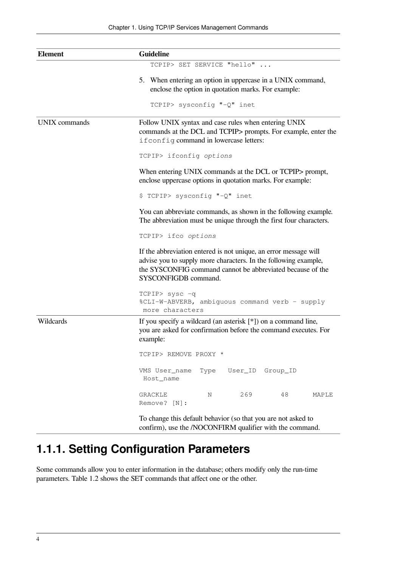| <b>Element</b>       | <b>Guideline</b>                                                                                                                                                                                                          |
|----------------------|---------------------------------------------------------------------------------------------------------------------------------------------------------------------------------------------------------------------------|
|                      | TCPIP> SET SERVICE "hello"                                                                                                                                                                                                |
|                      | 5. When entering an option in uppercase in a UNIX command,<br>enclose the option in quotation marks. For example:<br>TCPIP> sysconfig "-Q" inet                                                                           |
| <b>UNIX</b> commands | Follow UNIX syntax and case rules when entering UNIX<br>commands at the DCL and TCPIP> prompts. For example, enter the<br>if config command in lowercase letters:                                                         |
|                      | TCPIP> ifconfig options                                                                                                                                                                                                   |
|                      | When entering UNIX commands at the DCL or TCPIP> prompt,<br>enclose uppercase options in quotation marks. For example:                                                                                                    |
|                      | \$ TCPIP> sysconfig "-Q" inet                                                                                                                                                                                             |
|                      | You can abbreviate commands, as shown in the following example.<br>The abbreviation must be unique through the first four characters.                                                                                     |
|                      | TCPIP> ifco options                                                                                                                                                                                                       |
|                      | If the abbreviation entered is not unique, an error message will<br>advise you to supply more characters. In the following example,<br>the SYSCONFIG command cannot be abbreviated because of the<br>SYSCONFIGDB command. |
|                      | TCPIP> sysc -q<br>%CLI-W-ABVERB, ambiguous command verb - supply<br>more characters                                                                                                                                       |
| Wildcards            | If you specify a wildcard (an asterisk $[*]$ ) on a command line,<br>you are asked for confirmation before the command executes. For<br>example:                                                                          |
|                      | TCPIP> REMOVE PROXY *                                                                                                                                                                                                     |
|                      | VMS User_name<br>Type<br>Group_ID<br>User_ID<br>Host_name                                                                                                                                                                 |
|                      | 269<br>48<br>GRACKLE<br>Ν<br>MAPLE<br>Remove? [N]:                                                                                                                                                                        |
|                      | To change this default behavior (so that you are not asked to<br>confirm), use the /NOCONFIRM qualifier with the command.                                                                                                 |

# <span id="page-13-0"></span>**1.1.1. Setting Configuration Parameters**

Some commands allow you to enter information in the database; others modify only the run-time parameters. [Table](#page-14-2) 1.2 shows the SET commands that affect one or the other.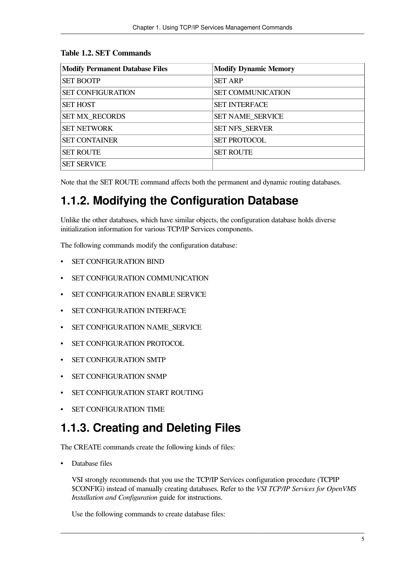| <b>Modify Permanent Database Files</b> | <b>Modify Dynamic Memory</b> |
|----------------------------------------|------------------------------|
| <b>SET BOOTP</b>                       | <b>SET ARP</b>               |
| <b>SET CONFIGURATION</b>               | <b>SET COMMUNICATION</b>     |
| <b>SET HOST</b>                        | <b>SET INTERFACE</b>         |
| <b>SET MX_RECORDS</b>                  | <b>SET NAME SERVICE</b>      |
| <b>SET NETWORK</b>                     | <b>SET NFS_SERVER</b>        |
| <b>SET CONTAINER</b>                   | <b>SET PROTOCOL</b>          |
| <b>SET ROUTE</b>                       | <b>SET ROUTE</b>             |
| <b>SET SERVICE</b>                     |                              |

#### <span id="page-14-2"></span>**Table 1.2. SET Commands**

Note that the SET ROUTE command affects both the permanent and dynamic routing databases.

## <span id="page-14-0"></span>**1.1.2. Modifying the Configuration Database**

Unlike the other databases, which have similar objects, the configuration database holds diverse initialization information for various TCP/IP Services components.

The following commands modify the configuration database:

- SET CONFIGURATION BIND
- SET CONFIGURATION COMMUNICATION
- SET CONFIGURATION ENABLE SERVICE
- SET CONFIGURATION INTERFACE
- SET CONFIGURATION NAME\_SERVICE
- SET CONFIGURATION PROTOCOL
- SET CONFIGURATION SMTP
- SET CONFIGURATION SNMP
- SET CONFIGURATION START ROUTING
- SET CONFIGURATION TIME

### <span id="page-14-1"></span>**1.1.3. Creating and Deleting Files**

The CREATE commands create the following kinds of files:

• Database files

VSI strongly recommends that you use the TCP/IP Services configuration procedure (TCPIP \$CONFIG) instead of manually creating databases. Refer to the *VSI TCP/IP Services for OpenVMS Installation and Configuration* guide for instructions.

Use the following commands to create database files: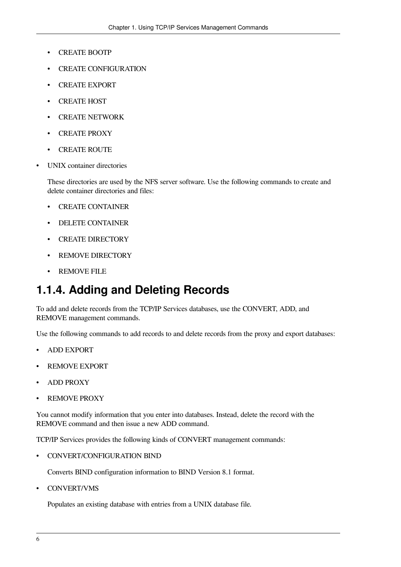- CREATE BOOTP
- CREATE CONFIGURATION
- CREATE EXPORT
- CREATE HOST
- CREATE NETWORK
- CREATE PROXY
- CREATE ROUTE
- UNIX container directories

These directories are used by the NFS server software. Use the following commands to create and delete container directories and files:

- CREATE CONTAINER
- DELETE CONTAINER
- CREATE DIRECTORY
- REMOVE DIRECTORY
- REMOVE FILE

### <span id="page-15-0"></span>**1.1.4. Adding and Deleting Records**

To add and delete records from the TCP/IP Services databases, use the CONVERT, ADD, and REMOVE management commands.

Use the following commands to add records to and delete records from the proxy and export databases:

- ADD EXPORT
- REMOVE EXPORT
- ADD PROXY
- **REMOVE PROXY**

You cannot modify information that you enter into databases. Instead, delete the record with the REMOVE command and then issue a new ADD command.

TCP/IP Services provides the following kinds of CONVERT management commands:

• CONVERT/CONFIGURATION BIND

Converts BIND configuration information to BIND Version 8.1 format.

• CONVERT/VMS

Populates an existing database with entries from a UNIX database file.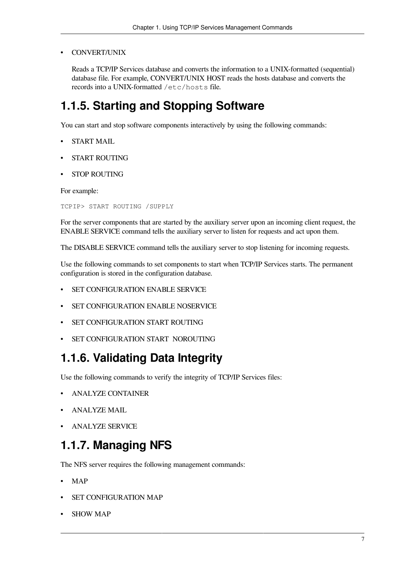• CONVERT/UNIX

Reads a TCP/IP Services database and converts the information to a UNIX-formatted (sequential) database file. For example, CONVERT/UNIX HOST reads the hosts database and converts the records into a UNIX-formatted /etc/hosts file.

## <span id="page-16-0"></span>**1.1.5. Starting and Stopping Software**

You can start and stop software components interactively by using the following commands:

- START MAIL
- START ROUTING
- STOP ROUTING

For example:

TCPIP> START ROUTING /SUPPLY

For the server components that are started by the auxiliary server upon an incoming client request, the ENABLE SERVICE command tells the auxiliary server to listen for requests and act upon them.

The DISABLE SERVICE command tells the auxiliary server to stop listening for incoming requests.

Use the following commands to set components to start when TCP/IP Services starts. The permanent configuration is stored in the configuration database.

- SET CONFIGURATION ENABLE SERVICE
- SET CONFIGURATION ENABLE NOSERVICE
- SET CONFIGURATION START ROUTING
- SET CONFIGURATION START NOROUTING

# <span id="page-16-1"></span>**1.1.6. Validating Data Integrity**

Use the following commands to verify the integrity of TCP/IP Services files:

- ANALYZE CONTAINER
- ANALYZE MAIL
- ANALYZE SERVICE

# <span id="page-16-2"></span>**1.1.7. Managing NFS**

The NFS server requires the following management commands:

- MAP
- SET CONFIGURATION MAP
- **SHOW MAP**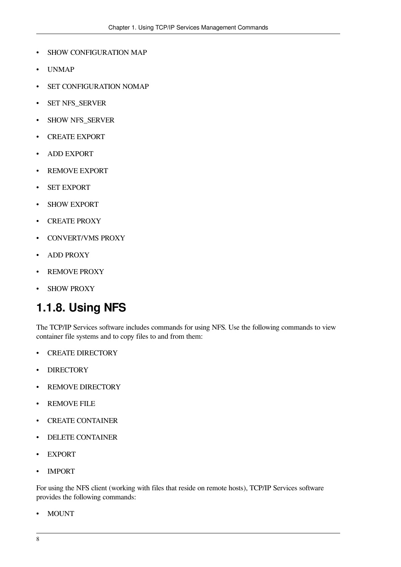- SHOW CONFIGURATION MAP
- UNMAP
- SET CONFIGURATION NOMAP
- SET NFS\_SERVER
- SHOW NFS\_SERVER
- CREATE EXPORT
- ADD EXPORT
- REMOVE EXPORT
- **SET EXPORT**
- **SHOW EXPORT**
- CREATE PROXY
- CONVERT/VMS PROXY
- ADD PROXY
- REMOVE PROXY
- SHOW PROXY

### <span id="page-17-0"></span>**1.1.8. Using NFS**

The TCP/IP Services software includes commands for using NFS. Use the following commands to view container file systems and to copy files to and from them:

- CREATE DIRECTORY
- **DIRECTORY**
- REMOVE DIRECTORY
- REMOVE FILE
- CREATE CONTAINER
- DELETE CONTAINER
- EXPORT
- **IMPORT**

For using the NFS client (working with files that reside on remote hosts), TCP/IP Services software provides the following commands:

• MOUNT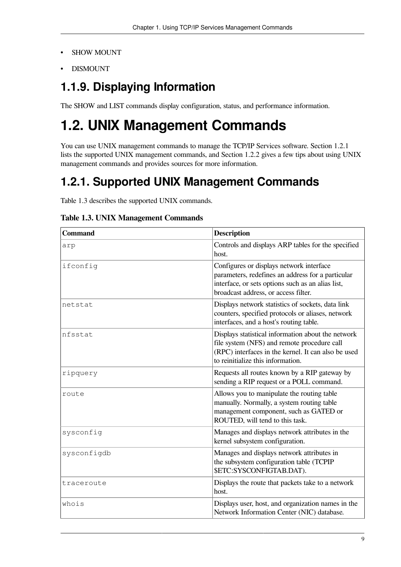- **SHOW MOUNT**
- DISMOUNT

# <span id="page-18-0"></span>**1.1.9. Displaying Information**

The SHOW and LIST commands display configuration, status, and performance information.

# <span id="page-18-1"></span>**1.2. UNIX Management Commands**

You can use UNIX management commands to manage the TCP/IP Services software. [Section](#page-18-2) 1.2.1 lists the supported UNIX management commands, and [Section](#page-19-0) 1.2.2 gives a few tips about using UNIX management commands and provides sources for more information.

# <span id="page-18-2"></span>**1.2.1. Supported UNIX Management Commands**

[Table](#page-18-3) 1.3 describes the supported UNIX commands.

| <b>Command</b> | <b>Description</b>                                                                                                                                                                            |  |  |
|----------------|-----------------------------------------------------------------------------------------------------------------------------------------------------------------------------------------------|--|--|
| arp            | Controls and displays ARP tables for the specified<br>host.                                                                                                                                   |  |  |
| ifconfig       | Configures or displays network interface<br>parameters, redefines an address for a particular<br>interface, or sets options such as an alias list,<br>broadcast address, or access filter.    |  |  |
| netstat        | Displays network statistics of sockets, data link<br>counters, specified protocols or aliases, network<br>interfaces, and a host's routing table.                                             |  |  |
| nfsstat        | Displays statistical information about the network<br>file system (NFS) and remote procedure call<br>(RPC) interfaces in the kernel. It can also be used<br>to reinitialize this information. |  |  |
| ripquery       | Requests all routes known by a RIP gateway by<br>sending a RIP request or a POLL command.                                                                                                     |  |  |
| route          | Allows you to manipulate the routing table<br>manually. Normally, a system routing table<br>management component, such as GATED or<br>ROUTED, will tend to this task.                         |  |  |
| sysconfig      | Manages and displays network attributes in the<br>kernel subsystem configuration.                                                                                                             |  |  |
| sysconfigdb    | Manages and displays network attributes in<br>the subsystem configuration table (TCPIP<br>\$ETC:SYSCONFIGTAB.DAT).                                                                            |  |  |
| traceroute     | Displays the route that packets take to a network<br>host.                                                                                                                                    |  |  |
| whois          | Displays user, host, and organization names in the<br>Network Information Center (NIC) database.                                                                                              |  |  |

<span id="page-18-3"></span>**Table 1.3. UNIX Management Commands**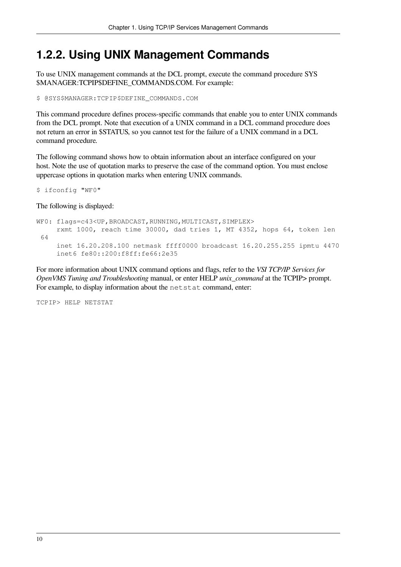### <span id="page-19-0"></span>**1.2.2. Using UNIX Management Commands**

To use UNIX management commands at the DCL prompt, execute the command procedure SYS \$MANAGER:TCPIP\$DEFINE\_COMMANDS.COM. For example:

\$ @SYS\$MANAGER:TCPIP\$DEFINE\_COMMANDS.COM

This command procedure defines process-specific commands that enable you to enter UNIX commands from the DCL prompt. Note that execution of a UNIX command in a DCL command procedure does not return an error in \$STATUS, so you cannot test for the failure of a UNIX command in a DCL command procedure.

The following command shows how to obtain information about an interface configured on your host. Note the use of quotation marks to preserve the case of the command option. You must enclose uppercase options in quotation marks when entering UNIX commands.

\$ ifconfig "WF0"

The following is displayed:

```
WF0: flags=c43<UP, BROADCAST, RUNNING, MULTICAST, SIMPLEX>
      rxmt 1000, reach time 30000, dad tries 1, MT 4352, hops 64, token len
  64
      inet 16.20.208.100 netmask ffff0000 broadcast 16.20.255.255 ipmtu 4470
      inet6 fe80::200:f8ff:fe66:2e35
```
For more information about UNIX command options and flags, refer to the *VSI TCP/IP Services for OpenVMS Tuning and Troubleshooting* manual, or enter HELP *unix\_command* at the TCPIP> prompt. For example, to display information about the netstat command, enter:

TCPIP> HELP NETSTAT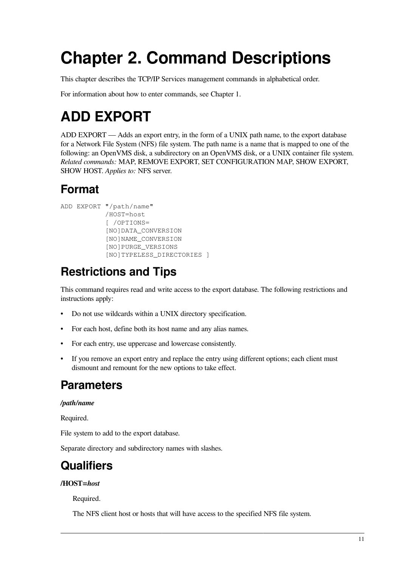# <span id="page-20-0"></span>**Chapter 2. Command Descriptions**

This chapter describes the TCP/IP Services management commands in alphabetical order.

For information about how to enter commands, see [Chapter](#page-10-0) 1.

# <span id="page-20-1"></span>**ADD EXPORT**

ADD EXPORT — Adds an export entry, in the form of a UNIX path name, to the export database for a Network File System (NFS) file system. The path name is a name that is mapped to one of the following: an OpenVMS disk, a subdirectory on an OpenVMS disk, or a UNIX container file system. *Related commands:* MAP, REMOVE EXPORT, SET CONFIGURATION MAP, SHOW EXPORT, SHOW HOST. *Applies to:* NFS server.

# **Format**

```
ADD EXPORT "/path/name"
             /HOST=host
             [ /OPTIONS=
             [NO]DATA_CONVERSION
             [NO]NAME_CONVERSION
             [NO]PURGE_VERSIONS
             [NO]TYPELESS_DIRECTORIES ]
```
# **Restrictions and Tips**

This command requires read and write access to the export database. The following restrictions and instructions apply:

- Do not use wildcards within a UNIX directory specification.
- For each host, define both its host name and any alias names.
- For each entry, use uppercase and lowercase consistently.
- If you remove an export entry and replace the entry using different options; each client must dismount and remount for the new options to take effect.

### **Parameters**

#### */path/name*

Required.

File system to add to the export database.

Separate directory and subdirectory names with slashes.

# **Qualifiers**

#### **/HOST=***host*

Required.

The NFS client host or hosts that will have access to the specified NFS file system.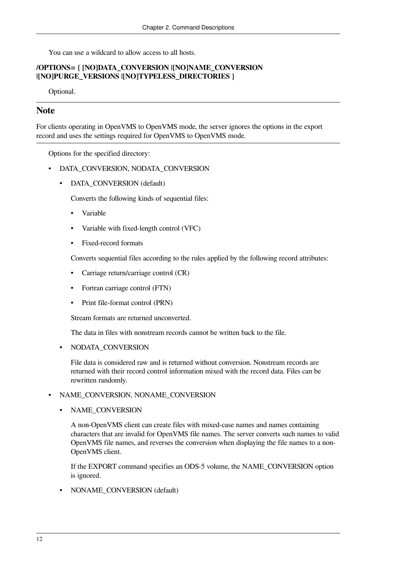You can use a wildcard to allow access to all hosts.

#### **/OPTIONS= { [NO]DATA\_CONVERSION |[NO]NAME\_CONVERSION |[NO]PURGE\_VERSIONS |[NO]TYPELESS\_DIRECTORIES }**

Optional.

### **Note**

For clients operating in OpenVMS to OpenVMS mode, the server ignores the options in the export record and uses the settings required for OpenVMS to OpenVMS mode.

Options for the specified directory:

- DATA\_CONVERSION, NODATA\_CONVERSION
	- DATA\_CONVERSION (default)

Converts the following kinds of sequential files:

- Variable
- Variable with fixed-length control (VFC)
- Fixed-record formats

Converts sequential files according to the rules applied by the following record attributes:

- Carriage return/carriage control (CR)
- Fortran carriage control (FTN)
- Print file-format control (PRN)

Stream formats are returned unconverted.

The data in files with nonstream records cannot be written back to the file.

• NODATA\_CONVERSION

File data is considered raw and is returned without conversion. Nonstream records are returned with their record control information mixed with the record data. Files can be rewritten randomly.

#### • NAME\_CONVERSION, NONAME\_CONVERSION

• NAME\_CONVERSION

A non-OpenVMS client can create files with mixed-case names and names containing characters that are invalid for OpenVMS file names. The server converts such names to valid OpenVMS file names, and reverses the conversion when displaying the file names to a non-OpenVMS client.

If the EXPORT command specifies an ODS-5 volume, the NAME\_CONVERSION option is ignored.

• NONAME\_CONVERSION (default)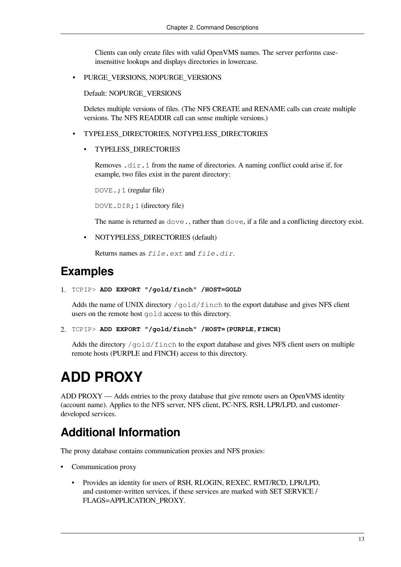Clients can only create files with valid OpenVMS names. The server performs caseinsensitive lookups and displays directories in lowercase.

• PURGE\_VERSIONS, NOPURGE\_VERSIONS

Default: NOPURGE\_VERSIONS

Deletes multiple versions of files. (The NFS CREATE and RENAME calls can create multiple versions. The NFS READDIR call can sense multiple versions.)

- TYPELESS\_DIRECTORIES, NOTYPELESS\_DIRECTORIES
	- TYPELESS\_DIRECTORIES

Removes .dir.1 from the name of directories. A naming conflict could arise if, for example, two files exist in the parent directory:

DOVE.; 1 (regular file)

DOVE.DIR;1 (directory file)

The name is returned as dove., rather than dove, if a file and a conflicting directory exist.

• NOTYPELESS\_DIRECTORIES (default)

Returns names as *file.ext* and *file.dir*.

### **Examples**

```
1. TCPIP> ADD EXPORT "/gold/finch" /HOST=GOLD
```
Adds the name of UNIX directory /gold/finch to the export database and gives NFS client users on the remote host gold access to this directory.

```
2. TCPIP> ADD EXPORT "/gold/finch" /HOST=(PURPLE,FINCH)
```
Adds the directory /gold/finch to the export database and gives NFS client users on multiple remote hosts (PURPLE and FINCH) access to this directory.

# <span id="page-22-0"></span>**ADD PROXY**

ADD PROXY — Adds entries to the proxy database that give remote users an OpenVMS identity (account name). Applies to the NFS server, NFS client, PC-NFS, RSH, LPR/LPD, and customerdeveloped services.

### **Additional Information**

The proxy database contains communication proxies and NFS proxies:

- Communication proxy
	- Provides an identity for users of RSH, RLOGIN, REXEC, RMT/RCD, LPR/LPD, and customer-written services, if these services are marked with SET SERVICE / FLAGS=APPLICATION\_PROXY.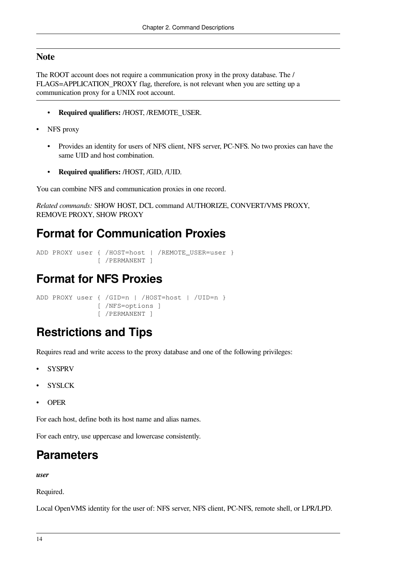### **Note**

The ROOT account does not require a communication proxy in the proxy database. The / FLAGS=APPLICATION\_PROXY flag, therefore, is not relevant when you are setting up a communication proxy for a UNIX root account.

- **Required qualifiers:** /HOST, /REMOTE\_USER.
- NFS proxy
	- Provides an identity for users of NFS client, NFS server, PC-NFS. No two proxies can have the same UID and host combination.
	- **Required qualifiers:** /HOST, /GID, /UID.

You can combine NFS and communication proxies in one record.

```
Related commands: SHOW HOST, DCL command AUTHORIZE, CONVERT/VMS PROXY,
REMOVE PROXY, SHOW PROXY
```
## **Format for Communication Proxies**

```
ADD PROXY user { /HOST=host | /REMOTE_USER=user }
                [ /PERMANENT ]
```
## **Format for NFS Proxies**

```
ADD PROXY user { /GID=n | /HOST=host | /UID=n }
                 [ /NFS=options ]
                 [ /PERMANENT ]
```
### **Restrictions and Tips**

Requires read and write access to the proxy database and one of the following privileges:

- **SYSPRV**
- **SYSLCK**
- OPER

For each host, define both its host name and alias names.

For each entry, use uppercase and lowercase consistently.

### **Parameters**

*user*

Required.

Local OpenVMS identity for the user of: NFS server, NFS client, PC-NFS, remote shell, or LPR/LPD.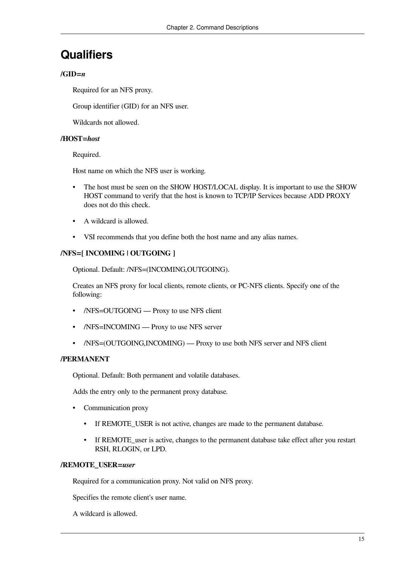### **Qualifiers**

#### $/$ GID $=n$

Required for an NFS proxy.

Group identifier (GID) for an NFS user.

Wildcards not allowed.

#### **/HOST=***host*

Required.

Host name on which the NFS user is working.

- The host must be seen on the SHOW HOST/LOCAL display. It is important to use the SHOW HOST command to verify that the host is known to TCP/IP Services because ADD PROXY does not do this check.
- A wildcard is allowed.
- VSI recommends that you define both the host name and any alias names.

### **/NFS=[ INCOMING | OUTGOING ]**

Optional. Default: /NFS=(INCOMING,OUTGOING).

Creates an NFS proxy for local clients, remote clients, or PC-NFS clients. Specify one of the following:

- /NFS=OUTGOING Proxy to use NFS client
- /NFS=INCOMING Proxy to use NFS server
- /NFS=(OUTGOING,INCOMING) Proxy to use both NFS server and NFS client

#### **/PERMANENT**

Optional. Default: Both permanent and volatile databases.

Adds the entry only to the permanent proxy database.

- Communication proxy
	- If REMOTE USER is not active, changes are made to the permanent database.
	- If REMOTE user is active, changes to the permanent database take effect after you restart RSH, RLOGIN, or LPD.

#### **/REMOTE\_USER=***user*

Required for a communication proxy. Not valid on NFS proxy.

Specifies the remote client's user name.

A wildcard is allowed.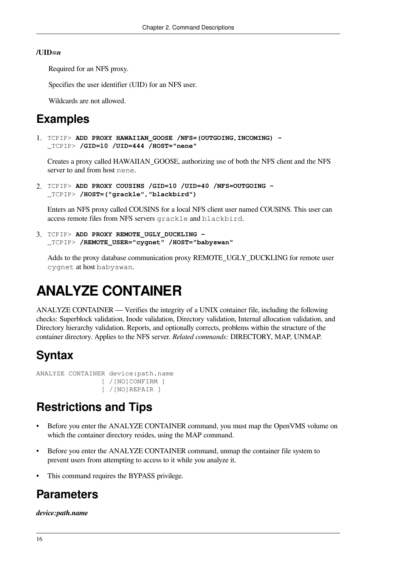#### **/UID=***n*

Required for an NFS proxy.

Specifies the user identifier (UID) for an NFS user.

Wildcards are not allowed.

### **Examples**

```
1. TCPIP> ADD PROXY HAWAIIAN_GOOSE /NFS=(OUTGOING,INCOMING) -
  _TCPIP> /GID=10 /UID=444 /HOST="nene"
```
Creates a proxy called HAWAIIAN\_GOOSE, authorizing use of both the NFS client and the NFS server to and from host nene.

```
2. TCPIP> ADD PROXY COUSINS /GID=10 /UID=40 /NFS=OUTGOING -
  _TCPIP> /HOST=("grackle","blackbird")
```
Enters an NFS proxy called COUSINS for a local NFS client user named COUSINS. This user can access remote files from NFS servers grackle and blackbird.

```
3. TCPIP> ADD PROXY REMOTE_UGLY_DUCKLING -
  _TCPIP> /REMOTE_USER="cygnet" /HOST="babyswan"
```
Adds to the proxy database communication proxy REMOTE\_UGLY\_DUCKLING for remote user cygnet at host babyswan.

# <span id="page-25-0"></span>**ANALYZE CONTAINER**

ANALYZE CONTAINER — Verifies the integrity of a UNIX container file, including the following checks: Superblock validation, Inode validation, Directory validation, Internal allocation validation, and Directory hierarchy validation. Reports, and optionally corrects, problems within the structure of the container directory. Applies to the NFS server. *Related commands:* DIRECTORY, MAP, UNMAP.

### **Syntax**

```
ANALYZE CONTAINER device:path.name
                  [ /[NO]CONFIRM ]
                  [ /[NO]REPAIR ]
```
### **Restrictions and Tips**

- Before you enter the ANALYZE CONTAINER command, you must map the OpenVMS volume on which the container directory resides, using the MAP command.
- Before you enter the ANALYZE CONTAINER command, unmap the container file system to prevent users from attempting to access to it while you analyze it.
- This command requires the BYPASS privilege.

### **Parameters**

#### *device:path.name*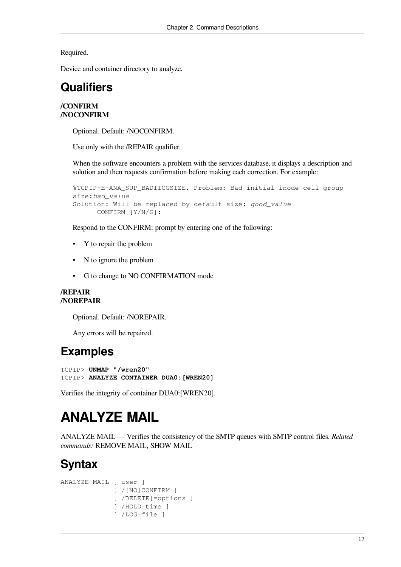Required.

Device and container directory to analyze.

## **Qualifiers**

#### **/CONFIRM /NOCONFIRM**

Optional. Default: /NOCONFIRM.

Use only with the /REPAIR qualifier.

When the software encounters a problem with the services database, it displays a description and solution and then requests confirmation before making each correction. For example:

```
%TCPIP-E-ANA_SUP_BADIICGSIZE, Problem: Bad initial inode cell group
size:bad_value
Solution: Will be replaced by default size: good_value
      CONFIRM [Y/N/G]:
```
Respond to the CONFIRM: prompt by entering one of the following:

- Y to repair the problem
- N to ignore the problem
- G to change to NO CONFIRMATION mode

#### **/REPAIR /NOREPAIR**

Optional. Default: /NOREPAIR.

Any errors will be repaired.

## **Examples**

TCPIP> **UNMAP "/wren20"** TCPIP> **ANALYZE CONTAINER DUA0:[WREN20]**

<span id="page-26-0"></span>Verifies the integrity of container DUA0:[WREN20].

# **ANALYZE MAIL**

ANALYZE MAIL — Verifies the consistency of the SMTP queues with SMTP control files. *Related commands:* REMOVE MAIL, SHOW MAIL

# **Syntax**

```
ANALYZE MAIL [ user ]
               [ /[NO]CONFIRM ]
               [ /DELETE[=options ]
               [ /HOLD=time ]
               [ /LOG=file ]
```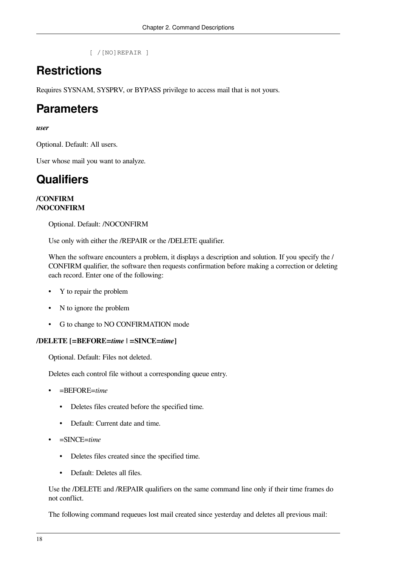[ /[NO]REPAIR ]

## **Restrictions**

Requires SYSNAM, SYSPRV, or BYPASS privilege to access mail that is not yours.

## **Parameters**

#### *user*

Optional. Default: All users.

User whose mail you want to analyze.

# **Qualifiers**

#### **/CONFIRM /NOCONFIRM**

Optional. Default: /NOCONFIRM

Use only with either the /REPAIR or the /DELETE qualifier.

When the software encounters a problem, it displays a description and solution. If you specify the / CONFIRM qualifier, the software then requests confirmation before making a correction or deleting each record. Enter one of the following:

- Y to repair the problem
- N to ignore the problem
- G to change to NO CONFIRMATION mode

### **/DELETE [=BEFORE=***time* **| =SINCE=***time***]**

Optional. Default: Files not deleted.

Deletes each control file without a corresponding queue entry.

- =BEFORE=*time*
	- Deletes files created before the specified time.
	- Default: Current date and time.
- =SINCE=*time*
	- Deletes files created since the specified time.
	- Default: Deletes all files.

Use the /DELETE and /REPAIR qualifiers on the same command line only if their time frames do not conflict.

The following command requeues lost mail created since yesterday and deletes all previous mail: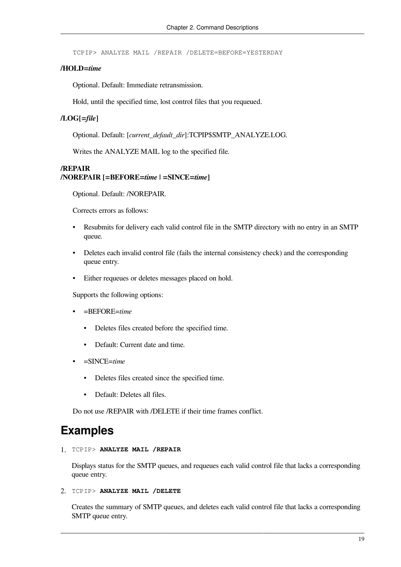TCPIP> ANALYZE MAIL /REPAIR /DELETE=BEFORE=YESTERDAY

#### **/HOLD=***time*

Optional. Default: Immediate retransmission.

Hold, until the specified time, lost control files that you requeued.

#### **/LOG[=***file***]**

Optional. Default: [*current\_default\_dir*]:TCPIP\$SMTP\_ANALYZE.LOG.

Writes the ANALYZE MAIL log to the specified file.

#### **/REPAIR /NOREPAIR [=BEFORE=***time* **| =SINCE=***time***]**

Optional. Default: /NOREPAIR.

Corrects errors as follows:

- Resubmits for delivery each valid control file in the SMTP directory with no entry in an SMTP queue.
- Deletes each invalid control file (fails the internal consistency check) and the corresponding queue entry.
- Either requeues or deletes messages placed on hold.

Supports the following options:

- =BEFORE=*time*
	- Deletes files created before the specified time.
	- Default: Current date and time.
- =SINCE=*time*
	- Deletes files created since the specified time.
	- Default: Deletes all files.

Do not use /REPAIR with /DELETE if their time frames conflict.

### **Examples**

1. TCPIP> **ANALYZE MAIL /REPAIR**

Displays status for the SMTP queues, and requeues each valid control file that lacks a corresponding queue entry.

2. TCPIP> **ANALYZE MAIL /DELETE**

Creates the summary of SMTP queues, and deletes each valid control file that lacks a corresponding SMTP queue entry.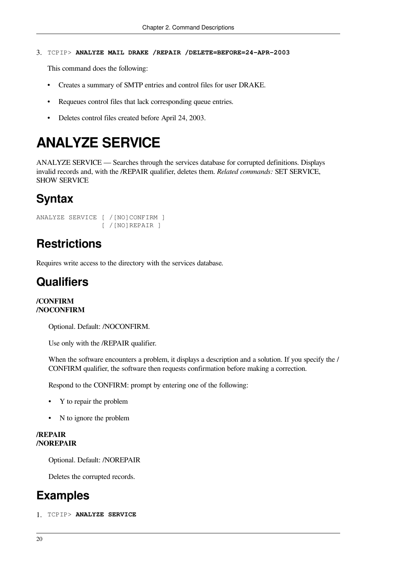#### 3. TCPIP> **ANALYZE MAIL DRAKE /REPAIR /DELETE=BEFORE=24-APR-2003**

This command does the following:

- Creates a summary of SMTP entries and control files for user DRAKE.
- Requeues control files that lack corresponding queue entries.
- <span id="page-29-0"></span>• Deletes control files created before April 24, 2003.

# **ANALYZE SERVICE**

ANALYZE SERVICE — Searches through the services database for corrupted definitions. Displays invalid records and, with the /REPAIR qualifier, deletes them. *Related commands:* SET SERVICE, SHOW SERVICE

### **Syntax**

```
ANALYZE SERVICE [ /[NO]CONFIRM ]
                  [ /[NO]REPAIR ]
```
### **Restrictions**

Requires write access to the directory with the services database.

### **Qualifiers**

#### **/CONFIRM /NOCONFIRM**

Optional. Default: /NOCONFIRM.

Use only with the /REPAIR qualifier.

When the software encounters a problem, it displays a description and a solution. If you specify the / CONFIRM qualifier, the software then requests confirmation before making a correction.

Respond to the CONFIRM: prompt by entering one of the following:

- Y to repair the problem
- N to ignore the problem

#### **/REPAIR /NOREPAIR**

Optional. Default: /NOREPAIR

Deletes the corrupted records.

### **Examples**

1. TCPIP> **ANALYZE SERVICE**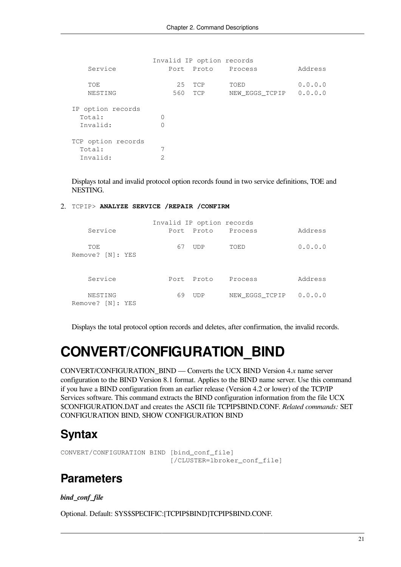```
 Invalid IP option records
  Service Port Proto Process Address
  TOE 25 TCP TOED 0.0.0.0
  NESTING 560 TCP NEW EGGS TCPIP 0.0.0.0
IP option records
 Total: 0
  Invalid: 0
TCP option records
 Total: 7
  Invalid: 2
```
Displays total and invalid protocol option records found in two service definitions, TOE and NESTING.

2. TCPIP> **ANALYZE SERVICE /REPAIR /CONFIRM**

| Invalid IP option records   |       |       |                |         |
|-----------------------------|-------|-------|----------------|---------|
| Service                     | Port. | Proto | Process        | Address |
| TOE<br>Remove? [N]: YES     | 67    | UDP   | TOED           | 0.0.0.0 |
| Service                     | Port. | Proto | Process        | Address |
| NESTING<br>Remove? [N]: YES | 69    | UDP   | NEW EGGS TCPIP | 0.0.0.0 |

Displays the total protocol option records and deletes, after confirmation, the invalid records.

# <span id="page-30-0"></span>**CONVERT/CONFIGURATION\_BIND**

CONVERT/CONFIGURATION\_BIND — Converts the UCX BIND Version 4.*x* name server configuration to the BIND Version 8.1 format. Applies to the BIND name server. Use this command if you have a BIND configuration from an earlier release (Version 4.2 or lower) of the TCP/IP Services software. This command extracts the BIND configuration information from the file UCX \$CONFIGURATION.DAT and creates the ASCII file TCPIP\$BIND.CONF. *Related commands:* SET CONFIGURATION BIND, SHOW CONFIGURATION BIND

### **Syntax**

CONVERT/CONFIGURATION BIND [bind\_conf\_file] [/CLUSTER=lbroker\_conf\_file]

### **Parameters**

#### *bind\_conf\_file*

Optional. Default: SYS\$SPECIFIC:[TCPIP\$BIND]TCPIP\$BIND.CONF.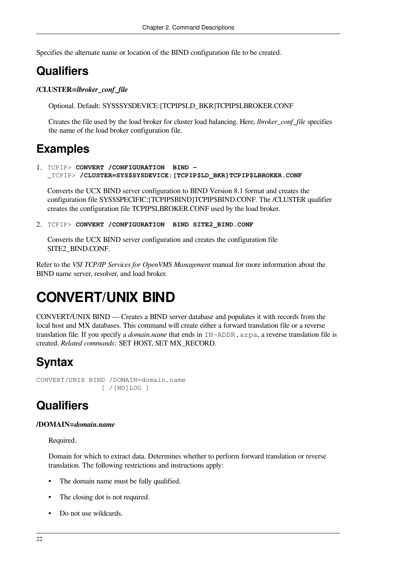Specifies the alternate name or location of the BIND configuration file to be created.

## **Qualifiers**

**/CLUSTER=***lbroker\_conf\_file*

Optional. Default: SYS\$SYSDEVICE:[TCPIP\$LD\_BKR]TCPIP\$LBROKER.CONF

Creates the file used by the load broker for cluster load balancing. Here, *lbroker\_conf\_file* specifies the name of the load broker configuration file.

### **Examples**

1. TCPIP> **CONVERT /CONFIGURATION BIND -** \_TCPIP> **/CLUSTER=SYS\$SYSDEVICE:[TCPIP\$LD\_BKR]TCPIP\$LBROKER.CONF**

Converts the UCX BIND server configuration to BIND Version 8.1 format and creates the configuration file SYS\$SPECIFIC:[TCPIP\$BIND]TCPIP\$BIND.CONF. The /CLUSTER qualifier creates the configuration file TCPIP\$LBROKER.CONF used by the load broker.

2. TCPIP> **CONVERT /CONFIGURATION BIND SITE2\_BIND.CONF**

Converts the UCX BIND server configuration and creates the configuration file SITE2\_BIND.CONF.

Refer to the *VSI TCP/IP Services for OpenVMS Management* manual for more information about the BIND name server, resolver, and load broker.

# <span id="page-31-0"></span>**CONVERT/UNIX BIND**

CONVERT/UNIX BIND — Creates a BIND server database and populates it with records from the local host and MX databases. This command will create either a forward translation file or a reverse translation file. If you specify a *domain.name* that ends in IN-ADDR.arpa, a reverse translation file is created. *Related commands:* SET HOST, SET MX\_RECORD.

# **Syntax**

CONVERT/UNIX BIND /DOMAIN=domain.name [ /[NO]LOG ]

# **Qualifiers**

#### **/DOMAIN=***domain.name*

Required.

Domain for which to extract data. Determines whether to perform forward translation or reverse translation. The following restrictions and instructions apply:

- The domain name must be fully qualified.
- The closing dot is not required.
- Do not use wildcards.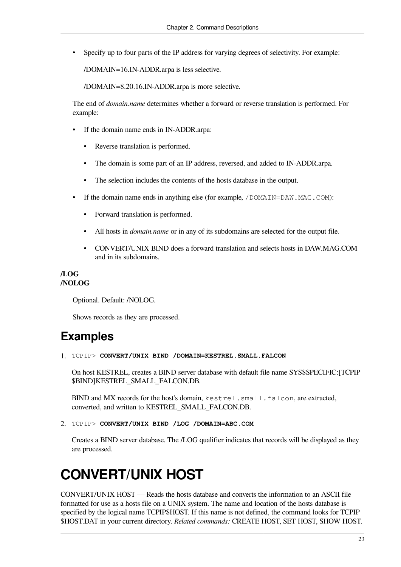• Specify up to four parts of the IP address for varying degrees of selectivity. For example:

/DOMAIN=16.IN-ADDR.arpa is less selective.

/DOMAIN=8.20.16.IN-ADDR.arpa is more selective.

The end of *domain.name* determines whether a forward or reverse translation is performed. For example:

- If the domain name ends in IN-ADDR.arpa:
	- Reverse translation is performed.
	- The domain is some part of an IP address, reversed, and added to IN-ADDR.arpa.
	- The selection includes the contents of the hosts database in the output.
- If the domain name ends in anything else (for example,  $/DOMAIN = DAW \cdot MAG \cdot COM)$ :
	- Forward translation is performed.
	- All hosts in *domain.name* or in any of its subdomains are selected for the output file.
	- CONVERT/UNIX BIND does a forward translation and selects hosts in DAW.MAG.COM and in its subdomains.

#### **/LOG /NOLOG**

Optional. Default: /NOLOG.

Shows records as they are processed.

### **Examples**

1. TCPIP> **CONVERT/UNIX BIND /DOMAIN=KESTREL.SMALL.FALCON**

On host KESTREL, creates a BIND server database with default file name SYS\$SPECIFIC:[TCPIP \$BIND]KESTREL\_SMALL\_FALCON.DB.

BIND and MX records for the host's domain, kestrel.small.falcon, are extracted, converted, and written to KESTREL\_SMALL\_FALCON.DB.

2. TCPIP> **CONVERT/UNIX BIND /LOG /DOMAIN=ABC.COM**

Creates a BIND server database. The /LOG qualifier indicates that records will be displayed as they are processed.

# <span id="page-32-0"></span>**CONVERT/UNIX HOST**

CONVERT/UNIX HOST — Reads the hosts database and converts the information to an ASCII file formatted for use as a hosts file on a UNIX system. The name and location of the hosts database is specified by the logical name TCPIP\$HOST. If this name is not defined, the command looks for TCPIP \$HOST.DAT in your current directory. *Related commands:* CREATE HOST, SET HOST, SHOW HOST.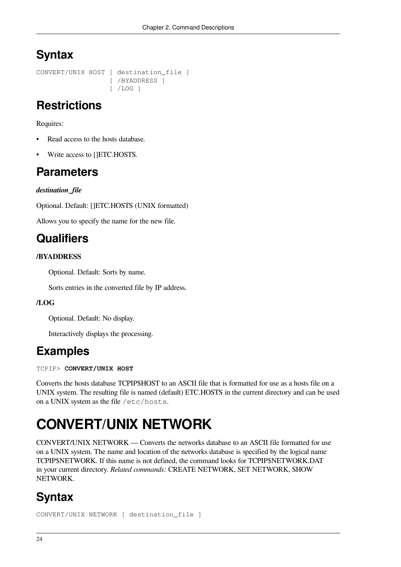# **Syntax**

```
CONVERT/UNIX HOST [ destination file ]
                    [ /BYADDRESS ]
                    [ /LOG ]
```
## **Restrictions**

Requires:

- Read access to the hosts database.
- Write access to []ETC.HOSTS.

## **Parameters**

### *destination\_file*

Optional. Default: []ETC.HOSTS (UNIX formatted)

Allows you to specify the name for the new file.

### **Qualifiers**

### **/BYADDRESS**

Optional. Default: Sorts by name.

Sorts entries in the converted file by IP address.

### **/LOG**

Optional. Default: No display.

Interactively displays the processing.

### **Examples**

TCPIP> **CONVERT/UNIX HOST**

Converts the hosts database TCPIP\$HOST to an ASCII file that is formatted for use as a hosts file on a UNIX system. The resulting file is named (default) ETC.HOSTS in the current directory and can be used on a UNIX system as the file /etc/hosts.

# <span id="page-33-0"></span>**CONVERT/UNIX NETWORK**

CONVERT/UNIX NETWORK — Converts the networks database to an ASCII file formatted for use on a UNIX system. The name and location of the networks database is specified by the logical name TCPIP\$NETWORK. If this name is not defined, the command looks for TCPIP\$NETWORK.DAT in your current directory. *Related commands:* CREATE NETWORK, SET NETWORK, SHOW NETWORK.

# **Syntax**

CONVERT/UNIX NETWORK [ destination\_file ]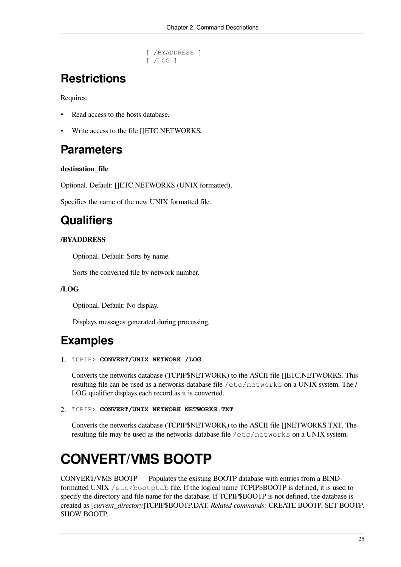```
 [ /BYADDRESS ]
 [ /LOG ]
```
# **Restrictions**

Requires:

- Read access to the hosts database.
- Write access to the file []ETC.NETWORKS.

## **Parameters**

#### **destination\_file**

Optional. Default: []ETC.NETWORKS (UNIX formatted).

Specifies the name of the new UNIX formatted file.

## **Qualifiers**

### **/BYADDRESS**

Optional. Default: Sorts by name.

Sorts the converted file by network number.

#### **/LOG**

Optional. Default: No display.

Displays messages generated during processing.

## **Examples**

1. TCPIP> **CONVERT/UNIX NETWORK /LOG**

Converts the networks database (TCPIP\$NETWORK) to the ASCII file []ETC.NETWORKS. This resulting file can be used as a networks database file /etc/networks on a UNIX system. The / LOG qualifier displays each record as it is converted.

2. TCPIP> **CONVERT/UNIX NETWORK NETWORKS.TXT**

Converts the networks database (TCPIP\$NETWORK) to the ASCII file []NETWORKS.TXT. The resulting file may be used as the networks database file /etc/networks on a UNIX system.

# <span id="page-34-0"></span>**CONVERT/VMS BOOTP**

CONVERT/VMS BOOTP — Populates the existing BOOTP database with entries from a BINDformatted UNIX /etc/bootptab file. If the logical name TCPIP\$BOOTP is defined, it is used to specify the directory and file name for the database. If TCPIP\$BOOTP is not defined, the database is created as [*current\_directory*]TCPIP\$BOOTP.DAT. *Related commands:* CREATE BOOTP, SET BOOTP, SHOW BOOTP.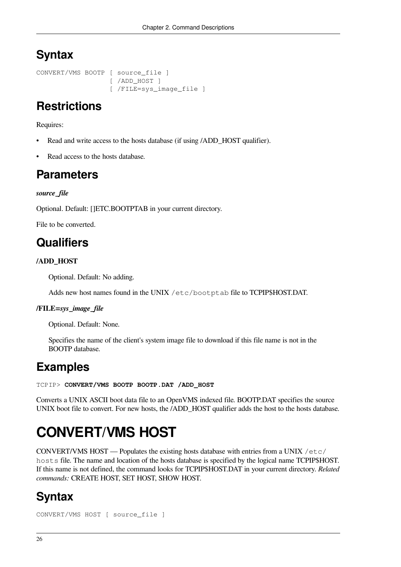# **Syntax**

CONVERT/VMS BOOTP [ source\_file ] [ /ADD\_HOST ] [ /FILE=sys\_image\_file ]

## **Restrictions**

Requires:

- Read and write access to the hosts database (if using /ADD\_HOST qualifier).
- Read access to the hosts database.

## **Parameters**

#### *source\_file*

Optional. Default: []ETC.BOOTPTAB in your current directory.

File to be converted.

### **Qualifiers**

### **/ADD\_HOST**

Optional. Default: No adding.

Adds new host names found in the UNIX /etc/bootptab file to TCPIP\$HOST.DAT.

#### **/FILE=***sys\_image\_file*

Optional. Default: None.

Specifies the name of the client's system image file to download if this file name is not in the BOOTP database.

### **Examples**

#### TCPIP> **CONVERT/VMS BOOTP BOOTP.DAT /ADD\_HOST**

Converts a UNIX ASCII boot data file to an OpenVMS indexed file. BOOTP.DAT specifies the source UNIX boot file to convert. For new hosts, the /ADD\_HOST qualifier adds the host to the hosts database.

# <span id="page-35-0"></span>**CONVERT/VMS HOST**

CONVERT/VMS HOST — Populates the existing hosts database with entries from a UNIX /etc/ hosts file. The name and location of the hosts database is specified by the logical name TCPIP\$HOST. If this name is not defined, the command looks for TCPIP\$HOST.DAT in your current directory. *Related commands:* CREATE HOST, SET HOST, SHOW HOST.

## **Syntax**

```
CONVERT/VMS HOST [ source_file ]
```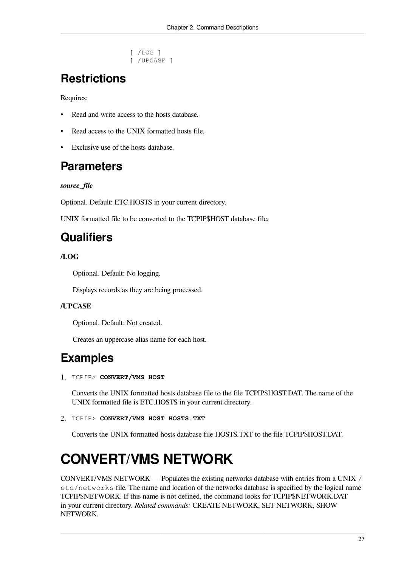```
 [ /LOG ]
 [ /UPCASE ]
```
# **Restrictions**

Requires:

- Read and write access to the hosts database.
- Read access to the UNIX formatted hosts file.
- Exclusive use of the hosts database.

### **Parameters**

### *source\_file*

Optional. Default: ETC.HOSTS in your current directory.

UNIX formatted file to be converted to the TCPIP\$HOST database file.

# **Qualifiers**

### **/LOG**

Optional. Default: No logging.

Displays records as they are being processed.

### **/UPCASE**

Optional. Default: Not created.

Creates an uppercase alias name for each host.

# **Examples**

1. TCPIP> **CONVERT/VMS HOST**

Converts the UNIX formatted hosts database file to the file TCPIP\$HOST.DAT. The name of the UNIX formatted file is ETC.HOSTS in your current directory.

2. TCPIP> **CONVERT/VMS HOST HOSTS.TXT**

Converts the UNIX formatted hosts database file HOSTS.TXT to the file TCPIP\$HOST.DAT.

# **CONVERT/VMS NETWORK**

CONVERT/VMS NETWORK — Populates the existing networks database with entries from a UNIX / etc/networks file. The name and location of the networks database is specified by the logical name TCPIP\$NETWORK. If this name is not defined, the command looks for TCPIP\$NETWORK.DAT in your current directory. *Related commands:* CREATE NETWORK, SET NETWORK, SHOW NETWORK.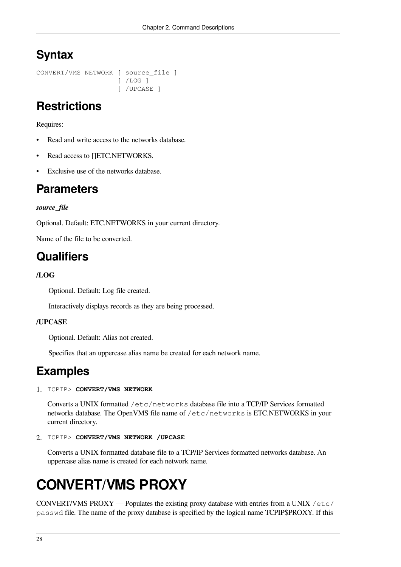# **Syntax**

CONVERT/VMS NETWORK [ source\_file ] [ /LOG ] [ /UPCASE ]

# **Restrictions**

Requires:

- Read and write access to the networks database.
- Read access to []ETC.NETWORKS.
- Exclusive use of the networks database.

### **Parameters**

### *source\_file*

Optional. Default: ETC.NETWORKS in your current directory.

Name of the file to be converted.

## **Qualifiers**

### **/LOG**

Optional. Default: Log file created.

Interactively displays records as they are being processed.

### **/UPCASE**

Optional. Default: Alias not created.

Specifies that an uppercase alias name be created for each network name.

### **Examples**

#### 1. TCPIP> **CONVERT/VMS NETWORK**

Converts a UNIX formatted /etc/networks database file into a TCP/IP Services formatted networks database. The OpenVMS file name of /etc/networks is ETC.NETWORKS in your current directory.

2. TCPIP> **CONVERT/VMS NETWORK /UPCASE**

Converts a UNIX formatted database file to a TCP/IP Services formatted networks database. An uppercase alias name is created for each network name.

# **CONVERT/VMS PROXY**

CONVERT/VMS PROXY — Populates the existing proxy database with entries from a UNIX /etc/ passwd file. The name of the proxy database is specified by the logical name TCPIP\$PROXY. If this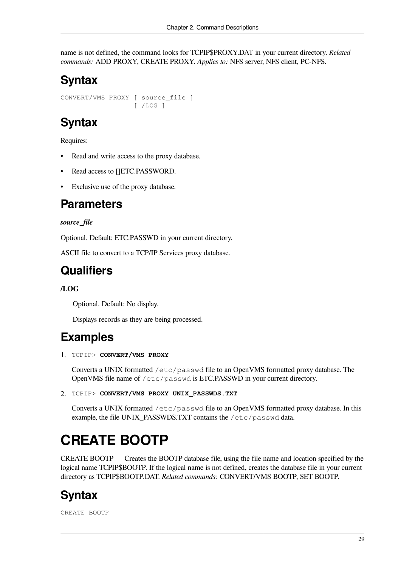name is not defined, the command looks for TCPIP\$PROXY.DAT in your current directory. *Related commands:* ADD PROXY, CREATE PROXY. *Applies to:* NFS server, NFS client, PC-NFS.

# **Syntax**

CONVERT/VMS PROXY [ source\_file ] [ /LOG ]

## **Syntax**

Requires:

- Read and write access to the proxy database.
- Read access to []ETC.PASSWORD.
- Exclusive use of the proxy database.

### **Parameters**

### *source\_file*

Optional. Default: ETC.PASSWD in your current directory.

ASCII file to convert to a TCP/IP Services proxy database.

## **Qualifiers**

### **/LOG**

Optional. Default: No display.

Displays records as they are being processed.

## **Examples**

1. TCPIP> **CONVERT/VMS PROXY**

Converts a UNIX formatted /etc/passwd file to an OpenVMS formatted proxy database. The OpenVMS file name of /etc/passwd is ETC.PASSWD in your current directory.

2. TCPIP> **CONVERT/VMS PROXY UNIX\_PASSWDS.TXT**

Converts a UNIX formatted /etc/passwd file to an OpenVMS formatted proxy database. In this example, the file UNIX\_PASSWDS.TXT contains the /etc/passwd data.

# **CREATE BOOTP**

CREATE BOOTP — Creates the BOOTP database file, using the file name and location specified by the logical name TCPIP\$BOOTP. If the logical name is not defined, creates the database file in your current directory as TCPIP\$BOOTP.DAT. *Related commands:* CONVERT/VMS BOOTP, SET BOOTP.

# **Syntax**

CREATE BOOTP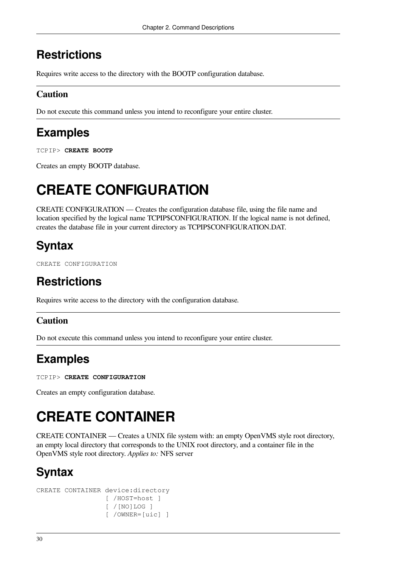# **Restrictions**

Requires write access to the directory with the BOOTP configuration database.

### **Caution**

Do not execute this command unless you intend to reconfigure your entire cluster.

# **Examples**

TCPIP> **CREATE BOOTP**

Creates an empty BOOTP database.

# **CREATE CONFIGURATION**

CREATE CONFIGURATION — Creates the configuration database file, using the file name and location specified by the logical name TCPIP\$CONFIGURATION. If the logical name is not defined, creates the database file in your current directory as TCPIP\$CONFIGURATION.DAT.

# **Syntax**

CREATE CONFIGURATION

# **Restrictions**

Requires write access to the directory with the configuration database.

### **Caution**

Do not execute this command unless you intend to reconfigure your entire cluster.

# **Examples**

TCPIP> **CREATE CONFIGURATION**

Creates an empty configuration database.

# **CREATE CONTAINER**

CREATE CONTAINER — Creates a UNIX file system with: an empty OpenVMS style root directory, an empty local directory that corresponds to the UNIX root directory, and a container file in the OpenVMS style root directory. *Applies to:* NFS server

# **Syntax**

```
CREATE CONTAINER device:directory
                   [ /HOST=host ]
                   [ /[NO]LOG ]
                   [ /OWNER=[uic] ]
```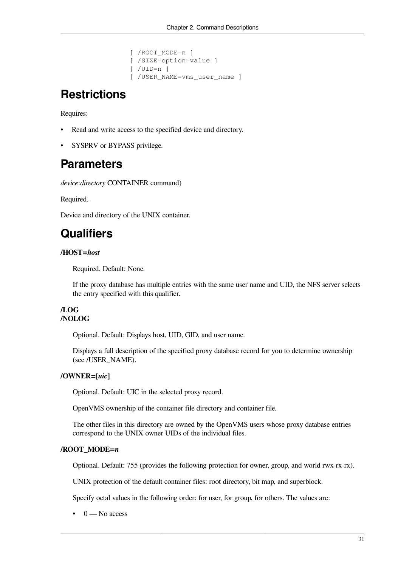```
 [ /ROOT_MODE=n ]
 [ /SIZE=option=value ]
 [ /UID=n ]
 [ /USER_NAME=vms_user_name ]
```
## **Restrictions**

Requires:

- Read and write access to the specified device and directory.
- SYSPRV or BYPASS privilege.

### **Parameters**

*device*:*directory* CONTAINER command)

Required.

Device and directory of the UNIX container.

# **Qualifiers**

### **/HOST=***host*

Required. Default: None.

If the proxy database has multiple entries with the same user name and UID, the NFS server selects the entry specified with this qualifier.

### **/LOG /NOLOG**

Optional. Default: Displays host, UID, GID, and user name.

Displays a full description of the specified proxy database record for you to determine ownership (see /USER\_NAME).

### **/OWNER=[***uic***]**

Optional. Default: UIC in the selected proxy record.

OpenVMS ownership of the container file directory and container file.

The other files in this directory are owned by the OpenVMS users whose proxy database entries correspond to the UNIX owner UIDs of the individual files.

#### **/ROOT\_MODE=***n*

Optional. Default: 755 (provides the following protection for owner, group, and world rwx-rx-rx).

UNIX protection of the default container files: root directory, bit map, and superblock.

Specify octal values in the following order: for user, for group, for others. The values are:

 $\bullet$  0 — No access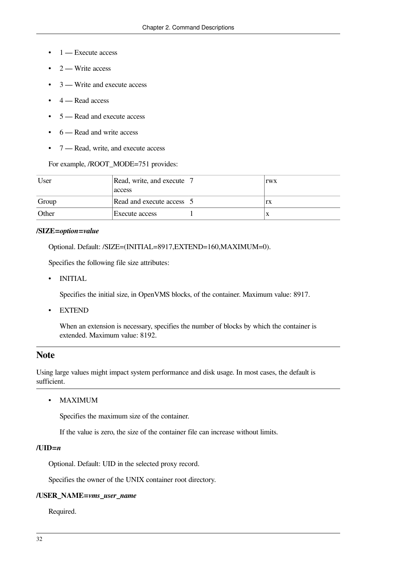- $\bullet$  1 Execute access
- $\bullet$  2 Write access
- 3 Write and execute access
- $\bullet$  4 Read access
- 5 Read and execute access
- 6 Read and write access
- 7 Read, write, and execute access

For example, /ROOT\_MODE=751 provides:

| User  | Read, write, and execute  7<br>access | <b>TWX</b> |
|-------|---------------------------------------|------------|
| Group | Read and execute access 15            | rx         |
| Other | Execute access                        |            |

#### **/SIZE=***option***=***value*

Optional. Default: /SIZE=(INITIAL=8917,EXTEND=160,MAXIMUM=0).

Specifies the following file size attributes:

• INITIAL

Specifies the initial size, in OpenVMS blocks, of the container. Maximum value: 8917.

• EXTEND

When an extension is necessary, specifies the number of blocks by which the container is extended. Maximum value: 8192.

### **Note**

Using large values might impact system performance and disk usage. In most cases, the default is sufficient.

• MAXIMUM

Specifies the maximum size of the container.

If the value is zero, the size of the container file can increase without limits.

#### **/UID=***n*

Optional. Default: UID in the selected proxy record.

Specifies the owner of the UNIX container root directory.

#### **/USER\_NAME=***vms\_user\_name*

Required.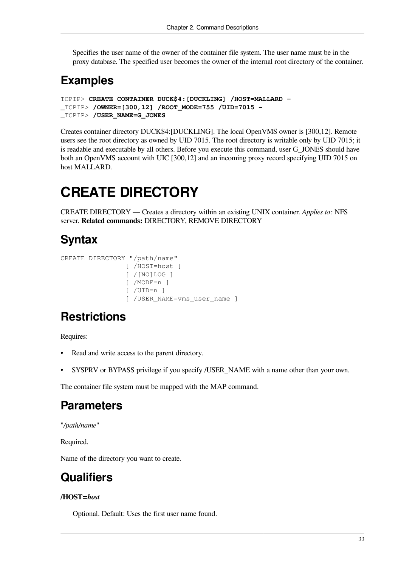Specifies the user name of the owner of the container file system. The user name must be in the proxy database. The specified user becomes the owner of the internal root directory of the container.

## **Examples**

```
TCPIP> CREATE CONTAINER DUCK$4:[DUCKLING] /HOST=MALLARD -
_TCPIP> /OWNER=[300,12] /ROOT_MODE=755 /UID=7015 -
_TCPIP> /USER_NAME=G_JONES
```
Creates container directory DUCK\$4:[DUCKLING]. The local OpenVMS owner is [300,12]. Remote users see the root directory as owned by UID 7015. The root directory is writable only by UID 7015; it is readable and executable by all others. Before you execute this command, user G\_JONES should have both an OpenVMS account with UIC [300,12] and an incoming proxy record specifying UID 7015 on host MALLARD.

# **CREATE DIRECTORY**

CREATE DIRECTORY — Creates a directory within an existing UNIX container. *Applies to:* NFS server. **Related commands:** DIRECTORY, REMOVE DIRECTORY

### **Syntax**

```
CREATE DIRECTORY "/path/name"
                   [ /HOST=host ]
                    [ /[NO]LOG ]
                    [ /MODE=n ]
                   \lceil /UID=n \rceil [ /USER_NAME=vms_user_name ]
```
# **Restrictions**

Requires:

- Read and write access to the parent directory.
- SYSPRV or BYPASS privilege if you specify */USER\_NAME* with a name other than your own.

The container file system must be mapped with the MAP command.

## **Parameters**

"*/path/name*"

Required.

Name of the directory you want to create.

# **Qualifiers**

### **/HOST=***host*

Optional. Default: Uses the first user name found.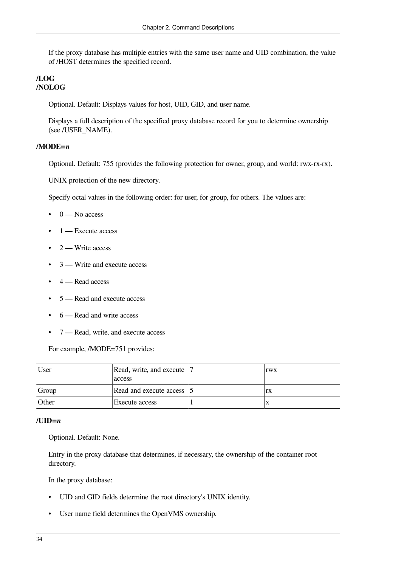If the proxy database has multiple entries with the same user name and UID combination, the value of /HOST determines the specified record.

### **/LOG /NOLOG**

Optional. Default: Displays values for host, UID, GID, and user name.

Displays a full description of the specified proxy database record for you to determine ownership (see /USER\_NAME).

### **/MODE=***n*

Optional. Default: 755 (provides the following protection for owner, group, and world: rwx-rx-rx).

UNIX protection of the new directory.

Specify octal values in the following order: for user, for group, for others. The values are:

- $\bullet$  0 No access
- $\bullet$  1 Execute access
- $\bullet$  2 Write access
- 3 Write and execute access
- 4 Read access
- 5 Read and execute access
- 6 Read and write access
- 7 Read, write, and execute access

For example, /MODE=751 provides:

| User  | Read, write, and execute  <br>access | rwx |
|-------|--------------------------------------|-----|
| Group | Read and execute access 15           | rx  |
| Other | Execute access                       |     |

#### **/UID=***n*

Optional. Default: None.

Entry in the proxy database that determines, if necessary, the ownership of the container root directory.

In the proxy database:

- UID and GID fields determine the root directory's UNIX identity.
- User name field determines the OpenVMS ownership.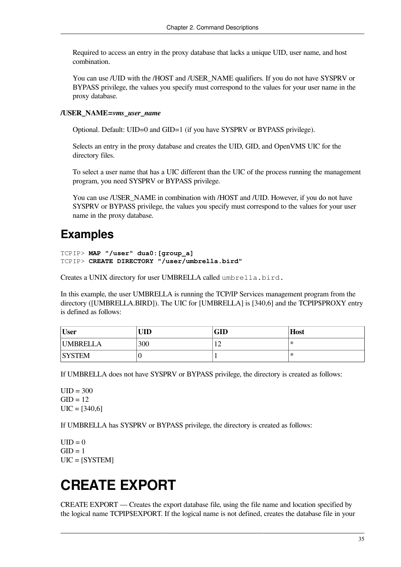Required to access an entry in the proxy database that lacks a unique UID, user name, and host combination.

You can use /UID with the /HOST and /USER\_NAME qualifiers. If you do not have SYSPRV or BYPASS privilege, the values you specify must correspond to the values for your user name in the proxy database.

### **/USER\_NAME=***vms\_user\_name*

Optional. Default: UID=0 and GID=1 (if you have SYSPRV or BYPASS privilege).

Selects an entry in the proxy database and creates the UID, GID, and OpenVMS UIC for the directory files.

To select a user name that has a UIC different than the UIC of the process running the management program, you need SYSPRV or BYPASS privilege.

You can use /USER\_NAME in combination with /HOST and /UID. However, if you do not have SYSPRV or BYPASS privilege, the values you specify must correspond to the values for your user name in the proxy database.

### **Examples**

```
TCPIP> MAP "/user" dua0:[group_a]
TCPIP> CREATE DIRECTORY "/user/umbrella.bird"
```
Creates a UNIX directory for user UMBRELLA called umbrella.bird.

In this example, the user UMBRELLA is running the TCP/IP Services management program from the directory ([UMBRELLA.BIRD]). The UIC for [UMBRELLA] is [340,6] and the TCPIP\$PROXY entry is defined as follows:

| <b>User</b>     | UID | GID | <b>Host</b> |
|-----------------|-----|-----|-------------|
| <b>UMBRELLA</b> | 300 | ┸   | ⋇           |
| <b>SYSTEM</b>   |     |     | ⋇           |

If UMBRELLA does not have SYSPRV or BYPASS privilege, the directory is created as follows:

 $UID = 300$  $GID = 12$  $UIC = [340,6]$ 

If UMBRELLA has SYSPRV or BYPASS privilege, the directory is created as follows:

 $UID = 0$  $GID = 1$ UIC = [SYSTEM]

# **CREATE EXPORT**

CREATE EXPORT — Creates the export database file, using the file name and location specified by the logical name TCPIP\$EXPORT. If the logical name is not defined, creates the database file in your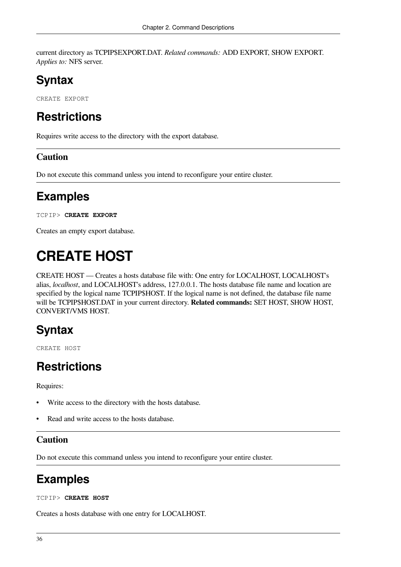current directory as TCPIP\$EXPORT.DAT. *Related commands:* ADD EXPORT, SHOW EXPORT. *Applies to:* NFS server.

# **Syntax**

CREATE EXPORT

# **Restrictions**

Requires write access to the directory with the export database.

### **Caution**

Do not execute this command unless you intend to reconfigure your entire cluster.

# **Examples**

TCPIP> **CREATE EXPORT**

Creates an empty export database.

# **CREATE HOST**

CREATE HOST — Creates a hosts database file with: One entry for LOCALHOST, LOCALHOST's alias, *localhost*, and LOCALHOST's address, 127.0.0.1. The hosts database file name and location are specified by the logical name TCPIP\$HOST. If the logical name is not defined, the database file name will be TCPIP\$HOST.DAT in your current directory. **Related commands:** SET HOST, SHOW HOST, CONVERT/VMS HOST.

# **Syntax**

CREATE HOST

# **Restrictions**

Requires:

- Write access to the directory with the hosts database.
- Read and write access to the hosts database.

### **Caution**

Do not execute this command unless you intend to reconfigure your entire cluster.

# **Examples**

TCPIP> **CREATE HOST**

Creates a hosts database with one entry for LOCALHOST.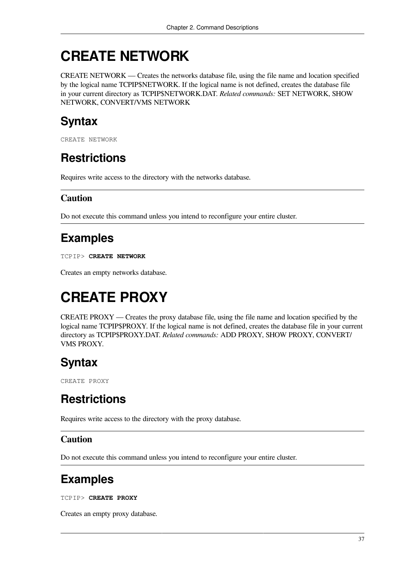# **CREATE NETWORK**

CREATE NETWORK — Creates the networks database file, using the file name and location specified by the logical name TCPIP\$NETWORK. If the logical name is not defined, creates the database file in your current directory as TCPIP\$NETWORK.DAT. *Related commands:* SET NETWORK, SHOW NETWORK, CONVERT/VMS NETWORK

# **Syntax**

CREATE NETWORK

# **Restrictions**

Requires write access to the directory with the networks database.

### **Caution**

Do not execute this command unless you intend to reconfigure your entire cluster.

# **Examples**

TCPIP> **CREATE NETWORK**

Creates an empty networks database.

# **CREATE PROXY**

CREATE PROXY — Creates the proxy database file, using the file name and location specified by the logical name TCPIP\$PROXY. If the logical name is not defined, creates the database file in your current directory as TCPIP\$PROXY.DAT. *Related commands:* ADD PROXY, SHOW PROXY, CONVERT/ VMS PROXY.

# **Syntax**

CREATE PROXY

# **Restrictions**

Requires write access to the directory with the proxy database.

### **Caution**

Do not execute this command unless you intend to reconfigure your entire cluster.

# **Examples**

TCPIP> **CREATE PROXY**

Creates an empty proxy database.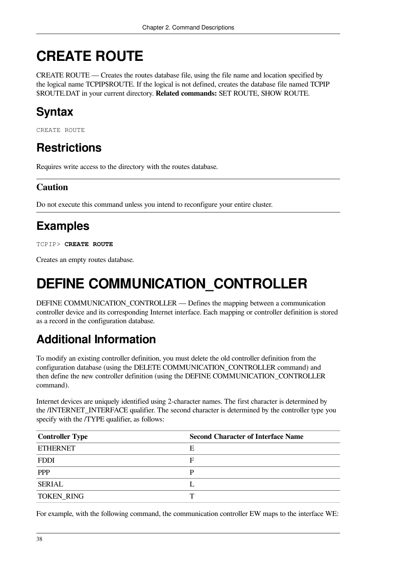# **CREATE ROUTE**

CREATE ROUTE — Creates the routes database file, using the file name and location specified by the logical name TCPIP\$ROUTE. If the logical is not defined, creates the database file named TCPIP \$ROUTE.DAT in your current directory. **Related commands:** SET ROUTE, SHOW ROUTE.

# **Syntax**

CREATE ROUTE

# **Restrictions**

Requires write access to the directory with the routes database.

### **Caution**

Do not execute this command unless you intend to reconfigure your entire cluster.

# **Examples**

TCPIP> **CREATE ROUTE**

Creates an empty routes database.

# **DEFINE COMMUNICATION\_CONTROLLER**

DEFINE COMMUNICATION\_CONTROLLER — Defines the mapping between a communication controller device and its corresponding Internet interface. Each mapping or controller definition is stored as a record in the configuration database.

# **Additional Information**

To modify an existing controller definition, you must delete the old controller definition from the configuration database (using the DELETE COMMUNICATION\_CONTROLLER command) and then define the new controller definition (using the DEFINE COMMUNICATION\_CONTROLLER command).

Internet devices are uniquely identified using 2-character names. The first character is determined by the /INTERNET\_INTERFACE qualifier. The second character is determined by the controller type you specify with the /TYPE qualifier, as follows:

| Controller Type | <b>Second Character of Interface Name</b> |
|-----------------|-------------------------------------------|
| <b>ETHERNET</b> | E                                         |
| FDDI            | F                                         |
| <b>PPP</b>      | D                                         |
| <b>SERIAL</b>   |                                           |
| TOKEN_RING      | ᅲ                                         |

For example, with the following command, the communication controller EW maps to the interface WE: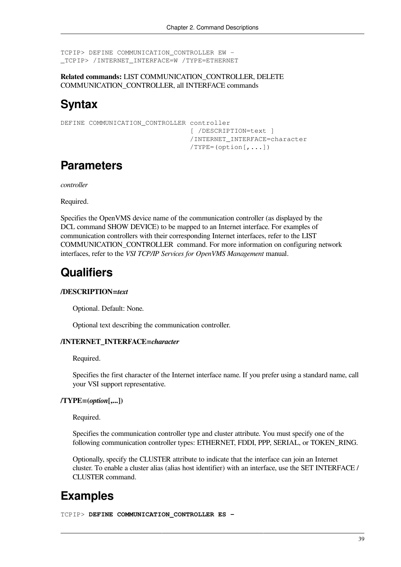```
TCPIP> DEFINE COMMUNICATION_CONTROLLER EW -
_TCPIP> /INTERNET_INTERFACE=W /TYPE=ETHERNET
```
**Related commands:** LIST COMMUNICATION\_CONTROLLER, DELETE COMMUNICATION\_CONTROLLER, all INTERFACE commands

### **Syntax**

```
DEFINE COMMUNICATION CONTROLLER controller
                                  [ /DESCRIPTION=text ]
                                  /INTERNET_INTERFACE=character
                                  /TYPE=(option[,...])
```
### **Parameters**

*controller*

Required.

Specifies the OpenVMS device name of the communication controller (as displayed by the DCL command SHOW DEVICE) to be mapped to an Internet interface. For examples of communication controllers with their corresponding Internet interfaces, refer to the [LIST](#page-61-0) [COMMUNICATION\\_CONTROLLER](#page-61-0) command. For more information on configuring network interfaces, refer to the *VSI TCP/IP Services for OpenVMS Management* manual.

## **Qualifiers**

### **/DESCRIPTION=***text*

Optional. Default: None.

Optional text describing the communication controller.

### **/INTERNET\_INTERFACE=***character*

Required.

Specifies the first character of the Internet interface name. If you prefer using a standard name, call your VSI support representative.

#### **/TYPE=(***option***[,...])**

Required.

Specifies the communication controller type and cluster attribute. You must specify one of the following communication controller types: ETHERNET, FDDI, PPP, SERIAL, or TOKEN\_RING.

Optionally, specify the CLUSTER attribute to indicate that the interface can join an Internet cluster. To enable a cluster alias (alias host identifier) with an interface, use the SET INTERFACE / CLUSTER command.

## **Examples**

TCPIP> **DEFINE COMMUNICATION\_CONTROLLER ES -**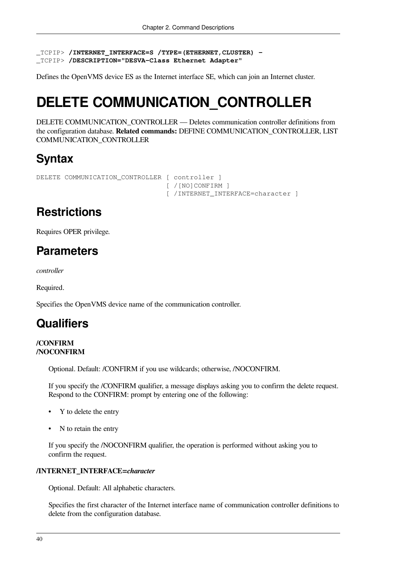\_TCPIP> **/INTERNET\_INTERFACE=S /TYPE=(ETHERNET,CLUSTER) -**  \_TCPIP> **/DESCRIPTION="DESVA-Class Ethernet Adapter"**

Defines the OpenVMS device ES as the Internet interface SE, which can join an Internet cluster.

# **DELETE COMMUNICATION\_CONTROLLER**

DELETE COMMUNICATION\_CONTROLLER — Deletes communication controller definitions from the configuration database. **Related commands:** DEFINE COMMUNICATION\_CONTROLLER, LIST COMMUNICATION\_CONTROLLER

## **Syntax**

```
DELETE COMMUNICATION CONTROLLER [ controller ]
```
 [ /[NO]CONFIRM ] [ /INTERNET\_INTERFACE=character ]

# **Restrictions**

Requires OPER privilege.

# **Parameters**

*controller*

Required.

Specifies the OpenVMS device name of the communication controller.

# **Qualifiers**

### **/CONFIRM /NOCONFIRM**

Optional. Default: /CONFIRM if you use wildcards; otherwise, /NOCONFIRM.

If you specify the /CONFIRM qualifier, a message displays asking you to confirm the delete request. Respond to the CONFIRM: prompt by entering one of the following:

- Y to delete the entry
- N to retain the entry

If you specify the /NOCONFIRM qualifier, the operation is performed without asking you to confirm the request.

### **/INTERNET\_INTERFACE=***character*

Optional. Default: All alphabetic characters.

Specifies the first character of the Internet interface name of communication controller definitions to delete from the configuration database.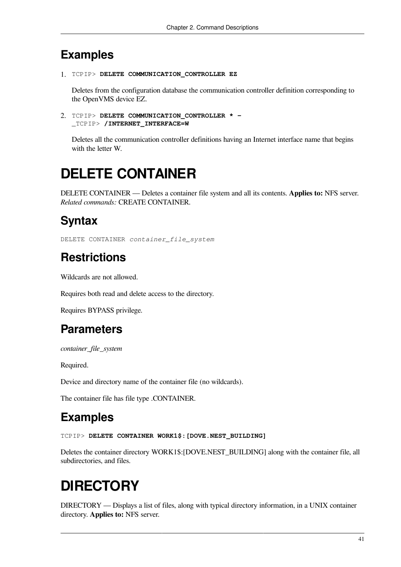### **Examples**

```
1. TCPIP> DELETE COMMUNICATION_CONTROLLER EZ
```
Deletes from the configuration database the communication controller definition corresponding to the OpenVMS device EZ.

```
2. TCPIP> DELETE COMMUNICATION_CONTROLLER * - 
  _TCPIP> /INTERNET_INTERFACE=W
```
Deletes all the communication controller definitions having an Internet interface name that begins with the letter W.

# **DELETE CONTAINER**

DELETE CONTAINER — Deletes a container file system and all its contents. **Applies to:** NFS server. *Related commands:* CREATE CONTAINER.

# **Syntax**

DELETE CONTAINER *container\_file\_system*

# **Restrictions**

Wildcards are not allowed.

Requires both read and delete access to the directory.

Requires BYPASS privilege.

# **Parameters**

*container\_file\_system*

Required.

Device and directory name of the container file (no wildcards).

The container file has file type .CONTAINER.

# **Examples**

TCPIP> **DELETE CONTAINER WORK1\$:[DOVE.NEST\_BUILDING]**

Deletes the container directory WORK1\$:[DOVE.NEST\_BUILDING] along with the container file, all subdirectories, and files.

# **DIRECTORY**

DIRECTORY — Displays a list of files, along with typical directory information, in a UNIX container directory. **Applies to:** NFS server.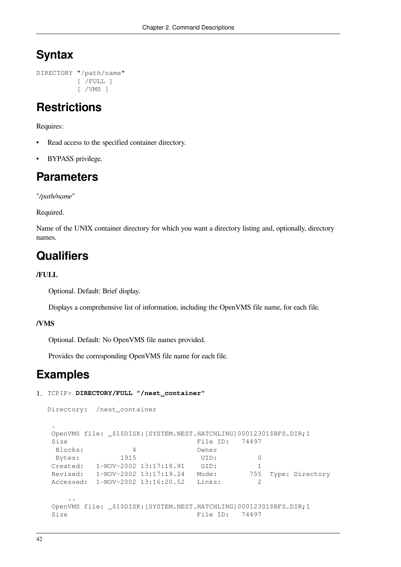# **Syntax**

```
DIRECTORY "/path/name"
            [ /FULL ]
            [ /VMS ]
```
## **Restrictions**

Requires:

- Read access to the specified container directory.
- **BYPASS** privilege.

## **Parameters**

"*/path/name*"

Required.

Name of the UNIX container directory for which you want a directory listing and, optionally, directory names.

## **Qualifiers**

### **/FULL**

Optional. Default: Brief display.

Displays a comprehensive list of information, including the OpenVMS file name, for each file.

### **/VMS**

Optional. Default: No OpenVMS file names provided.

Provides the corresponding OpenVMS file name for each file.

### **Examples**

```
1. TCPIP> DIRECTORY/FULL "/nest_container"
```

```
Directory: /nest_container
 .
 OpenVMS file: _$1$DISK:[SYSTEM.NEST.HATCHLING]00012301$BFS.DIR;1
Size File ID: 74497
  Blocks: 4 Owner
 Bytes: 1915 UID: 0
Created: 1-NOV-2002 13:17:18.91 GID: 1
 Revised: 1-NOV-2002 13:17:19.24 Mode: 755 Type: Directory
 Accessed: 1-NOV-2002 13:16:20.52 Links: 2
 ..
OpenVMS file: $1$DISK: [SYSTEM.NEST.HATCHLING]00012301$BFS.DIR;1
Size File ID: 74497
```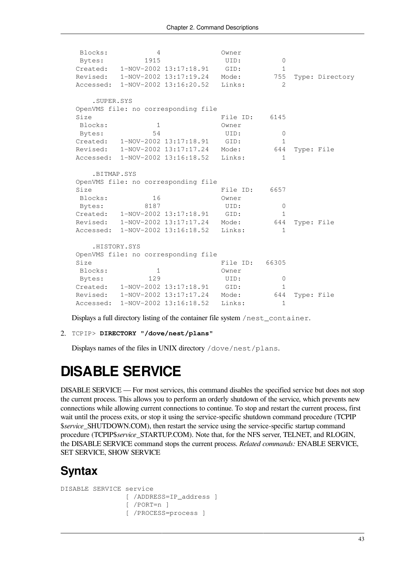```
 Blocks: 4 Owner
Bytes: 1915 UID: 0
Created: 1-NOV-2002 13:17:18.91 GID: 1
 Revised: 1-NOV-2002 13:17:19.24 Mode: 755 Type: Directory
 Accessed: 1-NOV-2002 13:16:20.52 Links: 2
   .SUPER.SYS
 OpenVMS file: no corresponding file
Size File ID: 6145
 Blocks: 1 Owner
Bytes: 54 UID: 0
Created: 1-NOV-2002 13:17:18.91 GID: 1
 Revised: 1-NOV-2002 13:17:17.24 Mode: 644 Type: File
Accessed: 1-NOV-2002 13:16:18.52 Links: 1
   .BITMAP.SYS
 OpenVMS file: no corresponding file
Size File ID: 6657
Blocks: 16 Owner
Bytes: 8187 UID: 0
 Created: 1-NOV-2002 13:17:18.91 GID: 1
 Revised: 1-NOV-2002 13:17:17.24 Mode: 644 Type: File
Accessed: 1-NOV-2002 13:16:18.52 Links: 1
   .HISTORY.SYS
 OpenVMS file: no corresponding file
Size File ID: 66305
Blocks: 1 Owner
Bytes: 129 UID: 0
Created: 1-NOV-2002 13:17:18.91 GID: 1
 Revised: 1-NOV-2002 13:17:17.24 Mode: 644 Type: File
Accessed: 1-NOV-2002 13:16:18.52 Links: 1
```
Displays a full directory listing of the container file system /nest\_container.

```
2. TCPIP> DIRECTORY "/dove/nest/plans"
```
Displays names of the files in UNIX directory /dove/nest/plans.

# **DISABLE SERVICE**

DISABLE SERVICE — For most services, this command disables the specified service but does not stop the current process. This allows you to perform an orderly shutdown of the service, which prevents new connections while allowing current connections to continue. To stop and restart the current process, first wait until the process exits, or stop it using the service-specific shutdown command procedure (TCPIP \$*service*\_SHUTDOWN.COM), then restart the service using the service-specific startup command procedure (TCPIP\$*service*\_STARTUP.COM). Note that, for the NFS server, TELNET, and RLOGIN, the DISABLE SERVICE command stops the current process. *Related commands:* ENABLE SERVICE, SET SERVICE, SHOW SERVICE

### **Syntax**

```
DISABLE SERVICE service
                  [ /ADDRESS=IP_address ]
                  [ /PORT=n ]
                  [ /PROCESS=process ]
```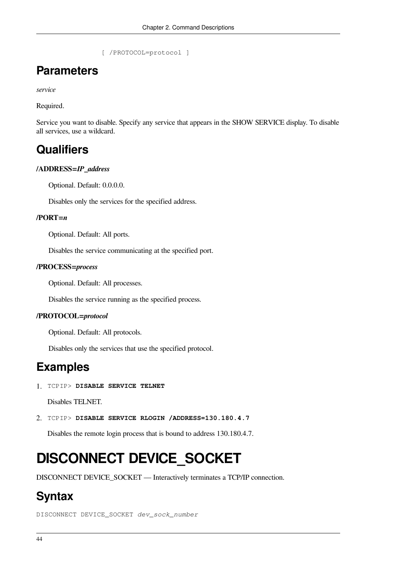[ /PROTOCOL=protocol ]

### **Parameters**

*service*

Required.

Service you want to disable. Specify any service that appears in the SHOW SERVICE display. To disable all services, use a wildcard.

### **Qualifiers**

### **/ADDRESS=***IP\_address*

Optional. Default: 0.0.0.0.

Disables only the services for the specified address.

#### **/PORT=***n*

Optional. Default: All ports.

Disables the service communicating at the specified port.

#### **/PROCESS=***process*

Optional. Default: All processes.

Disables the service running as the specified process.

#### **/PROTOCOL=***protocol*

Optional. Default: All protocols.

Disables only the services that use the specified protocol.

### **Examples**

1. TCPIP> **DISABLE SERVICE TELNET** 

Disables TELNET.

2. TCPIP> **DISABLE SERVICE RLOGIN /ADDRESS=130.180.4.7** 

Disables the remote login process that is bound to address 130.180.4.7.

# **DISCONNECT DEVICE\_SOCKET**

DISCONNECT DEVICE\_SOCKET — Interactively terminates a TCP/IP connection.

## **Syntax**

DISCONNECT DEVICE\_SOCKET *dev\_sock\_number*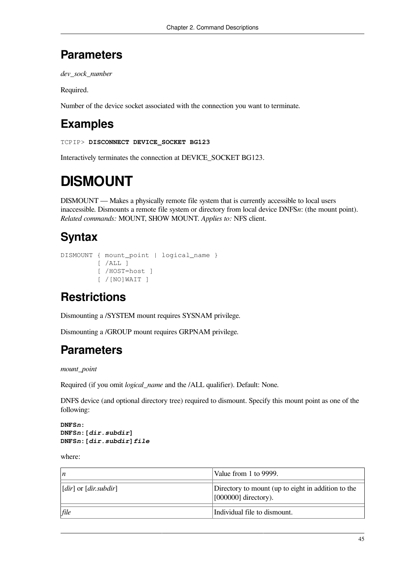### **Parameters**

*dev\_sock\_number*

Required.

Number of the device socket associated with the connection you want to terminate.

# **Examples**

TCPIP> **DISCONNECT DEVICE\_SOCKET BG123**

Interactively terminates the connection at DEVICE\_SOCKET BG123.

# **DISMOUNT**

DISMOUNT — Makes a physically remote file system that is currently accessible to local users inaccessible. Dismounts a remote file system or directory from local device DNFS*n*: (the mount point). *Related commands:* MOUNT, SHOW MOUNT. *Applies to:* NFS client.

# **Syntax**

```
DISMOUNT { mount_point | logical_name }
         [ /ALL ] [ /HOST=host ]
          [ /[NO]WAIT ]
```
# **Restrictions**

Dismounting a /SYSTEM mount requires SYSNAM privilege.

Dismounting a /GROUP mount requires GRPNAM privilege.

## **Parameters**

*mount\_point*

Required (if you omit *logical\_name* and the /ALL qualifier). Default: None.

DNFS device (and optional directory tree) required to dismount. Specify this mount point as one of the following:

**DNFS***n***: DNFS***n***:[***dir.subdir***] DNFS***n***:[***dir.subdir***]***file*

where:

| $\boldsymbol{n}$                     | Value from 1 to 9999.                                                        |
|--------------------------------------|------------------------------------------------------------------------------|
| $\vert [dir]$ or $\vert dir.subdir]$ | Directory to mount (up to eight in addition to the<br>$[000000]$ directory). |
| file                                 | Individual file to dismount.                                                 |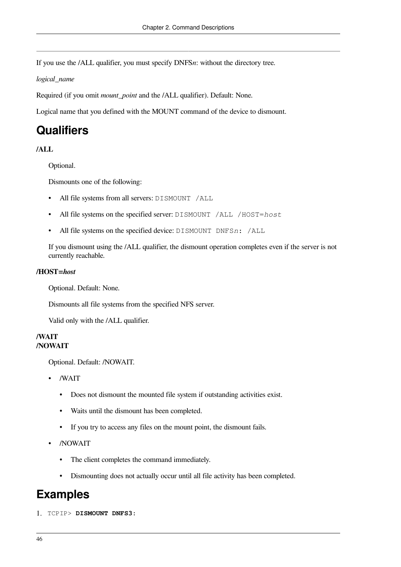If you use the /ALL qualifier, you must specify DNFS*n*: without the directory tree.

*logical\_name*

Required (if you omit *mount\_point* and the /ALL qualifier). Default: None.

Logical name that you defined with the MOUNT command of the device to dismount.

### **Qualifiers**

### **/ALL**

Optional.

Dismounts one of the following:

- All file systems from all servers: DISMOUNT /ALL
- All file systems on the specified server: DISMOUNT /ALL /HOST=*host*
- All file systems on the specified device: DISMOUNT DNFS*n*: /ALL

If you dismount using the /ALL qualifier, the dismount operation completes even if the server is not currently reachable.

#### **/HOST=***host*

Optional. Default: None.

Dismounts all file systems from the specified NFS server.

Valid only with the /ALL qualifier.

### **/WAIT /NOWAIT**

Optional. Default: /NOWAIT.

- /WAIT
	- Does not dismount the mounted file system if outstanding activities exist.
	- Waits until the dismount has been completed.
	- If you try to access any files on the mount point, the dismount fails.
- /NOWAIT
	- The client completes the command immediately.
	- Dismounting does not actually occur until all file activity has been completed.

### **Examples**

1. TCPIP> **DISMOUNT DNFS3:**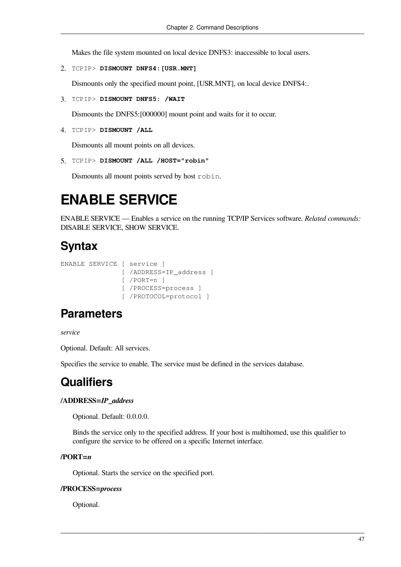Makes the file system mounted on local device DNFS3: inaccessible to local users.

2. TCPIP> **DISMOUNT DNFS4:[USR.MNT]**

Dismounts only the specified mount point, [USR.MNT], on local device DNFS4:.

3. TCPIP> **DISMOUNT DNFS5: /WAIT**

Dismounts the DNFS5:[000000] mount point and waits for it to occur.

4. TCPIP> **DISMOUNT /ALL**

Dismounts all mount points on all devices.

5. TCPIP> **DISMOUNT /ALL /HOST="robin"**

Dismounts all mount points served by host robin.

# **ENABLE SERVICE**

ENABLE SERVICE — Enables a service on the running TCP/IP Services software. *Related commands:* DISABLE SERVICE, SHOW SERVICE.

### **Syntax**

```
ENABLE SERVICE [ service ]
                 [ /ADDRESS=IP_address ]
                 [ /PORT=n ]
                 [ /PROCESS=process ]
                 [ /PROTOCOL=protocol ]
```
### **Parameters**

*service*

Optional. Default: All services.

Specifies the service to enable. The service must be defined in the services database.

## **Qualifiers**

### **/ADDRESS=***IP\_address*

Optional. Default: 0.0.0.0.

Binds the service only to the specified address. If your host is multihomed, use this qualifier to configure the service to be offered on a specific Internet interface.

### **/PORT=***n*

Optional. Starts the service on the specified port.

#### **/PROCESS=***process*

Optional.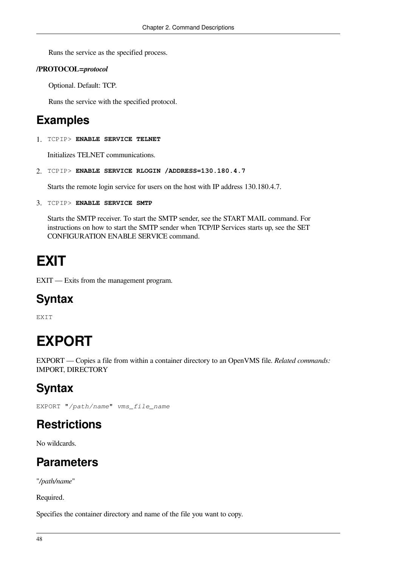Runs the service as the specified process.

### **/PROTOCOL=***protocol*

Optional. Default: TCP.

Runs the service with the specified protocol.

## **Examples**

1. TCPIP> **ENABLE SERVICE TELNET**

Initializes TELNET communications.

```
2. TCPIP> ENABLE SERVICE RLOGIN /ADDRESS=130.180.4.7
```
Starts the remote login service for users on the host with IP address 130.180.4.7.

```
3. TCPIP> ENABLE SERVICE SMTP
```
Starts the SMTP receiver. To start the SMTP sender, see the [START](#page-179-0) MAIL command. For instructions on how to start the SMTP sender when TCP/IP Services starts up, see the [SET](#page-95-0) [CONFIGURATION](#page-95-0) ENABLE SERVICE command.

# **EXIT**

EXIT — Exits from the management program.

# **Syntax**

**EXTT** 

# **EXPORT**

EXPORT — Copies a file from within a container directory to an OpenVMS file. *Related commands:* IMPORT, DIRECTORY

# **Syntax**

EXPORT "*/path/name*" *vms\_file\_name*

# **Restrictions**

No wildcards.

# **Parameters**

"*/path/name*"

Required.

Specifies the container directory and name of the file you want to copy.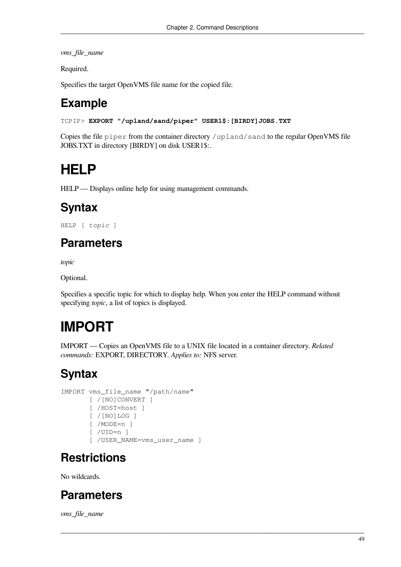*vms\_file\_name*

Required.

Specifies the target OpenVMS file name for the copied file.

# **Example**

```
TCPIP> EXPORT "/upland/sand/piper" USER1$:[BIRDY]JOBS.TXT
```
Copies the file piper from the container directory /upland/sand to the regular OpenVMS file JOBS.TXT in directory [BIRDY] on disk USER1\$:.

# **HELP**

HELP — Displays online help for using management commands.

# **Syntax**

HELP [ *topic* ]

# **Parameters**

*topic*

Optional.

Specifies a specific topic for which to display help. When you enter the HELP command without specifying *topic*, a list of topics is displayed.

# **IMPORT**

IMPORT — Copies an OpenVMS file to a UNIX file located in a container directory. *Related commands:* EXPORT, DIRECTORY. *Applies to:* NFS server.

# **Syntax**

```
IMPORT vms_file_name "/path/name"
        [ /[NO]CONVERT ]
        [ /HOST=host ]
        [ /[NO]LOG ]
        [ /MODE=n ]
        [ /UID=n ]
       [ /USER_NAME=vms_user_name ]
```
# **Restrictions**

No wildcards.

# **Parameters**

*vms\_file\_name*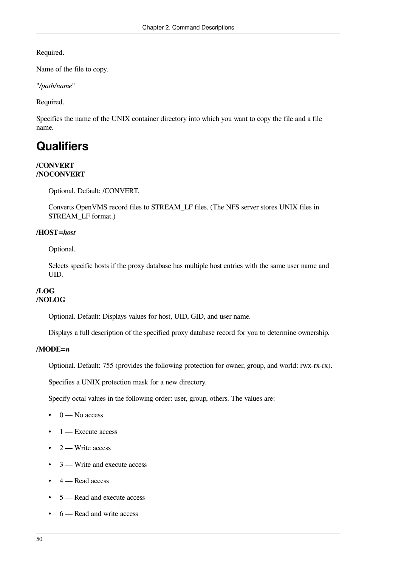Required.

Name of the file to copy.

"*/path/name*"

Required.

Specifies the name of the UNIX container directory into which you want to copy the file and a file name.

## **Qualifiers**

#### **/CONVERT /NOCONVERT**

Optional. Default: /CONVERT.

Converts OpenVMS record files to STREAM\_LF files. (The NFS server stores UNIX files in STREAM\_LF format.)

### **/HOST=***host*

Optional.

Selects specific hosts if the proxy database has multiple host entries with the same user name and UID.

### **/LOG /NOLOG**

Optional. Default: Displays values for host, UID, GID, and user name.

Displays a full description of the specified proxy database record for you to determine ownership.

### **/MODE=***n*

Optional. Default: 755 (provides the following protection for owner, group, and world: rwx-rx-rx).

Specifies a UNIX protection mask for a new directory.

Specify octal values in the following order: user, group, others. The values are:

- $\bullet$  0 No access
- $\bullet$  1 Execute access
- $2 -$  Write access
- 3 Write and execute access
- 4 Read access
- 5 Read and execute access
- 6 Read and write access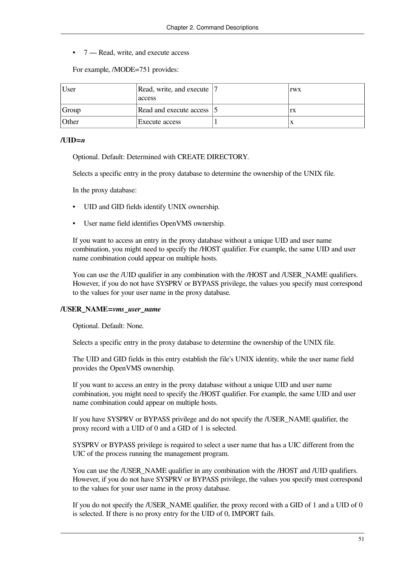• 7 — Read, write, and execute access

For example, /MODE=751 provides:

| User  | Read, write, and execute  7<br>access | <b>TWX</b> |
|-------|---------------------------------------|------------|
| Group | Read and execute access 15            | rx         |
| Other | Execute access                        |            |

#### $\mathcal{I}$ UID= $n$

Optional. Default: Determined with CREATE DIRECTORY.

Selects a specific entry in the proxy database to determine the ownership of the UNIX file.

In the proxy database:

- UID and GID fields identify UNIX ownership.
- User name field identifies OpenVMS ownership.

If you want to access an entry in the proxy database without a unique UID and user name combination, you might need to specify the /HOST qualifier. For example, the same UID and user name combination could appear on multiple hosts.

You can use the /UID qualifier in any combination with the /HOST and /USER\_NAME qualifiers. However, if you do not have SYSPRV or BYPASS privilege, the values you specify must correspond to the values for your user name in the proxy database.

#### **/USER\_NAME=***vms\_user\_name*

Optional. Default: None.

Selects a specific entry in the proxy database to determine the ownership of the UNIX file.

The UID and GID fields in this entry establish the file's UNIX identity, while the user name field provides the OpenVMS ownership.

If you want to access an entry in the proxy database without a unique UID and user name combination, you might need to specify the /HOST qualifier. For example, the same UID and user name combination could appear on multiple hosts.

If you have SYSPRV or BYPASS privilege and do not specify the /USER\_NAME qualifier, the proxy record with a UID of 0 and a GID of 1 is selected.

SYSPRV or BYPASS privilege is required to select a user name that has a UIC different from the UIC of the process running the management program.

You can use the */USER* NAME qualifier in any combination with the */HOST* and */UID* qualifiers. However, if you do not have SYSPRV or BYPASS privilege, the values you specify must correspond to the values for your user name in the proxy database.

If you do not specify the /USER\_NAME qualifier, the proxy record with a GID of 1 and a UID of 0 is selected. If there is no proxy entry for the UID of 0, IMPORT fails.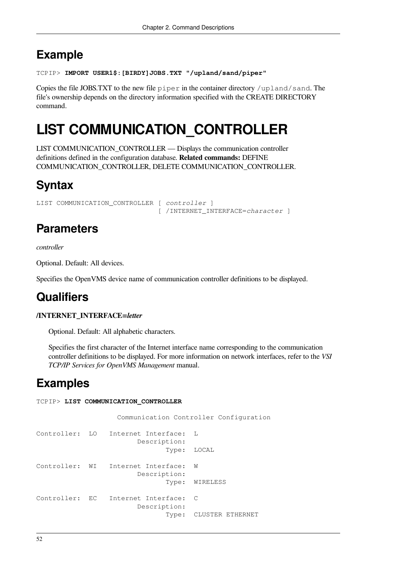## **Example**

```
TCPIP> IMPORT USER1$:[BIRDY]JOBS.TXT "/upland/sand/piper"
```
Copies the file JOBS.TXT to the new file  $\text{pipe} \, r$  in the container directory /upland/sand. The file's ownership depends on the directory information specified with the CREATE DIRECTORY command.

# <span id="page-61-0"></span>**LIST COMMUNICATION\_CONTROLLER**

LIST COMMUNICATION\_CONTROLLER — Displays the communication controller definitions defined in the configuration database. **Related commands:** DEFINE COMMUNICATION\_CONTROLLER, DELETE COMMUNICATION\_CONTROLLER.

# **Syntax**

```
LIST COMMUNICATION_CONTROLLER [ controller ]
                                [ /INTERNET_INTERFACE=character ]
```
# **Parameters**

*controller*

Optional. Default: All devices.

Specifies the OpenVMS device name of communication controller definitions to be displayed.

# **Qualifiers**

### **/INTERNET\_INTERFACE=***letter*

Optional. Default: All alphabetic characters.

Specifies the first character of the Internet interface name corresponding to the communication controller definitions to be displayed. For more information on network interfaces, refer to the *VSI TCP/IP Services for OpenVMS Management* manual.

## **Examples**

```
TCPIP> LIST COMMUNICATION_CONTROLLER
```

```
 Communication Controller Configuration
Controller: LO Internet Interface: L
                         Description:
                                Type: LOCAL
Controller: WI Internet Interface: W
                         Description:
                                Type: WIRELESS
Controller: EC Internet Interface: C
                         Description:
                                Type: CLUSTER ETHERNET
```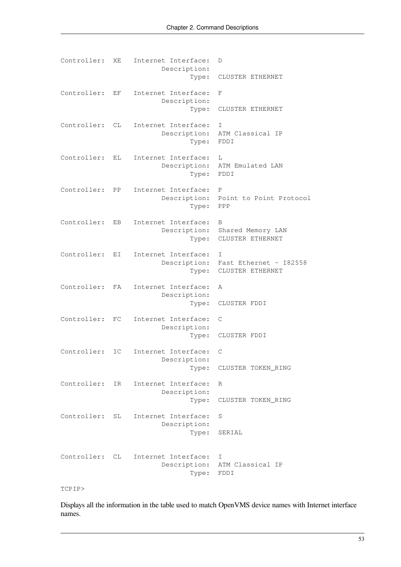| Controller: | ΧE                   | Internet Interface:<br>Description:<br>Type: | D<br>CLUSTER ETHERNET                                        |
|-------------|----------------------|----------------------------------------------|--------------------------------------------------------------|
| Controller: | EF                   | Internet Interface:<br>Description:          | F                                                            |
|             |                      | Type:                                        | CLUSTER ETHERNET                                             |
| Controller: | CL                   | Internet Interface:<br>Description:<br>Type: | I<br>ATM Classical IP<br>FDDI                                |
| Controller: | EL.                  | Internet Interface:<br>Description:<br>Type: | L<br>ATM Emulated LAN<br>FDDI                                |
| Controller: | PP                   | Internet Interface:<br>Description:<br>Type: | $\mathbb{P}$<br>Point to Point Protocol<br>PPP               |
| Controller: | EB                   | Internet Interface:<br>Description:<br>Type: | B<br>Shared Memory LAN<br>CLUSTER ETHERNET                   |
| Controller: | EI                   | Internet Interface:<br>Type:                 | Ι<br>Description: Fast Ethernet - 182558<br>CLUSTER ETHERNET |
| Controller: | FA                   | Internet Interface:<br>Description:<br>Type: | A<br>CLUSTER FDDI                                            |
| Controller: | FC                   | Internet Interface:<br>Description:<br>Type: | C<br>CLUSTER FDDI                                            |
| Controller: | $\mathop{\text{IC}}$ | Internet Interface:<br>Description:<br>Type: | C<br>CLUSTER TOKEN_RING                                      |
| Controller: | IR.                  | Internet Interface:<br>Description:<br>Type: | R<br>CLUSTER TOKEN_RING                                      |
| Controller: | SL                   | Internet Interface:<br>Description:<br>Type: | S<br>SERIAL                                                  |
| Controller: | CL.                  | Internet Interface:<br>Description:<br>Type: | Τ<br>ATM Classical IP<br>${\tt FDDI}$                        |

#### TCPIP>

Displays all the information in the table used to match OpenVMS device names with Internet interface names.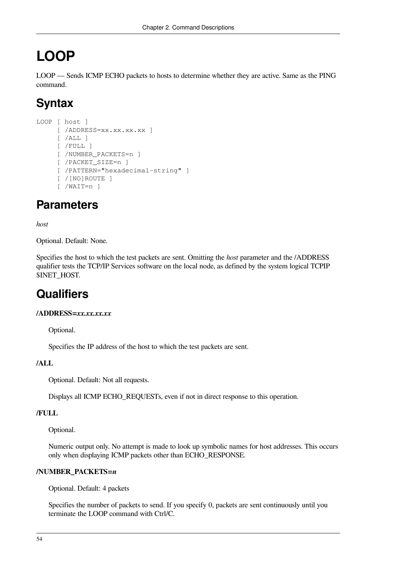# **LOOP**

LOOP — Sends ICMP ECHO packets to hosts to determine whether they are active. Same as the PING command.

# **Syntax**

```
LOOP [ host ]
      [ /ADDRESS=xx.xx.xx.xx ]
     [ /ALL ] [ /FULL ]
      [ /NUMBER_PACKETS=n ]
      [ /PACKET_SIZE=n ]
     [ / PATTERN="hexadecimal-string" ]
      [ /[NO]ROUTE ]
      [ /WAIT=n ]
```
# **Parameters**

*host*

Optional. Default: None.

Specifies the host to which the test packets are sent. Omitting the *host* parameter and the /ADDRESS qualifier tests the TCP/IP Services software on the local node, as defined by the system logical TCPIP \$INET\_HOST.

# **Qualifiers**

### **/ADDRESS=***xx.xx.xx.xx*

Optional.

Specifies the IP address of the host to which the test packets are sent.

### **/ALL**

Optional. Default: Not all requests.

Displays all ICMP ECHO\_REQUESTs, even if not in direct response to this operation.

### **/FULL**

Optional.

Numeric output only. No attempt is made to look up symbolic names for host addresses. This occurs only when displaying ICMP packets other than ECHO\_RESPONSE.

### **/NUMBER\_PACKETS=***n*

Optional. Default: 4 packets

Specifies the number of packets to send. If you specify 0, packets are sent continuously until you terminate the LOOP command with Ctrl/C.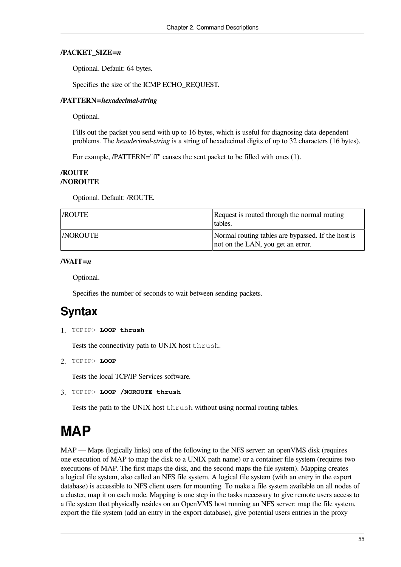#### **/PACKET\_SIZE=***n*

Optional. Default: 64 bytes.

Specifies the size of the ICMP ECHO\_REQUEST.

#### **/PATTERN=***hexadecimal-string*

Optional.

Fills out the packet you send with up to 16 bytes, which is useful for diagnosing data-dependent problems. The *hexadecimal-string* is a string of hexadecimal digits of up to 32 characters (16 bytes).

For example, /PATTERN="ff" causes the sent packet to be filled with ones (1).

### **/ROUTE /NOROUTE**

Optional. Default: /ROUTE.

| <i>ROUTE</i>   | Request is routed through the normal routing<br>tables.                                 |
|----------------|-----------------------------------------------------------------------------------------|
| <b>NOROUTE</b> | Normal routing tables are bypassed. If the host is<br>not on the LAN, you get an error. |

### **/WAIT=***n*

Optional.

Specifies the number of seconds to wait between sending packets.

### **Syntax**

1. TCPIP> **LOOP thrush**

Tests the connectivity path to UNIX host thrush.

2. TCPIP> **LOOP**

Tests the local TCP/IP Services software.

3. TCPIP> **LOOP /NOROUTE thrush**

Tests the path to the UNIX host thrush without using normal routing tables.

# **MAP**

MAP — Maps (logically links) one of the following to the NFS server: an openVMS disk (requires one execution of MAP to map the disk to a UNIX path name) or a container file system (requires two executions of MAP. The first maps the disk, and the second maps the file system). Mapping creates a logical file system, also called an NFS file system. A logical file system (with an entry in the export database) is accessible to NFS client users for mounting. To make a file system available on all nodes of a cluster, map it on each node. Mapping is one step in the tasks necessary to give remote users access to a file system that physically resides on an OpenVMS host running an NFS server: map the file system, export the file system (add an entry in the export database), give potential users entries in the proxy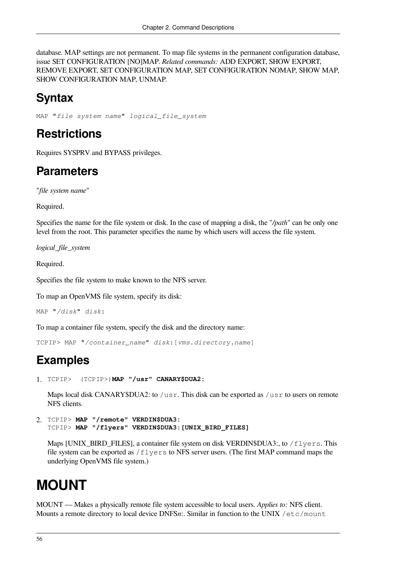database. MAP settings are not permanent. To map file systems in the permanent configuration database, issue SET CONFIGURATION [NO]MAP. *Related commands:* ADD EXPORT, SHOW EXPORT, REMOVE EXPORT, SET CONFIGURATION MAP, SET CONFIGURATION NOMAP, SHOW MAP, SHOW CONFIGURATION MAP, UNMAP.

# **Syntax**

MAP "*file system name*" *logical\_file\_system*

# **Restrictions**

Requires SYSPRV and BYPASS privileges.

## **Parameters**

"*file system name*"

Required.

Specifies the name for the file system or disk. In the case of mapping a disk, the "*/path*" can be only one level from the root. This parameter specifies the name by which users will access the file system.

*logical\_file\_system*

Required.

Specifies the file system to make known to the NFS server.

To map an OpenVMS file system, specify its disk:

```
MAP "/disk" disk:
```
To map a container file system, specify the disk and the directory name:

TCPIP> MAP "*/container\_name*" *disk*:[*vms.directory.name*]

# **Examples**

1. TCPIP> (TCPIP>)**MAP "/usr" CANARY\$DUA2:**

Maps local disk CANARY\$DUA2: to /usr. This disk can be exported as /usr to users on remote NFS clients.

2. TCPIP> **MAP "/remote" VERDIN\$DUA3:** TCPIP> **MAP "/flyers" VERDIN\$DUA3:[UNIX\_BIRD\_FILES]**

Maps [UNIX\_BIRD\_FILES], a container file system on disk VERDIN\$DUA3:, to  $/$  flyers. This file system can be exported as  $/flyers$  to NFS server users. (The first MAP command maps the underlying OpenVMS file system.)

# **MOUNT**

MOUNT — Makes a physically remote file system accessible to local users. *Applies to:* NFS client. Mounts a remote directory to local device DNFSn:. Similar in function to the UNIX /etc/mount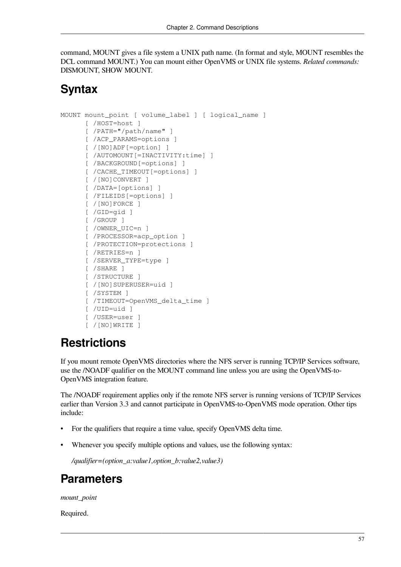command, MOUNT gives a file system a UNIX path name. (In format and style, MOUNT resembles the DCL command MOUNT.) You can mount either OpenVMS or UNIX file systems. *Related commands:* DISMOUNT, SHOW MOUNT.

### **Syntax**

```
MOUNT mount point [ volume label ] [ logical name ]
       [ /HOST=host ]
       [ /PATH="/path/name" ]
       [ /ACP_PARAMS=options ]
       [ /[NO]ADF[=option] ]
       [ /AUTOMOUNT[=INACTIVITY:time] ]
       [ /BACKGROUND[=options] ]
       [ /CACHE_TIMEOUT[=options] ]
       [ /[NO]CONVERT ]
       [ /DATA=[options] ]
       [ /FILEIDS[=options] ]
       [ /[NO]FORCE ]
       [ /GID=gid ]
       [ /GROUP ]
       [ /OWNER_UIC=n ]
      [ /PROCESSOR=acp_option ]
       [ /PROTECTION=protections ]
       [ /RETRIES=n ]
       [ /SERVER_TYPE=type ]
       [ /SHARE ]
       [ /STRUCTURE ]
       [ /[NO]SUPERUSER=uid ]
       [ /SYSTEM ]
       [ /TIMEOUT=OpenVMS_delta_time ]
       [ /UID=uid ]
       [ /USER=user ]
       [ /[NO]WRITE ]
```
# **Restrictions**

If you mount remote OpenVMS directories where the NFS server is running TCP/IP Services software, use the /NOADF qualifier on the MOUNT command line unless you are using the OpenVMS-to-OpenVMS integration feature.

The /NOADF requirement applies only if the remote NFS server is running versions of TCP/IP Services earlier than Version 3.3 and cannot participate in OpenVMS-to-OpenVMS mode operation. Other tips include:

- For the qualifiers that require a time value, specify OpenVMS delta time.
- Whenever you specify multiple options and values, use the following syntax:

*/qualifier=(option\_a:value1,option\_b:value2,value3)*

## **Parameters**

*mount\_point*

Required.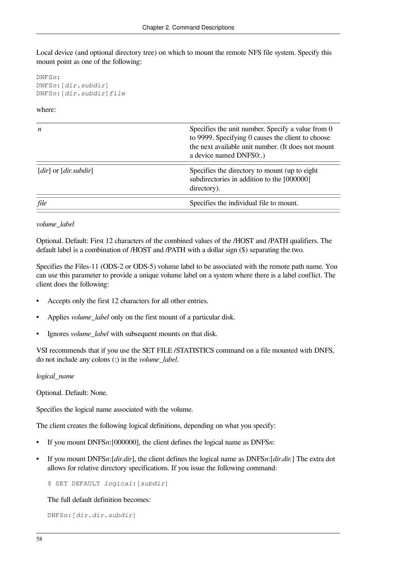Local device (and optional directory tree) on which to mount the remote NFS file system. Specify this mount point as one of the following:

DNFS*n*: DNFS*n*:[*dir.subdir*] DNFS*n*:[*dir.subdir*]*file*

#### where:

| n                                      | Specifies the unit number. Specify a value from 0<br>to 9999. Specifying 0 causes the client to choose<br>the next available unit number. (It does not mount<br>a device named DNFS0:.) |
|----------------------------------------|-----------------------------------------------------------------------------------------------------------------------------------------------------------------------------------------|
| [dir] or $\left[$ dir.subdir $\right]$ | Specifies the directory to mount (up to eight)<br>subdirectories in addition to the [000000]<br>directory).                                                                             |
| file                                   | Specifies the individual file to mount.                                                                                                                                                 |

#### *volume\_label*

Optional. Default: First 12 characters of the combined values of the /HOST and /PATH qualifiers. The default label is a combination of /HOST and /PATH with a dollar sign (\$) separating the two.

Specifies the Files-11 (ODS-2 or ODS-5) volume label to be associated with the remote path name. You can use this parameter to provide a unique volume label on a system where there is a label conflict. The client does the following:

- Accepts only the first 12 characters for all other entries.
- Applies *volume* label only on the first mount of a particular disk.
- Ignores *volume\_label* with subsequent mounts on that disk.

VSI recommends that if you use the SET FILE /STATISTICS command on a file mounted with DNFS, do not include any colons (:) in the *volume\_label*.

#### *logical\_name*

Optional. Default: None.

Specifies the logical name associated with the volume.

The client creates the following logical definitions, depending on what you specify:

- If you mount DNFS*n*:[000000], the client defines the logical name as DNFS*n*:
- If you mount DNFS*n*:[*dir.dir*], the client defines the logical name as DNFS*n*:[*dir.dir.*] The extra dot allows for relative directory specifications. If you issue the following command:

\$ SET DEFAULT *logical*:[*subdir*]

The full default definition becomes:

DNFS*n*:[*dir.dir.subdir*]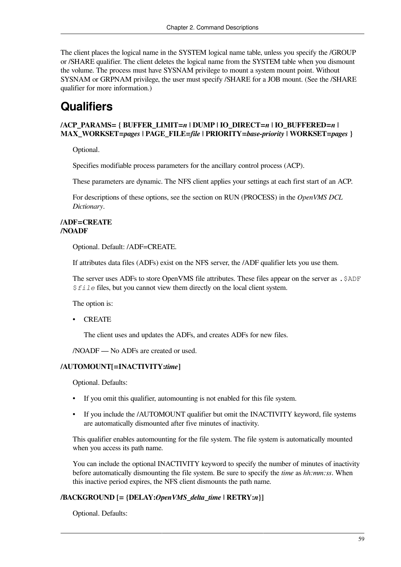The client places the logical name in the SYSTEM logical name table, unless you specify the /GROUP or /SHARE qualifier. The client deletes the logical name from the SYSTEM table when you dismount the volume. The process must have SYSNAM privilege to mount a system mount point. Without SYSNAM or GRPNAM privilege, the user must specify /SHARE for a JOB mount. (See the /SHARE qualifier for more information.)

# **Qualifiers**

### **/ACP\_PARAMS= { BUFFER\_LIMIT=***n* **| DUMP | IO\_DIRECT=***n* **| IO\_BUFFERED=***n* **| MAX\_WORKSET=***pages* **| PAGE\_FILE=***file* **| PRIORITY=***base-priority* **| WORKSET=***pages* **}**

Optional.

Specifies modifiable process parameters for the ancillary control process (ACP).

These parameters are dynamic. The NFS client applies your settings at each first start of an ACP.

For descriptions of these options, see the section on RUN (PROCESS) in the *OpenVMS DCL Dictionary*.

#### **/ADF=CREATE /NOADF**

Optional. Default: /ADF=CREATE.

If attributes data files (ADFs) exist on the NFS server, the /ADF qualifier lets you use them.

The server uses ADFs to store OpenVMS file attributes. These files appear on the server as .\$ADF \$*file* files, but you cannot view them directly on the local client system.

The option is:

• CREATE

The client uses and updates the ADFs, and creates ADFs for new files.

/NOADF — No ADFs are created or used.

#### **/AUTOMOUNT[=INACTIVITY:***time***]**

Optional. Defaults:

- If you omit this qualifier, automounting is not enabled for this file system.
- If you include the /AUTOMOUNT qualifier but omit the INACTIVITY keyword, file systems are automatically dismounted after five minutes of inactivity.

This qualifier enables automounting for the file system. The file system is automatically mounted when you access its path name.

You can include the optional INACTIVITY keyword to specify the number of minutes of inactivity before automatically dismounting the file system. Be sure to specify the *time* as *hh:mm:ss*. When this inactive period expires, the NFS client dismounts the path name.

### **/BACKGROUND [= {DELAY:***OpenVMS\_delta\_time* **| RETRY:***n***}]**

Optional. Defaults: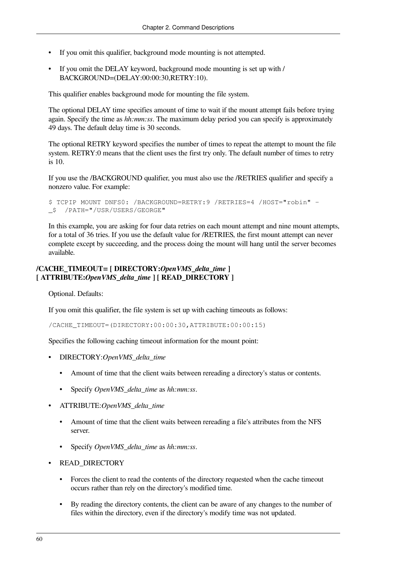- If you omit this qualifier, background mode mounting is not attempted.
- If you omit the DELAY keyword, background mode mounting is set up with / BACKGROUND=(DELAY:00:00:30,RETRY:10).

This qualifier enables background mode for mounting the file system.

The optional DELAY time specifies amount of time to wait if the mount attempt fails before trying again. Specify the time as *hh:mm:ss*. The maximum delay period you can specify is approximately 49 days. The default delay time is 30 seconds.

The optional RETRY keyword specifies the number of times to repeat the attempt to mount the file system. RETRY:0 means that the client uses the first try only. The default number of times to retry is 10.

If you use the /BACKGROUND qualifier, you must also use the /RETRIES qualifier and specify a nonzero value. For example:

```
$ TCPIP MOUNT DNFS0: /BACKGROUND=RETRY:9 /RETRIES=4 /HOST="robin" -
_$ /PATH="/USR/USERS/GEORGE"
```
In this example, you are asking for four data retries on each mount attempt and nine mount attempts, for a total of 36 tries. If you use the default value for /RETRIES, the first mount attempt can never complete except by succeeding, and the process doing the mount will hang until the server becomes available.

### **/CACHE\_TIMEOUT= [ DIRECTORY:***OpenVMS\_delta\_time* **] [ ATTRIBUTE:***OpenVMS\_delta\_time* **] [ READ\_DIRECTORY ]**

Optional. Defaults:

If you omit this qualifier, the file system is set up with caching timeouts as follows:

/CACHE\_TIMEOUT=(DIRECTORY:00:00:30,ATTRIBUTE:00:00:15)

Specifies the following caching timeout information for the mount point:

- DIRECTORY:*OpenVMS\_delta\_time*
	- Amount of time that the client waits between rereading a directory's status or contents.
	- Specify *OpenVMS\_delta\_time* as *hh:mm:ss*.
- ATTRIBUTE:*OpenVMS\_delta\_time*
	- Amount of time that the client waits between rereading a file's attributes from the NFS server.
	- Specify *OpenVMS\_delta\_time* as *hh:mm:ss*.
- READ\_DIRECTORY
	- Forces the client to read the contents of the directory requested when the cache timeout occurs rather than rely on the directory's modified time.
	- By reading the directory contents, the client can be aware of any changes to the number of files within the directory, even if the directory's modify time was not updated.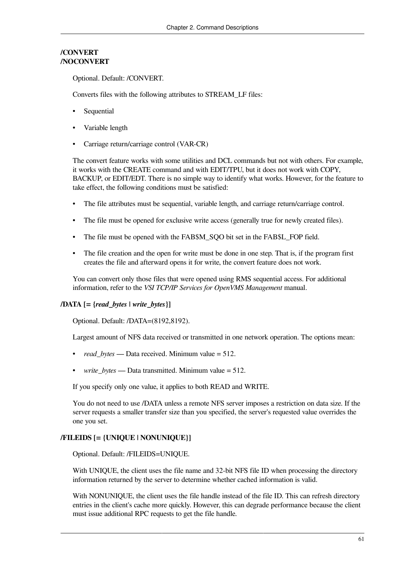### **/CONVERT /NOCONVERT**

Optional. Default: /CONVERT.

Converts files with the following attributes to STREAM\_LF files:

- **Sequential**
- Variable length
- Carriage return/carriage control (VAR-CR)

The convert feature works with some utilities and DCL commands but not with others. For example, it works with the CREATE command and with EDIT/TPU, but it does not work with COPY, BACKUP, or EDIT/EDT. There is no simple way to identify what works. However, for the feature to take effect, the following conditions must be satisfied:

- The file attributes must be sequential, variable length, and carriage return/carriage control.
- The file must be opened for exclusive write access (generally true for newly created files).
- The file must be opened with the FAB\$M\_SQO bit set in the FAB\$L\_FOP field.
- The file creation and the open for write must be done in one step. That is, if the program first creates the file and afterward opens it for write, the convert feature does not work.

You can convert only those files that were opened using RMS sequential access. For additional information, refer to the *VSI TCP/IP Services for OpenVMS Management* manual.

### **/DATA [= {***read\_bytes* **|** *write\_bytes***}]**

Optional. Default: /DATA=(8192,8192).

Largest amount of NFS data received or transmitted in one network operation. The options mean:

- *read\_bytes* Data received. Minimum value = 512.
- write bytes Data transmitted. Minimum value = 512.

If you specify only one value, it applies to both READ and WRITE.

You do not need to use /DATA unless a remote NFS server imposes a restriction on data size. If the server requests a smaller transfer size than you specified, the server's requested value overrides the one you set.

### **/FILEIDS [= {UNIQUE | NONUNIQUE}]**

Optional. Default: /FILEIDS=UNIQUE.

With UNIQUE, the client uses the file name and 32-bit NFS file ID when processing the directory information returned by the server to determine whether cached information is valid.

With NONUNIQUE, the client uses the file handle instead of the file ID. This can refresh directory entries in the client's cache more quickly. However, this can degrade performance because the client must issue additional RPC requests to get the file handle.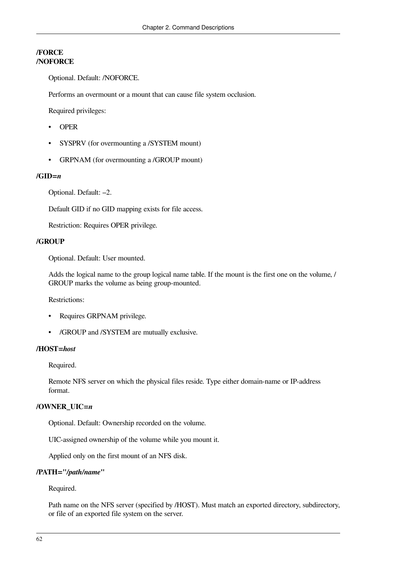### **/FORCE /NOFORCE**

Optional. Default: /NOFORCE.

Performs an overmount or a mount that can cause file system occlusion.

Required privileges:

- OPER
- SYSPRV (for overmounting a /SYSTEM mount)
- GRPNAM (for overmounting a /GROUP mount)

### **/GID=***n*

Optional. Default: –2.

Default GID if no GID mapping exists for file access.

Restriction: Requires OPER privilege.

### **/GROUP**

Optional. Default: User mounted.

Adds the logical name to the group logical name table. If the mount is the first one on the volume, / GROUP marks the volume as being group-mounted.

Restrictions:

- Requires GRPNAM privilege.
- /GROUP and /SYSTEM are mutually exclusive.

#### **/HOST=***host*

Required.

Remote NFS server on which the physical files reside. Type either domain-name or IP-address format.

### **/OWNER\_UIC=***n*

Optional. Default: Ownership recorded on the volume.

UIC-assigned ownership of the volume while you mount it.

Applied only on the first mount of an NFS disk.

#### **/PATH="***/path/name***"**

Required.

Path name on the NFS server (specified by /HOST). Must match an exported directory, subdirectory, or file of an exported file system on the server.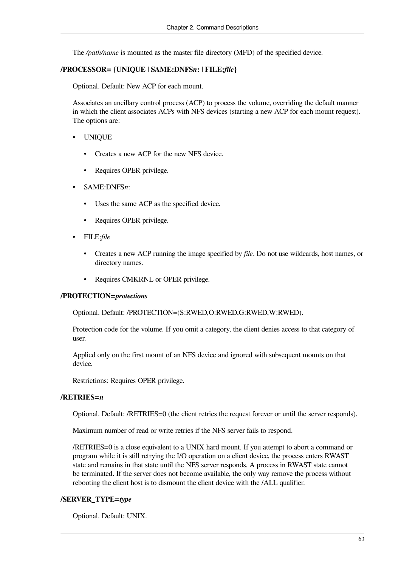The */path/name* is mounted as the master file directory (MFD) of the specified device.

#### **/PROCESSOR= {UNIQUE | SAME:DNFS***n***: | FILE:***file***}**

Optional. Default: New ACP for each mount.

Associates an ancillary control process (ACP) to process the volume, overriding the default manner in which the client associates ACPs with NFS devices (starting a new ACP for each mount request). The options are:

- UNIQUE
	- Creates a new ACP for the new NFS device.
	- Requires OPER privilege.
- SAME:DNFS*n*:
	- Uses the same ACP as the specified device.
	- Requires OPER privilege.
- FILE:*file*
	- Creates a new ACP running the image specified by *file*. Do not use wildcards, host names, or directory names.
	- Requires CMKRNL or OPER privilege.

#### **/PROTECTION=***protections*

Optional. Default: /PROTECTION=(S:RWED,O:RWED,G:RWED,W:RWED).

Protection code for the volume. If you omit a category, the client denies access to that category of user.

Applied only on the first mount of an NFS device and ignored with subsequent mounts on that device.

Restrictions: Requires OPER privilege.

#### **/RETRIES=***n*

Optional. Default: /RETRIES=0 (the client retries the request forever or until the server responds).

Maximum number of read or write retries if the NFS server fails to respond.

/RETRIES=0 is a close equivalent to a UNIX hard mount. If you attempt to abort a command or program while it is still retrying the I/O operation on a client device, the process enters RWAST state and remains in that state until the NFS server responds. A process in RWAST state cannot be terminated. If the server does not become available, the only way remove the process without rebooting the client host is to dismount the client device with the /ALL qualifier.

#### **/SERVER\_TYPE=***type*

Optional. Default: UNIX.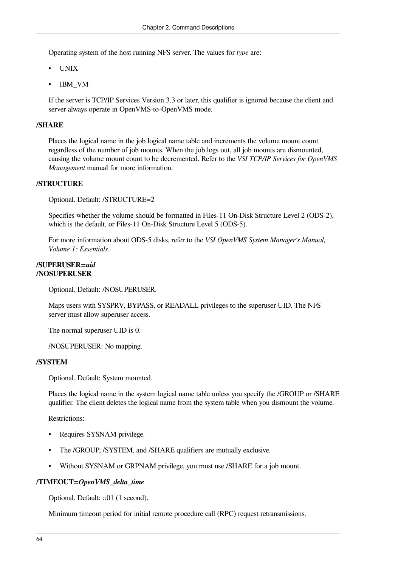Operating system of the host running NFS server. The values for *type* are:

- UNIX
- IBM VM

If the server is TCP/IP Services Version 3.3 or later, this qualifier is ignored because the client and server always operate in OpenVMS-to-OpenVMS mode.

#### **/SHARE**

Places the logical name in the job logical name table and increments the volume mount count regardless of the number of job mounts. When the job logs out, all job mounts are dismounted, causing the volume mount count to be decremented. Refer to the *VSI TCP/IP Services for OpenVMS Management* manual for more information.

#### **/STRUCTURE**

Optional. Default: /STRUCTURE=2

Specifies whether the volume should be formatted in Files-11 On-Disk Structure Level 2 (ODS-2), which is the default, or Files-11 On-Disk Structure Level 5 (ODS-5).

For more information about ODS-5 disks, refer to the *VSI OpenVMS System Manager's Manual, Volume 1: Essentials*.

#### **/SUPERUSER=***uid* **/NOSUPERUSER**

Optional. Default: /NOSUPERUSER.

Maps users with SYSPRV, BYPASS, or READALL privileges to the superuser UID. The NFS server must allow superuser access.

The normal superuser UID is 0.

/NOSUPERUSER: No mapping.

#### **/SYSTEM**

Optional. Default: System mounted.

Places the logical name in the system logical name table unless you specify the /GROUP or /SHARE qualifier. The client deletes the logical name from the system table when you dismount the volume.

Restrictions:

- Requires SYSNAM privilege.
- The /GROUP, /SYSTEM, and /SHARE qualifiers are mutually exclusive.
- Without SYSNAM or GRPNAM privilege, you must use /SHARE for a job mount.

#### **/TIMEOUT=***OpenVMS\_delta\_time*

Optional. Default: ::01 (1 second).

Minimum timeout period for initial remote procedure call (RPC) request retransmissions.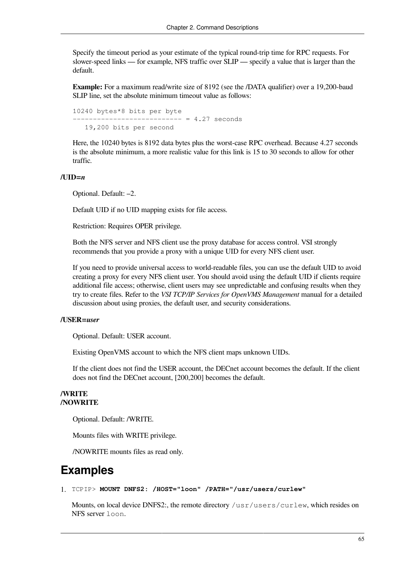Specify the timeout period as your estimate of the typical round-trip time for RPC requests. For slower-speed links — for example, NFS traffic over SLIP — specify a value that is larger than the default.

**Example:** For a maximum read/write size of 8192 (see the /DATA qualifier) over a 19,200-baud SLIP line, set the absolute minimum timeout value as follows:

```
10240 bytes*8 bits per byte
      --------------------------- = 4.27 seconds
    19,200 bits per second
```
Here, the 10240 bytes is 8192 data bytes plus the worst-case RPC overhead. Because 4.27 seconds is the absolute minimum, a more realistic value for this link is 15 to 30 seconds to allow for other traffic.

#### **/UID=***n*

Optional. Default: –2.

Default UID if no UID mapping exists for file access.

Restriction: Requires OPER privilege.

Both the NFS server and NFS client use the proxy database for access control. VSI strongly recommends that you provide a proxy with a unique UID for every NFS client user.

If you need to provide universal access to world-readable files, you can use the default UID to avoid creating a proxy for every NFS client user. You should avoid using the default UID if clients require additional file access; otherwise, client users may see unpredictable and confusing results when they try to create files. Refer to the *VSI TCP/IP Services for OpenVMS Management* manual for a detailed discussion about using proxies, the default user, and security considerations.

#### **/USER=***user*

Optional. Default: USER account.

Existing OpenVMS account to which the NFS client maps unknown UIDs.

If the client does not find the USER account, the DECnet account becomes the default. If the client does not find the DECnet account, [200,200] becomes the default.

#### **/WRITE /NOWRITE**

Optional. Default: /WRITE.

Mounts files with WRITE privilege.

/NOWRITE mounts files as read only.

### **Examples**

1. TCPIP> **MOUNT DNFS2: /HOST="loon" /PATH="/usr/users/curlew"**

Mounts, on local device DNFS2:, the remote directory /usr/users/curlew, which resides on NFS server loon.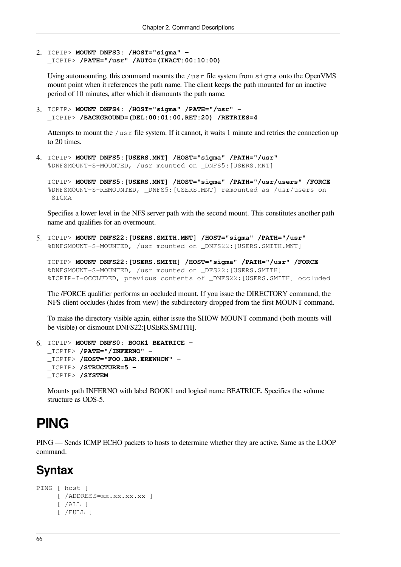2. TCPIP> **MOUNT DNFS3: /HOST="sigma" -** \_TCPIP> **/PATH="/usr" /AUTO=(INACT:00:10:00)**

Using automounting, this command mounts the  $/\text{usr}$  file system from  $\text{sign}$  and the OpenVMS mount point when it references the path name. The client keeps the path mounted for an inactive period of 10 minutes, after which it dismounts the path name.

3. TCPIP> **MOUNT DNFS4: /HOST="sigma" /PATH="/usr" -**  \_TCPIP> **/BACKGROUND=(DEL:00:01:00,RET:20) /RETRIES=4**

Attempts to mount the /usr file system. If it cannot, it waits 1 minute and retries the connection up to 20 times.

4. TCPIP> **MOUNT DNFS5:[USERS.MNT] /HOST="sigma" /PATH="/usr"** %DNFSMOUNT-S-MOUNTED, /usr mounted on \_DNFS5:[USERS.MNT]

```
TCPIP> MOUNT DNFS5:[USERS.MNT] /HOST="sigma" /PATH="/usr/users" /FORCE
%DNFSMOUNT-S-REMOUNTED, _DNFS5:[USERS.MNT] remounted as /usr/users on
 SIGMA
```
Specifies a lower level in the NFS server path with the second mount. This constitutes another path name and qualifies for an overmount.

5. TCPIP> **MOUNT DNFS22:[USERS.SMITH.MNT] /HOST="sigma" /PATH="/usr"** %DNFSMOUNT-S-MOUNTED, /usr mounted on \_DNFS22:[USERS.SMITH.MNT]

```
TCPIP> MOUNT DNFS22:[USERS.SMITH] /HOST="sigma" /PATH="/usr" /FORCE
%DNFSMOUNT-S-MOUNTED, /usr mounted on _DFS22:[USERS.SMITH]
%TCPIP-I-OCCLUDED, previous contents of _DNFS22:[USERS.SMITH] occluded
```
The /FORCE qualifier performs an occluded mount. If you issue the DIRECTORY command, the NFS client occludes (hides from view) the subdirectory dropped from the first MOUNT command.

To make the directory visible again, either issue the SHOW MOUNT command (both mounts will be visible) or dismount DNFS22:[USERS.SMITH].

```
6. TCPIP> MOUNT DNFS0: BOOK1 BEATRICE - 
  _TCPIP> /PATH="/INFERNO" -
  _TCPIP> /HOST="FOO.BAR.EREWHON" -
  _TCPIP> /STRUCTURE=5 -
  _TCPIP> /SYSTEM
```
Mounts path INFERNO with label BOOK1 and logical name BEATRICE. Specifies the volume structure as ODS-5.

# **PING**

PING — Sends ICMP ECHO packets to hosts to determine whether they are active. Same as the LOOP command.

# **Syntax**

```
PING [ host ]
      [ /ADDRESS=xx.xx.xx.xx ]
      [ /ALL ]
      [ /FULL ]
```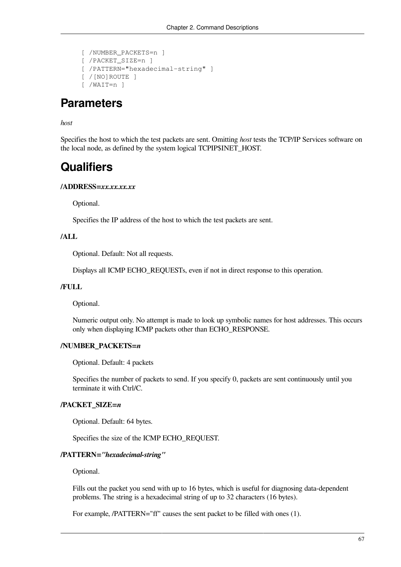```
 [ /NUMBER_PACKETS=n ]
 [ /PACKET_SIZE=n ]
 [ /PATTERN="hexadecimal-string" ]
 [ /[NO]ROUTE ]
 [ /WAIT=n ]
```
### **Parameters**

#### *host*

Specifies the host to which the test packets are sent. Omitting *host* tests the TCP/IP Services software on the local node, as defined by the system logical TCPIP\$INET\_HOST.

### **Qualifiers**

#### **/ADDRESS=***xx.xx.xx.xx*

Optional.

Specifies the IP address of the host to which the test packets are sent.

#### **/ALL**

Optional. Default: Not all requests.

Displays all ICMP ECHO\_REQUESTs, even if not in direct response to this operation.

#### **/FULL**

Optional.

Numeric output only. No attempt is made to look up symbolic names for host addresses. This occurs only when displaying ICMP packets other than ECHO\_RESPONSE.

#### **/NUMBER\_PACKETS=***n*

Optional. Default: 4 packets

Specifies the number of packets to send. If you specify 0, packets are sent continuously until you terminate it with Ctrl/C.

#### **/PACKET\_SIZE=***n*

Optional. Default: 64 bytes.

Specifies the size of the ICMP ECHO\_REQUEST.

#### **/PATTERN=***"hexadecimal-string"*

Optional.

Fills out the packet you send with up to 16 bytes, which is useful for diagnosing data-dependent problems. The string is a hexadecimal string of up to 32 characters (16 bytes).

For example, /PATTERN="ff" causes the sent packet to be filled with ones (1).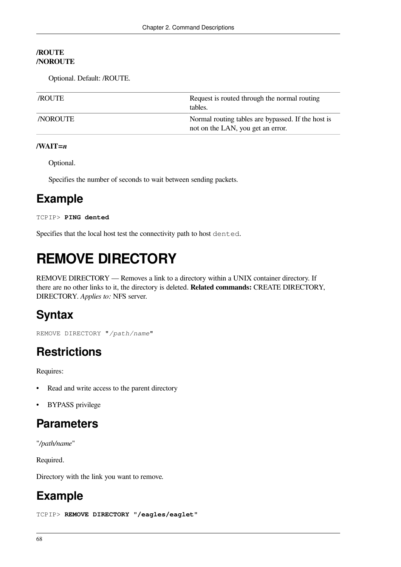#### **/ROUTE /NOROUTE**

Optional. Default: /ROUTE.

| <i>VROUTE</i>  | Request is routed through the normal routing<br>tables.                                 |
|----------------|-----------------------------------------------------------------------------------------|
| <b>NOROUTE</b> | Normal routing tables are bypassed. If the host is<br>not on the LAN, you get an error. |

#### **/WAIT=***n*

Optional.

Specifies the number of seconds to wait between sending packets.

# **Example**

```
TCPIP> PING dented
```
Specifies that the local host test the connectivity path to host dented.

# **REMOVE DIRECTORY**

REMOVE DIRECTORY — Removes a link to a directory within a UNIX container directory. If there are no other links to it, the directory is deleted. **Related commands:** CREATE DIRECTORY, DIRECTORY. *Applies to:* NFS server.

# **Syntax**

REMOVE DIRECTORY "*/path/name*"

# **Restrictions**

Requires:

- Read and write access to the parent directory
- BYPASS privilege

## **Parameters**

"*/path/name*"

Required.

Directory with the link you want to remove.

# **Example**

```
TCPIP> REMOVE DIRECTORY "/eagles/eaglet"
```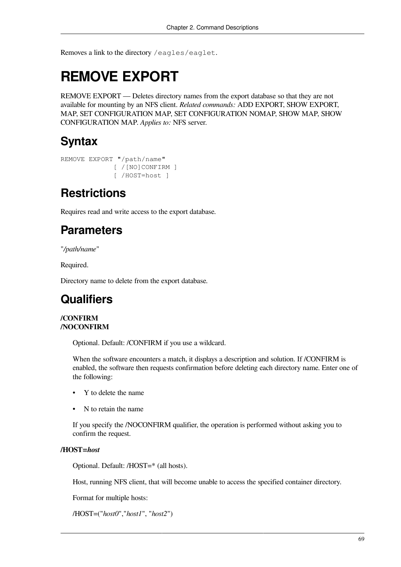Removes a link to the directory /eagles/eaglet.

# **REMOVE EXPORT**

REMOVE EXPORT — Deletes directory names from the export database so that they are not available for mounting by an NFS client. *Related commands:* ADD EXPORT, SHOW EXPORT, MAP, SET CONFIGURATION MAP, SET CONFIGURATION NOMAP, SHOW MAP, SHOW CONFIGURATION MAP. *Applies to:* NFS server.

# **Syntax**

```
REMOVE EXPORT "/path/name"
               [ /[NO]CONFIRM ]
               [ /HOST=host ]
```
# **Restrictions**

Requires read and write access to the export database.

# **Parameters**

"*/path/name*"

Required.

Directory name to delete from the export database.

# **Qualifiers**

#### **/CONFIRM /NOCONFIRM**

Optional. Default: /CONFIRM if you use a wildcard.

When the software encounters a match, it displays a description and solution. If /CONFIRM is enabled, the software then requests confirmation before deleting each directory name. Enter one of the following:

- Y to delete the name
- N to retain the name

If you specify the /NOCONFIRM qualifier, the operation is performed without asking you to confirm the request.

#### **/HOST=***host*

Optional. Default: /HOST=\* (all hosts).

Host, running NFS client, that will become unable to access the specified container directory.

Format for multiple hosts:

/HOST=("*host0*","*host1*", "*host2*")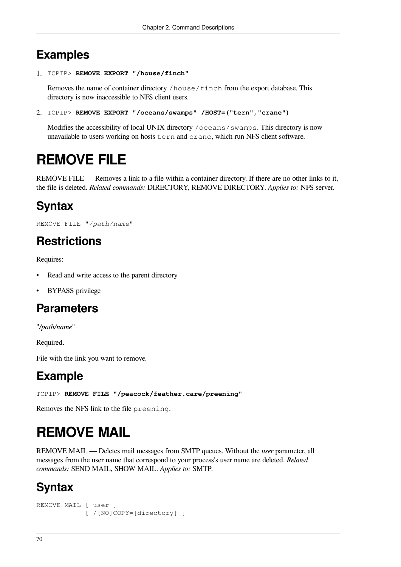# **Examples**

1. TCPIP> **REMOVE EXPORT "/house/finch"**

Removes the name of container directory /house/finch from the export database. This directory is now inaccessible to NFS client users.

2. TCPIP> **REMOVE EXPORT "/oceans/swamps" /HOST=("tern","crane")**

Modifies the accessibility of local UNIX directory /oceans/swamps. This directory is now unavailable to users working on hosts tern and crane, which run NFS client software.

# **REMOVE FILE**

REMOVE FILE — Removes a link to a file within a container directory. If there are no other links to it, the file is deleted. *Related commands:* DIRECTORY, REMOVE DIRECTORY. *Applies to:* NFS server.

# **Syntax**

REMOVE FILE "*/path/name*"

# **Restrictions**

Requires:

- Read and write access to the parent directory
- **BYPASS** privilege

## **Parameters**

"*/path/name*"

Required.

File with the link you want to remove.

# **Example**

TCPIP> **REMOVE FILE "/peacock/feather.care/preening"**

Removes the NFS link to the file preening.

# **REMOVE MAIL**

REMOVE MAIL — Deletes mail messages from SMTP queues. Without the *user* parameter, all messages from the user name that correspond to your process's user name are deleted. *Related commands:* SEND MAIL, SHOW MAIL. *Applies to:* SMTP.

# **Syntax**

```
REMOVE MAIL [ user ]
              [ /[NO]COPY=[directory] ]
```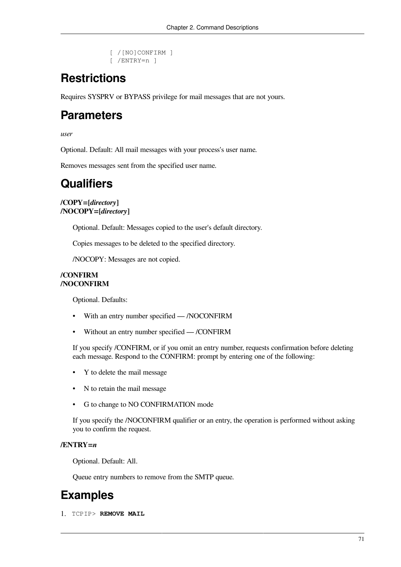```
 [ /[NO]CONFIRM ]
 [ /ENTRY=n ]
```
# **Restrictions**

Requires SYSPRV or BYPASS privilege for mail messages that are not yours.

### **Parameters**

*user*

Optional. Default: All mail messages with your process's user name.

Removes messages sent from the specified user name.

### **Qualifiers**

**/COPY=[***directory***] /NOCOPY=[***directory***]**

Optional. Default: Messages copied to the user's default directory.

Copies messages to be deleted to the specified directory.

/NOCOPY: Messages are not copied.

#### **/CONFIRM /NOCONFIRM**

Optional. Defaults:

- With an entry number specified /NOCONFIRM
- Without an entry number specified /CONFIRM

If you specify /CONFIRM, or if you omit an entry number, requests confirmation before deleting each message. Respond to the CONFIRM: prompt by entering one of the following:

- Y to delete the mail message
- N to retain the mail message
- G to change to NO CONFIRMATION mode

If you specify the /NOCONFIRM qualifier or an entry, the operation is performed without asking you to confirm the request.

#### **/ENTRY=***n*

Optional. Default: All.

Queue entry numbers to remove from the SMTP queue.

# **Examples**

1. TCPIP> **REMOVE MAIL**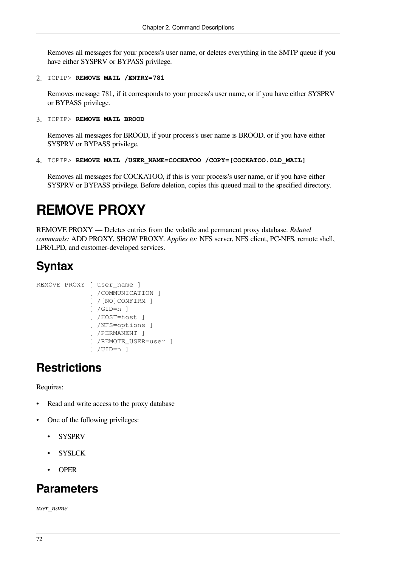Removes all messages for your process's user name, or deletes everything in the SMTP queue if you have either SYSPRV or BYPASS privilege.

2. TCPIP> **REMOVE MAIL /ENTRY=781**

Removes message 781, if it corresponds to your process's user name, or if you have either SYSPRV or BYPASS privilege.

3. TCPIP> **REMOVE MAIL BROOD**

Removes all messages for BROOD, if your process's user name is BROOD, or if you have either SYSPRV or BYPASS privilege.

```
4. TCPIP> REMOVE MAIL /USER_NAME=COCKATOO /COPY=[COCKATOO.OLD_MAIL]
```
Removes all messages for COCKATOO, if this is your process's user name, or if you have either SYSPRV or BYPASS privilege. Before deletion, copies this queued mail to the specified directory.

# **REMOVE PROXY**

REMOVE PROXY — Deletes entries from the volatile and permanent proxy database. *Related commands:* ADD PROXY, SHOW PROXY. *Applies to:* NFS server, NFS client, PC-NFS, remote shell, LPR/LPD, and customer-developed services.

# **Syntax**

```
REMOVE PROXY [ user_name ]
               [ /COMMUNICATION ]
               [ /[NO]CONFIRM ]
               [ /GID=n ]
               [ /HOST=host ]
               [ /NFS=options ]
               [ /PERMANENT ]
               [ /REMOTE_USER=user ]
               [ /UID=n ]
```
# **Restrictions**

Requires:

- Read and write access to the proxy database
- One of the following privileges:
	- **SYSPRV**
	- **SYSLCK**
	- OPER

## **Parameters**

*user\_name*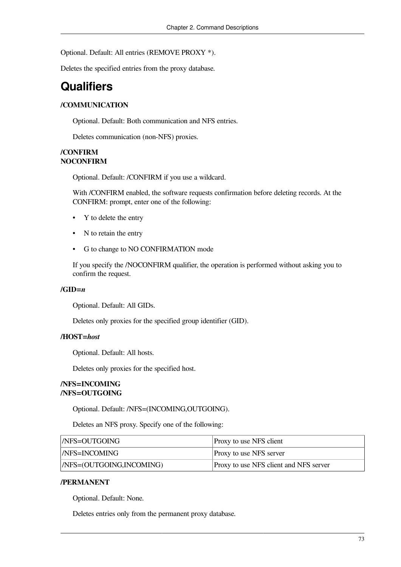Optional. Default: All entries (REMOVE PROXY \*).

Deletes the specified entries from the proxy database.

# **Qualifiers**

#### **/COMMUNICATION**

Optional. Default: Both communication and NFS entries.

Deletes communication (non-NFS) proxies.

#### **/CONFIRM NOCONFIRM**

Optional. Default: /CONFIRM if you use a wildcard.

With /CONFIRM enabled, the software requests confirmation before deleting records. At the CONFIRM: prompt, enter one of the following:

- Y to delete the entry
- N to retain the entry
- G to change to NO CONFIRMATION mode

If you specify the /NOCONFIRM qualifier, the operation is performed without asking you to confirm the request.

#### **/GID=***n*

Optional. Default: All GIDs.

Deletes only proxies for the specified group identifier (GID).

#### **/HOST=***host*

Optional. Default: All hosts.

Deletes only proxies for the specified host.

#### **/NFS=INCOMING /NFS=OUTGOING**

Optional. Default: /NFS=(INCOMING,OUTGOING).

Deletes an NFS proxy. Specify one of the following:

| <i>NES=OUTGOING</i>           | Proxy to use NFS client                |
|-------------------------------|----------------------------------------|
| <i>NES=INCOMING</i>           | <b>Proxy to use NFS server</b>         |
| $ NFS = (OUTGOING, INCOMING)$ | Proxy to use NFS client and NFS server |

#### **/PERMANENT**

Optional. Default: None.

Deletes entries only from the permanent proxy database.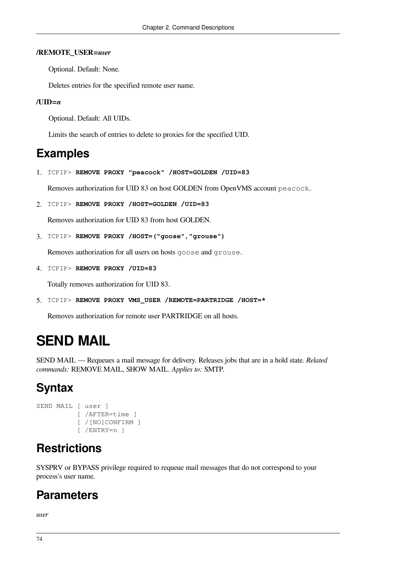#### **/REMOTE\_USER=***user*

Optional. Default: None.

Deletes entries for the specified remote user name.

#### **/UID=***n*

Optional. Default: All UIDs.

Limits the search of entries to delete to proxies for the specified UID.

## **Examples**

1. TCPIP> **REMOVE PROXY "peacock" /HOST=GOLDEN /UID=83**

Removes authorization for UID 83 on host GOLDEN from OpenVMS account peacock.

2. TCPIP> **REMOVE PROXY /HOST=GOLDEN /UID=83**

Removes authorization for UID 83 from host GOLDEN.

```
3. TCPIP> REMOVE PROXY /HOST=("goose","grouse")
```
Removes authorization for all users on hosts goose and grouse.

4. TCPIP> **REMOVE PROXY /UID=83**

Totally removes authorization for UID 83.

5. TCPIP> **REMOVE PROXY VMS\_USER /REMOTE=PARTRIDGE /HOST=\***

Removes authorization for remote user PARTRIDGE on all hosts.

# **SEND MAIL**

SEND MAIL — Requeues a mail message for delivery. Releases jobs that are in a hold state. *Related commands:* REMOVE MAIL, SHOW MAIL. *Applies to:* SMTP.

# **Syntax**

```
SEND MAIL [ user ]
            [ /AFTER=time ]
            [ /[NO]CONFIRM ]
            [ /ENTRY=n ]
```
# **Restrictions**

SYSPRV or BYPASS privilege required to requeue mail messages that do not correspond to your process's user name.

## **Parameters**

*user*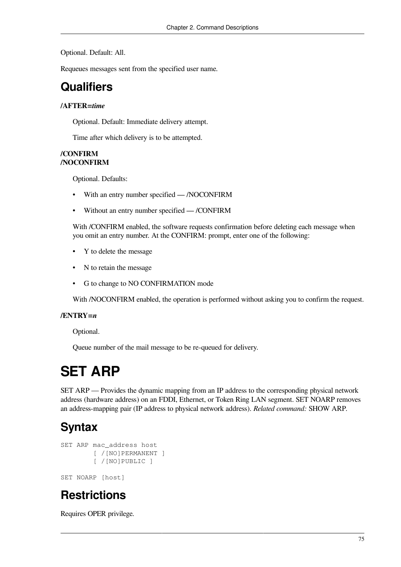Optional. Default: All.

Requeues messages sent from the specified user name.

## **Qualifiers**

#### **/AFTER=***time*

Optional. Default: Immediate delivery attempt.

Time after which delivery is to be attempted.

#### **/CONFIRM /NOCONFIRM**

Optional. Defaults:

- With an entry number specified /NOCONFIRM
- Without an entry number specified /CONFIRM

With /CONFIRM enabled, the software requests confirmation before deleting each message when you omit an entry number. At the CONFIRM: prompt, enter one of the following:

- Y to delete the message
- N to retain the message
- G to change to NO CONFIRMATION mode

With /NOCONFIRM enabled, the operation is performed without asking you to confirm the request.

#### **/ENTRY=***n*

Optional.

Queue number of the mail message to be re-queued for delivery.

# **SET ARP**

SET ARP — Provides the dynamic mapping from an IP address to the corresponding physical network address (hardware address) on an FDDI, Ethernet, or Token Ring LAN segment. SET NOARP removes an address-mapping pair (IP address to physical network address). *Related command:* SHOW ARP.

# **Syntax**

```
SET ARP mac_address host
         [ /[NO]PERMANENT ]
         [ /[NO]PUBLIC ]
SET NOARP [host]
```
## **Restrictions**

Requires OPER privilege.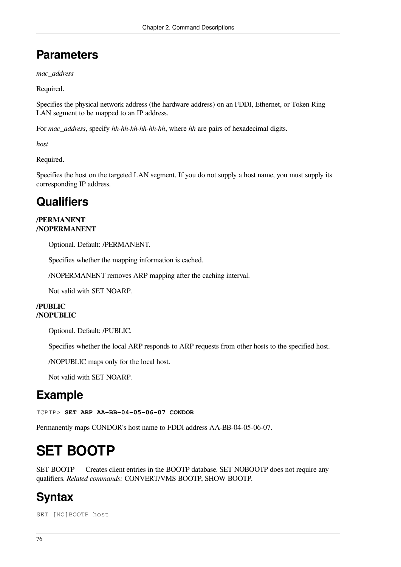# **Parameters**

*mac\_address*

Required.

Specifies the physical network address (the hardware address) on an FDDI, Ethernet, or Token Ring LAN segment to be mapped to an IP address.

For *mac\_address*, specify *hh-hh-hh-hh-hh-hh*, where *hh* are pairs of hexadecimal digits.

*host*

Required.

Specifies the host on the targeted LAN segment. If you do not supply a host name, you must supply its corresponding IP address.

# **Qualifiers**

#### **/PERMANENT /NOPERMANENT**

Optional. Default: /PERMANENT.

Specifies whether the mapping information is cached.

/NOPERMANENT removes ARP mapping after the caching interval.

Not valid with SET NOARP.

#### **/PUBLIC /NOPUBLIC**

Optional. Default: /PUBLIC.

Specifies whether the local ARP responds to ARP requests from other hosts to the specified host.

/NOPUBLIC maps only for the local host.

Not valid with SET NOARP.

## **Example**

TCPIP> **SET ARP AA-BB-04-05-06-07 CONDOR**

Permanently maps CONDOR's host name to FDDI address AA-BB-04-05-06-07.

# **SET BOOTP**

SET BOOTP — Creates client entries in the BOOTP database. SET NOBOOTP does not require any qualifiers. *Related commands:* CONVERT/VMS BOOTP, SHOW BOOTP.

# **Syntax**

SET [NO]BOOTP host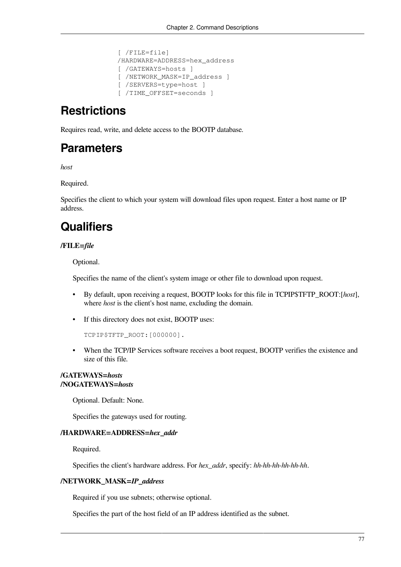```
 [ /FILE=file]
 /HARDWARE=ADDRESS=hex_address
 [ /GATEWAYS=hosts ]
 [ /NETWORK_MASK=IP_address ]
 [ /SERVERS=type=host ]
 [ /TIME_OFFSET=seconds ]
```
# **Restrictions**

Requires read, write, and delete access to the BOOTP database.

## **Parameters**

*host*

Required.

Specifies the client to which your system will download files upon request. Enter a host name or IP address.

# **Qualifiers**

#### **/FILE=***file*

Optional.

Specifies the name of the client's system image or other file to download upon request.

- By default, upon receiving a request, BOOTP looks for this file in TCPIP\$TFTP\_ROOT:[*host*], where *host* is the client's host name, excluding the domain.
- If this directory does not exist, BOOTP uses:

```
TCPIP$TFTP_ROOT:[000000].
```
• When the TCP/IP Services software receives a boot request, BOOTP verifies the existence and size of this file.

#### **/GATEWAYS=***hosts* **/NOGATEWAYS=***hosts*

Optional. Default: None.

Specifies the gateways used for routing.

#### **/HARDWARE=ADDRESS=***hex\_addr*

Required.

Specifies the client's hardware address. For *hex\_addr*, specify: *hh-hh-hh-hh-hh-hh*.

#### **/NETWORK\_MASK=***IP\_address*

Required if you use subnets; otherwise optional.

Specifies the part of the host field of an IP address identified as the subnet.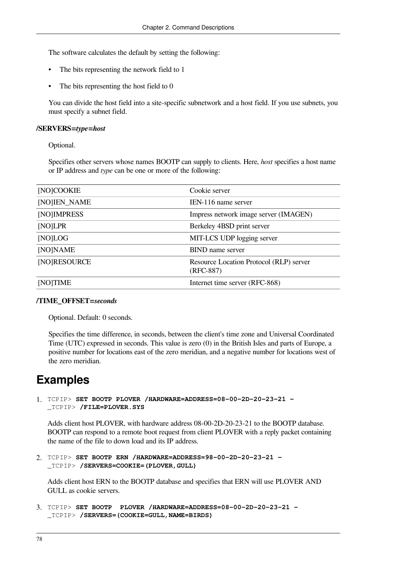The software calculates the default by setting the following:

- The bits representing the network field to 1
- The bits representing the host field to 0

You can divide the host field into a site-specific subnetwork and a host field. If you use subnets, you must specify a subnet field.

#### **/SERVERS=***type***=***host*

Optional.

Specifies other servers whose names BOOTP can supply to clients. Here, *host* specifies a host name or IP address and *type* can be one or more of the following:

| [NO]COOKIE   | Cookie server                                        |
|--------------|------------------------------------------------------|
| [NO]IEN_NAME | IEN-116 name server                                  |
| [NO]IMPRESS  | Impress network image server (IMAGEN)                |
| [NO]LPR      | Berkeley 4BSD print server                           |
| [NO]LOG      | MIT-LCS UDP logging server                           |
| [NO]NAME     | <b>BIND</b> name server                              |
| [NO]RESOURCE | Resource Location Protocol (RLP) server<br>(RFC-887) |
| [NO]TIME     | Internet time server (RFC-868)                       |

#### **/TIME\_OFFSET=***seconds*

Optional. Default: 0 seconds.

Specifies the time difference, in seconds, between the client's time zone and Universal Coordinated Time (UTC) expressed in seconds. This value is zero (0) in the British Isles and parts of Europe, a positive number for locations east of the zero meridian, and a negative number for locations west of the zero meridian.

### **Examples**

1. TCPIP> **SET BOOTP PLOVER /HARDWARE=ADDRESS=08-00-2D-20-23-21 -** \_TCPIP> **/FILE=PLOVER.SYS**

Adds client host PLOVER, with hardware address 08-00-2D-20-23-21 to the BOOTP database. BOOTP can respond to a remote boot request from client PLOVER with a reply packet containing the name of the file to down load and its IP address.

2. TCPIP> **SET BOOTP ERN /HARDWARE=ADDRESS=98-00-2D-20-23-21 -** \_TCPIP> **/SERVERS=COOKIE=(PLOVER,GULL)**

Adds client host ERN to the BOOTP database and specifies that ERN will use PLOVER AND GULL as cookie servers.

```
3. TCPIP> SET BOOTP PLOVER /HARDWARE=ADDRESS=08-00-2D-20-23-21 -
  _TCPIP> /SERVERS=(COOKIE=GULL,NAME=BIRDS)
```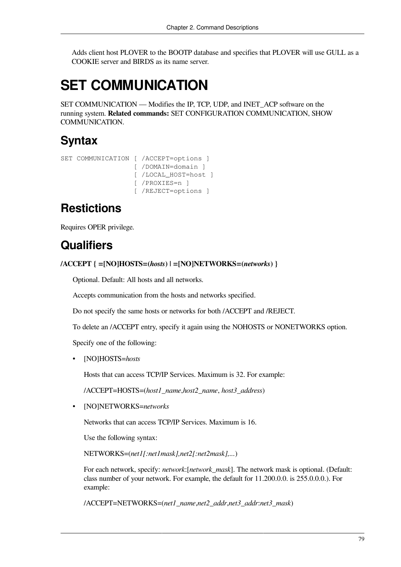Adds client host PLOVER to the BOOTP database and specifies that PLOVER will use GULL as a COOKIE server and BIRDS as its name server.

# **SET COMMUNICATION**

SET COMMUNICATION — Modifies the IP, TCP, UDP, and INET\_ACP software on the running system. **Related commands:** SET CONFIGURATION COMMUNICATION, SHOW COMMUNICATION.

## **Syntax**

```
SET COMMUNICATION [ /ACCEPT=options ]
                    [ /DOMAIN=domain ]
                    [ /LOCAL_HOST=host ]
                    [ /PROXIES=n ]
                    [ /REJECT=options ]
```
# **Restictions**

Requires OPER privilege.

## **Qualifiers**

```
/ACCEPT { =[NO]HOSTS=(hosts) | =[NO]NETWORKS=(networks) }
```
Optional. Default: All hosts and all networks.

Accepts communication from the hosts and networks specified.

Do not specify the same hosts or networks for both /ACCEPT and /REJECT.

To delete an /ACCEPT entry, specify it again using the NOHOSTS or NONETWORKS option.

Specify one of the following:

• [NO]HOSTS=*hosts*

Hosts that can access TCP/IP Services. Maximum is 32. For example:

/ACCEPT=HOSTS=(*host1\_name*,*host2\_name*, *host3\_address*)

• [NO]NETWORKS=*networks*

Networks that can access TCP/IP Services. Maximum is 16.

Use the following syntax:

NETWORKS=(*net1[:net1mask],net2[:net2mask],...*)

For each network, specify: *network*:[*network\_mask*]. The network mask is optional. (Default: class number of your network. For example, the default for 11.200.0.0. is 255.0.0.0.). For example:

/ACCEPT=NETWORKS=(*net1\_name*,*net2\_addr*,*net3\_addr*:*net3\_mask*)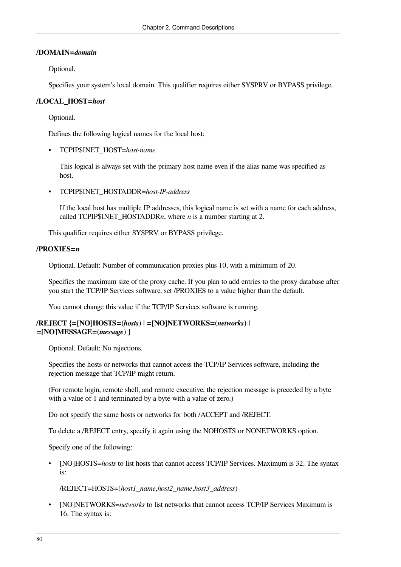#### **/DOMAIN=***domain*

Optional.

Specifies your system's local domain. This qualifier requires either SYSPRV or BYPASS privilege.

#### **/LOCAL\_HOST=***host*

Optional.

Defines the following logical names for the local host:

• TCPIP\$INET\_HOST=*host-name*

This logical is always set with the primary host name even if the alias name was specified as host.

• TCPIP\$INET\_HOSTADDR=*host-IP-address*

If the local host has multiple IP addresses, this logical name is set with a name for each address, called TCPIP\$INET\_HOSTADDR*n*, where *n* is a number starting at 2.

This qualifier requires either SYSPRV or BYPASS privilege.

#### **/PROXIES=***n*

Optional. Default: Number of communication proxies plus 10, with a minimum of 20.

Specifies the maximum size of the proxy cache. If you plan to add entries to the proxy database after you start the TCP/IP Services software, set /PROXIES to a value higher than the default.

You cannot change this value if the TCP/IP Services software is running.

#### **/REJECT {=[NO]HOSTS=(***hosts***) | =[NO]NETWORKS=(***networks***) | =[NO]MESSAGE=(***message***) }**

Optional. Default: No rejections.

Specifies the hosts or networks that cannot access the TCP/IP Services software, including the rejection message that TCP/IP might return.

(For remote login, remote shell, and remote executive, the rejection message is preceded by a byte with a value of 1 and terminated by a byte with a value of zero.)

Do not specify the same hosts or networks for both /ACCEPT and /REJECT.

To delete a /REJECT entry, specify it again using the NOHOSTS or NONETWORKS option.

Specify one of the following:

• [NO]HOSTS=*hosts* to list hosts that cannot access TCP/IP Services. Maximum is 32. The syntax is:

/REJECT=HOSTS=(*host1\_name*,*host2\_name*,*host3\_address*)

• [NO]NETWORKS=*networks* to list networks that cannot access TCP/IP Services Maximum is 16. The syntax is: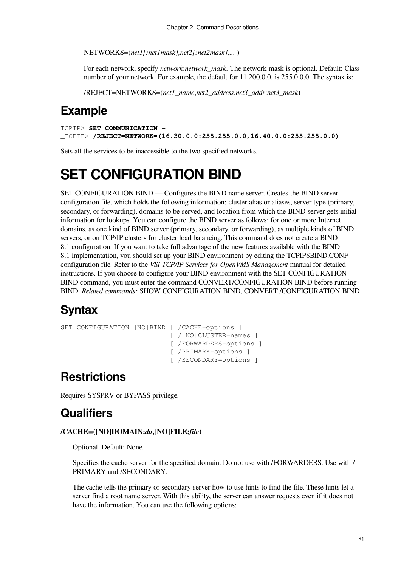NETWORKS=(*net1[:net1mask],net2[:net2mask],...* )

For each network, specify *network*:*network\_mask*. The network mask is optional. Default: Class number of your network. For example, the default for  $11.200.0.0$ . is  $255.0.0.0$ . The syntax is:

/REJECT=NETWORKS=(*net1\_name*,*net2\_address*,*net3\_addr*:*net3\_mask*)

### **Example**

TCPIP> **SET COMMUNICATION -**  \_TCPIP> **/REJECT=NETWORK=(16.30.0.0:255.255.0.0,16.40.0.0:255.255.0.0)**

Sets all the services to be inaccessible to the two specified networks.

# **SET CONFIGURATION BIND**

SET CONFIGURATION BIND — Configures the BIND name server. Creates the BIND server configuration file, which holds the following information: cluster alias or aliases, server type (primary, secondary, or forwarding), domains to be served, and location from which the BIND server gets initial information for lookups. You can configure the BIND server as follows: for one or more Internet domains, as one kind of BIND server (primary, secondary, or forwarding), as multiple kinds of BIND servers, or on TCP/IP clusters for cluster load balancing. This command does not create a BIND 8.1 configuration. If you want to take full advantage of the new features available with the BIND 8.1 implementation, you should set up your BIND environment by editing the TCPIP\$BIND.CONF configuration file. Refer to the *VSI TCP/IP Services for OpenVMS Management* manual for detailed instructions. If you choose to configure your BIND environment with the SET CONFIGURATION BIND command, you must enter the command CONVERT/CONFIGURATION BIND before running BIND. *Related commands:* SHOW CONFIGURATION BIND, CONVERT /CONFIGURATION BIND

## **Syntax**

```
SET CONFIGURATION [NO]BIND [ /CACHE=options ]
                            [ / [NO]CLUSTER=names ]
                             [ /FORWARDERS=options ]
                             [ /PRIMARY=options ]
                             [ /SECONDARY=options ]
```
## **Restrictions**

Requires SYSPRV or BYPASS privilege.

## **Qualifiers**

#### **/CACHE=([NO]DOMAIN:***do***,[NO]FILE:***file***)**

Optional. Default: None.

Specifies the cache server for the specified domain. Do not use with /FORWARDERS. Use with / PRIMARY and /SECONDARY.

The cache tells the primary or secondary server how to use hints to find the file. These hints let a server find a root name server. With this ability, the server can answer requests even if it does not have the information. You can use the following options: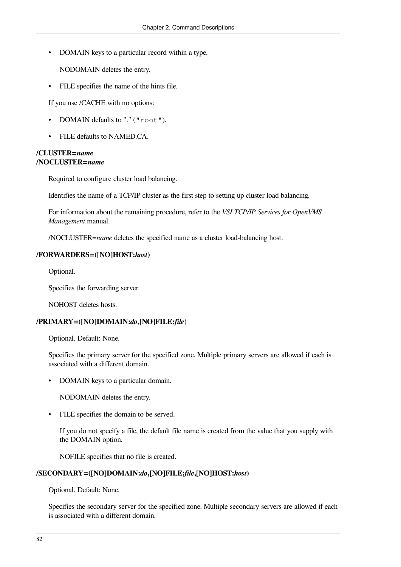• DOMAIN keys to a particular record within a type.

NODOMAIN deletes the entry.

• FILE specifies the name of the hints file.

If you use /CACHE with no options:

- DOMAIN defaults to "." ("root").
- FILE defaults to NAMED.CA.

#### **/CLUSTER=***name* **/NOCLUSTER=***name*

Required to configure cluster load balancing.

Identifies the name of a TCP/IP cluster as the first step to setting up cluster load balancing.

For information about the remaining procedure, refer to the *VSI TCP/IP Services for OpenVMS Management* manual.

/NOCLUSTER=*name* deletes the specified name as a cluster load-balancing host.

#### **/FORWARDERS=([NO]HOST:***host***)**

Optional.

Specifies the forwarding server.

NOHOST deletes hosts.

#### **/PRIMARY=([NO]DOMAIN:***do***,[NO]FILE:***file***)**

Optional. Default: None.

Specifies the primary server for the specified zone. Multiple primary servers are allowed if each is associated with a different domain.

• DOMAIN keys to a particular domain.

NODOMAIN deletes the entry.

• FILE specifies the domain to be served.

If you do not specify a file, the default file name is created from the value that you supply with the DOMAIN option.

NOFILE specifies that no file is created.

#### **/SECONDARY=([NO]DOMAIN:***do***,[NO]FILE:***file***,[NO]HOST:***host***)**

Optional. Default: None.

Specifies the secondary server for the specified zone. Multiple secondary servers are allowed if each is associated with a different domain.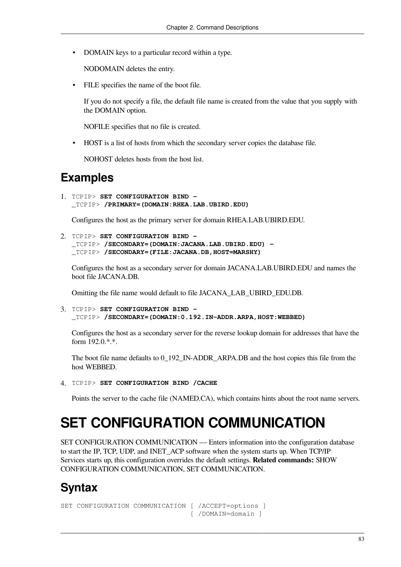• DOMAIN keys to a particular record within a type.

NODOMAIN deletes the entry.

FILE specifies the name of the boot file.

If you do not specify a file, the default file name is created from the value that you supply with the DOMAIN option.

NOFILE specifies that no file is created.

• HOST is a list of hosts from which the secondary server copies the database file.

NOHOST deletes hosts from the host list.

### **Examples**

1. TCPIP> **SET CONFIGURATION BIND -**  \_TCPIP> **/PRIMARY=(DOMAIN:RHEA.LAB.UBIRD.EDU)** 

Configures the host as the primary server for domain RHEA.LAB.UBIRD.EDU.

2. TCPIP> **SET CONFIGURATION BIND -**  \_TCPIP> **/SECONDARY=(DOMAIN:JACANA.LAB.UBIRD.EDU) -**  \_TCPIP> **/SECONDARY=(FILE:JACANA.DB,HOST=MARSHY)** 

Configures the host as a secondary server for domain JACANA.LAB.UBIRD.EDU and names the boot file JACANA.DB.

Omitting the file name would default to file JACANA\_LAB\_UBIRD\_EDU.DB.

3. TCPIP> **SET CONFIGURATION BIND -**  \_TCPIP> **/SECONDARY=(DOMAIN:0.192.IN-ADDR.ARPA,HOST:WEBBED)**

Configures the host as a secondary server for the reverse lookup domain for addresses that have the form 192.0.\*.\*.

The boot file name defaults to 0\_192\_IN-ADDR\_ARPA.DB and the host copies this file from the host WEBBED.

4. TCPIP> **SET CONFIGURATION BIND /CACHE**

Points the server to the cache file (NAMED.CA), which contains hints about the root name servers.

# **SET CONFIGURATION COMMUNICATION**

SET CONFIGURATION COMMUNICATION — Enters information into the configuration database to start the IP, TCP, UDP, and INET\_ACP software when the system starts up. When TCP/IP Services starts up, this configuration overrides the default settings. **Related commands:** SHOW CONFIGURATION COMMUNICATION, SET COMMUNICATION.

# **Syntax**

```
SET CONFIGURATION COMMUNICATION [ /ACCEPT=options ]
                                  [ /DOMAIN=domain ]
```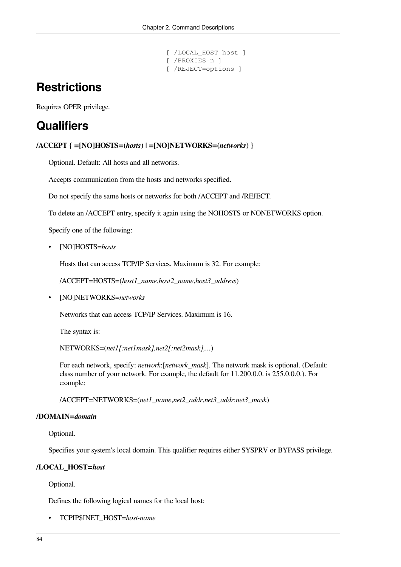```
 [ /LOCAL_HOST=host ]
 [ /PROXIES=n ]
 [ /REJECT=options ]
```
# **Restrictions**

Requires OPER privilege.

# **Qualifiers**

**/ACCEPT { =[NO]HOSTS=(***hosts***) | =[NO]NETWORKS=(***networks***) }**

Optional. Default: All hosts and all networks.

Accepts communication from the hosts and networks specified.

Do not specify the same hosts or networks for both /ACCEPT and /REJECT.

To delete an /ACCEPT entry, specify it again using the NOHOSTS or NONETWORKS option.

Specify one of the following:

• [NO]HOSTS=*hosts*

Hosts that can access TCP/IP Services. Maximum is 32. For example:

/ACCEPT=HOSTS=(*host1\_name*,*host2\_name*,*host3\_address*)

• [NO]NETWORKS=*networks*

Networks that can access TCP/IP Services. Maximum is 16.

The syntax is:

NETWORKS=(*net1[:net1mask],net2[:net2mask],...*)

For each network, specify: *network*:[*network\_mask*]. The network mask is optional. (Default: class number of your network. For example, the default for 11.200.0.0. is 255.0.0.0.). For example:

/ACCEPT=NETWORKS=(*net1\_name*,*net2\_addr*,*net3\_addr*:*net3\_mask*)

#### **/DOMAIN=***domain*

Optional.

Specifies your system's local domain. This qualifier requires either SYSPRV or BYPASS privilege.

#### **/LOCAL\_HOST=***host*

Optional.

Defines the following logical names for the local host:

• TCPIP\$INET\_HOST=*host-name*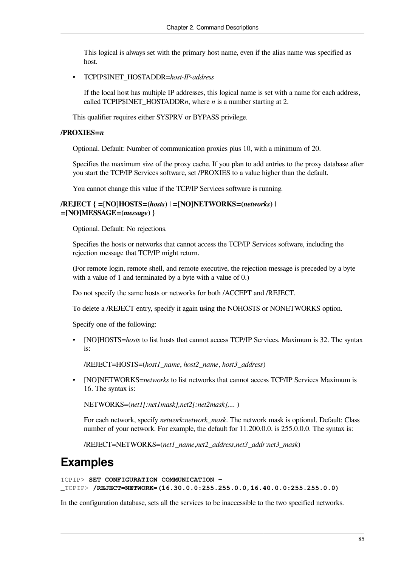This logical is always set with the primary host name, even if the alias name was specified as host.

• TCPIP\$INET\_HOSTADDR=*host-IP-address*

If the local host has multiple IP addresses, this logical name is set with a name for each address, called TCPIP\$INET HOSTADDR*n*, where *n* is a number starting at 2.

This qualifier requires either SYSPRV or BYPASS privilege.

#### **/PROXIES=***n*

Optional. Default: Number of communication proxies plus 10, with a minimum of 20.

Specifies the maximum size of the proxy cache. If you plan to add entries to the proxy database after you start the TCP/IP Services software, set /PROXIES to a value higher than the default.

You cannot change this value if the TCP/IP Services software is running.

#### **/REJECT { =[NO]HOSTS=(***hosts***) | =[NO]NETWORKS=(***networks***) | =[NO]MESSAGE=(***message***) }**

Optional. Default: No rejections.

Specifies the hosts or networks that cannot access the TCP/IP Services software, including the rejection message that TCP/IP might return.

(For remote login, remote shell, and remote executive, the rejection message is preceded by a byte with a value of 1 and terminated by a byte with a value of 0.)

Do not specify the same hosts or networks for both /ACCEPT and /REJECT.

To delete a /REJECT entry, specify it again using the NOHOSTS or NONETWORKS option.

Specify one of the following:

• [NO]HOSTS=*hosts* to list hosts that cannot access TCP/IP Services. Maximum is 32. The syntax is:

/REJECT=HOSTS=(*host1\_name*, *host2\_name*, *host3\_address*)

• [NO]NETWORKS=*networks* to list networks that cannot access TCP/IP Services Maximum is 16. The syntax is:

NETWORKS=(*net1[:net1mask],net2[:net2mask],...* )

For each network, specify *network*:*network\_mask*. The network mask is optional. Default: Class number of your network. For example, the default for  $11.200.0.0$ . is  $255.0.0.0$ . The syntax is:

/REJECT=NETWORKS=(*net1\_name*,*net2\_address*,*net3\_addr*:*net3\_mask*)

### **Examples**

```
TCPIP> SET CONFIGURATION COMMUNICATION - 
_TCPIP> /REJECT=NETWORK=(16.30.0.0:255.255.0.0,16.40.0.0:255.255.0.0)
```
In the configuration database, sets all the services to be inaccessible to the two specified networks.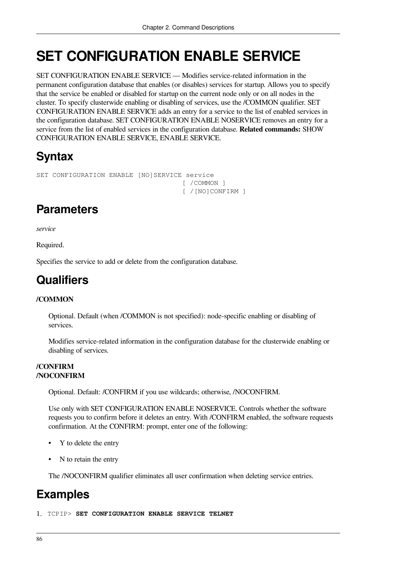# **SET CONFIGURATION ENABLE SERVICE**

SET CONFIGURATION ENABLE SERVICE — Modifies service-related information in the permanent configuration database that enables (or disables) services for startup. Allows you to specify that the service be enabled or disabled for startup on the current node only or on all nodes in the cluster. To specify clusterwide enabling or disabling of services, use the /COMMON qualifier. SET CONFIGURATION ENABLE SERVICE adds an entry for a service to the list of enabled services in the configuration database. SET CONFIGURATION ENABLE NOSERVICE removes an entry for a service from the list of enabled services in the configuration database. **Related commands:** SHOW CONFIGURATION ENABLE SERVICE, ENABLE SERVICE.

# **Syntax**

```
SET CONFIGURATION ENABLE [NO]SERVICE service
                                      [ /COMMON ]
                                      [ /[NO]CONFIRM ]
```
# **Parameters**

*service*

Required.

Specifies the service to add or delete from the configuration database.

## **Qualifiers**

#### **/COMMON**

Optional. Default (when /COMMON is not specified): node-specific enabling or disabling of services.

Modifies service-related information in the configuration database for the clusterwide enabling or disabling of services.

#### **/CONFIRM /NOCONFIRM**

Optional. Default: /CONFIRM if you use wildcards; otherwise, /NOCONFIRM.

Use only with SET CONFIGURATION ENABLE NOSERVICE. Controls whether the software requests you to confirm before it deletes an entry. With /CONFIRM enabled, the software requests confirmation. At the CONFIRM: prompt, enter one of the following:

- Y to delete the entry
- N to retain the entry

The /NOCONFIRM qualifier eliminates all user confirmation when deleting service entries.

# **Examples**

1. TCPIP> **SET CONFIGURATION ENABLE SERVICE TELNET**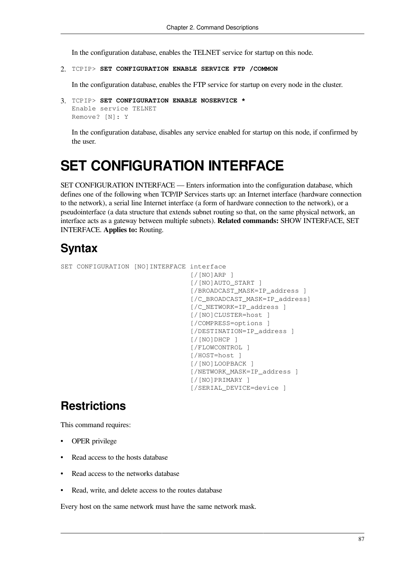In the configuration database, enables the TELNET service for startup on this node.

#### 2. TCPIP> **SET CONFIGURATION ENABLE SERVICE FTP /COMMON**

In the configuration database, enables the FTP service for startup on every node in the cluster.

```
3. TCPIP> SET CONFIGURATION ENABLE NOSERVICE *
  Enable service TELNET
  Remove? [N]: Y
```
In the configuration database, disables any service enabled for startup on this node, if confirmed by the user.

# **SET CONFIGURATION INTERFACE**

SET CONFIGURATION INTERFACE — Enters information into the configuration database, which defines one of the following when TCP/IP Services starts up: an Internet interface (hardware connection to the network), a serial line Internet interface (a form of hardware connection to the network), or a pseudointerface (a data structure that extends subnet routing so that, on the same physical network, an interface acts as a gateway between multiple subnets). **Related commands:** SHOW INTERFACE, SET INTERFACE. **Applies to:** Routing.

### **Syntax**

```
SET CONFIGURATION [NO]INTERFACE interface
                                    [/[NO]ARP ]
                                   [/[NO]AUTO_START ]
                                    [/BROADCAST_MASK=IP_address ]
                                   [/C_BROADCAST_MASK=IP_address]
                                    [/C_NETWORK=IP_address ]
                                    [/[NO]CLUSTER=host ]
                                    [/COMPRESS=options ]
                                   [/DESTINATION=IP_address ]
                                    [/[NO]DHCP ]
                                    [/FLOWCONTROL ]
                                    [/HOST=host ]
                                    [/[NO]LOOPBACK ]
                                    [/NETWORK_MASK=IP_address ]
                                    [/[NO]PRIMARY ]
                                    [/SERIAL_DEVICE=device ]
```
## **Restrictions**

This command requires:

- OPER privilege
- Read access to the hosts database
- Read access to the networks database
- Read, write, and delete access to the routes database

Every host on the same network must have the same network mask.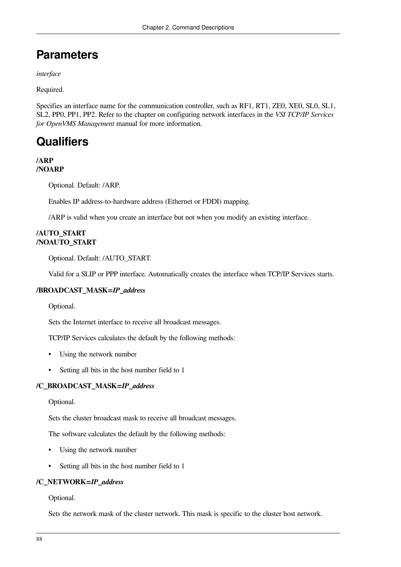# **Parameters**

*interface*

Required.

Specifies an interface name for the communication controller, such as RF1, RT1, ZE0, XE0, SL0, SL1, SL2, PP0, PP1, PP2. Refer to the chapter on configuring network interfaces in the *VSI TCP/IP Services for OpenVMS Management* manual for more information.

# **Qualifiers**

#### **/ARP /NOARP**

Optional. Default: /ARP.

Enables IP address-to-hardware address (Ethernet or FDDI) mapping.

/ARP is valid when you create an interface but not when you modify an existing interface.

#### **/AUTO\_START /NOAUTO\_START**

Optional. Default: /AUTO\_START.

Valid for a SLIP or PPP interface. Automatically creates the interface when TCP/IP Services starts.

#### **/BROADCAST\_MASK=***IP\_address*

Optional.

Sets the Internet interface to receive all broadcast messages.

TCP/IP Services calculates the default by the following methods:

- Using the network number
- Setting all bits in the host number field to 1

#### **/C\_BROADCAST\_MASK=***IP\_address*

Optional.

Sets the cluster broadcast mask to receive all broadcast messages.

The software calculates the default by the following methods:

- Using the network number
- Setting all bits in the host number field to 1

#### **/C\_NETWORK=***IP\_address*

Optional.

Sets the network mask of the cluster network. This mask is specific to the cluster host network.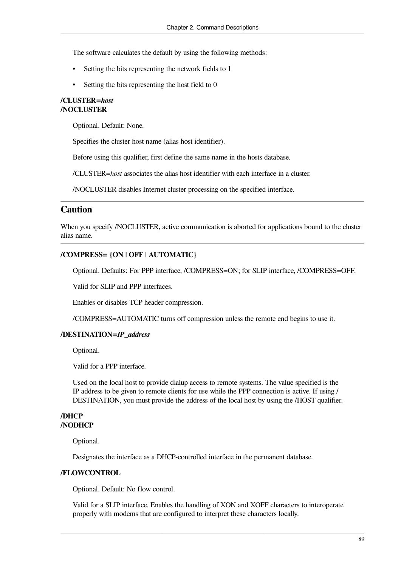The software calculates the default by using the following methods:

- Setting the bits representing the network fields to 1
- Setting the bits representing the host field to 0

#### **/CLUSTER=***host* **/NOCLUSTER**

Optional. Default: None.

Specifies the cluster host name (alias host identifier).

Before using this qualifier, first define the same name in the hosts database.

/CLUSTER=*host* associates the alias host identifier with each interface in a cluster.

/NOCLUSTER disables Internet cluster processing on the specified interface.

#### **Caution**

When you specify /NOCLUSTER, active communication is aborted for applications bound to the cluster alias name.

#### **/COMPRESS= {ON | OFF | AUTOMATIC}**

Optional. Defaults: For PPP interface, /COMPRESS=ON; for SLIP interface, /COMPRESS=OFF.

Valid for SLIP and PPP interfaces.

Enables or disables TCP header compression.

/COMPRESS=AUTOMATIC turns off compression unless the remote end begins to use it.

#### **/DESTINATION=***IP\_address*

Optional.

Valid for a PPP interface.

Used on the local host to provide dialup access to remote systems. The value specified is the IP address to be given to remote clients for use while the PPP connection is active. If using / DESTINATION, you must provide the address of the local host by using the /HOST qualifier.

#### **/DHCP /NODHCP**

Optional.

Designates the interface as a DHCP-controlled interface in the permanent database.

#### **/FLOWCONTROL**

Optional. Default: No flow control.

Valid for a SLIP interface. Enables the handling of XON and XOFF characters to interoperate properly with modems that are configured to interpret these characters locally.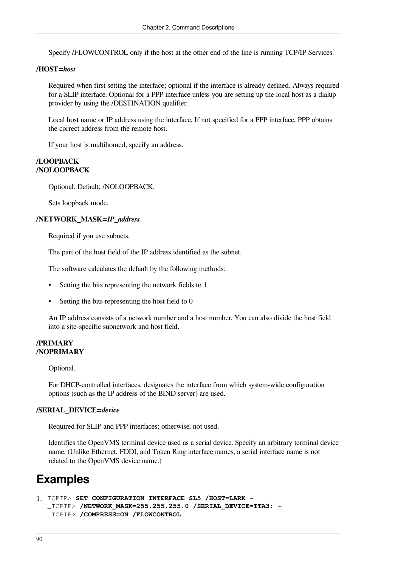Specify /FLOWCONTROL only if the host at the other end of the line is running TCP/IP Services.

#### **/HOST=***host*

Required when first setting the interface; optional if the interface is already defined. Always required for a SLIP interface. Optional for a PPP interface unless you are setting up the local host as a dialup provider by using the /DESTINATION qualifier.

Local host name or IP address using the interface. If not specified for a PPP interface, PPP obtains the correct address from the remote host.

If your host is multihomed, specify an address.

#### **/LOOPBACK /NOLOOPBACK**

Optional. Default: /NOLOOPBACK.

Sets loopback mode.

#### **/NETWORK\_MASK=***IP\_address*

Required if you use subnets.

The part of the host field of the IP address identified as the subnet.

The software calculates the default by the following methods:

- Setting the bits representing the network fields to 1
- Setting the bits representing the host field to 0

An IP address consists of a network number and a host number. You can also divide the host field into a site-specific subnetwork and host field.

#### **/PRIMARY /NOPRIMARY**

Optional.

For DHCP-controlled interfaces, designates the interface from which system-wide configuration options (such as the IP address of the BIND server) are used.

#### **/SERIAL\_DEVICE=***device*

Required for SLIP and PPP interfaces; otherwise, not used.

Identifies the OpenVMS terminal device used as a serial device. Specify an arbitrary terminal device name. (Unlike Ethernet, FDDI, and Token Ring interface names, a serial interface name is not related to the OpenVMS device name.)

## **Examples**

```
1. TCPIP> SET CONFIGURATION INTERFACE SL5 /HOST=LARK -
  _TCPIP> /NETWORK_MASK=255.255.255.0 /SERIAL_DEVICE=TTA3: -
  _TCPIP> /COMPRESS=ON /FLOWCONTROL
```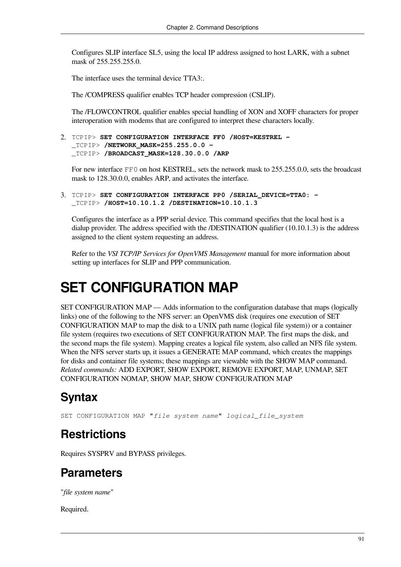Configures SLIP interface SL5, using the local IP address assigned to host LARK, with a subnet mask of 255.255.255.0.

The interface uses the terminal device TTA3:.

The /COMPRESS qualifier enables TCP header compression (CSLIP).

The /FLOWCONTROL qualifier enables special handling of XON and XOFF characters for proper interoperation with modems that are configured to interpret these characters locally.

```
2. TCPIP> SET CONFIGURATION INTERFACE FF0 /HOST=KESTREL -
  _TCPIP> /NETWORK_MASK=255.255.0.0 -
  _TCPIP> /BROADCAST_MASK=128.30.0.0 /ARP
```
For new interface FF0 on host KESTREL, sets the network mask to 255.255.0.0, sets the broadcast mask to 128.30.0.0, enables ARP, and activates the interface.

3. TCPIP> **SET CONFIGURATION INTERFACE PP0 /SERIAL\_DEVICE=TTA0: -** \_TCPIP> **/HOST=10.10.1.2 /DESTINATION=10.10.1.3**

Configures the interface as a PPP serial device. This command specifies that the local host is a dialup provider. The address specified with the /DESTINATION qualifier (10.10.1.3) is the address assigned to the client system requesting an address.

Refer to the *VSI TCP/IP Services for OpenVMS Management* manual for more information about setting up interfaces for SLIP and PPP communication.

# **SET CONFIGURATION MAP**

SET CONFIGURATION MAP — Adds information to the configuration database that maps (logically links) one of the following to the NFS server: an OpenVMS disk (requires one execution of SET CONFIGURATION MAP to map the disk to a UNIX path name (logical file system)) or a container file system (requires two executions of SET CONFIGURATION MAP. The first maps the disk, and the second maps the file system). Mapping creates a logical file system, also called an NFS file system. When the NFS server starts up, it issues a GENERATE MAP command, which creates the mappings for disks and container file systems; these mappings are viewable with the SHOW MAP command. *Related commands:* ADD EXPORT, SHOW EXPORT, REMOVE EXPORT, MAP, UNMAP, SET CONFIGURATION NOMAP, SHOW MAP, SHOW CONFIGURATION MAP

## **Syntax**

SET CONFIGURATION MAP "*file system name*" *logical\_file\_system*

## **Restrictions**

Requires SYSPRV and BYPASS privileges.

### **Parameters**

"*file system name*"

Required.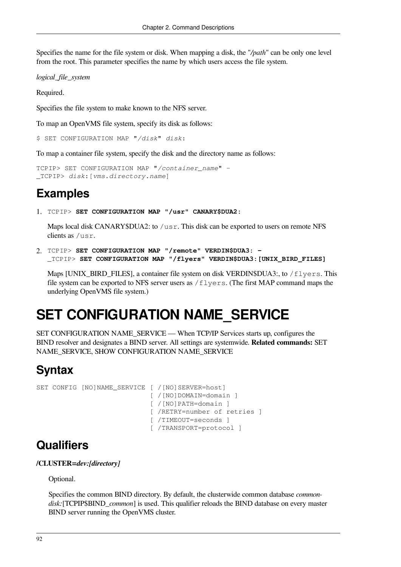Specifies the name for the file system or disk. When mapping a disk, the "*/path*" can be only one level from the root. This parameter specifies the name by which users access the file system.

*logical\_file\_system*

Required.

Specifies the file system to make known to the NFS server.

To map an OpenVMS file system, specify its disk as follows:

\$ SET CONFIGURATION MAP "*/disk*" *disk*:

To map a container file system, specify the disk and the directory name as follows:

```
TCPIP> SET CONFIGURATION MAP "/container_name" -
_TCPIP> disk:[vms.directory.name]
```
### **Examples**

1. TCPIP> **SET CONFIGURATION MAP "/usr" CANARY\$DUA2:**

Maps local disk CANARY\$DUA2: to /usr. This disk can be exported to users on remote NFS clients as /usr.

2. TCPIP> **SET CONFIGURATION MAP "/remote" VERDIN\$DUA3: -** \_TCPIP> **SET CONFIGURATION MAP "/flyers" VERDIN\$DUA3:[UNIX\_BIRD\_FILES]**

Maps [UNIX\_BIRD\_FILES], a container file system on disk VERDIN\$DUA3:, to /flyers. This file system can be exported to NFS server users as /flyers. (The first MAP command maps the underlying OpenVMS file system.)

# **SET CONFIGURATION NAME\_SERVICE**

SET CONFIGURATION NAME\_SERVICE — When TCP/IP Services starts up, configures the BIND resolver and designates a BIND server. All settings are systemwide. **Related commands:** SET NAME\_SERVICE, SHOW CONFIGURATION NAME\_SERVICE

## **Syntax**

SET CONFIG [NO]NAME SERVICE [ /[NO]SERVER=host] [ /[NO]DOMAIN=domain ] [ /[NO]PATH=domain ] [ /RETRY=number of retries ] [ /TIMEOUT=seconds ] [ /TRANSPORT=protocol ]

## **Qualifiers**

**/CLUSTER=***dev:[directory]*

Optional.

Specifies the common BIND directory. By default, the clusterwide common database *commondisk:*[TCPIP\$BIND\_*common*] is used. This qualifier reloads the BIND database on every master BIND server running the OpenVMS cluster.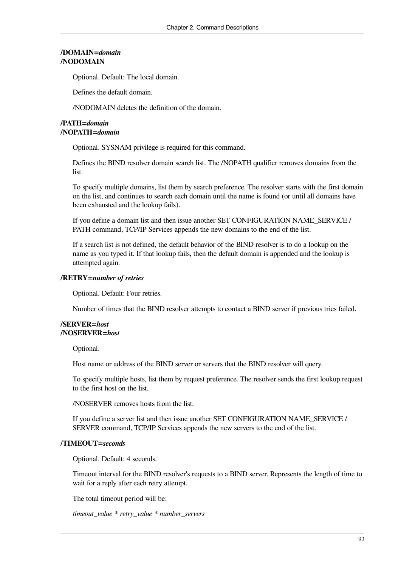#### **/DOMAIN=***domain* **/NODOMAIN**

Optional. Default: The local domain.

Defines the default domain.

/NODOMAIN deletes the definition of the domain.

#### **/PATH=***domain* **/NOPATH=***domain*

Optional. SYSNAM privilege is required for this command.

Defines the BIND resolver domain search list. The /NOPATH qualifier removes domains from the list.

To specify multiple domains, list them by search preference. The resolver starts with the first domain on the list, and continues to search each domain until the name is found (or until all domains have been exhausted and the lookup fails).

If you define a domain list and then issue another SET CONFIGURATION NAME\_SERVICE / PATH command, TCP/IP Services appends the new domains to the end of the list.

If a search list is not defined, the default behavior of the BIND resolver is to do a lookup on the name as you typed it. If that lookup fails, then the default domain is appended and the lookup is attempted again.

#### **/RETRY=***number of retries*

Optional. Default: Four retries.

Number of times that the BIND resolver attempts to contact a BIND server if previous tries failed.

#### **/SERVER=***host* **/NOSERVER=***host*

Optional.

Host name or address of the BIND server or servers that the BIND resolver will query.

To specify multiple hosts, list them by request preference. The resolver sends the first lookup request to the first host on the list.

/NOSERVER removes hosts from the list.

If you define a server list and then issue another SET CONFIGURATION NAME\_SERVICE / SERVER command, TCP/IP Services appends the new servers to the end of the list.

#### **/TIMEOUT=***seconds*

Optional. Default: 4 seconds.

Timeout interval for the BIND resolver's requests to a BIND server. Represents the length of time to wait for a reply after each retry attempt.

The total timeout period will be:

*timeout\_value \* retry\_value \* number\_servers*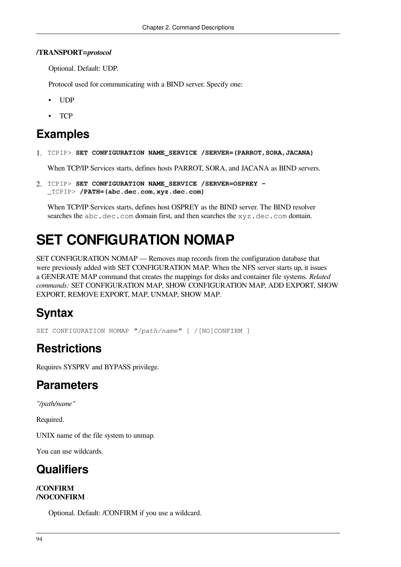#### **/TRANSPORT=***protocol*

Optional. Default: UDP.

Protocol used for communicating with a BIND server. Specify one:

- UDP
- T<sub>C</sub>P

### **Examples**

1. TCPIP> **SET CONFIGURATION NAME\_SERVICE /SERVER=(PARROT,SORA,JACANA)**

When TCP/IP Services starts, defines hosts PARROT, SORA, and JACANA as BIND servers.

2. TCPIP> **SET CONFIGURATION NAME\_SERVICE /SERVER=OSPREY -** \_TCPIP> **/PATH=(abc.dec.com,xyz.dec.com)**

When TCP/IP Services starts, defines host OSPREY as the BIND server. The BIND resolver searches the abc.dec.com domain first, and then searches the xyz.dec.com domain.

# **SET CONFIGURATION NOMAP**

SET CONFIGURATION NOMAP — Removes map records from the configuration database that were previously added with SET CONFIGURATION MAP. When the NFS server starts up, it issues a GENERATE MAP command that creates the mappings for disks and container file systems. *Related commands:* SET CONFIGURATION MAP, SHOW CONFIGURATION MAP, ADD EXPORT, SHOW EXPORT, REMOVE EXPORT, MAP, UNMAP, SHOW MAP.

# **Syntax**

SET CONFIGURATION NOMAP *"/path/name"* [ /[NO]CONFIRM ]

# **Restrictions**

Requires SYSPRV and BYPASS privilege.

# **Parameters**

*"/path/name"*

Required.

UNIX name of the file system to unmap.

You can use wildcards.

# **Qualifiers**

#### **/CONFIRM /NOCONFIRM**

Optional. Default: /CONFIRM if you use a wildcard.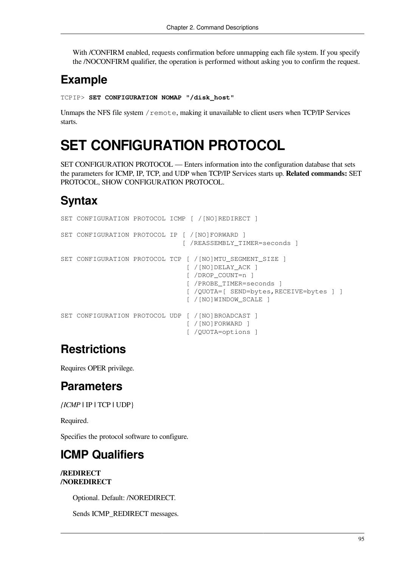With /CONFIRM enabled, requests confirmation before unmapping each file system. If you specify the /NOCONFIRM qualifier, the operation is performed without asking you to confirm the request.

# **Example**

TCPIP> **SET CONFIGURATION NOMAP "/disk\_host"**

Unmaps the NFS file system / remote, making it unavailable to client users when TCP/IP Services starts.

# **SET CONFIGURATION PROTOCOL**

SET CONFIGURATION PROTOCOL — Enters information into the configuration database that sets the parameters for ICMP, IP, TCP, and UDP when TCP/IP Services starts up. **Related commands:** SET PROTOCOL, SHOW CONFIGURATION PROTOCOL.

# **Syntax**

```
SET CONFIGURATION PROTOCOL ICMP [ /[NO]REDIRECT ]
SET CONFIGURATION PROTOCOL IP [ /[NO]FORWARD ]
                                [ /REASSEMBLY_TIMER=seconds ]
SET CONFIGURATION PROTOCOL TCP [ /[NO]MTU SEGMENT SIZE ]
                                 [ /[NO]DELAY_ACK ]
                                 [ /DROP_COUNT=n ]
                                 [ /PROBE_TIMER=seconds ]
                                 [ /QUOTA=[ SEND=bytes,RECEIVE=bytes ] ]
                                 [ /[NO]WINDOW_SCALE ]
SET CONFIGURATION PROTOCOL UDP [ /[NO]BROADCAST ]
                                 [ /[NO]FORWARD ]
                                 [ /QUOTA=options ]
```
# **Restrictions**

Requires OPER privilege.

# **Parameters**

*{ICMP* **|** IP **|** TCP **|** UDP}

Required.

Specifies the protocol software to configure.

# **ICMP Qualifiers**

#### **/REDIRECT /NOREDIRECT**

Optional. Default: /NOREDIRECT.

Sends ICMP\_REDIRECT messages.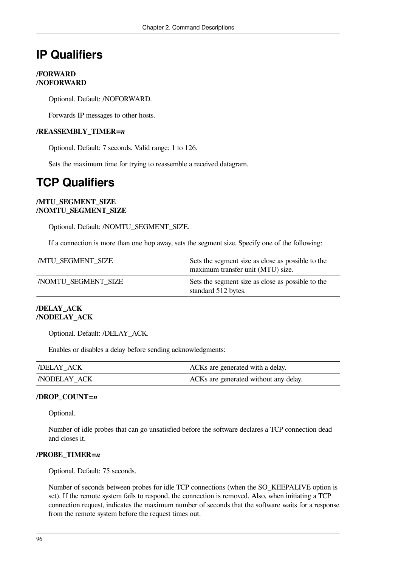# **IP Qualifiers**

#### **/FORWARD /NOFORWARD**

Optional. Default: /NOFORWARD.

Forwards IP messages to other hosts.

#### **/REASSEMBLY\_TIMER=***n*

Optional. Default: 7 seconds. Valid range: 1 to 126.

Sets the maximum time for trying to reassemble a received datagram.

# **TCP Qualifiers**

#### **/MTU\_SEGMENT\_SIZE /NOMTU\_SEGMENT\_SIZE**

Optional. Default: /NOMTU\_SEGMENT\_SIZE.

If a connection is more than one hop away, sets the segment size. Specify one of the following:

| <b>MTU SEGMENT SIZE</b>   | Sets the segment size as close as possible to the<br>maximum transfer unit (MTU) size. |
|---------------------------|----------------------------------------------------------------------------------------|
| <b>NOMTU SEGMENT SIZE</b> | Sets the segment size as close as possible to the<br>standard 512 bytes.               |

#### **/DELAY\_ACK /NODELAY\_ACK**

Optional. Default: /DELAY\_ACK.

Enables or disables a delay before sending acknowledgments:

| DELAY ACK          | ACKs are generated with a delay.      |
|--------------------|---------------------------------------|
| <b>NODELAY ACK</b> | ACKs are generated without any delay. |

#### **/DROP\_COUNT=***n*

Optional.

Number of idle probes that can go unsatisfied before the software declares a TCP connection dead and closes it.

#### **/PROBE\_TIMER=***n*

Optional. Default: 75 seconds.

Number of seconds between probes for idle TCP connections (when the SO\_KEEPALIVE option is set). If the remote system fails to respond, the connection is removed. Also, when initiating a TCP connection request, indicates the maximum number of seconds that the software waits for a response from the remote system before the request times out.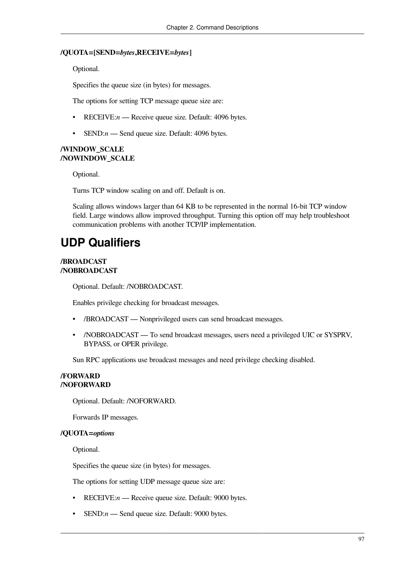#### **/QUOTA=[SEND=***bytes***,RECEIVE=***bytes***]**

Optional.

Specifies the queue size (in bytes) for messages.

The options for setting TCP message queue size are:

- RECEIVE:*n* Receive queue size. Default: 4096 bytes.
- SEND:*n* Send queue size. Default: 4096 bytes.

#### **/WINDOW\_SCALE /NOWINDOW\_SCALE**

Optional.

Turns TCP window scaling on and off. Default is on.

Scaling allows windows larger than 64 KB to be represented in the normal 16-bit TCP window field. Large windows allow improved throughput. Turning this option off may help troubleshoot communication problems with another TCP/IP implementation.

### **UDP Qualifiers**

#### **/BROADCAST /NOBROADCAST**

Optional. Default: /NOBROADCAST.

Enables privilege checking for broadcast messages.

- /BROADCAST Nonprivileged users can send broadcast messages.
- /NOBROADCAST To send broadcast messages, users need a privileged UIC or SYSPRV, BYPASS, or OPER privilege.

Sun RPC applications use broadcast messages and need privilege checking disabled.

#### **/FORWARD /NOFORWARD**

Optional. Default: /NOFORWARD.

Forwards IP messages.

#### **/QUOTA=***options*

Optional.

Specifies the queue size (in bytes) for messages.

The options for setting UDP message queue size are:

- RECEIVE:*n* Receive queue size. Default: 9000 bytes.
- SEND:*n* Send queue size. Default: 9000 bytes.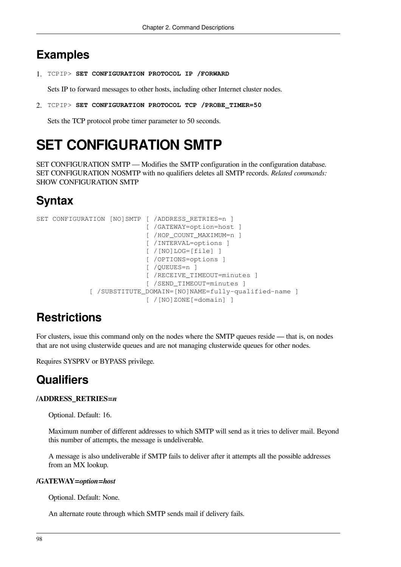### **Examples**

1. TCPIP> **SET CONFIGURATION PROTOCOL IP /FORWARD**

Sets IP to forward messages to other hosts, including other Internet cluster nodes.

2. TCPIP> **SET CONFIGURATION PROTOCOL TCP /PROBE\_TIMER=50**

Sets the TCP protocol probe timer parameter to 50 seconds.

# **SET CONFIGURATION SMTP**

SET CONFIGURATION SMTP — Modifies the SMTP configuration in the configuration database. SET CONFIGURATION NOSMTP with no qualifiers deletes all SMTP records. *Related commands:* SHOW CONFIGURATION SMTP

# **Syntax**

```
SET CONFIGURATION [NO]SMTP [ /ADDRESS RETRIES=n ]
                             [ /GATEWAY=option=host ]
                             [ /HOP_COUNT_MAXIMUM=n ]
                             [ /INTERVAL=options ]
                             [ /[NO]LOG=[file] ]
                            [ /OPTIONS=options ]
                             [ /QUEUES=n ]
                             [ /RECEIVE_TIMEOUT=minutes ]
                             [ /SEND_TIMEOUT=minutes ]
               [ /SUBSTITUTE_DOMAIN=[NO]NAME=fully-qualified-name ]
                             [ /[NO]ZONE[=domain] ]
```
## **Restrictions**

For clusters, issue this command only on the nodes where the SMTP queues reside — that is, on nodes that are not using clusterwide queues and are not managing clusterwide queues for other nodes.

Requires SYSPRV or BYPASS privilege.

## **Qualifiers**

#### **/ADDRESS\_RETRIES=***n*

Optional. Default: 16.

Maximum number of different addresses to which SMTP will send as it tries to deliver mail. Beyond this number of attempts, the message is undeliverable.

A message is also undeliverable if SMTP fails to deliver after it attempts all the possible addresses from an MX lookup.

#### **/GATEWAY=***option***=***host*

Optional. Default: None.

An alternate route through which SMTP sends mail if delivery fails.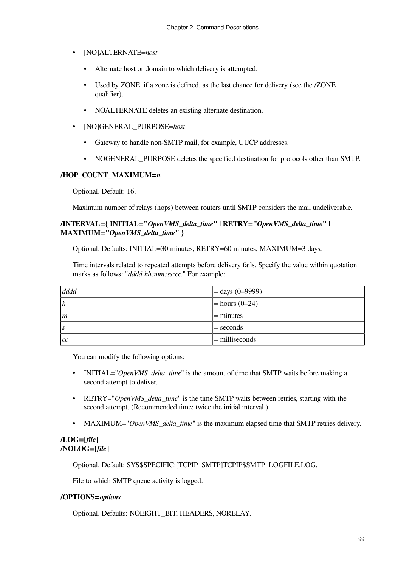- [NO]ALTERNATE=*host*
	- Alternate host or domain to which delivery is attempted.
	- Used by ZONE, if a zone is defined, as the last chance for delivery (see the *ZONE* qualifier).
	- NOALTERNATE deletes an existing alternate destination.
- [NO]GENERAL\_PURPOSE=*host*
	- Gateway to handle non-SMTP mail, for example, UUCP addresses.
	- NOGENERAL PURPOSE deletes the specified destination for protocols other than SMTP.

#### **/HOP\_COUNT\_MAXIMUM=***n*

Optional. Default: 16.

Maximum number of relays (hops) between routers until SMTP considers the mail undeliverable.

### **/INTERVAL={ INITIAL="***OpenVMS\_delta\_time***"** *|* **RETRY="***OpenVMS\_delta\_time***"** *|* **MAXIMUM="***OpenVMS\_delta\_time***" }**

Optional. Defaults: INITIAL=30 minutes, RETRY=60 minutes, MAXIMUM=3 days.

Time intervals related to repeated attempts before delivery fails. Specify the value within quotation marks as follows: "*dddd hh:mm:ss:cc.*" For example:

| dddd           | $=$ days (0–9999) |
|----------------|-------------------|
| h              | $=$ hours (0–24)  |
| $\mathfrak{m}$ | $=$ minutes       |
| . S            | $=$ seconds       |
| cc             | $=$ milliseconds  |

You can modify the following options:

- INITIAL="*OpenVMS\_delta\_time*" is the amount of time that SMTP waits before making a second attempt to deliver.
- RETRY="*OpenVMS delta time*" is the time SMTP waits between retries, starting with the second attempt. (Recommended time: twice the initial interval.)
- MAXIMUM="*OpenVMS\_delta\_time*" is the maximum elapsed time that SMTP retries delivery.

### **/LOG=[***file***] /NOLOG=[***file***]**

Optional. Default: SYS\$SPECIFIC:[TCPIP\_SMTP]TCPIP\$SMTP\_LOGFILE.LOG.

File to which SMTP queue activity is logged.

#### **/OPTIONS=***options*

Optional. Defaults: NOEIGHT\_BIT, HEADERS, NORELAY.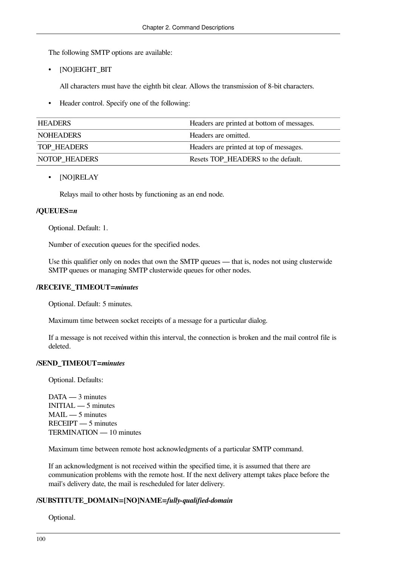The following SMTP options are available:

• [NO]EIGHT\_BIT

All characters must have the eighth bit clear. Allows the transmission of 8-bit characters.

• Header control. Specify one of the following:

| <b>HEADERS</b>     | Headers are printed at bottom of messages. |
|--------------------|--------------------------------------------|
| <b>NOHEADERS</b>   | Headers are omitted.                       |
| <b>TOP HEADERS</b> | Headers are printed at top of messages.    |
| NOTOP HEADERS      | Resets TOP HEADERS to the default.         |

• [NO]RELAY

Relays mail to other hosts by functioning as an end node.

### **/QUEUES=***n*

Optional. Default: 1.

Number of execution queues for the specified nodes.

Use this qualifier only on nodes that own the SMTP queues — that is, nodes not using clusterwide SMTP queues or managing SMTP clusterwide queues for other nodes.

### **/RECEIVE\_TIMEOUT=***minutes*

Optional. Default: 5 minutes.

Maximum time between socket receipts of a message for a particular dialog.

If a message is not received within this interval, the connection is broken and the mail control file is deleted.

### **/SEND\_TIMEOUT=***minutes*

Optional. Defaults:

DATA — 3 minutes INITIAL — 5 minutes MAIL — 5 minutes RECEIPT — 5 minutes TERMINATION — 10 minutes

Maximum time between remote host acknowledgments of a particular SMTP command.

If an acknowledgment is not received within the specified time, it is assumed that there are communication problems with the remote host. If the next delivery attempt takes place before the mail's delivery date, the mail is rescheduled for later delivery.

### **/SUBSTITUTE\_DOMAIN=[NO]NAME=***fully-qualified-domain*

Optional.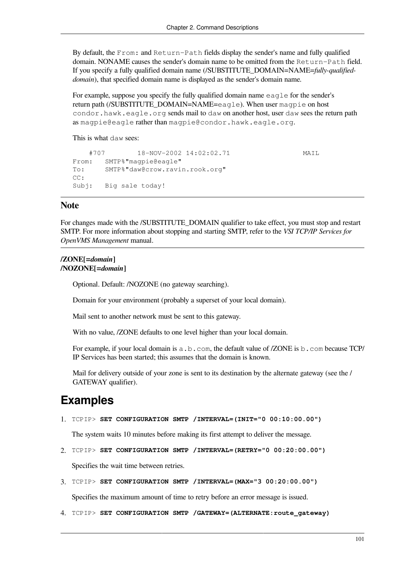By default, the From: and Return-Path fields display the sender's name and fully qualified domain. NONAME causes the sender's domain name to be omitted from the Return-Path field. If you specify a fully qualified domain name (/SUBSTITUTE\_DOMAIN=NAME=*fully-qualifieddomain*), that specified domain name is displayed as the sender's domain name.

For example, suppose you specify the fully qualified domain name eagle for the sender's return path (/SUBSTITUTE\_DOMAIN=NAME=eagle). When user magpie on host condor.hawk.eagle.org sends mail to daw on another host, user daw sees the return path as magpie@eagle rather than magpie@condor.hawk.eagle.org.

This is what daw sees:

```
 #707 18-NOV-2002 14:02:02.71 MAIL
From: SMTP%"magpie@eagle"
To: SMTP%"daw@crow.ravin.rook.org"
CC:
Subj: Big sale today!
```
### **Note**

For changes made with the /SUBSTITUTE\_DOMAIN qualifier to take effect, you must stop and restart SMTP. For more information about stopping and starting SMTP, refer to the *VSI TCP/IP Services for OpenVMS Management* manual.

#### **/ZONE[=***domain***] /NOZONE[=***domain***]**

Optional. Default: /NOZONE (no gateway searching).

Domain for your environment (probably a superset of your local domain).

Mail sent to another network must be sent to this gateway.

With no value, /ZONE defaults to one level higher than your local domain.

For example, if your local domain is a.b.com, the default value of /ZONE is b.com because TCP/ IP Services has been started; this assumes that the domain is known.

Mail for delivery outside of your zone is sent to its destination by the alternate gateway (see the / GATEWAY qualifier).

### **Examples**

1. TCPIP> **SET CONFIGURATION SMTP /INTERVAL=(INIT="0 00:10:00.00")**

The system waits 10 minutes before making its first attempt to deliver the message.

2. TCPIP> **SET CONFIGURATION SMTP /INTERVAL=(RETRY="0 00:20:00.00")**

Specifies the wait time between retries.

3. TCPIP> **SET CONFIGURATION SMTP /INTERVAL=(MAX="3 00:20:00.00")**

Specifies the maximum amount of time to retry before an error message is issued.

4. TCPIP> **SET CONFIGURATION SMTP /GATEWAY=(ALTERNATE:route\_gateway)**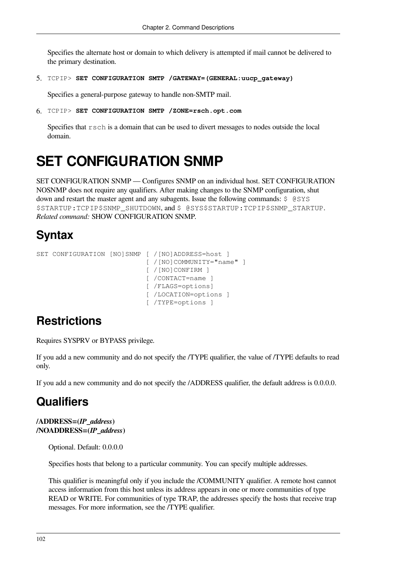Specifies the alternate host or domain to which delivery is attempted if mail cannot be delivered to the primary destination.

5. TCPIP> **SET CONFIGURATION SMTP /GATEWAY=(GENERAL:uucp\_gateway)**

Specifies a general-purpose gateway to handle non-SMTP mail.

6. TCPIP> **SET CONFIGURATION SMTP /ZONE=rsch.opt.com**

Specifies that rsch is a domain that can be used to divert messages to nodes outside the local domain.

## **SET CONFIGURATION SNMP**

SET CONFIGURATION SNMP — Configures SNMP on an individual host. SET CONFIGURATION NOSNMP does not require any qualifiers. After making changes to the SNMP configuration, shut down and restart the master agent and any subagents. Issue the following commands: \$ @SYS \$STARTUP:TCPIP\$SNMP\_SHUTDOWN, and \$ @SYS\$STARTUP:TCPIP\$SNMP\_STARTUP. *Related command:* SHOW CONFIGURATION SNMP.

### **Syntax**

```
SET CONFIGURATION [NO]SNMP [ /[NO]ADDRESS=host ]
                            [ / [NO]COMMUNITY="name" ]
                              [ /[NO]CONFIRM ]
                              [ /CONTACT=name ]
                              [ /FLAGS=options]
                              [ /LOCATION=options ]
                              [ /TYPE=options ]
```
### **Restrictions**

Requires SYSPRV or BYPASS privilege.

If you add a new community and do not specify the /TYPE qualifier, the value of /TYPE defaults to read only.

If you add a new community and do not specify the /ADDRESS qualifier, the default address is 0.0.0.0.

### **Qualifiers**

#### **/ADDRESS=(***IP\_address***) /NOADDRESS=(***IP\_address***)**

Optional. Default: 0.0.0.0

Specifies hosts that belong to a particular community. You can specify multiple addresses.

This qualifier is meaningful only if you include the /COMMUNITY qualifier. A remote host cannot access information from this host unless its address appears in one or more communities of type READ or WRITE. For communities of type TRAP, the addresses specify the hosts that receive trap messages. For more information, see the /TYPE qualifier.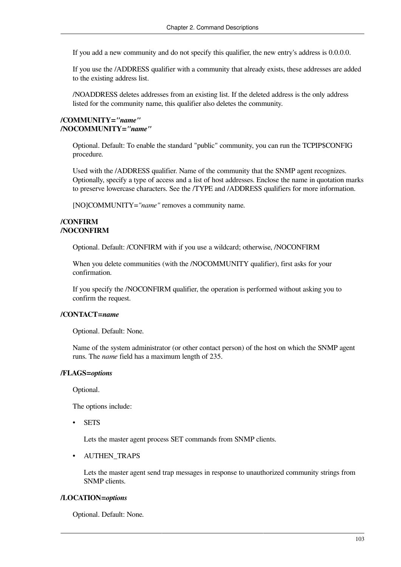If you add a new community and do not specify this qualifier, the new entry's address is 0.0.0.0.

If you use the /ADDRESS qualifier with a community that already exists, these addresses are added to the existing address list.

/NOADDRESS deletes addresses from an existing list. If the deleted address is the only address listed for the community name, this qualifier also deletes the community.

### **/COMMUNITY=***"name"* **/NOCOMMUNITY=***"name"*

Optional. Default: To enable the standard "public" community, you can run the TCPIP\$CONFIG procedure.

Used with the /ADDRESS qualifier. Name of the community that the SNMP agent recognizes. Optionally, specify a type of access and a list of host addresses. Enclose the name in quotation marks to preserve lowercase characters. See the /TYPE and /ADDRESS qualifiers for more information.

[NO]COMMUNITY=*"name"* removes a community name.

### **/CONFIRM /NOCONFIRM**

Optional. Default: /CONFIRM with if you use a wildcard; otherwise, /NOCONFIRM

When you delete communities (with the /NOCOMMUNITY qualifier), first asks for your confirmation.

If you specify the /NOCONFIRM qualifier, the operation is performed without asking you to confirm the request.

### **/CONTACT=***name*

Optional. Default: None.

Name of the system administrator (or other contact person) of the host on which the SNMP agent runs. The *name* field has a maximum length of 235.

### **/FLAGS=***options*

Optional.

The options include:

**SETS** 

Lets the master agent process SET commands from SNMP clients.

### • AUTHEN\_TRAPS

Lets the master agent send trap messages in response to unauthorized community strings from SNMP clients.

### **/LOCATION=***options*

Optional. Default: None.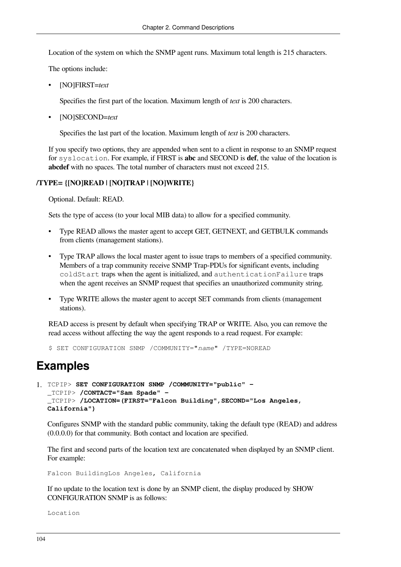Location of the system on which the SNMP agent runs. Maximum total length is 215 characters.

The options include:

• [NO]FIRST=*text*

Specifies the first part of the location. Maximum length of *text* is 200 characters.

• [NO]SECOND=*text*

Specifies the last part of the location. Maximum length of *text* is 200 characters.

If you specify two options, they are appended when sent to a client in response to an SNMP request for syslocation. For example, if FIRST is **abc** and SECOND is **def**, the value of the location is **abcdef** with no spaces. The total number of characters must not exceed 215.

### **/TYPE= {[NO]READ | [NO]TRAP | [NO]WRITE}**

Optional. Default: READ.

Sets the type of access (to your local MIB data) to allow for a specified community.

- Type READ allows the master agent to accept GET, GETNEXT, and GETBULK commands from clients (management stations).
- Type TRAP allows the local master agent to issue traps to members of a specified community. Members of a trap community receive SNMP Trap-PDUs for significant events, including coldStart traps when the agent is initialized, and authenticationFailure traps when the agent receives an SNMP request that specifies an unauthorized community string.
- Type WRITE allows the master agent to accept SET commands from clients (management stations).

READ access is present by default when specifying TRAP or WRITE. Also, you can remove the read access without affecting the way the agent responds to a read request. For example:

\$ SET CONFIGURATION SNMP /COMMUNITY="*name*" /TYPE=NOREAD

### **Examples**

```
1. TCPIP> SET CONFIGURATION SNMP /COMMUNITY="public" -
  _TCPIP> /CONTACT="Sam Spade" -
  _TCPIP> /LOCATION=(FIRST="Falcon Building",SECOND="Los Angeles,
  California")
```
Configures SNMP with the standard public community, taking the default type (READ) and address (0.0.0.0) for that community. Both contact and location are specified.

The first and second parts of the location text are concatenated when displayed by an SNMP client. For example:

Falcon BuildingLos Angeles, California

If no update to the location text is done by an SNMP client, the display produced by SHOW CONFIGURATION SNMP is as follows:

Location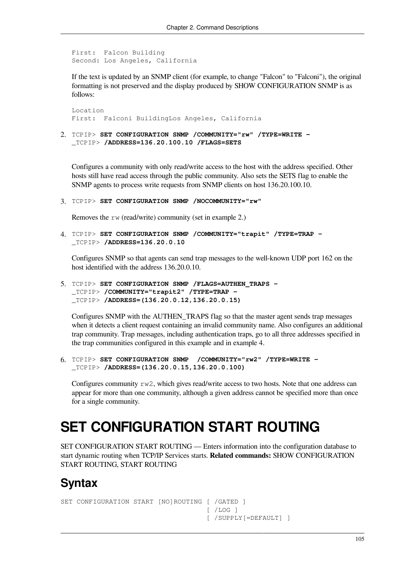```
First: Falcon Building
Second: Los Angeles, California
```
If the text is updated by an SNMP client (for example, to change "Falcon" to "Falconi"), the original formatting is not preserved and the display produced by SHOW CONFIGURATION SNMP is as follows:

Location First: Falconi BuildingLos Angeles, California

2. TCPIP> **SET CONFIGURATION SNMP /COMMUNITY="rw" /TYPE=WRITE -** \_TCPIP> **/ADDRESS=136.20.100.10 /FLAGS=SETS**

Configures a community with only read/write access to the host with the address specified. Other hosts still have read access through the public community. Also sets the SETS flag to enable the SNMP agents to process write requests from SNMP clients on host 136.20.100.10.

3. TCPIP> **SET CONFIGURATION SNMP /NOCOMMUNITY="rw"**

Removes the rw (read/write) community (set in example 2.)

4. TCPIP> **SET CONFIGURATION SNMP /COMMUNITY="trapit" /TYPE=TRAP -** \_TCPIP> **/ADDRESS=136.20.0.10**

Configures SNMP so that agents can send trap messages to the well-known UDP port 162 on the host identified with the address 136.20.0.10.

5. TCPIP> **SET CONFIGURATION SNMP /FLAGS=AUTHEN\_TRAPS -** \_TCPIP> **/COMMUNITY="trapit2" /TYPE=TRAP -** \_TCPIP> **/ADDRESS=(136.20.0.12,136.20.0.15)**

Configures SNMP with the AUTHEN\_TRAPS flag so that the master agent sends trap messages when it detects a client request containing an invalid community name. Also configures an additional trap community. Trap messages, including authentication traps, go to all three addresses specified in the trap communities configured in this example and in example 4.

6. TCPIP> **SET CONFIGURATION SNMP /COMMUNITY="rw2" /TYPE=WRITE -** \_TCPIP> **/ADDRESS=(136.20.0.15,136.20.0.100)**

Configures community rw2, which gives read/write access to two hosts. Note that one address can appear for more than one community, although a given address cannot be specified more than once for a single community.

# **SET CONFIGURATION START ROUTING**

SET CONFIGURATION START ROUTING — Enters information into the configuration database to start dynamic routing when TCP/IP Services starts. **Related commands:** SHOW CONFIGURATION START ROUTING, START ROUTING

## **Syntax**

```
SET CONFIGURATION START [NO]ROUTING [ /GATED ]
                                     [ /LOG ] [ /SUPPLY[=DEFAULT] ]
```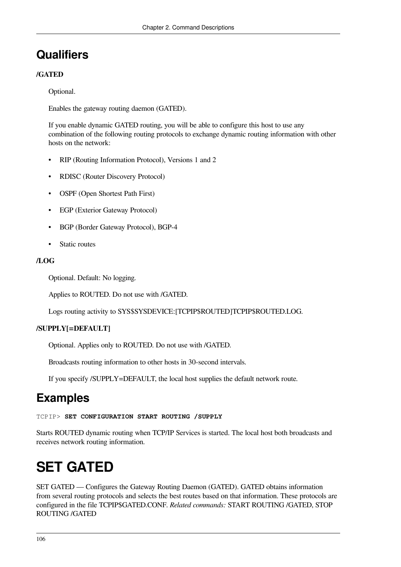## **Qualifiers**

### **/GATED**

Optional.

Enables the gateway routing daemon (GATED).

If you enable dynamic GATED routing, you will be able to configure this host to use any combination of the following routing protocols to exchange dynamic routing information with other hosts on the network:

- RIP (Routing Information Protocol), Versions 1 and 2
- RDISC (Router Discovery Protocol)
- OSPF (Open Shortest Path First)
- EGP (Exterior Gateway Protocol)
- BGP (Border Gateway Protocol), BGP-4
- Static routes

### **/LOG**

Optional. Default: No logging.

Applies to ROUTED. Do not use with /GATED.

Logs routing activity to SYS\$SYSDEVICE:[TCPIP\$ROUTED]TCPIP\$ROUTED.LOG.

### **/SUPPLY[=DEFAULT]**

Optional. Applies only to ROUTED. Do not use with /GATED.

Broadcasts routing information to other hosts in 30-second intervals.

If you specify /SUPPLY=DEFAULT, the local host supplies the default network route.

## **Examples**

TCPIP> **SET CONFIGURATION START ROUTING /SUPPLY**

Starts ROUTED dynamic routing when TCP/IP Services is started. The local host both broadcasts and receives network routing information.

# **SET GATED**

SET GATED — Configures the Gateway Routing Daemon (GATED). GATED obtains information from several routing protocols and selects the best routes based on that information. These protocols are configured in the file TCPIP\$GATED.CONF. *Related commands:* START ROUTING /GATED, STOP ROUTING /GATED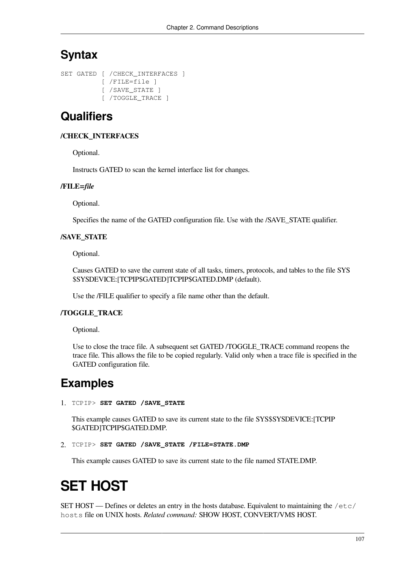### **Syntax**

```
SET GATED [ / CHECK INTERFACES ]
            [ /FILE=file ]
            [ /SAVE_STATE ]
            [ /TOGGLE_TRACE ]
```
### **Qualifiers**

### **/CHECK\_INTERFACES**

Optional.

Instructs GATED to scan the kernel interface list for changes.

### **/FILE=***file*

Optional.

Specifies the name of the GATED configuration file. Use with the /SAVE\_STATE qualifier.

### **/SAVE\_STATE**

Optional.

Causes GATED to save the current state of all tasks, timers, protocols, and tables to the file SYS \$SYSDEVICE:[TCPIP\$GATED]TCPIP\$GATED.DMP (default).

Use the /FILE qualifier to specify a file name other than the default.

### **/TOGGLE\_TRACE**

Optional.

Use to close the trace file. A subsequent set GATED /TOGGLE\_TRACE command reopens the trace file. This allows the file to be copied regularly. Valid only when a trace file is specified in the GATED configuration file.

## **Examples**

```
1. TCPIP> SET GATED /SAVE_STATE
```
This example causes GATED to save its current state to the file SYS\$SYSDEVICE:[TCPIP \$GATED]TCPIP\$GATED.DMP.

```
2. TCPIP> SET GATED /SAVE_STATE /FILE=STATE.DMP
```
This example causes GATED to save its current state to the file named STATE.DMP.

# **SET HOST**

SET HOST — Defines or deletes an entry in the hosts database. Equivalent to maintaining the  $/etc/$ hosts file on UNIX hosts. *Related command:* SHOW HOST, CONVERT/VMS HOST.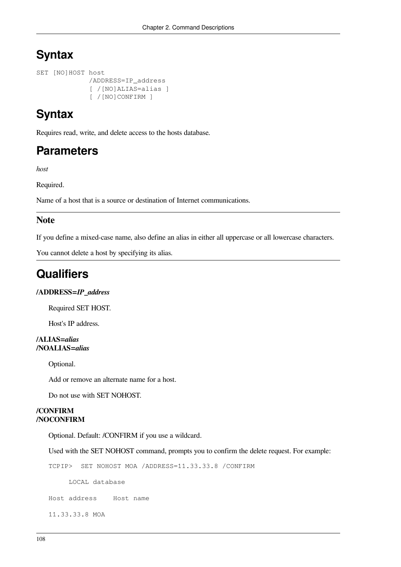### **Syntax**

```
SET [NO]HOST host
              /ADDRESS=IP_address
               [ /[NO]ALIAS=alias ]
               [ /[NO]CONFIRM ]
```
## **Syntax**

Requires read, write, and delete access to the hosts database.

### **Parameters**

*host*

Required.

Name of a host that is a source or destination of Internet communications.

### **Note**

If you define a mixed-case name, also define an alias in either all uppercase or all lowercase characters.

You cannot delete a host by specifying its alias.

### **Qualifiers**

### **/ADDRESS=***IP\_address*

Required SET HOST.

Host's IP address.

### **/ALIAS=***alias* **/NOALIAS=***alias*

Optional.

Add or remove an alternate name for a host.

Do not use with SET NOHOST.

### **/CONFIRM /NOCONFIRM**

Optional. Default: /CONFIRM if you use a wildcard.

Used with the SET NOHOST command, prompts you to confirm the delete request. For example:

TCPIP> SET NOHOST MOA /ADDRESS=11.33.33.8 /CONFIRM

LOCAL database

Host address Host name

11.33.33.8 MOA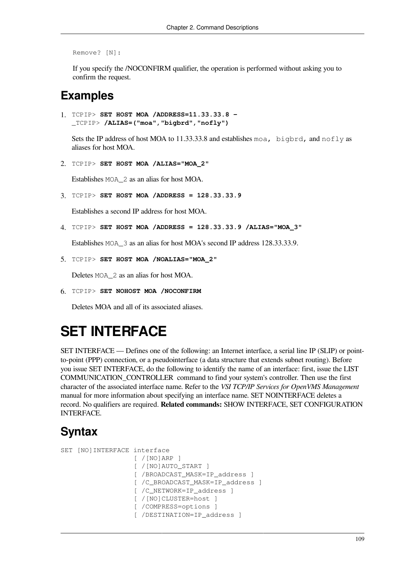```
Remove? [N]:
```
If you specify the /NOCONFIRM qualifier, the operation is performed without asking you to confirm the request.

### **Examples**

```
1. TCPIP> SET HOST MOA /ADDRESS=11.33.33.8 - 
  _TCPIP> /ALIAS=("moa","bigbrd","nofly")
```
Sets the IP address of host MOA to 11.33.33.8 and establishes moa, bigbrd, and nofly as aliases for host MOA.

2. TCPIP> **SET HOST MOA /ALIAS="MOA\_2"**

Establishes MOA\_2 as an alias for host MOA.

3. TCPIP> **SET HOST MOA /ADDRESS = 128.33.33.9**

Establishes a second IP address for host MOA.

4. TCPIP> **SET HOST MOA /ADDRESS = 128.33.33.9 /ALIAS="MOA\_3"**

Establishes MOA\_3 as an alias for host MOA's second IP address 128.33.33.9.

5. TCPIP> **SET HOST MOA /NOALIAS="MOA\_2"**

Deletes MOA\_2 as an alias for host MOA.

6. TCPIP> **SET NOHOST MOA /NOCONFIRM**

Deletes MOA and all of its associated aliases.

## **SET INTERFACE**

SET INTERFACE — Defines one of the following: an Internet interface, a serial line IP (SLIP) or pointto-point (PPP) connection, or a pseudointerface (a data structure that extends subnet routing). Before you issue SET INTERFACE, do the following to identify the name of an interface: first, issue the [LIST](#page-61-0) [COMMUNICATION\\_CONTROLLER](#page-61-0) command to find your system's controller. Then use the first character of the associated interface name. Refer to the *VSI TCP/IP Services for OpenVMS Management* manual for more information about specifying an interface name. SET NOINTERFACE deletes a record. No qualifiers are required. **Related commands:** SHOW INTERFACE, SET CONFIGURATION INTERFACE.

### **Syntax**

```
SET [NO]INTERFACE interface
                    [ /[NO]ARP ]
                    [ /[NO]AUTO_START ]
                    [ /BROADCAST_MASK=IP_address ]
                    [ /C_BROADCAST_MASK=IP_address ]
                    [ /C_NETWORK=IP_address ]
                    [ /[NO]CLUSTER=host ]
                    [ /COMPRESS=options ]
                    [ /DESTINATION=IP_address ]
```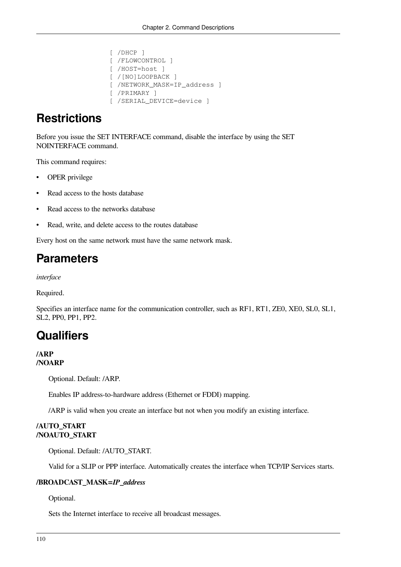```
 [ /DHCP ]
 [ /FLOWCONTROL ]
 [ /HOST=host ]
 [ /[NO]LOOPBACK ]
 [ /NETWORK_MASK=IP_address ]
 [ /PRIMARY ]
 [ /SERIAL_DEVICE=device ]
```
## **Restrictions**

Before you issue the SET INTERFACE command, disable the interface by using the SET NOINTERFACE command.

This command requires:

- OPER privilege
- Read access to the hosts database
- Read access to the networks database
- Read, write, and delete access to the routes database

Every host on the same network must have the same network mask.

## **Parameters**

*interface*

Required.

Specifies an interface name for the communication controller, such as RF1, RT1, ZE0, XE0, SL0, SL1, SL2, PP0, PP1, PP2.

### **Qualifiers**

#### **/ARP /NOARP**

Optional. Default: /ARP.

Enables IP address-to-hardware address (Ethernet or FDDI) mapping.

/ARP is valid when you create an interface but not when you modify an existing interface.

### **/AUTO\_START /NOAUTO\_START**

Optional. Default: /AUTO\_START.

Valid for a SLIP or PPP interface. Automatically creates the interface when TCP/IP Services starts.

### **/BROADCAST\_MASK=***IP\_address*

Optional.

Sets the Internet interface to receive all broadcast messages.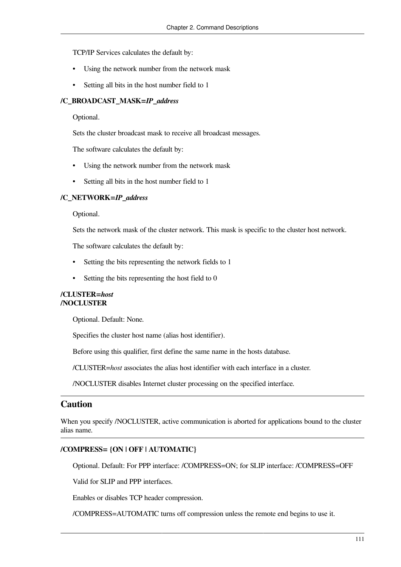TCP/IP Services calculates the default by:

- Using the network number from the network mask
- Setting all bits in the host number field to 1

### **/C\_BROADCAST\_MASK=***IP\_address*

Optional.

Sets the cluster broadcast mask to receive all broadcast messages.

The software calculates the default by:

- Using the network number from the network mask
- Setting all bits in the host number field to 1

#### **/C\_NETWORK=***IP\_address*

Optional.

Sets the network mask of the cluster network. This mask is specific to the cluster host network.

The software calculates the default by:

- Setting the bits representing the network fields to 1
- Setting the bits representing the host field to  $0$

#### **/CLUSTER=***host* **/NOCLUSTER**

Optional. Default: None.

Specifies the cluster host name (alias host identifier).

Before using this qualifier, first define the same name in the hosts database.

/CLUSTER=*host* associates the alias host identifier with each interface in a cluster.

/NOCLUSTER disables Internet cluster processing on the specified interface.

### **Caution**

When you specify /NOCLUSTER, active communication is aborted for applications bound to the cluster alias name.

### **/COMPRESS= {ON | OFF | AUTOMATIC}**

Optional. Default: For PPP interface: /COMPRESS=ON; for SLIP interface: /COMPRESS=OFF

Valid for SLIP and PPP interfaces.

Enables or disables TCP header compression.

/COMPRESS=AUTOMATIC turns off compression unless the remote end begins to use it.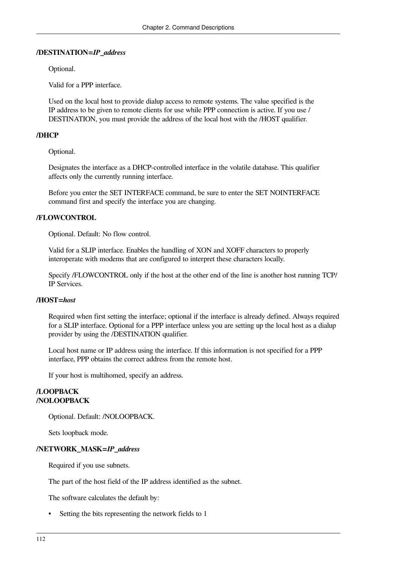### **/DESTINATION=***IP\_address*

Optional.

Valid for a PPP interface.

Used on the local host to provide dialup access to remote systems. The value specified is the IP address to be given to remote clients for use while PPP connection is active. If you use / DESTINATION, you must provide the address of the local host with the /HOST qualifier.

### **/DHCP**

Optional.

Designates the interface as a DHCP-controlled interface in the volatile database. This qualifier affects only the currently running interface.

Before you enter the SET INTERFACE command, be sure to enter the SET NOINTERFACE command first and specify the interface you are changing.

### **/FLOWCONTROL**

Optional. Default: No flow control.

Valid for a SLIP interface. Enables the handling of XON and XOFF characters to properly interoperate with modems that are configured to interpret these characters locally.

Specify /FLOWCONTROL only if the host at the other end of the line is another host running TCP/ IP Services.

### **/HOST=***host*

Required when first setting the interface; optional if the interface is already defined. Always required for a SLIP interface. Optional for a PPP interface unless you are setting up the local host as a dialup provider by using the /DESTINATION qualifier.

Local host name or IP address using the interface. If this information is not specified for a PPP interface, PPP obtains the correct address from the remote host.

If your host is multihomed, specify an address.

#### **/LOOPBACK /NOLOOPBACK**

Optional. Default: /NOLOOPBACK.

Sets loopback mode.

### **/NETWORK\_MASK=***IP\_address*

Required if you use subnets.

The part of the host field of the IP address identified as the subnet.

The software calculates the default by:

Setting the bits representing the network fields to 1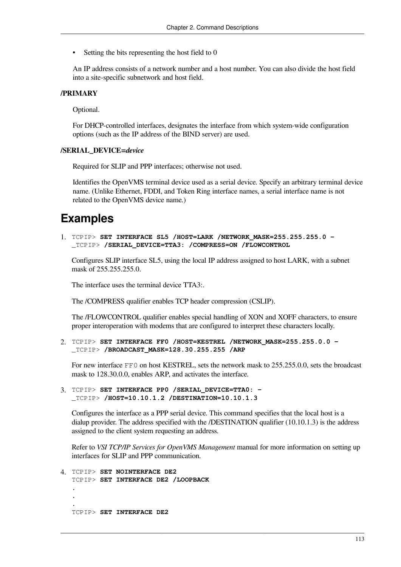Setting the bits representing the host field to 0

An IP address consists of a network number and a host number. You can also divide the host field into a site-specific subnetwork and host field.

### **/PRIMARY**

Optional.

For DHCP-controlled interfaces, designates the interface from which system-wide configuration options (such as the IP address of the BIND server) are used.

#### **/SERIAL\_DEVICE=***device*

Required for SLIP and PPP interfaces; otherwise not used.

Identifies the OpenVMS terminal device used as a serial device. Specify an arbitrary terminal device name. (Unlike Ethernet, FDDI, and Token Ring interface names, a serial interface name is not related to the OpenVMS device name.)

### **Examples**

1. TCPIP> **SET INTERFACE SL5 /HOST=LARK /NETWORK\_MASK=255.255.255.0 -** \_TCPIP> **/SERIAL\_DEVICE=TTA3: /COMPRESS=ON /FLOWCONTROL**

Configures SLIP interface SL5, using the local IP address assigned to host LARK, with a subnet mask of 255.255.255.0.

The interface uses the terminal device TTA3:.

The /COMPRESS qualifier enables TCP header compression (CSLIP).

The /FLOWCONTROL qualifier enables special handling of XON and XOFF characters, to ensure proper interoperation with modems that are configured to interpret these characters locally.

2. TCPIP> **SET INTERFACE FF0 /HOST=KESTREL /NETWORK\_MASK=255.255.0.0 -** \_TCPIP> **/BROADCAST\_MASK=128.30.255.255 /ARP**

For new interface FF0 on host KESTREL, sets the network mask to 255.255.0.0, sets the broadcast mask to 128.30.0.0, enables ARP, and activates the interface.

3. TCPIP> **SET INTERFACE PP0 /SERIAL\_DEVICE=TTA0: -** \_TCPIP> **/HOST=10.10.1.2 /DESTINATION=10.10.1.3**

Configures the interface as a PPP serial device. This command specifies that the local host is a dialup provider. The address specified with the /DESTINATION qualifier (10.10.1.3) is the address assigned to the client system requesting an address.

Refer to *VSI TCP/IP Services for OpenVMS Management* manual for more information on setting up interfaces for SLIP and PPP communication.

```
4. TCPIP> SET NOINTERFACE DE2
   TCPIP> SET INTERFACE DE2 /LOOPBACK
   .
   .
   .
  TCPIP> SET INTERFACE DE2
```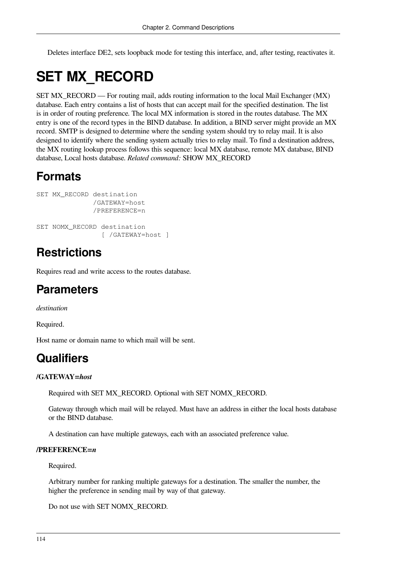Deletes interface DE2, sets loopback mode for testing this interface, and, after testing, reactivates it.

# **SET MX\_RECORD**

SET MX\_RECORD — For routing mail, adds routing information to the local Mail Exchanger (MX) database. Each entry contains a list of hosts that can accept mail for the specified destination. The list is in order of routing preference. The local MX information is stored in the routes database. The MX entry is one of the record types in the BIND database. In addition, a BIND server might provide an MX record. SMTP is designed to determine where the sending system should try to relay mail. It is also designed to identify where the sending system actually tries to relay mail. To find a destination address, the MX routing lookup process follows this sequence: local MX database, remote MX database, BIND database, Local hosts database. *Related command:* SHOW MX\_RECORD

## **Formats**

```
SET MX RECORD destination
               /GATEWAY=host
               /PREFERENCE=n
SET NOMX_RECORD destination
                  [ /GATEWAY=host ]
```
## **Restrictions**

Requires read and write access to the routes database.

## **Parameters**

*destination*

Required.

Host name or domain name to which mail will be sent.

## **Qualifiers**

### **/GATEWAY=***host*

Required with SET MX\_RECORD. Optional with SET NOMX\_RECORD.

Gateway through which mail will be relayed. Must have an address in either the local hosts database or the BIND database.

A destination can have multiple gateways, each with an associated preference value.

### **/PREFERENCE=***n*

Required.

Arbitrary number for ranking multiple gateways for a destination. The smaller the number, the higher the preference in sending mail by way of that gateway.

Do not use with SET NOMX\_RECORD.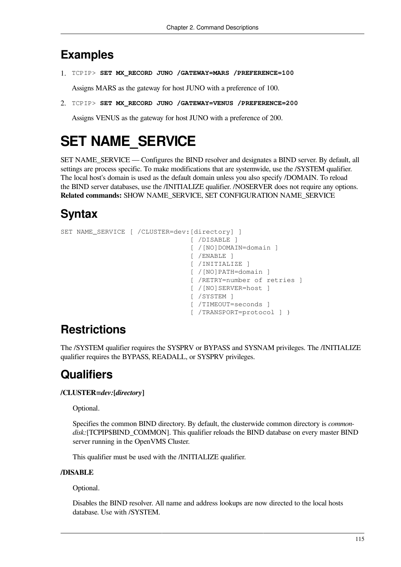## **Examples**

1. TCPIP> **SET MX\_RECORD JUNO /GATEWAY=MARS /PREFERENCE=100**

Assigns MARS as the gateway for host JUNO with a preference of 100.

2. TCPIP> **SET MX\_RECORD JUNO /GATEWAY=VENUS /PREFERENCE=200**

Assigns VENUS as the gateway for host JUNO with a preference of 200.

# **SET NAME\_SERVICE**

SET NAME\_SERVICE — Configures the BIND resolver and designates a BIND server. By default, all settings are process specific. To make modifications that are systemwide, use the /SYSTEM qualifier. The local host's domain is used as the default domain unless you also specify /DOMAIN. To reload the BIND server databases, use the /INITIALIZE qualifier. /NOSERVER does not require any options. **Related commands:** SHOW NAME\_SERVICE, SET CONFIGURATION NAME\_SERVICE

## **Syntax**

```
SET NAME_SERVICE [ /CLUSTER=dev:[directory] ]
                                   [ /DISABLE ]
                                  [ /[NO]DOMAIN=domain ]
                                   [ /ENABLE ]
                                    [ /INITIALIZE ]
                                    [ /[NO]PATH=domain ]
                                    [ /RETRY=number of retries ]
                                   [ /[NO]SERVER=host ]
                                   [ /SYSTEM ]
                                   [ /TIMEOUT=seconds ]
                                   [ /TRANSPORT=protocol ] )
```
## **Restrictions**

The /SYSTEM qualifier requires the SYSPRV or BYPASS and SYSNAM privileges. The /INITIALIZE qualifier requires the BYPASS, READALL, or SYSPRV privileges.

## **Qualifiers**

### **/CLUSTER=***dev:***[***directory***]**

Optional.

Specifies the common BIND directory. By default, the clusterwide common directory is *commondisk:*[TCPIP\$BIND\_COMMON]. This qualifier reloads the BIND database on every master BIND server running in the OpenVMS Cluster.

This qualifier must be used with the /INITIALIZE qualifier.

### **/DISABLE**

Optional.

Disables the BIND resolver. All name and address lookups are now directed to the local hosts database. Use with /SYSTEM.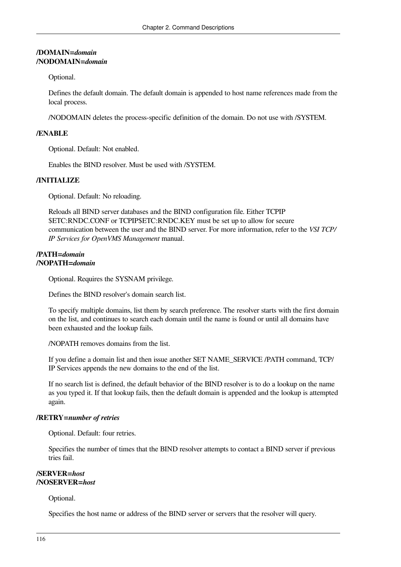### **/DOMAIN=***domain* **/NODOMAIN=***domain*

### Optional.

Defines the default domain. The default domain is appended to host name references made from the local process.

/NODOMAIN deletes the process-specific definition of the domain. Do not use with /SYSTEM.

### **/ENABLE**

Optional. Default: Not enabled.

Enables the BIND resolver. Must be used with /SYSTEM.

### **/INITIALIZE**

Optional. Default: No reloading.

Reloads all BIND server databases and the BIND configuration file. Either TCPIP \$ETC:RNDC.CONF or TCPIP\$ETC:RNDC.KEY must be set up to allow for secure communication between the user and the BIND server. For more information, refer to the *VSI TCP/ IP Services for OpenVMS Management* manual.

### **/PATH=***domain* **/NOPATH=***domain*

Optional. Requires the SYSNAM privilege.

Defines the BIND resolver's domain search list.

To specify multiple domains, list them by search preference. The resolver starts with the first domain on the list, and continues to search each domain until the name is found or until all domains have been exhausted and the lookup fails.

/NOPATH removes domains from the list.

If you define a domain list and then issue another SET NAME\_SERVICE /PATH command, TCP/ IP Services appends the new domains to the end of the list.

If no search list is defined, the default behavior of the BIND resolver is to do a lookup on the name as you typed it. If that lookup fails, then the default domain is appended and the lookup is attempted again.

### **/RETRY=***number of retries*

Optional. Default: four retries.

Specifies the number of times that the BIND resolver attempts to contact a BIND server if previous tries fail.

### **/SERVER=***host* **/NOSERVER=***host*

Optional.

Specifies the host name or address of the BIND server or servers that the resolver will query.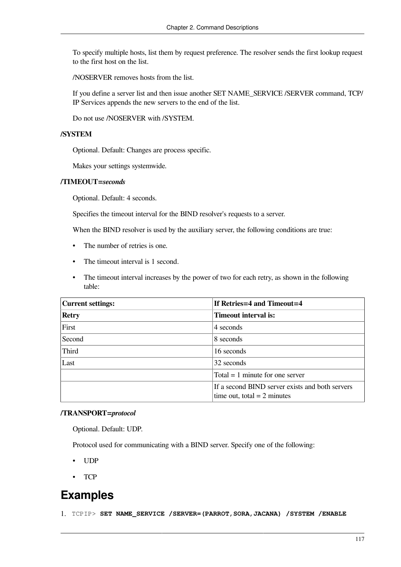To specify multiple hosts, list them by request preference. The resolver sends the first lookup request to the first host on the list.

/NOSERVER removes hosts from the list.

If you define a server list and then issue another SET NAME\_SERVICE /SERVER command, TCP/ IP Services appends the new servers to the end of the list.

Do not use /NOSERVER with /SYSTEM.

#### **/SYSTEM**

Optional. Default: Changes are process specific.

Makes your settings systemwide.

#### **/TIMEOUT=***seconds*

Optional. Default: 4 seconds.

Specifies the timeout interval for the BIND resolver's requests to a server.

When the BIND resolver is used by the auxiliary server, the following conditions are true:

- The number of retries is one.
- The timeout interval is 1 second.
- The timeout interval increases by the power of two for each retry, as shown in the following table:

| Current settings: | If Retries=4 and Timeout=4                                                       |
|-------------------|----------------------------------------------------------------------------------|
| Retry             | <b>Timeout interval is:</b>                                                      |
| First             | 4 seconds                                                                        |
| Second            | 8 seconds                                                                        |
| Third             | 16 seconds                                                                       |
| Last              | 32 seconds                                                                       |
|                   | Total $= 1$ minute for one server                                                |
|                   | If a second BIND server exists and both servers<br>time out, total = $2$ minutes |

### **/TRANSPORT=***protocol*

Optional. Default: UDP.

Protocol used for communicating with a BIND server. Specify one of the following:

- UDP
- TCP

## **Examples**

1. TCPIP> **SET NAME\_SERVICE /SERVER=(PARROT,SORA,JACANA) /SYSTEM /ENABLE**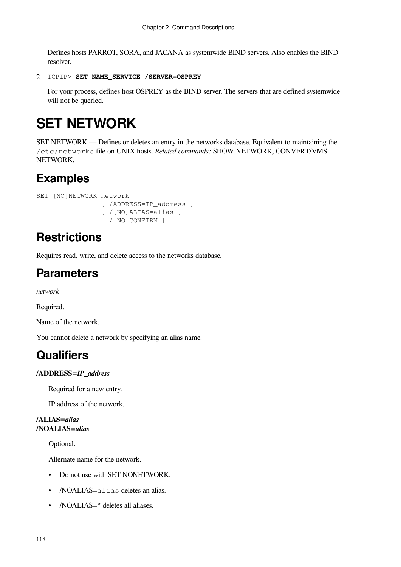Defines hosts PARROT, SORA, and JACANA as systemwide BIND servers. Also enables the BIND resolver.

```
2. TCPIP> SET NAME_SERVICE /SERVER=OSPREY
```
For your process, defines host OSPREY as the BIND server. The servers that are defined systemwide will not be queried.

# **SET NETWORK**

SET NETWORK — Defines or deletes an entry in the networks database. Equivalent to maintaining the /etc/networks file on UNIX hosts. *Related commands:* SHOW NETWORK, CONVERT/VMS NETWORK.

## **Examples**

```
SET [NO]NETWORK network
                [ /ADDRESS=IP address ]
                  [ /[NO]ALIAS=alias ]
                  [ /[NO]CONFIRM ]
```
## **Restrictions**

Requires read, write, and delete access to the networks database.

## **Parameters**

*network*

Required.

Name of the network.

You cannot delete a network by specifying an alias name.

## **Qualifiers**

### **/ADDRESS=***IP\_address*

Required for a new entry.

IP address of the network.

### **/ALIAS=***alias* **/NOALIAS=***alias*

Optional.

Alternate name for the network.

- Do not use with SET NONETWORK.
- /NOALIAS=alias deletes an alias.
- /NOALIAS=\* deletes all aliases.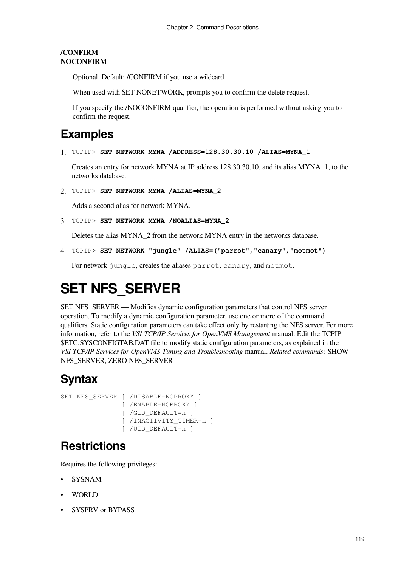### **/CONFIRM NOCONFIRM**

Optional. Default: /CONFIRM if you use a wildcard.

When used with SET NONETWORK, prompts you to confirm the delete request.

If you specify the /NOCONFIRM qualifier, the operation is performed without asking you to confirm the request.

## **Examples**

1. TCPIP> **SET NETWORK MYNA /ADDRESS=128.30.30.10 /ALIAS=MYNA\_1** 

Creates an entry for network MYNA at IP address 128.30.30.10, and its alias MYNA\_1, to the networks database.

2. TCPIP> **SET NETWORK MYNA /ALIAS=MYNA\_2** 

Adds a second alias for network MYNA.

3. TCPIP> **SET NETWORK MYNA /NOALIAS=MYNA\_2**

Deletes the alias MYNA\_2 from the network MYNA entry in the networks database.

4. TCPIP> **SET NETWORK "jungle" /ALIAS=("parrot","canary","motmot")** 

For network jungle, creates the aliases parrot, canary, and motmot.

# **SET NFS\_SERVER**

SET NFS\_SERVER — Modifies dynamic configuration parameters that control NFS server operation. To modify a dynamic configuration parameter, use one or more of the command qualifiers. Static configuration parameters can take effect only by restarting the NFS server. For more information, refer to the *VSI TCP/IP Services for OpenVMS Management* manual. Edit the TCPIP \$ETC:SYSCONFIGTAB.DAT file to modify static configuration parameters, as explained in the *VSI TCP/IP Services for OpenVMS Tuning and Troubleshooting* manual. *Related commands:* SHOW NFS\_SERVER, ZERO NFS\_SERVER

## **Syntax**

```
SET NFS SERVER [ /DISABLE=NOPROXY ]
                 [ /ENABLE=NOPROXY ]
                 [ /GID_DEFAULT=n ]
                 [ /INACTIVITY_TIMER=n ]
                 [ /UID_DEFAULT=n ]
```
## **Restrictions**

Requires the following privileges:

- **SYSNAM**
- WORLD
- SYSPRV or BYPASS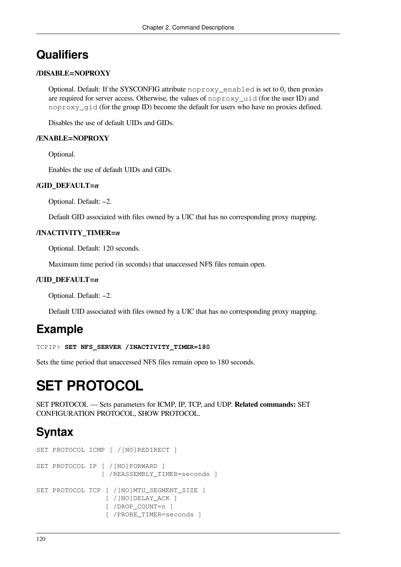## **Qualifiers**

### **/DISABLE=NOPROXY**

Optional. Default: If the SYSCONFIG attribute noproxy\_enabled is set to 0, then proxies are required for server access. Otherwise, the values of noproxy\_uid (for the user ID) and noproxy qid (for the group ID) become the default for users who have no proxies defined.

Disables the use of default UIDs and GIDs.

### **/ENABLE=NOPROXY**

Optional.

Enables the use of default UIDs and GIDs.

### **/GID\_DEFAULT=***n*

Optional. Default: –2.

Default GID associated with files owned by a UIC that has no corresponding proxy mapping.

### **/INACTIVITY\_TIMER=***n*

Optional. Default: 120 seconds.

Maximum time period (in seconds) that unaccessed NFS files remain open.

### **/UID\_DEFAULT=***n*

Optional. Default: –2.

Default UID associated with files owned by a UIC that has no corresponding proxy mapping.

### **Example**

```
TCPIP> SET NFS_SERVER /INACTIVITY_TIMER=180
```
Sets the time period that unaccessed NFS files remain open to 180 seconds.

# **SET PROTOCOL**

SET PROTOCOL — Sets parameters for ICMP, IP, TCP, and UDP. **Related commands:** SET CONFIGURATION PROTOCOL, SHOW PROTOCOL.

## **Syntax**

```
SET PROTOCOL ICMP [ /[NO]REDIRECT ]
SET PROTOCOL IP [ /[NO]FORWARD ]
                  [ /REASSEMBLY_TIMER=seconds ]
SET PROTOCOL TCP [ /[NO]MTU_SEGMENT_SIZE ]
                   [ /[NO]DELAY_ACK ]
                   [ /DROP_COUNT=n ]
                  [ /PROBE TIMER=seconds ]
```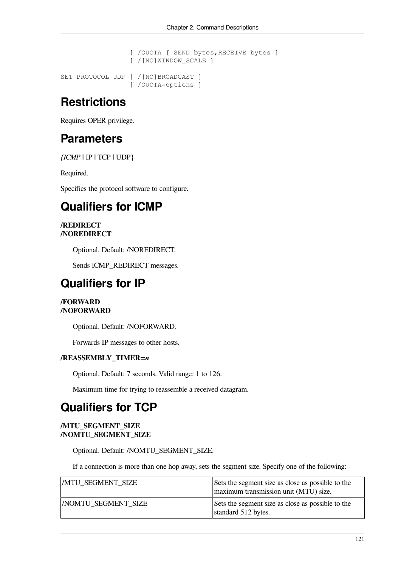```
 [ /QUOTA=[ SEND=bytes,RECEIVE=bytes ]
                   [ /[NO]WINDOW_SCALE ]
SET PROTOCOL UDP [ /[NO]BROADCAST ]
                   [ /QUOTA=options ]
```
## **Restrictions**

Requires OPER privilege.

### **Parameters**

*{ICMP* **|** IP **|** TCP **|** UDP}

Required.

Specifies the protocol software to configure.

## **Qualifiers for ICMP**

### **/REDIRECT /NOREDIRECT**

Optional. Default: /NOREDIRECT.

Sends ICMP\_REDIRECT messages.

### **Qualifiers for IP**

### **/FORWARD /NOFORWARD**

Optional. Default: /NOFORWARD.

Forwards IP messages to other hosts.

### **/REASSEMBLY\_TIMER=***n*

Optional. Default: 7 seconds. Valid range: 1 to 126.

Maximum time for trying to reassemble a received datagram.

## **Qualifiers for TCP**

### **/MTU\_SEGMENT\_SIZE /NOMTU\_SEGMENT\_SIZE**

Optional. Default: /NOMTU\_SEGMENT\_SIZE.

If a connection is more than one hop away, sets the segment size. Specify one of the following:

| <b>MTU SEGMENT SIZE</b>   | Sets the segment size as close as possible to the<br>maximum transmission unit (MTU) size. |
|---------------------------|--------------------------------------------------------------------------------------------|
| <b>NOMTU SEGMENT SIZE</b> | Sets the segment size as close as possible to the<br>standard 512 bytes.                   |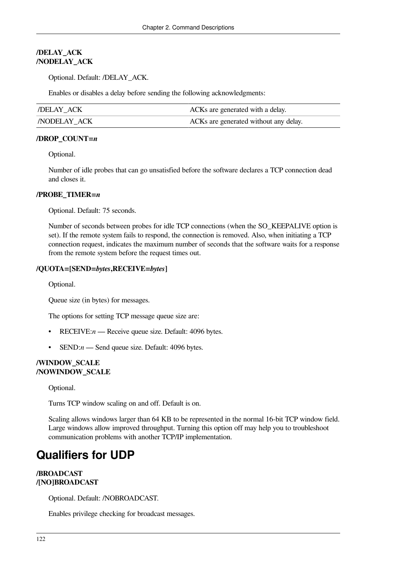### **/DELAY\_ACK /NODELAY\_ACK**

Optional. Default: /DELAY\_ACK.

Enables or disables a delay before sending the following acknowledgments:

| DELAY ACK          | ACKs are generated with a delay.      |
|--------------------|---------------------------------------|
| <b>NODELAY ACK</b> | ACKs are generated without any delay. |

### **/DROP\_COUNT=***n*

Optional.

Number of idle probes that can go unsatisfied before the software declares a TCP connection dead and closes it.

### **/PROBE\_TIMER=***n*

Optional. Default: 75 seconds.

Number of seconds between probes for idle TCP connections (when the SO\_KEEPALIVE option is set). If the remote system fails to respond, the connection is removed. Also, when initiating a TCP connection request, indicates the maximum number of seconds that the software waits for a response from the remote system before the request times out.

### **/QUOTA=[SEND=***bytes***,RECEIVE=***bytes***]**

Optional.

Queue size (in bytes) for messages.

The options for setting TCP message queue size are:

- RECEIVE:*n* Receive queue size. Default: 4096 bytes.
- SEND:*n* Send queue size. Default: 4096 bytes.

#### **/WINDOW\_SCALE /NOWINDOW\_SCALE**

Optional.

Turns TCP window scaling on and off. Default is on.

Scaling allows windows larger than 64 KB to be represented in the normal 16-bit TCP window field. Large windows allow improved throughput. Turning this option off may help you to troubleshoot communication problems with another TCP/IP implementation.

## **Qualifiers for UDP**

### **/BROADCAST /[NO]BROADCAST**

Optional. Default: /NOBROADCAST.

Enables privilege checking for broadcast messages.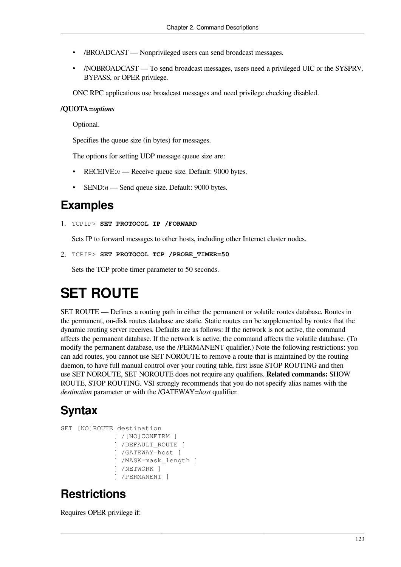- /BROADCAST Nonprivileged users can send broadcast messages.
- /NOBROADCAST To send broadcast messages, users need a privileged UIC or the SYSPRV, BYPASS, or OPER privilege.

ONC RPC applications use broadcast messages and need privilege checking disabled.

### **/QUOTA=***options*

Optional.

Specifies the queue size (in bytes) for messages.

The options for setting UDP message queue size are:

- RECEIVE:*n* Receive queue size. Default: 9000 bytes.
- SEND:*n* Send queue size. Default: 9000 bytes.

### **Examples**

1. TCPIP> **SET PROTOCOL IP /FORWARD**

Sets IP to forward messages to other hosts, including other Internet cluster nodes.

```
2. TCPIP> SET PROTOCOL TCP /PROBE_TIMER=50
```
Sets the TCP probe timer parameter to 50 seconds.

# **SET ROUTE**

SET ROUTE — Defines a routing path in either the permanent or volatile routes database. Routes in the permanent, on-disk routes database are static. Static routes can be supplemented by routes that the dynamic routing server receives. Defaults are as follows: If the network is not active, the command affects the permanent database. If the network is active, the command affects the volatile database. (To modify the permanent database, use the /PERMANENT qualifier.) Note the following restrictions: you can add routes, you cannot use SET NOROUTE to remove a route that is maintained by the routing daemon, to have full manual control over your routing table, first issue STOP ROUTING and then use SET NOROUTE, SET NOROUTE does not require any qualifiers. **Related commands:** SHOW ROUTE, STOP ROUTING. VSI strongly recommends that you do not specify alias names with the *destination* parameter or with the /GATEWAY=*host* qualifier.

## **Syntax**

```
SET [NO]ROUTE destination
               [ /[NO]CONFIRM ]
              [ /DEFAULT_ROUTE ]
               [ /GATEWAY=host ]
               [ /MASK=mask_length ]
               [ /NETWORK ]
               [ /PERMANENT ]
```
## **Restrictions**

Requires OPER privilege if: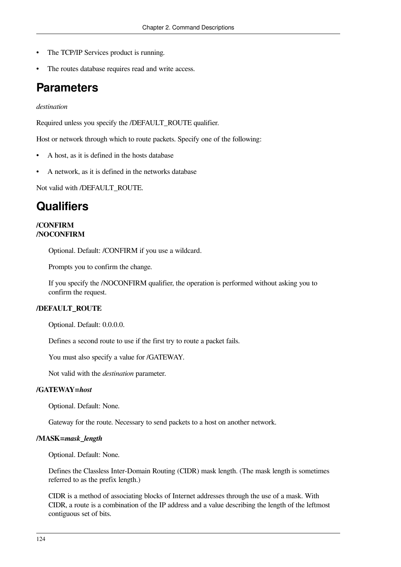- The TCP/IP Services product is running.
- The routes database requires read and write access.

### **Parameters**

### *destination*

Required unless you specify the */DEFAULT\_ROUTE qualifier.* 

Host or network through which to route packets. Specify one of the following:

- A host, as it is defined in the hosts database
- A network, as it is defined in the networks database

Not valid with /DEFAULT\_ROUTE.

### **Qualifiers**

### **/CONFIRM /NOCONFIRM**

Optional. Default: /CONFIRM if you use a wildcard.

Prompts you to confirm the change.

If you specify the /NOCONFIRM qualifier, the operation is performed without asking you to confirm the request.

### **/DEFAULT\_ROUTE**

Optional. Default: 0.0.0.0.

Defines a second route to use if the first try to route a packet fails.

You must also specify a value for /GATEWAY.

Not valid with the *destination* parameter.

### **/GATEWAY=***host*

Optional. Default: None.

Gateway for the route. Necessary to send packets to a host on another network.

#### **/MASK=***mask\_length*

Optional. Default: None.

Defines the Classless Inter-Domain Routing (CIDR) mask length. (The mask length is sometimes referred to as the prefix length.)

CIDR is a method of associating blocks of Internet addresses through the use of a mask. With CIDR, a route is a combination of the IP address and a value describing the length of the leftmost contiguous set of bits.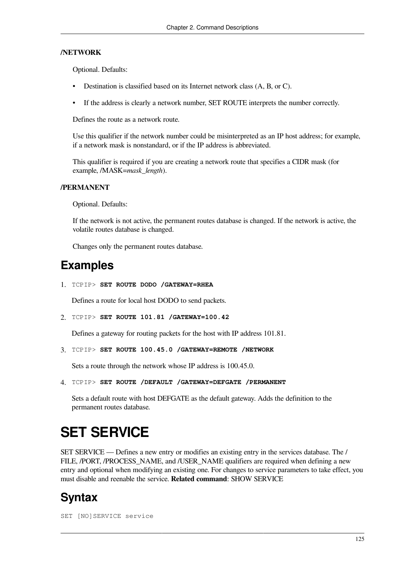### **/NETWORK**

Optional. Defaults:

- Destination is classified based on its Internet network class (A, B, or C).
- If the address is clearly a network number, SET ROUTE interprets the number correctly.

Defines the route as a network route.

Use this qualifier if the network number could be misinterpreted as an IP host address; for example, if a network mask is nonstandard, or if the IP address is abbreviated.

This qualifier is required if you are creating a network route that specifies a CIDR mask (for example, /MASK=*mask\_length*).

#### **/PERMANENT**

Optional. Defaults:

If the network is not active, the permanent routes database is changed. If the network is active, the volatile routes database is changed.

Changes only the permanent routes database.

## **Examples**

1. TCPIP> **SET ROUTE DODO /GATEWAY=RHEA** 

Defines a route for local host DODO to send packets.

2. TCPIP> **SET ROUTE 101.81 /GATEWAY=100.42** 

Defines a gateway for routing packets for the host with IP address 101.81.

3. TCPIP> **SET ROUTE 100.45.0 /GATEWAY=REMOTE /NETWORK** 

Sets a route through the network whose IP address is 100.45.0.

4. TCPIP> **SET ROUTE /DEFAULT /GATEWAY=DEFGATE /PERMANENT** 

Sets a default route with host DEFGATE as the default gateway. Adds the definition to the permanent routes database.

## **SET SERVICE**

SET SERVICE — Defines a new entry or modifies an existing entry in the services database. The / FILE, /PORT, /PROCESS NAME, and /USER NAME qualifiers are required when defining a new entry and optional when modifying an existing one. For changes to service parameters to take effect, you must disable and reenable the service. **Related command**: SHOW SERVICE

### **Syntax**

SET [NO]SERVICE service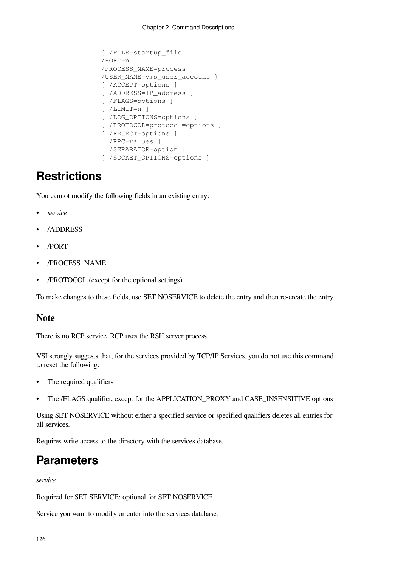```
 { /FILE=startup_file
 /PORT=n
 /PROCESS_NAME=process
 /USER_NAME=vms_user_account }
 [ /ACCEPT=options ]
[ /ADDRESS=IP address ]
 [ /FLAGS=options ]
 [ /LIMIT=n ]
 [ /LOG_OPTIONS=options ]
 [ /PROTOCOL=protocol=options ]
 [ /REJECT=options ]
 [ /RPC=values ]
 [ /SEPARATOR=option ]
 [ /SOCKET_OPTIONS=options ]
```
## **Restrictions**

You cannot modify the following fields in an existing entry:

- *service*
- /ADDRESS
- /PORT
- /PROCESS\_NAME
- /PROTOCOL (except for the optional settings)

To make changes to these fields, use SET NOSERVICE to delete the entry and then re-create the entry.

### **Note**

There is no RCP service. RCP uses the RSH server process.

VSI strongly suggests that, for the services provided by TCP/IP Services, you do not use this command to reset the following:

- The required qualifiers
- The /FLAGS qualifier, except for the APPLICATION\_PROXY and CASE\_INSENSITIVE options

Using SET NOSERVICE without either a specified service or specified qualifiers deletes all entries for all services.

Requires write access to the directory with the services database.

### **Parameters**

*service*

Required for SET SERVICE; optional for SET NOSERVICE.

Service you want to modify or enter into the services database.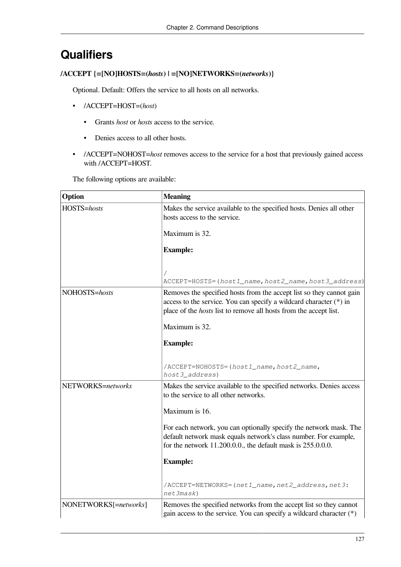## **Qualifiers**

### **/ACCEPT {=[NO]HOSTS=(***hosts***) | =[NO]NETWORKS=(***networks***)}**

Optional. Default: Offers the service to all hosts on all networks.

- /ACCEPT=HOST=(*host*)
	- Grants *host* or *hosts* access to the service.
	- Denies access to all other hosts.
- /ACCEPT=NOHOST=*host* removes access to the service for a host that previously gained access with /ACCEPT=HOST.

The following options are available:

| Option                | <b>Meaning</b>                                                                                                                                                                                                         |
|-----------------------|------------------------------------------------------------------------------------------------------------------------------------------------------------------------------------------------------------------------|
| HOSTS=hosts           | Makes the service available to the specified hosts. Denies all other<br>hosts access to the service.                                                                                                                   |
|                       | Maximum is 32.                                                                                                                                                                                                         |
|                       | <b>Example:</b>                                                                                                                                                                                                        |
|                       | ACCEPT=HOSTS=(host1_name,host2_name,host3_address)                                                                                                                                                                     |
| NOHOSTS=hosts         | Removes the specified hosts from the accept list so they cannot gain<br>access to the service. You can specify a wildcard character (*) in<br>place of the <i>hosts</i> list to remove all hosts from the accept list. |
|                       | Maximum is 32.                                                                                                                                                                                                         |
|                       | <b>Example:</b>                                                                                                                                                                                                        |
|                       | /ACCEPT=NOHOSTS=(host1_name,host2_name,<br>host3_address)                                                                                                                                                              |
| NETWORKS=networks     | Makes the service available to the specified networks. Denies access<br>to the service to all other networks.                                                                                                          |
|                       | Maximum is 16.                                                                                                                                                                                                         |
|                       | For each network, you can optionally specify the network mask. The<br>default network mask equals network's class number. For example,<br>for the network 11.200.0.0, the default mask is 255.0.0.0.                   |
|                       | <b>Example:</b>                                                                                                                                                                                                        |
|                       | /ACCEPT=NETWORKS=(net1_name, net2_address, net3:<br>net3mask)                                                                                                                                                          |
| NONETWORKS[=networks] | Removes the specified networks from the accept list so they cannot<br>gain access to the service. You can specify a wildcard character $(*)$                                                                           |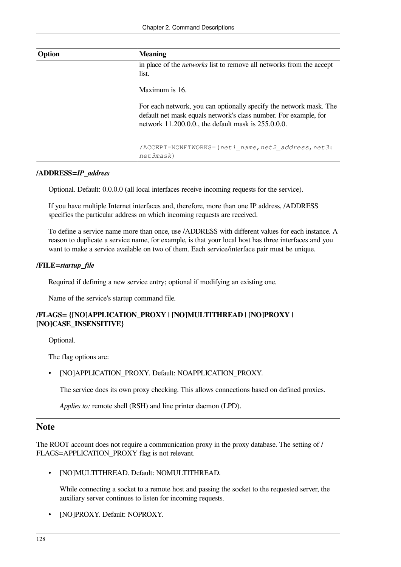| Option | <b>Meaning</b>                                                                                                                                                                                     |
|--------|----------------------------------------------------------------------------------------------------------------------------------------------------------------------------------------------------|
|        | in place of the <i>networks</i> list to remove all networks from the accept                                                                                                                        |
|        | list.                                                                                                                                                                                              |
|        | Maximum is 16.                                                                                                                                                                                     |
|        | For each network, you can optionally specify the network mask. The<br>default net mask equals network's class number. For example, for<br>network $11.200.0.0$ , the default mask is $255.0.0.0$ . |
|        |                                                                                                                                                                                                    |
|        | /ACCEPT=NONETWORKS=(net1_name,net2_address,net3:<br>net3mask)                                                                                                                                      |

### **/ADDRESS=***IP\_address*

Optional. Default: 0.0.0.0 (all local interfaces receive incoming requests for the service).

If you have multiple Internet interfaces and, therefore, more than one IP address, /ADDRESS specifies the particular address on which incoming requests are received.

To define a service name more than once, use /ADDRESS with different values for each instance. A reason to duplicate a service name, for example, is that your local host has three interfaces and you want to make a service available on two of them. Each service/interface pair must be unique.

### **/FILE=***startup\_file*

Required if defining a new service entry; optional if modifying an existing one.

Name of the service's startup command file.

### **/FLAGS= {[NO]APPLICATION\_PROXY | [NO]MULTITHREAD | [NO]PROXY | [NO]CASE\_INSENSITIVE}**

Optional.

The flag options are:

• [NO]APPLICATION\_PROXY. Default: NOAPPLICATION\_PROXY.

The service does its own proxy checking. This allows connections based on defined proxies.

*Applies to:* remote shell (RSH) and line printer daemon (LPD).

### **Note**

The ROOT account does not require a communication proxy in the proxy database. The setting of / FLAGS=APPLICATION PROXY flag is not relevant.

• [NO]MULTITHREAD. Default: NOMULTITHREAD.

While connecting a socket to a remote host and passing the socket to the requested server, the auxiliary server continues to listen for incoming requests.

• [NO]PROXY. Default: NOPROXY.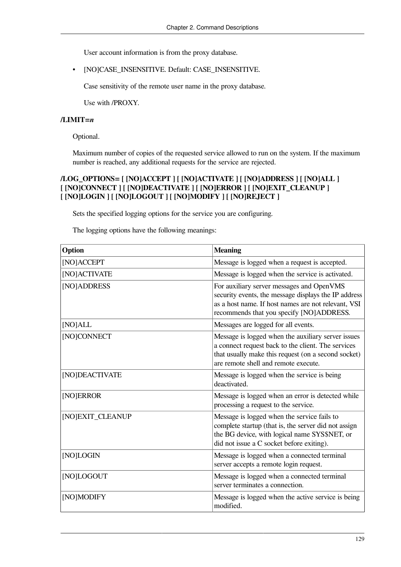User account information is from the proxy database.

• [NO]CASE\_INSENSITIVE. Default: CASE\_INSENSITIVE.

Case sensitivity of the remote user name in the proxy database.

Use with /PROXY.

### **/LIMIT=***n*

Optional.

Maximum number of copies of the requested service allowed to run on the system. If the maximum number is reached, any additional requests for the service are rejected.

### **/LOG\_OPTIONS= [ [NO]ACCEPT ] [ [NO]ACTIVATE ] [ [NO]ADDRESS ] [ [NO]ALL ] [ [NO]CONNECT ] [ [NO]DEACTIVATE ] [ [NO]ERROR ] [ [NO]EXIT\_CLEANUP ] [ [NO]LOGIN ] [ [NO]LOGOUT ] [ [NO]MODIFY ] [ [NO]REJECT ]**

Sets the specified logging options for the service you are configuring.

The logging options have the following meanings:

| Option           | <b>Meaning</b>                                                                                                                                                                                          |
|------------------|---------------------------------------------------------------------------------------------------------------------------------------------------------------------------------------------------------|
| [NO]ACCEPT       | Message is logged when a request is accepted.                                                                                                                                                           |
| [NO] ACTIVATE    | Message is logged when the service is activated.                                                                                                                                                        |
| [NO]ADDRESS      | For auxiliary server messages and OpenVMS<br>security events, the message displays the IP address<br>as a host name. If host names are not relevant, VSI<br>recommends that you specify [NO]ADDRESS.    |
| [NO]ALL          | Messages are logged for all events.                                                                                                                                                                     |
| [NO]CONNECT      | Message is logged when the auxiliary server issues<br>a connect request back to the client. The services<br>that usually make this request (on a second socket)<br>are remote shell and remote execute. |
| [NO]DEACTIVATE   | Message is logged when the service is being<br>deactivated.                                                                                                                                             |
| [NO]ERROR        | Message is logged when an error is detected while<br>processing a request to the service.                                                                                                               |
| [NO]EXIT_CLEANUP | Message is logged when the service fails to<br>complete startup (that is, the server did not assign<br>the BG device, with logical name SYS\$NET, or<br>did not issue a C socket before exiting).       |
| [NO]LOGIN        | Message is logged when a connected terminal<br>server accepts a remote login request.                                                                                                                   |
| [NO]LOGOUT       | Message is logged when a connected terminal<br>server terminates a connection.                                                                                                                          |
| [NO]MODIFY       | Message is logged when the active service is being<br>modified.                                                                                                                                         |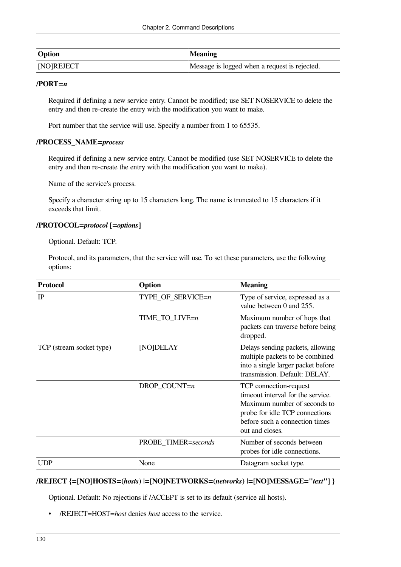| <b>Option</b> | <b>Meaning</b>                                |
|---------------|-----------------------------------------------|
| [NO]REJECT    | Message is logged when a request is rejected. |

#### **/PORT=***n*

Required if defining a new service entry. Cannot be modified; use SET NOSERVICE to delete the entry and then re-create the entry with the modification you want to make.

Port number that the service will use. Specify a number from 1 to 65535.

#### **/PROCESS\_NAME=***process*

Required if defining a new service entry. Cannot be modified (use SET NOSERVICE to delete the entry and then re-create the entry with the modification you want to make).

Name of the service's process.

Specify a character string up to 15 characters long. The name is truncated to 15 characters if it exceeds that limit.

### **/PROTOCOL=***protocol* **[=***options***]**

Optional. Default: TCP.

Protocol, and its parameters, that the service will use. To set these parameters, use the following options:

| <b>Protocol</b>          | Option              | <b>Meaning</b>                                                                                                                                                                     |
|--------------------------|---------------------|------------------------------------------------------------------------------------------------------------------------------------------------------------------------------------|
| IP                       | TYPE_OF_SERVICE=n   | Type of service, expressed as a<br>value between 0 and 255.                                                                                                                        |
|                          | TIME_TO_LIVE=n      | Maximum number of hops that<br>packets can traverse before being<br>dropped.                                                                                                       |
| TCP (stream socket type) | [NO]DELAY           | Delays sending packets, allowing<br>multiple packets to be combined<br>into a single larger packet before<br>transmission. Default: DELAY.                                         |
|                          | $DROP$ _COUNT=n     | TCP connection-request<br>timeout interval for the service.<br>Maximum number of seconds to<br>probe for idle TCP connections<br>before such a connection times<br>out and closes. |
|                          | PROBE_TIMER=seconds | Number of seconds between<br>probes for idle connections.                                                                                                                          |
| <b>UDP</b>               | None                | Datagram socket type.                                                                                                                                                              |

### **/REJECT {=[NO]HOSTS=(***hosts***) |=[NO]NETWORKS=(***networks***) |=[NO]MESSAGE="***text***"] }**

Optional. Default: No rejections if /ACCEPT is set to its default (service all hosts).

• /REJECT=HOST=*host* denies *host* access to the service.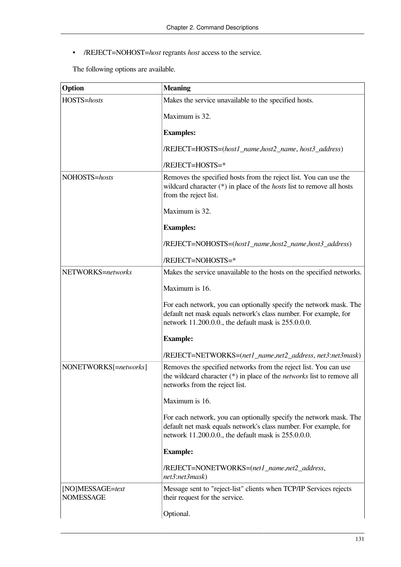• /REJECT=NOHOST=*host* regrants *host* access to the service.

The following options are available.

| Option                               | <b>Meaning</b>                                                                                                                                                                                |
|--------------------------------------|-----------------------------------------------------------------------------------------------------------------------------------------------------------------------------------------------|
| HOSTS=hosts                          | Makes the service unavailable to the specified hosts.                                                                                                                                         |
|                                      | Maximum is 32.                                                                                                                                                                                |
|                                      | <b>Examples:</b>                                                                                                                                                                              |
|                                      | /REJECT=HOSTS=(host1_name,host2_name, host3_address)                                                                                                                                          |
|                                      | /REJECT=HOSTS=*                                                                                                                                                                               |
| NOHOSTS=hosts                        | Removes the specified hosts from the reject list. You can use the<br>wildcard character $(*)$ in place of the <i>hosts</i> list to remove all hosts<br>from the reject list.                  |
|                                      | Maximum is 32.                                                                                                                                                                                |
|                                      | <b>Examples:</b>                                                                                                                                                                              |
|                                      | /REJECT=NOHOSTS=(host1_name,host2_name,host3_address)                                                                                                                                         |
|                                      | /REJECT=NOHOSTS=*                                                                                                                                                                             |
| NETWORKS=networks                    | Makes the service unavailable to the hosts on the specified networks.                                                                                                                         |
|                                      | Maximum is 16.                                                                                                                                                                                |
|                                      | For each network, you can optionally specify the network mask. The<br>default net mask equals network's class number. For example, for<br>network 11.200.0.0., the default mask is 255.0.0.0. |
|                                      | <b>Example:</b>                                                                                                                                                                               |
|                                      | /REJECT=NETWORKS=(net1_name,net2_address, net3:net3mask)                                                                                                                                      |
| NONETWORKS[=networks]                | Removes the specified networks from the reject list. You can use<br>the wildcard character $(*)$ in place of the <i>networks</i> list to remove all<br>networks from the reject list.         |
|                                      | Maximum is 16.                                                                                                                                                                                |
|                                      | For each network, you can optionally specify the network mask. The<br>default net mask equals network's class number. For example, for<br>network 11.200.0.0., the default mask is 255.0.0.0. |
|                                      | <b>Example:</b>                                                                                                                                                                               |
|                                      | /REJECT=NONETWORKS=(net1_name,net2_address,<br>net3:net3mask)                                                                                                                                 |
| [NO]MESSAGE=text<br><b>NOMESSAGE</b> | Message sent to "reject-list" clients when TCP/IP Services rejects<br>their request for the service.                                                                                          |
|                                      | Optional.                                                                                                                                                                                     |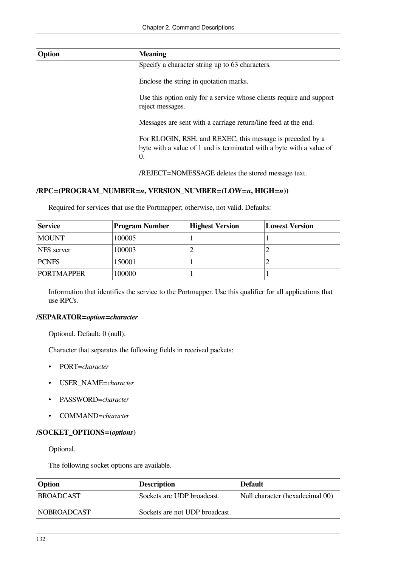| Option | <b>Meaning</b>                                                                                                                          |
|--------|-----------------------------------------------------------------------------------------------------------------------------------------|
|        | Specify a character string up to 63 characters.                                                                                         |
|        | Enclose the string in quotation marks.                                                                                                  |
|        | Use this option only for a service whose clients require and support<br>reject messages.                                                |
|        | Messages are sent with a carriage return/line feed at the end.                                                                          |
|        | For RLOGIN, RSH, and REXEC, this message is preceded by a<br>byte with a value of 1 and is terminated with a byte with a value of<br>0. |
|        | /REJECT=NOMESSAGE deletes the stored message text.                                                                                      |

### **/RPC=(PROGRAM\_NUMBER=***n***, VERSION\_NUMBER=(LOW=***n***, HIGH=***n***))**

Required for services that use the Portmapper; otherwise, not valid. Defaults:

| Service           | <b>Program Number</b> | <b>Highest Version</b> | <b>Lowest Version</b> |
|-------------------|-----------------------|------------------------|-----------------------|
| <b>MOUNT</b>      | 100005                |                        |                       |
| <b>NFS</b> server | 100003                |                        |                       |
| <b>PCNFS</b>      | 150001                |                        |                       |
| <b>PORTMAPPER</b> | 100000                |                        |                       |

Information that identifies the service to the Portmapper. Use this qualifier for all applications that use RPCs.

### **/SEPARATOR=***option***=***character*

Optional. Default: 0 (null).

Character that separates the following fields in received packets:

- PORT=*character*
- USER\_NAME=*character*
- PASSWORD=*character*
- COMMAND=*character*

### **/SOCKET\_OPTIONS=(***options***)**

Optional.

The following socket options are available.

| <b>Option</b>      | <b>Description</b>             | Default                         |
|--------------------|--------------------------------|---------------------------------|
| <b>BROADCAST</b>   | Sockets are UDP broadcast.     | Null character (hexadecimal 00) |
| <b>NOBROADCAST</b> | Sockets are not UDP broadcast. |                                 |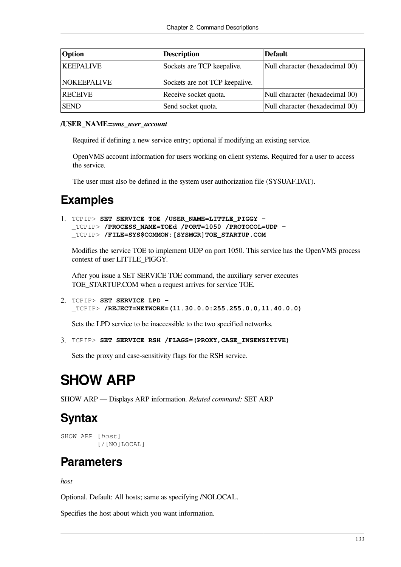| <b>Option</b>      | <b>Description</b>             | <b>Default</b>                  |
|--------------------|--------------------------------|---------------------------------|
| <b>KEEPALIVE</b>   | Sockets are TCP keepalive.     | Null character (hexadecimal 00) |
| <b>NOKEEPALIVE</b> | Sockets are not TCP keepalive. |                                 |
| <b>RECEIVE</b>     | Receive socket quota.          | Null character (hexadecimal 00) |
| <b>SEND</b>        | Send socket quota.             | Null character (hexadecimal 00) |

### **/USER\_NAME=***vms\_user\_account*

Required if defining a new service entry; optional if modifying an existing service.

OpenVMS account information for users working on client systems. Required for a user to access the service.

The user must also be defined in the system user authorization file (SYSUAF.DAT).

### **Examples**

```
1. TCPIP> SET SERVICE TOE /USER_NAME=LITTLE_PIGGY -
  _TCPIP> /PROCESS_NAME=TOEd /PORT=1050 /PROTOCOL=UDP -
  _TCPIP> /FILE=SYS$COMMON:[SYSMGR]TOE_STARTUP.COM
```
Modifies the service TOE to implement UDP on port 1050. This service has the OpenVMS process context of user LITTLE\_PIGGY.

After you issue a SET SERVICE TOE command, the auxiliary server executes TOE\_STARTUP.COM when a request arrives for service TOE.

2. TCPIP> **SET SERVICE LPD -** \_TCPIP> **/REJECT=NETWORK=(11.30.0.0:255.255.0.0,11.40.0.0)**

Sets the LPD service to be inaccessible to the two specified networks.

```
3. TCPIP> SET SERVICE RSH /FLAGS=(PROXY,CASE_INSENSITIVE)
```
Sets the proxy and case-sensitivity flags for the RSH service.

# **SHOW ARP**

SHOW ARP — Displays ARP information. *Related command:* SET ARP

## **Syntax**

```
SHOW ARP [host]
           [/[NO]LOCAL]
```
## **Parameters**

*host*

Optional. Default: All hosts; same as specifying /NOLOCAL.

Specifies the host about which you want information.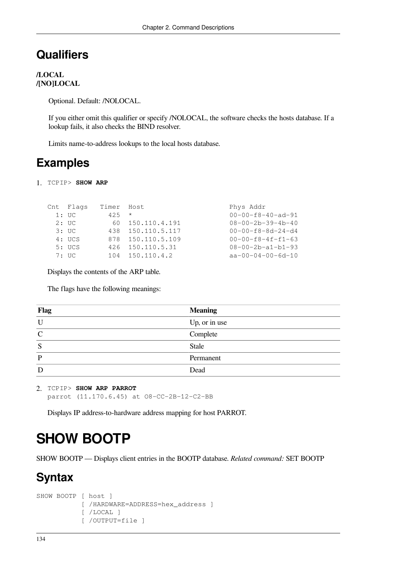### **Qualifiers**

### **/LOCAL /[NO]LOCAL**

Optional. Default: /NOLOCAL.

If you either omit this qualifier or specify /NOLOCAL, the software checks the hosts database. If a lookup fails, it also checks the BIND resolver.

Limits name-to-address lookups to the local hosts database.

### **Examples**

1. TCPIP> **SHOW ARP**

```
Cnt Flags Timer Host Phys Addr
  1: UC 425 * 00-00-f8-40-ad-91
  2: UC 60 150.110.4.191 08-00-2b-39-4b-40
  3: UC 438 150.110.5.117 00-00-f8-8d-24-d4
  4: UCS 878 150.110.5.109 00-00-f8-4f-f1-63
  5: UCS 426 150.110.5.31 08-00-2b-a1-b1-93
  7: UC 104 150.110.4.2 aa-00-04-00-6d-10
```
Displays the contents of the ARP table.

The flags have the following meanings:

| <b>Flag</b>  | <b>Meaning</b> |
|--------------|----------------|
| U            | Up, or in use  |
| $\mathsf{C}$ | Complete       |
| $\sim$<br>د  | Stale          |
|              | Permanent      |
| D            | Dead           |

```
2. TCPIP> SHOW ARP PARROT
  parrot (11.170.6.45) at O8-CC-2B-12-C2-BB
```
Displays IP address-to-hardware address mapping for host PARROT.

# **SHOW BOOTP**

SHOW BOOTP — Displays client entries in the BOOTP database. *Related command:* SET BOOTP

### **Syntax**

```
SHOW BOOTP [ host ]
             [ /HARDWARE=ADDRESS=hex_address ]
             [ /LOCAL ]
             [ /OUTPUT=file ]
```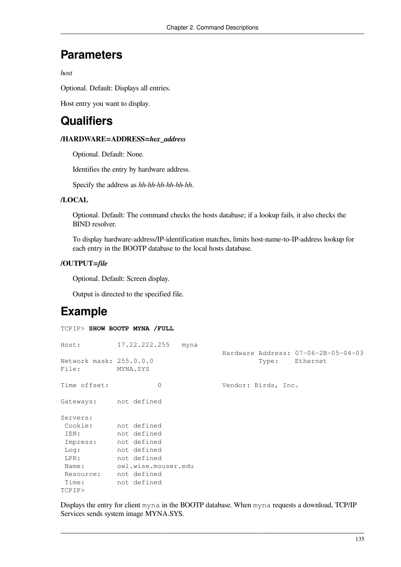### **Parameters**

*host*

Optional. Default: Displays all entries.

Host entry you want to display.

## **Qualifiers**

### **/HARDWARE=ADDRESS=***hex\_address*

Optional. Default: None.

Identifies the entry by hardware address.

Specify the address as *hh-hh-hh-hh-hh-hh*.

### **/LOCAL**

Optional. Default: The command checks the hosts database; if a lookup fails, it also checks the BIND resolver.

To display hardware-address/IP-identification matches, limits host-name-to-IP-address lookup for each entry in the BOOTP database to the local hosts database.

### **/OUTPUT=***file*

Optional. Default: Screen display.

Output is directed to the specified file.

## **Example**

#### TCPIP> **SHOW BOOTP MYNA /FULL**

| Host:                            | 17.22.222.255<br>myna |                                                       |
|----------------------------------|-----------------------|-------------------------------------------------------|
| Network mask: 255.0.0.0<br>File: | MYNA.SYS              | Hardware Address: 07-06-2B-05-04-03<br>Type: Ethernet |
| Time offset:                     | 0                     | Vendor: Birds, Inc.                                   |
| Gateways:                        | not defined           |                                                       |
| Servers:                         |                       |                                                       |
| Cookie:                          | not defined           |                                                       |
| IEN:                             | not defined           |                                                       |
| Impress:                         | not defined           |                                                       |
| Log:                             | not defined           |                                                       |
| LPR:                             | not defined           |                                                       |
| Name:                            | owl.wise.mouser.edu   |                                                       |
| Resource:                        | not defined           |                                                       |
| Time:                            | not defined           |                                                       |
| TCPIP>                           |                       |                                                       |

Displays the entry for client myna in the BOOTP database. When myna requests a download, TCP/IP Services sends system image MYNA.SYS.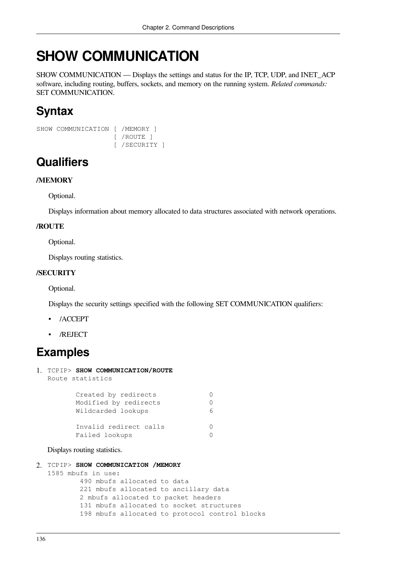# **SHOW COMMUNICATION**

SHOW COMMUNICATION — Displays the settings and status for the IP, TCP, UDP, and INET\_ACP software, including routing, buffers, sockets, and memory on the running system. *Related commands:* SET COMMUNICATION.

# **Syntax**

```
SHOW COMMUNICATION [ /MEMORY ]
                     [ /ROUTE ]
                     [ /SECURITY ]
```
# **Qualifiers**

### **/MEMORY**

Optional.

Displays information about memory allocated to data structures associated with network operations.

### **/ROUTE**

Optional.

Displays routing statistics.

### **/SECURITY**

Optional.

Displays the security settings specified with the following SET COMMUNICATION qualifiers:

- /ACCEPT
- /REJECT

# **Examples**

1. TCPIP> **SHOW COMMUNICATION/ROUTE** Route statistics

| Created by redirects   |  |
|------------------------|--|
| Modified by redirects  |  |
| Wildcarded lookups     |  |
|                        |  |
| Invalid redirect calls |  |
| Failed lookups         |  |

Displays routing statistics.

2. TCPIP> **SHOW COMMUNICATION /MEMORY**

```
1585 mbufs in use:
```
 490 mbufs allocated to data 221 mbufs allocated to ancillary data 2 mbufs allocated to packet headers 131 mbufs allocated to socket structures 198 mbufs allocated to protocol control blocks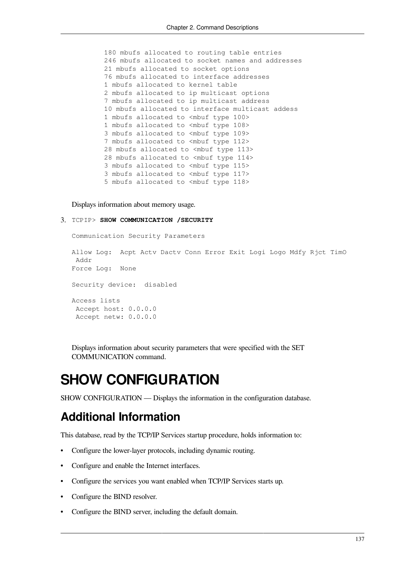180 mbufs allocated to routing table entries 246 mbufs allocated to socket names and addresses 21 mbufs allocated to socket options 76 mbufs allocated to interface addresses 1 mbufs allocated to kernel table 2 mbufs allocated to ip multicast options 7 mbufs allocated to ip multicast address 10 mbufs allocated to interface multicast addess 1 mbufs allocated to <mbuf type 100> 1 mbufs allocated to <mbuf type 108> 3 mbufs allocated to <mbuf type 109> 7 mbufs allocated to <mbuf type 112> 28 mbufs allocated to <mbuf type 113> 28 mbufs allocated to <mbuf type 114> 3 mbufs allocated to <mbuf type 115> 3 mbufs allocated to <mbuf type 117> 5 mbufs allocated to <mbuf type 118>

Displays information about memory usage.

#### 3. TCPIP> **SHOW COMMUNICATION /SECURITY**

Communication Security Parameters

Allow Log: Acpt Actv Dactv Conn Error Exit Logi Logo Mdfy Rjct TimO Addr Force Log: None Security device: disabled Access lists Accept host: 0.0.0.0 Accept netw: 0.0.0.0

Displays information about security parameters that were specified with the SET COMMUNICATION command.

# **SHOW CONFIGURATION**

SHOW CONFIGURATION — Displays the information in the configuration database.

### **Additional Information**

This database, read by the TCP/IP Services startup procedure, holds information to:

- Configure the lower-layer protocols, including dynamic routing.
- Configure and enable the Internet interfaces.
- Configure the services you want enabled when TCP/IP Services starts up.
- Configure the BIND resolver.
- Configure the BIND server, including the default domain.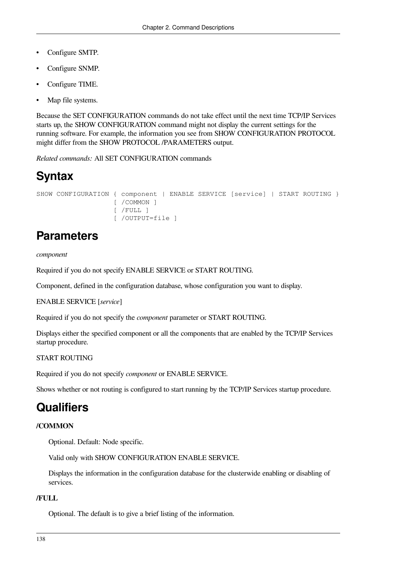- Configure SMTP.
- Configure SNMP.
- Configure TIME.
- Map file systems.

Because the SET CONFIGURATION commands do not take effect until the next time TCP/IP Services starts up, the SHOW CONFIGURATION command might not display the current settings for the running software. For example, the information you see from SHOW CONFIGURATION PROTOCOL might differ from the SHOW PROTOCOL /PARAMETERS output.

*Related commands:* All SET CONFIGURATION commands

# **Syntax**

```
SHOW CONFIGURATION { component | ENABLE SERVICE [service] | START ROUTING }
                    [ /COMMON ]
                     [ /FULL ]
                     [ /OUTPUT=file ]
```
## **Parameters**

*component*

Required if you do not specify ENABLE SERVICE or START ROUTING.

Component, defined in the configuration database, whose configuration you want to display.

ENABLE SERVICE [*service*]

Required if you do not specify the *component* parameter or START ROUTING.

Displays either the specified component or all the components that are enabled by the TCP/IP Services startup procedure.

### START ROUTING

Required if you do not specify *component* or ENABLE SERVICE.

Shows whether or not routing is configured to start running by the TCP/IP Services startup procedure.

### **Qualifiers**

### **/COMMON**

Optional. Default: Node specific.

Valid only with SHOW CONFIGURATION ENABLE SERVICE.

Displays the information in the configuration database for the clusterwide enabling or disabling of services.

### **/FULL**

Optional. The default is to give a brief listing of the information.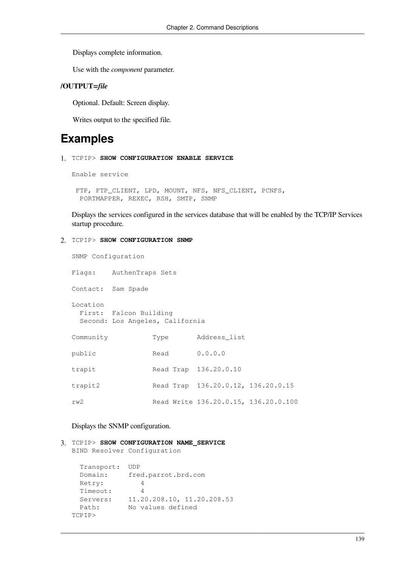Displays complete information.

Use with the *component* parameter.

### **/OUTPUT=***file*

Optional. Default: Screen display.

Writes output to the specified file.

## **Examples**

1. TCPIP> **SHOW CONFIGURATION ENABLE SERVICE** 

```
Enable service
```
FTP, FTP CLIENT, LPD, MOUNT, NFS, NFS CLIENT, PCNFS, PORTMAPPER, REXEC, RSH, SMTP, SNMP

Displays the services configured in the services database that will be enabled by the TCP/IP Services startup procedure.

#### 2. TCPIP> **SHOW CONFIGURATION SNMP**

| SNMP Configuration |                                                           |      |                                      |  |
|--------------------|-----------------------------------------------------------|------|--------------------------------------|--|
|                    | Flags: AuthenTraps Sets                                   |      |                                      |  |
|                    | Contact: Sam Spade                                        |      |                                      |  |
| Location           | First: Falcon Building<br>Second: Los Angeles, California |      |                                      |  |
| Community          |                                                           | Type | Address list                         |  |
| public             |                                                           | Read | 0.0.0.0                              |  |
| trapit             |                                                           |      | Read Trap 136.20.0.10                |  |
| trapit2            |                                                           |      | Read Trap 136.20.0.12, 136.20.0.15   |  |
| rw2                |                                                           |      | Read Write 136.20.0.15, 136.20.0.100 |  |

### Displays the SNMP configuration.

3. TCPIP> **SHOW CONFIGURATION NAME\_SERVICE** 

BIND Resolver Configuration

```
 Transport: UDP
  Domain: fred.parrot.brd.com
  Retry: 4
  Timeout: 4
  Servers: 11.20.208.10, 11.20.208.53
  Path: No values defined
TCPIP>
```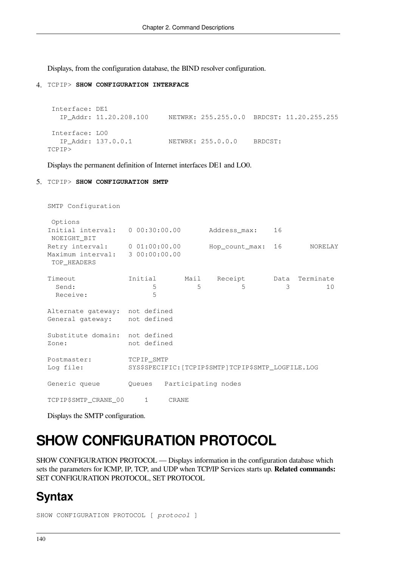Displays, from the configuration database, the BIND resolver configuration.

#### 4. TCPIP> **SHOW CONFIGURATION INTERFACE**

```
 Interface: DE1
   IP_Addr: 11.20.208.100 NETWRK: 255.255.0.0 BRDCST: 11.20.255.255
 Interface: LO0
   IP_Addr: 137.0.0.1 NETWRK: 255.0.0.0 BRDCST:
TCPIP>
```
Displays the permanent definition of Internet interfaces DE1 and LO0.

#### 5. TCPIP> **SHOW CONFIGURATION SMTP**

| SMTP Configuration                                                              |             |              |                                                     |    |                |
|---------------------------------------------------------------------------------|-------------|--------------|-----------------------------------------------------|----|----------------|
| Options<br>Initial interval: $0.00:30:00.00$<br>NOEIGHT BIT                     |             |              | Address_max:                                        | 16 |                |
| Retry interval: 0 01:00:00.00<br>Maximum interval: 3 00:00:00.00<br>TOP HEADERS |             |              | Hop_count_max:                                      | 16 | <b>NORELAY</b> |
| Timeout<br>Send:<br>Receive:                                                    | 5<br>5      |              | Initial Mail Receipt Data Terminate<br>5<br>5       | 3  | 10             |
| Alternate gateway: not defined<br>General gateway: not defined                  |             |              |                                                     |    |                |
| Substitute domain: not defined<br>Zone:                                         | not defined |              |                                                     |    |                |
| Postmaster:<br>Log file:                                                        | TCPIP SMTP  |              | SYS\$SPECIFIC: [TCPIP\$SMTP]TCPIP\$SMTP_LOGFILE.LOG |    |                |
| Generic queue                                                                   |             |              | Oueues Participating nodes                          |    |                |
| TCPIP\$SMTP CRANE 00                                                            | $1 \quad$   | <b>CRANE</b> |                                                     |    |                |

Displays the SMTP configuration.

# **SHOW CONFIGURATION PROTOCOL**

SHOW CONFIGURATION PROTOCOL — Displays information in the configuration database which sets the parameters for ICMP, IP, TCP, and UDP when TCP/IP Services starts up. **Related commands:** SET CONFIGURATION PROTOCOL, SET PROTOCOL

### **Syntax**

```
SHOW CONFIGURATION PROTOCOL [ protocol ]
```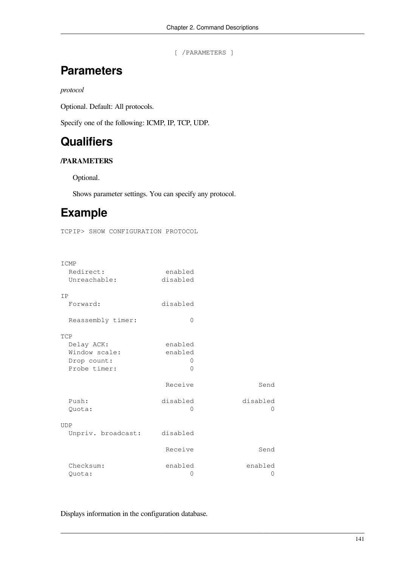[ /PARAMETERS ]

### **Parameters**

*protocol*

Optional. Default: All protocols.

Specify one of the following: ICMP, IP, TCP, UDP.

# **Qualifiers**

### **/PARAMETERS**

Optional.

Shows parameter settings. You can specify any protocol.

# **Example**

TCPIP> SHOW CONFIGURATION PROTOCOL

| ICMP               |          |              |
|--------------------|----------|--------------|
| Redirect:          | enabled  |              |
| Unreachable:       | disabled |              |
| <b>TP</b>          |          |              |
| Forward:           | disabled |              |
| Reassembly timer:  | 0        |              |
| TCP                |          |              |
| Delay ACK:         | enabled  |              |
| Window scale:      | enabled  |              |
| Drop count:        | $\Omega$ |              |
| Probe timer:       | $\Omega$ |              |
|                    | Receive  | Send         |
| Push:              | disabled | disabled     |
| Quota:             | $\Omega$ | $\mathbf{0}$ |
| <b>UDP</b>         |          |              |
| Unpriv. broadcast: | disabled |              |
|                    | Receive  | Send         |
| Checksum:          | enabled  | enabled      |
| Quota:             | 0        | 0            |

Displays information in the configuration database.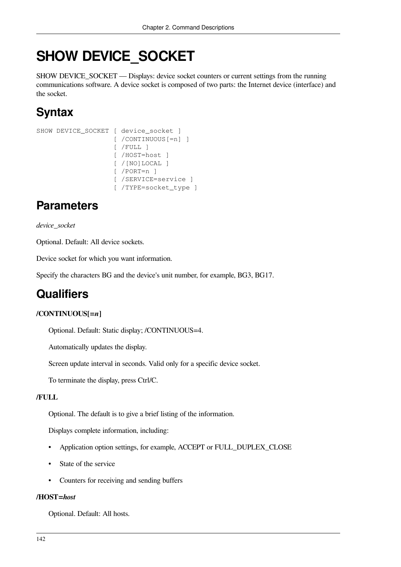# **SHOW DEVICE\_SOCKET**

SHOW DEVICE\_SOCKET — Displays: device socket counters or current settings from the running communications software. A device socket is composed of two parts: the Internet device (interface) and the socket.

# **Syntax**

```
SHOW DEVICE SOCKET [ device socket ]
                      [ /CONTINUOUS[=n] ]
                      [ /FULL ]
                      [ /HOST=host ]
                      [ /[NO]LOCAL ]
                      [ /PORT=n ]
                      [ /SERVICE=service ]
                      [ /TYPE=socket_type ]
```
# **Parameters**

### *device\_socket*

Optional. Default: All device sockets.

Device socket for which you want information.

Specify the characters BG and the device's unit number, for example, BG3, BG17.

## **Qualifiers**

### **/CONTINUOUS[=***n***]**

Optional. Default: Static display; /CONTINUOUS=4.

Automatically updates the display.

Screen update interval in seconds. Valid only for a specific device socket.

To terminate the display, press Ctrl/C.

### **/FULL**

Optional. The default is to give a brief listing of the information.

Displays complete information, including:

- Application option settings, for example, ACCEPT or FULL\_DUPLEX\_CLOSE
- State of the service
- Counters for receiving and sending buffers

### **/HOST=***host*

Optional. Default: All hosts.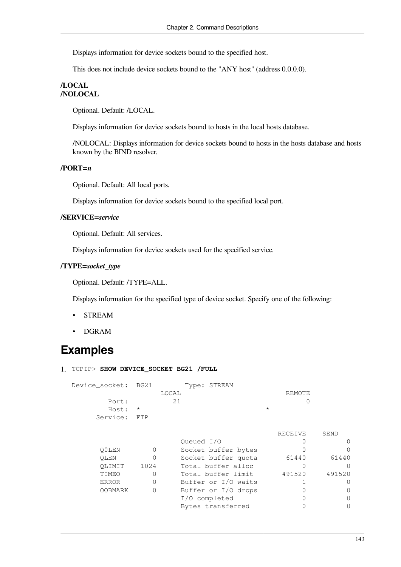Displays information for device sockets bound to the specified host.

This does not include device sockets bound to the "ANY host" (address 0.0.0.0).

### **/LOCAL /NOLOCAL**

Optional. Default: /LOCAL.

Displays information for device sockets bound to hosts in the local hosts database.

/NOLOCAL: Displays information for device sockets bound to hosts in the hosts database and hosts known by the BIND resolver.

#### **/PORT=***n*

Optional. Default: All local ports.

Displays information for device sockets bound to the specified local port.

### **/SERVICE=***service*

Optional. Default: All services.

Displays information for device sockets used for the specified service.

#### **/TYPE=***socket\_type*

Optional. Default: /TYPE=ALL.

Displays information for the specified type of device socket. Specify one of the following:

- STREAM
- DGRAM

### **Examples**

|  |  |  | 1. TCPIP> SHOW DEVICE_SOCKET BG21 /FULL |  |  |  |
|--|--|--|-----------------------------------------|--|--|--|
|--|--|--|-----------------------------------------|--|--|--|

Device\_socket: BG21 Type: STREAM LOCAL REMOTE Port: 21 0 Host: \* \* Service: FTP

|                |      |                     | RECEIVE | SEND   |
|----------------|------|---------------------|---------|--------|
|                |      | Oueued I/O          |         |        |
| O0LEN          |      | Socket buffer bytes |         |        |
| OLEN           |      | Socket buffer quota | 61440   | 61440  |
| OLIMIT         | 1024 | Total buffer alloc  |         |        |
| TIMEO          |      | Total buffer limit  | 491520  | 491520 |
| <b>ERROR</b>   | 0    | Buffer or I/O waits |         |        |
| <b>OOBMARK</b> |      | Buffer or I/O drops |         |        |
|                |      | I/O completed       |         |        |
|                |      | Bytes transferred   |         |        |
|                |      |                     |         |        |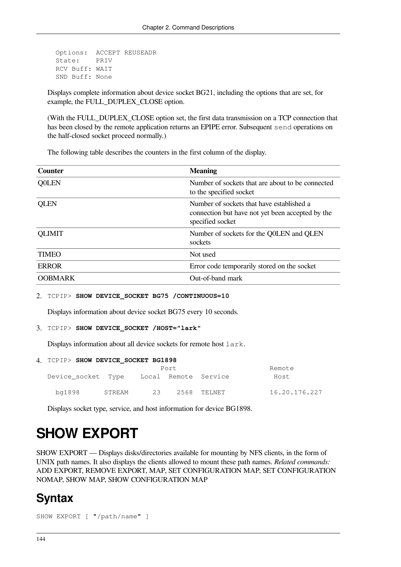```
 Options: ACCEPT REUSEADR
 State: PRIV
 RCV Buff: WAIT
 SND Buff: None
```
Displays complete information about device socket BG21, including the options that are set, for example, the FULL\_DUPLEX\_CLOSE option.

(With the FULL\_DUPLEX\_CLOSE option set, the first data transmission on a TCP connection that has been closed by the remote application returns an EPIPE error. Subsequent send operations on the half-closed socket proceed normally.)

The following table describes the counters in the first column of the display.

| <b>Counter</b> | <b>Meaning</b>                                                                                                    |
|----------------|-------------------------------------------------------------------------------------------------------------------|
| <b>Q0LEN</b>   | Number of sockets that are about to be connected<br>to the specified socket                                       |
| <b>QLEN</b>    | Number of sockets that have established a<br>connection but have not yet been accepted by the<br>specified socket |
| <b>QLIMIT</b>  | Number of sockets for the Q0LEN and QLEN<br>sockets                                                               |
| <b>TIMEO</b>   | Not used                                                                                                          |
| <b>ERROR</b>   | Error code temporarily stored on the socket                                                                       |
| <b>OOBMARK</b> | Out-of-band mark                                                                                                  |

#### 2. TCPIP> **SHOW DEVICE\_SOCKET BG75 /CONTINUOUS=10**

Displays information about device socket BG75 every 10 seconds.

#### 3. TCPIP> **SHOW DEVICE\_SOCKET /HOST="lark"**

Displays information about all device sockets for remote host lark.

#### 4. TCPIP> **SHOW DEVICE\_SOCKET BG1898**

|                    |        |    | Port |                      | Remote        |
|--------------------|--------|----|------|----------------------|---------------|
| Device socket Type |        |    |      | Local Remote Service | Host          |
| bg1898             | STREAM | 23 |      | 2568 TELNET          | 16.20.176.227 |

Displays socket type, service, and host information for device BG1898.

# **SHOW EXPORT**

SHOW EXPORT — Displays disks/directories available for mounting by NFS clients, in the form of UNIX path names. It also displays the clients allowed to mount these path names. *Related commands:* ADD EXPORT, REMOVE EXPORT, MAP, SET CONFIGURATION MAP, SET CONFIGURATION NOMAP, SHOW MAP, SHOW CONFIGURATION MAP

### **Syntax**

```
SHOW EXPORT [ "/path/name" ]
```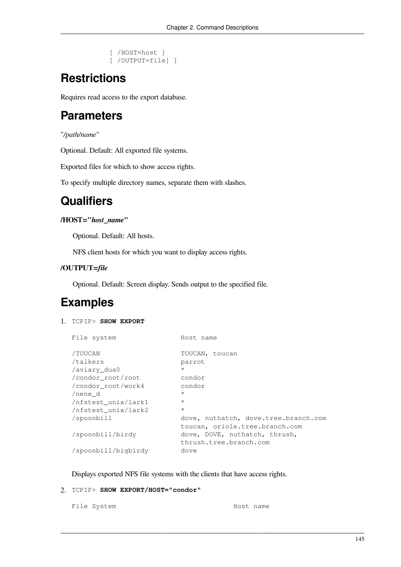```
 [ /HOST=host ]
 [ /OUTPUT=file] ]
```
# **Restrictions**

Requires read access to the export database.

# **Parameters**

"*/path/name*"

Optional. Default: All exported file systems.

Exported files for which to show access rights.

To specify multiple directory names, separate them with slashes.

# **Qualifiers**

### **/HOST="***host\_name***"**

Optional. Default: All hosts.

NFS client hosts for which you want to display access rights.

### **/OUTPUT=***file*

Optional. Default: Screen display. Sends output to the specified file.

## **Examples**

### 1. TCPIP> **SHOW EXPORT**

```
File system Host name
/TOUCAN TOUCAN, toucan 
/talkers parrot 
/aviary_dua0 * 
/condor_root/root condor 
/condor_root/work4 condor 
/nene_d * 
/nfstest_unix/lark1 * 
/nfstest_unix/lark2 * 
/spoonbill dove, nuthatch, dove.tree.branch.com
                       toucan, oriole.tree.branch.com 
/spoonbill/birdy dove, DOVE, nuthatch, thrush, 
                       thrush.tree.branch.com 
/spoonbill/bigbirdy dove
```
Displays exported NFS file systems with the clients that have access rights.

### 2. TCPIP> **SHOW EXPORT/HOST="condor"**

File System Most name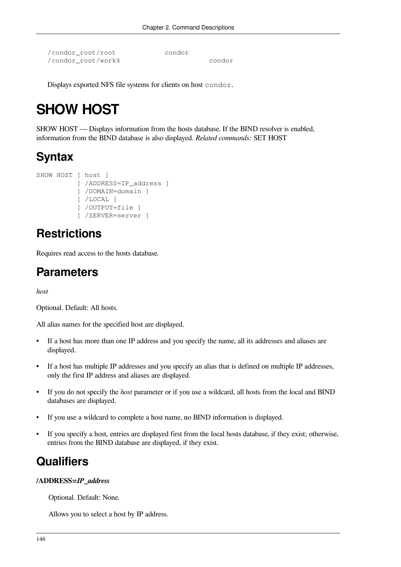```
/condor_root/root condor
/condor_root/work4 condor
```
Displays exported NFS file systems for clients on host condor.

# **SHOW HOST**

SHOW HOST — Displays information from the hosts database. If the BIND resolver is enabled, information from the BIND database is also displayed. *Related commands:* SET HOST

# **Syntax**

```
SHOW HOST [ host ]
           [ /ADDRESS=IP address ]
            [ /DOMAIN=domain ]
            [ /LOCAL ]
            [ /OUTPUT=file ]
            [ /SERVER=server ]
```
# **Restrictions**

Requires read access to the hosts database.

## **Parameters**

*host*

Optional. Default: All hosts.

All alias names for the specified host are displayed.

- If a host has more than one IP address and you specify the name, all its addresses and aliases are displayed.
- If a host has multiple IP addresses and you specify an alias that is defined on multiple IP addresses, only the first IP address and aliases are displayed.
- If you do not specify the *host* parameter or if you use a wildcard, all hosts from the local and BIND databases are displayed.
- If you use a wildcard to complete a host name, no BIND information is displayed.
- If you specify a host, entries are displayed first from the local hosts database, if they exist; otherwise, entries from the BIND database are displayed, if they exist.

## **Qualifiers**

### **/ADDRESS=***IP\_address*

Optional. Default: None.

Allows you to select a host by IP address.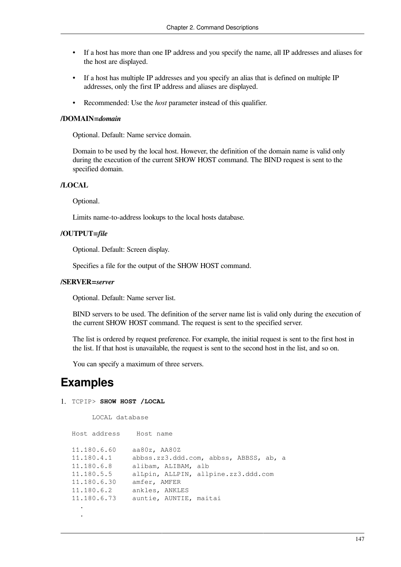- If a host has more than one IP address and you specify the name, all IP addresses and aliases for the host are displayed.
- If a host has multiple IP addresses and you specify an alias that is defined on multiple IP addresses, only the first IP address and aliases are displayed.
- Recommended: Use the *host* parameter instead of this qualifier.

#### **/DOMAIN=***domain*

Optional. Default: Name service domain.

Domain to be used by the local host. However, the definition of the domain name is valid only during the execution of the current SHOW HOST command. The BIND request is sent to the specified domain.

#### **/LOCAL**

Optional.

Limits name-to-address lookups to the local hosts database.

### **/OUTPUT=***file*

Optional. Default: Screen display.

Specifies a file for the output of the SHOW HOST command.

#### **/SERVER=***server*

Optional. Default: Name server list.

BIND servers to be used. The definition of the server name list is valid only during the execution of the current SHOW HOST command. The request is sent to the specified server.

The list is ordered by request preference. For example, the initial request is sent to the first host in the list. If that host is unavailable, the request is sent to the second host in the list, and so on.

You can specify a maximum of three servers.

### **Examples**

1. TCPIP> **SHOW HOST /LOCAL**

```
 LOCAL database
Host address Host name
11.180.6.60 aa80z, AA80Z
11.180.4.1 abbss.zz3.ddd.com, abbss, ABBSS, ab, a
11.180.6.8 alibam, ALIBAM, alb
11.180.5.5 alLpin, ALLPIN, allpine.zz3.ddd.com
11.180.6.30 amfer, AMFER
11.180.6.2 ankles, ANKLES
11.180.6.73 auntie, AUNTIE, maitai
 .
 .
```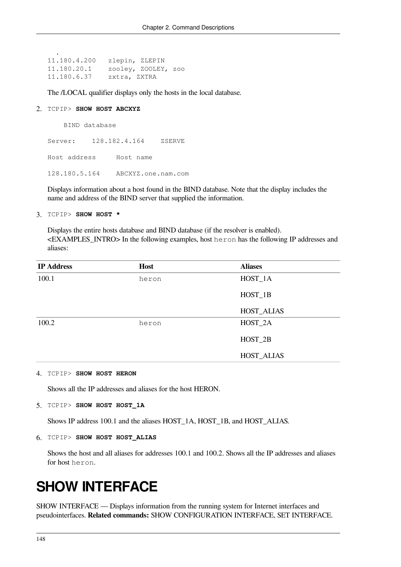```
11.180.4.200 zlepin, ZLEPIN
11.180.20.1 zooley, ZOOLEY, zoo
11.180.6.37 zxtra, ZXTRA
```
The /LOCAL qualifier displays only the hosts in the local database.

#### 2. TCPIP> **SHOW HOST ABCXYZ**

.

BIND database

Server: 128.182.4.164 ZSERVE Host address Host name 128.180.5.164 ABCXYZ.one.nam.com

Displays information about a host found in the BIND database. Note that the display includes the name and address of the BIND server that supplied the information.

3. TCPIP> **SHOW HOST \***

Displays the entire hosts database and BIND database (if the resolver is enabled). <EXAMPLES\_INTRO> In the following examples, host heron has the following IP addresses and aliases:

| <b>IP Address</b> | <b>Host</b> | <b>Aliases</b>    |
|-------------------|-------------|-------------------|
| 100.1             | heron       | HOST_1A           |
|                   |             | HOST_1B           |
|                   |             | <b>HOST_ALIAS</b> |
| 100.2             | heron       | HOST_2A           |
|                   |             | HOST_2B           |
|                   |             | <b>HOST_ALIAS</b> |

#### 4. TCPIP> **SHOW HOST HERON**

Shows all the IP addresses and aliases for the host HERON.

5. TCPIP> **SHOW HOST HOST\_1A**

Shows IP address 100.1 and the aliases HOST\_1A, HOST\_1B, and HOST\_ALIAS.

6. TCPIP> **SHOW HOST HOST\_ALIAS**

Shows the host and all aliases for addresses 100.1 and 100.2. Shows all the IP addresses and aliases for host heron.

# **SHOW INTERFACE**

SHOW INTERFACE — Displays information from the running system for Internet interfaces and pseudointerfaces. **Related commands:** SHOW CONFIGURATION INTERFACE, SET INTERFACE.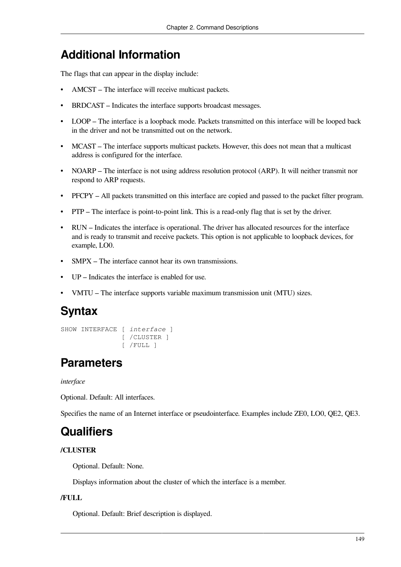# **Additional Information**

The flags that can appear in the display include:

- AMCST The interface will receive multicast packets.
- BRDCAST Indicates the interface supports broadcast messages.
- LOOP The interface is a loopback mode. Packets transmitted on this interface will be looped back in the driver and not be transmitted out on the network.
- MCAST The interface supports multicast packets. However, this does not mean that a multicast address is configured for the interface.
- NOARP The interface is not using address resolution protocol (ARP). It will neither transmit nor respond to ARP requests.
- PFCPY All packets transmitted on this interface are copied and passed to the packet filter program.
- PTP The interface is point-to-point link. This is a read-only flag that is set by the driver.
- RUN Indicates the interface is operational. The driver has allocated resources for the interface and is ready to transmit and receive packets. This option is not applicable to loopback devices, for example, LO0.
- SMPX The interface cannot hear its own transmissions.
- UP Indicates the interface is enabled for use.
- VMTU The interface supports variable maximum transmission unit (MTU) sizes.

### **Syntax**

```
SHOW INTERFACE [ interface ]
                 [ /CLUSTER ]
                 [ /FULL ]
```
## **Parameters**

*interface*

Optional. Default: All interfaces.

Specifies the name of an Internet interface or pseudointerface. Examples include ZE0, LO0, QE2, QE3.

## **Qualifiers**

### **/CLUSTER**

Optional. Default: None.

Displays information about the cluster of which the interface is a member.

### **/FULL**

Optional. Default: Brief description is displayed.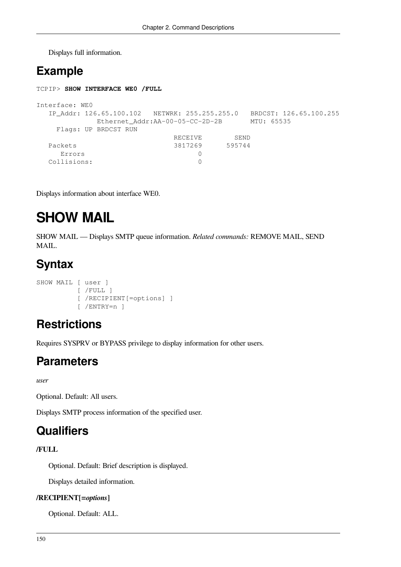Displays full information.

# **Example**

```
TCPIP> SHOW INTERFACE WE0 /FULL
Interface: WE0
  IP_Addr: 126.65.100.102 NETWRK: 255.255.255.0 BRDCST: 126.65.100.255
         Ethernet Addr:AA-00-05-CC-2D-2B MTU: 65535
    Flags: UP BRDCST RUN
RECEIVE SEND
Packets 3817269 595744
    Errors 0
  Collisions: 0
```
Displays information about interface WE0.

# **SHOW MAIL**

SHOW MAIL — Displays SMTP queue information. *Related commands:* REMOVE MAIL, SEND MAIL.

# **Syntax**

```
SHOW MAIL [ user ]
            [ /FULL ]
            [ /RECIPIENT[=options] ]
            [ /ENTRY=n ]
```
## **Restrictions**

Requires SYSPRV or BYPASS privilege to display information for other users.

### **Parameters**

*user*

Optional. Default: All users.

Displays SMTP process information of the specified user.

### **Qualifiers**

### **/FULL**

Optional. Default: Brief description is displayed.

Displays detailed information.

### **/RECIPIENT[=***options***]**

Optional. Default: ALL.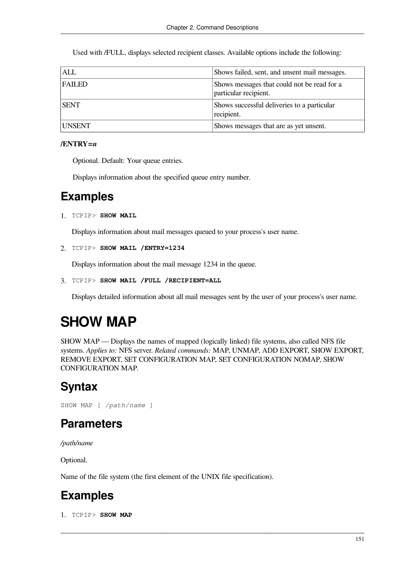Used with /FULL, displays selected recipient classes. Available options include the following:

| ALL         | Shows failed, sent, and unsent mail messages.                        |
|-------------|----------------------------------------------------------------------|
| FAILED      | Shows messages that could not be read for a<br>particular recipient. |
| <b>SENT</b> | Shows successful deliveries to a particular<br>recipient.            |
| UNSENT      | Shows messages that are as yet unsent.                               |

### **/ENTRY=***n*

Optional. Default: Your queue entries.

Displays information about the specified queue entry number.

### **Examples**

1. TCPIP> **SHOW MAIL**

Displays information about mail messages queued to your process's user name.

```
2. TCPIP> SHOW MAIL /ENTRY=1234
```
Displays information about the mail message 1234 in the queue.

```
3. TCPIP> SHOW MAIL /FULL /RECIPIENT=ALL
```
Displays detailed information about all mail messages sent by the user of your process's user name.

# **SHOW MAP**

SHOW MAP — Displays the names of mapped (logically linked) file systems, also called NFS file systems. *Applies to:* NFS server. *Related commands:* MAP, UNMAP, ADD EXPORT, SHOW EXPORT, REMOVE EXPORT, SET CONFIGURATION MAP, SET CONFIGURATION NOMAP, SHOW CONFIGURATION MAP.

## **Syntax**

SHOW MAP [ */path/name* ]

### **Parameters**

*/path/name*

Optional.

Name of the file system (the first element of the UNIX file specification).

## **Examples**

1. TCPIP> **SHOW MAP**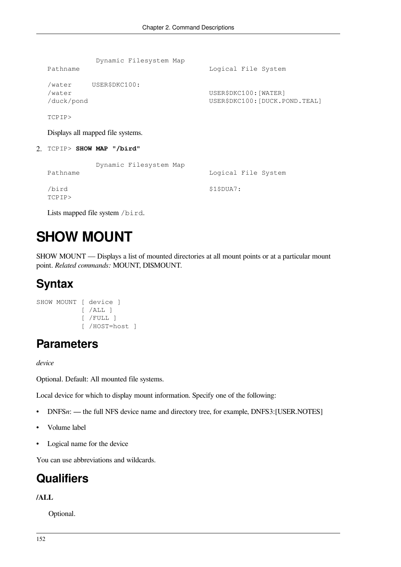| Pathname                       | Dynamic Filesystem Map | Logical File System                                     |
|--------------------------------|------------------------|---------------------------------------------------------|
| /water<br>/water<br>/duck/pond | USER\$DKC100:          | USER\$DKC100: [WATER]<br>USER\$DKC100: [DUCK.POND.TEAL] |
| TCPIP>                         |                        |                                                         |

Displays all mapped file systems.

2. TCPIP> **SHOW MAP "/bird"**

|          | Dynamic Filesystem Map |                     |  |
|----------|------------------------|---------------------|--|
| Pathname |                        | Logical File System |  |
| /bird    |                        | \$1\$DUA7:          |  |
| TCPIP>   |                        |                     |  |

Lists mapped file system /bird.

# **SHOW MOUNT**

SHOW MOUNT — Displays a list of mounted directories at all mount points or at a particular mount point. *Related commands:* MOUNT, DISMOUNT.

## **Syntax**

```
SHOW MOUNT [ device ]
            [ /ALL ] [ /FULL ]
             [ /HOST=host ]
```
### **Parameters**

*device*

Optional. Default: All mounted file systems.

Local device for which to display mount information. Specify one of the following:

- DNFSn: the full NFS device name and directory tree, for example, DNFS3: [USER.NOTES]
- Volume label
- Logical name for the device

You can use abbreviations and wildcards.

## **Qualifiers**

### **/ALL**

Optional.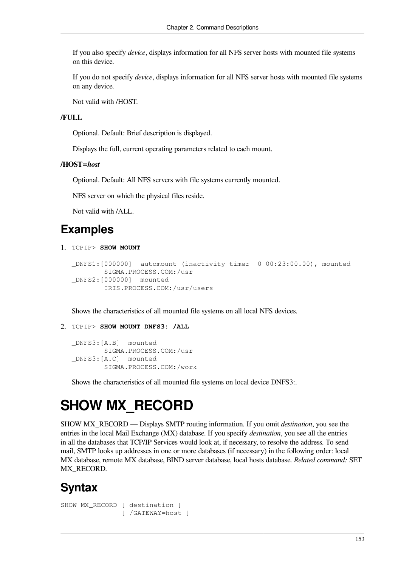If you also specify *device*, displays information for all NFS server hosts with mounted file systems on this device.

If you do not specify *device*, displays information for all NFS server hosts with mounted file systems on any device.

Not valid with /HOST.

### **/FULL**

Optional. Default: Brief description is displayed.

Displays the full, current operating parameters related to each mount.

### **/HOST=***host*

Optional. Default: All NFS servers with file systems currently mounted.

NFS server on which the physical files reside.

Not valid with /ALL.

### **Examples**

1. TCPIP> **SHOW MOUNT**

```
_DNFS1:[000000] automount (inactivity timer 0 00:23:00.00), mounted
         SIGMA.PROCESS.COM:/usr
_DNFS2:[000000] mounted
         IRIS.PROCESS.COM:/usr/users
```
Shows the characteristics of all mounted file systems on all local NFS devices.

2. TCPIP> **SHOW MOUNT DNFS3: /ALL**

```
_DNFS3:[A.B] mounted
         SIGMA.PROCESS.COM:/usr
_DNFS3:[A.C] mounted
         SIGMA.PROCESS.COM:/work
```
Shows the characteristics of all mounted file systems on local device DNFS3:.

# **SHOW MX\_RECORD**

SHOW MX\_RECORD — Displays SMTP routing information. If you omit *destination*, you see the entries in the local Mail Exchange (MX) database. If you specify *destination*, you see all the entries in all the databases that TCP/IP Services would look at, if necessary, to resolve the address. To send mail, SMTP looks up addresses in one or more databases (if necessary) in the following order: local MX database, remote MX database, BIND server database, local hosts database. *Related command:* SET MX\_RECORD.

# **Syntax**

```
SHOW MX RECORD [ destination ]
                 [ /GATEWAY=host ]
```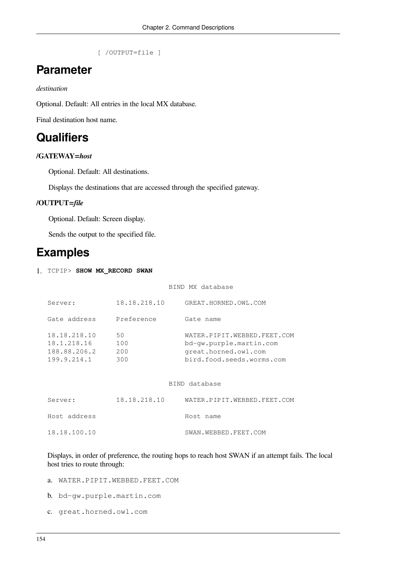```
 [ /OUTPUT=file ]
```
### **Parameter**

*destination*

Optional. Default: All entries in the local MX database.

Final destination host name.

## **Qualifiers**

### **/GATEWAY=***host*

Optional. Default: All destinations.

Displays the destinations that are accessed through the specified gateway.

### **/OUTPUT=***file*

Optional. Default: Screen display.

Sends the output to the specified file.

### **Examples**

#### 1. TCPIP> **SHOW MX\_RECORD SWAN**

#### BIND MX database

| Server:                                                    | 18.18.218.10            | GREAT.HORNED.OWL.COM                                                                                        |
|------------------------------------------------------------|-------------------------|-------------------------------------------------------------------------------------------------------------|
| Gate address                                               | Preference              | Gate name                                                                                                   |
| 18.18.218.10<br>18.1.218.16<br>188.88.206.2<br>199.9.214.1 | 50<br>100<br>200<br>300 | WATER.PIPIT.WEBBED.FEET.COM<br>bd-qw.purple.martin.com<br>great.horned.owl.com<br>bird.food.seeds.worms.com |

|              |              | BIND database               |
|--------------|--------------|-----------------------------|
| Server:      | 18.18.218.10 | WATER.PIPIT.WEBBED.FEET.COM |
| Host address |              | Host name                   |
| 18.18.100.10 |              | SWAN.WEBBED.FEET.COM        |

Displays, in order of preference, the routing hops to reach host SWAN if an attempt fails. The local host tries to route through:

- a. WATER.PIPIT.WEBBED.FEET.COM
- b. bd-gw.purple.martin.com
- c. great.horned.owl.com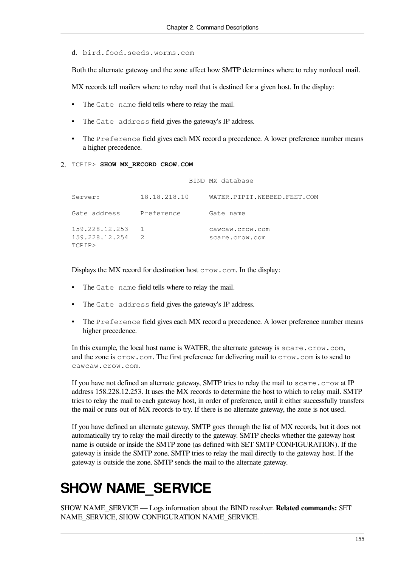d. bird.food.seeds.worms.com

Both the alternate gateway and the zone affect how SMTP determines where to relay nonlocal mail.

MX records tell mailers where to relay mail that is destined for a given host. In the display:

- The Gate name field tells where to relay the mail.
- The Gate address field gives the gateway's IP address.
- The Preference field gives each MX record a precedence. A lower preference number means a higher precedence.

BIND MX database

2. TCPIP> **SHOW MX\_RECORD CROW.COM**

| Server:                                    | 18.18.218.10 | WATER.PIPIT.WEBBED.FEET.COM       |
|--------------------------------------------|--------------|-----------------------------------|
| Gate address                               | Preference   | Gate name                         |
| 159.228.12.253<br>159.228.12.254<br>TCPIP> | 2            | cawcaw.crow.com<br>scare.crow.com |

Displays the MX record for destination host  $\text{crow}$ . com. In the display:

- The Gate name field tells where to relay the mail.
- The Gate address field gives the gateway's IP address.
- The Preference field gives each MX record a precedence. A lower preference number means higher precedence.

In this example, the local host name is WATER, the alternate gateway is scare.crow.com, and the zone is crow.com. The first preference for delivering mail to crow.com is to send to cawcaw.crow.com.

If you have not defined an alternate gateway, SMTP tries to relay the mail to scare.crow at IP address 158.228.12.253. It uses the MX records to determine the host to which to relay mail. SMTP tries to relay the mail to each gateway host, in order of preference, until it either successfully transfers the mail or runs out of MX records to try. If there is no alternate gateway, the zone is not used.

If you have defined an alternate gateway, SMTP goes through the list of MX records, but it does not automatically try to relay the mail directly to the gateway. SMTP checks whether the gateway host name is outside or inside the SMTP zone (as defined with SET SMTP CONFIGURATION). If the gateway is inside the SMTP zone, SMTP tries to relay the mail directly to the gateway host. If the gateway is outside the zone, SMTP sends the mail to the alternate gateway.

# **SHOW NAME\_SERVICE**

SHOW NAME\_SERVICE — Logs information about the BIND resolver. **Related commands:** SET NAME\_SERVICE, SHOW CONFIGURATION NAME\_SERVICE.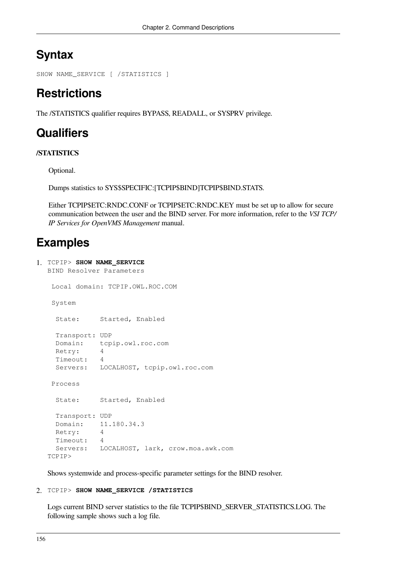# **Syntax**

```
SHOW NAME_SERVICE [ /STATISTICS ]
```
# **Restrictions**

The /STATISTICS qualifier requires BYPASS, READALL, or SYSPRV privilege.

# **Qualifiers**

### **/STATISTICS**

Optional.

Dumps statistics to SYS\$SPECIFIC:[TCPIP\$BIND]TCPIP\$BIND.STATS.

Either TCPIP\$ETC:RNDC.CONF or TCPIP\$ETC:RNDC.KEY must be set up to allow for secure communication between the user and the BIND server. For more information, refer to the *VSI TCP/ IP Services for OpenVMS Management* manual.

# **Examples**

```
1. TCPIP> SHOW NAME_SERVICE
  BIND Resolver Parameters
    Local domain: TCPIP.OWL.ROC.COM
    System
     State: Started, Enabled
     Transport: UDP
     Domain: tcpip.owl.roc.com
     Retry: 4
     Timeout: 4
     Servers: LOCALHOST, tcpip.owl.roc.com
    Process
     State: Started, Enabled
     Transport: UDP
     Domain: 11.180.34.3
     Retry: 4
     Timeout: 4
     Servers: LOCALHOST, lark, crow.moa.awk.com
  TCPIP>
```
Shows systemwide and process-specific parameter settings for the BIND resolver.

### 2. TCPIP> **SHOW NAME\_SERVICE /STATISTICS**

Logs current BIND server statistics to the file TCPIP\$BIND\_SERVER\_STATISTICS.LOG. The following sample shows such a log file.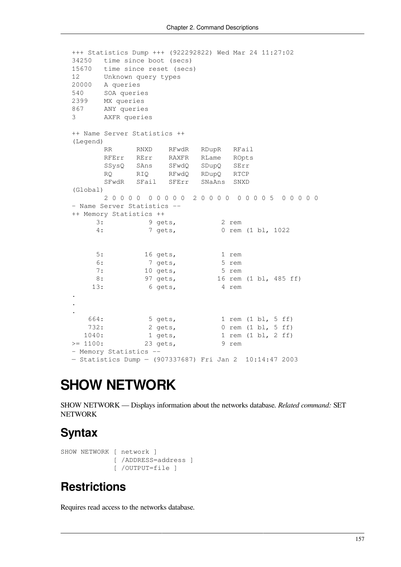```
+++ Statistics Dump +++ (922292822) Wed Mar 24 11:27:02
34250 time since boot (secs)
15670 time since reset (secs)
12 Unknown query types
20000 A queries
540 SOA queries
2399 MX queries
867 ANY queries
3 AXFR queries
++ Name Server Statistics ++
(Legend)
      RR RNXD RFwdR RDupR RFail
       RFErr RErr RAXFR RLame ROpts
       SSysQ SAns SFwdQ SDupQ SErr
       RQ RIQ RFwdQ RDupQ RTCP
       SFwdR SFail SFErr SNaAns SNXD
(Global)
       2 0 0 0 0 0 0 0 0 0 2 0 0 0 0 0 0 0 0 5 0 0 0 0 0
– Name Server Statistics --
++ Memory Statistics ++
     3: 9 gets, 2 rem
     4: 7 gets, 0 rem (1 bl, 1022
     5: 16 gets, 1 rem
     6: 7 gets, 5 rem
     7: 10 gets, 5 rem
     8: 97 gets, 16 rem (1 bl, 485 ff)
    13: 6 gets, 4 rem
.
.
.
 664: 5 gets, 1 rem (1 bl, 5 ff)
 732: 2 gets, 0 rem (1 bl, 5 ff)
   1040: 1 gets, 1 rem (1 bl, 2 ff)
> = 1100: 23 gets, 9 rem
– Memory Statistics --
— Statistics Dump — (907337687) Fri Jan 2 10:14:47 2003
```
# **SHOW NETWORK**

SHOW NETWORK — Displays information about the networks database. *Related command:* SET NETWORK

### **Syntax**

```
SHOW NETWORK [ network ]
              [ /ADDRESS=address ]
              [ /OUTPUT=file ]
```
## **Restrictions**

Requires read access to the networks database.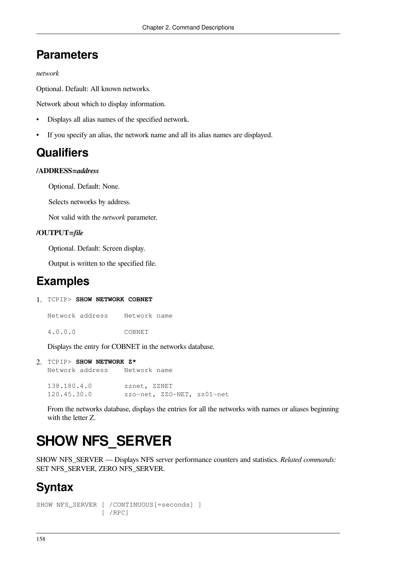# **Parameters**

### *network*

Optional. Default: All known networks.

Network about which to display information.

- Displays all alias names of the specified network.
- If you specify an alias, the network name and all its alias names are displayed.

### **Qualifiers**

#### **/ADDRESS=***address*

Optional. Default: None.

Selects networks by address.

Not valid with the *network* parameter.

### **/OUTPUT=***file*

Optional. Default: Screen display.

Output is written to the specified file.

### **Examples**

1. TCPIP> **SHOW NETWORK COBNET** 

Network address Network name

4.0.0.0 COBNET

Displays the entry for COBNET in the networks database.

```
2. TCPIP> SHOW NETWORK Z* 
  Network address
  138.180.4.0 zznet, ZZNET
  120.45.30.0 zzo-net, ZZO-NET, zz01-net
```
From the networks database, displays the entries for all the networks with names or aliases beginning with the letter Z.

# **SHOW NFS\_SERVER**

SHOW NFS\_SERVER — Displays NFS server performance counters and statistics. *Related commands:* SET NFS\_SERVER, ZERO NFS\_SERVER.

# **Syntax**

```
SHOW NFS_SERVER [ /CONTINUOUS[=seconds] ]
                  [ /RPC]
```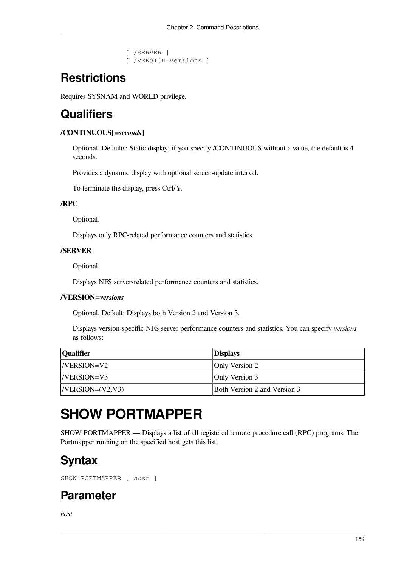```
 [ /SERVER ]
 [ /VERSION=versions ]
```
# **Restrictions**

Requires SYSNAM and WORLD privilege.

# **Qualifiers**

### **/CONTINUOUS[=***seconds***]**

Optional. Defaults: Static display; if you specify /CONTINUOUS without a value, the default is 4 seconds.

Provides a dynamic display with optional screen-update interval.

To terminate the display, press Ctrl/Y.

### **/RPC**

Optional.

Displays only RPC-related performance counters and statistics.

### **/SERVER**

Optional.

Displays NFS server-related performance counters and statistics.

### **/VERSION=***versions*

Optional. Default: Displays both Version 2 and Version 3.

Displays version-specific NFS server performance counters and statistics. You can specify *versions* as follows:

| <i><b>Oualifier</b></i> | <b>Displays</b>                     |
|-------------------------|-------------------------------------|
| $ N$ ERSION=V2          | Only Version 2                      |
| $ N$ ERSION=V3          | Only Version 3                      |
| $ N$ ERSION= $(V2, V3)$ | <b>Both Version 2 and Version 3</b> |

# **SHOW PORTMAPPER**

SHOW PORTMAPPER — Displays a list of all registered remote procedure call (RPC) programs. The Portmapper running on the specified host gets this list.

# **Syntax**

SHOW PORTMAPPER [ *host* ]

### **Parameter**

*host*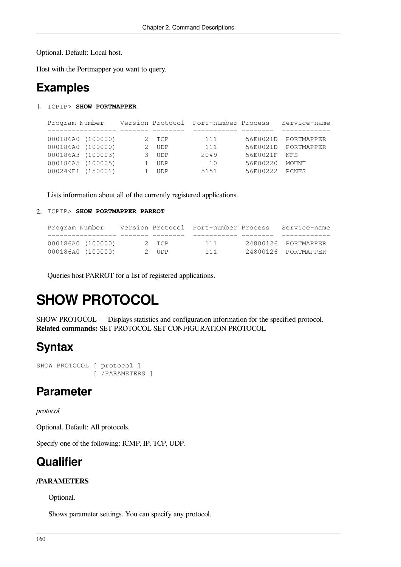Optional. Default: Local host.

Host with the Portmapper you want to query.

### **Examples**

1. TCPIP> **SHOW PORTMAPPER**

| Program Number |                   |            | Version Protocol Port-number Process |          | Service-name        |
|----------------|-------------------|------------|--------------------------------------|----------|---------------------|
|                |                   |            |                                      |          |                     |
|                | 000186A0 (100000) | 2 TCP      | 111                                  |          | 56E0021D PORTMAPPER |
|                | 000186A0 (100000) | <b>UDP</b> | 111                                  | 56E0021D | PORTMAPPER          |
|                | 000186A3 (100003) | <b>UDP</b> | 2049                                 | 56E0021F | <b>NFS</b>          |
|                | 000186A5 (100005) | <b>UDP</b> | 10                                   | 56E00220 | MOUNT               |
|                | 000249F1 (150001) | <b>UDP</b> | 5151                                 | 56E00222 | PCNFS               |

Lists information about all of the currently registered applications.

#### 2. TCPIP> **SHOW PORTMAPPER PARROT**

| Program Number |                   |       | Version Protocol Port-number Process | Service-name        |
|----------------|-------------------|-------|--------------------------------------|---------------------|
|                |                   |       |                                      |                     |
|                | 000186A0 (100000) | 2 TCP | 111                                  | 24800126 PORTMAPPER |
|                | 000186A0 (100000) | 2 UDP | 111                                  | 24800126 PORTMAPPER |

Queries host PARROT for a list of registered applications.

# **SHOW PROTOCOL**

SHOW PROTOCOL — Displays statistics and configuration information for the specified protocol. **Related commands:** SET PROTOCOL SET CONFIGURATION PROTOCOL

## **Syntax**

```
SHOW PROTOCOL [ protocol ]
                [ /PARAMETERS ]
```
### **Parameter**

#### *protocol*

Optional. Default: All protocols.

Specify one of the following: ICMP, IP, TCP, UDP.

### **Qualifier**

### **/PARAMETERS**

Optional.

Shows parameter settings. You can specify any protocol.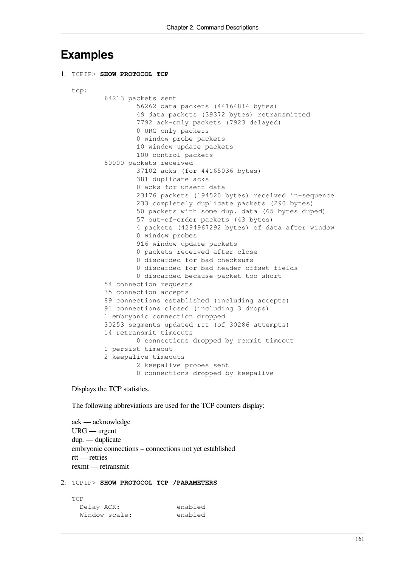### **Examples**

```
1. TCPIP> SHOW PROTOCOL TCP
  tcp:
            64213 packets sent
                    56262 data packets (44164814 bytes)
                    49 data packets (39372 bytes) retransmitted
                    7792 ack-only packets (7923 delayed)
                    0 URG only packets
                    0 window probe packets
                    10 window update packets
                    100 control packets
            50000 packets received
                    37102 acks (for 44165036 bytes)
                    381 duplicate acks
                    0 acks for unsent data
                    23176 packets (194520 bytes) received in-sequence
                    233 completely duplicate packets (290 bytes)
                    50 packets with some dup. data (65 bytes duped)
                    57 out-of-order packets (43 bytes)
                    4 packets (4294967292 bytes) of data after window
                    0 window probes
                    916 window update packets
                    0 packets received after close
                    0 discarded for bad checksums
                    0 discarded for bad header offset fields
                    0 discarded because packet too short
            54 connection requests
            35 connection accepts
            89 connections established (including accepts)
            91 connections closed (including 3 drops)
            1 embryonic connection dropped
            30253 segments updated rtt (of 30286 attempts)
            14 retransmit timeouts
                    0 connections dropped by rexmit timeout
            1 persist timeout
            2 keepalive timeouts
                    2 keepalive probes sent
                    0 connections dropped by keepalive
```
Displays the TCP statistics.

The following abbreviations are used for the TCP counters display:

ack — acknowledge URG — urgent dup. — duplicate embryonic connections – connections not yet established rtt — retries rexmt — retransmit

#### 2. TCPIP> **SHOW PROTOCOL TCP /PARAMETERS**

| TCP           |         |
|---------------|---------|
| Delay ACK:    | enabled |
| Window scale: | enabled |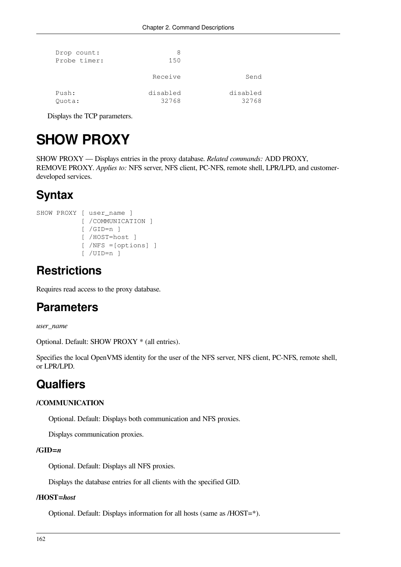| Drop count:<br>Probe timer: | 8<br>150          |                   |
|-----------------------------|-------------------|-------------------|
|                             | Receive           | Send              |
| Push:<br>Ouota:             | disabled<br>32768 | disabled<br>32768 |

Displays the TCP parameters.

# **SHOW PROXY**

SHOW PROXY — Displays entries in the proxy database. *Related commands:* ADD PROXY, REMOVE PROXY. *Applies to:* NFS server, NFS client, PC-NFS, remote shell, LPR/LPD, and customerdeveloped services.

## **Syntax**

```
SHOW PROXY [ user_name ]
             [ /COMMUNICATION ]
             [ /GID=n ]
             [ /HOST=host ]
             [ /NFS =[options] ]
             [ /UID=n ]
```
## **Restrictions**

Requires read access to the proxy database.

### **Parameters**

*user\_name*

Optional. Default: SHOW PROXY \* (all entries).

Specifies the local OpenVMS identity for the user of the NFS server, NFS client, PC-NFS, remote shell, or LPR/LPD.

## **Qualfiers**

### **/COMMUNICATION**

Optional. Default: Displays both communication and NFS proxies.

Displays communication proxies.

### **/GID=***n*

Optional. Default: Displays all NFS proxies.

Displays the database entries for all clients with the specified GID.

### **/HOST=***host*

Optional. Default: Displays information for all hosts (same as /HOST=\*).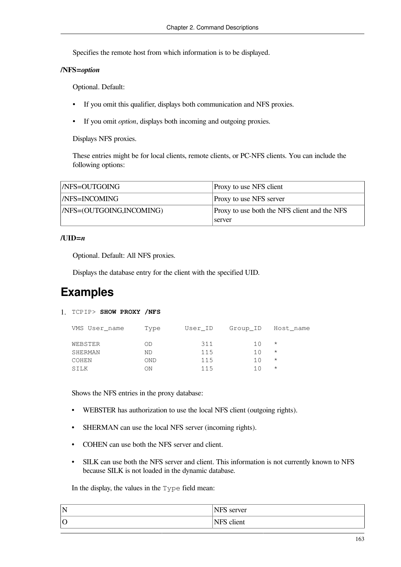Specifies the remote host from which information is to be displayed.

### **/NFS=***option*

Optional. Default:

- If you omit this qualifier, displays both communication and NFS proxies.
- If you omit *option*, displays both incoming and outgoing proxies.

Displays NFS proxies.

These entries might be for local clients, remote clients, or PC-NFS clients. You can include the following options:

| /NFS=OUTGOING            | <b>Proxy to use NFS client</b>                           |
|--------------------------|----------------------------------------------------------|
| /NFS=INCOMING            | <b>Proxy to use NFS server</b>                           |
| /NFS=(OUTGOING,INCOMING) | Proxy to use both the NFS client and the NFS<br>  server |

#### **/UID=***n*

Optional. Default: All NFS proxies.

Displays the database entry for the client with the specified UID.

## **Examples**

1. TCPIP> **SHOW PROXY /NFS**

| VMS User name | Type       | User ID |     | Group ID Host name |
|---------------|------------|---------|-----|--------------------|
| WEBSTER       | ΟD         | 311     | 1 O | $^\star$           |
| SHERMAN       | ΝD         | 115     | 10  | $^\star$           |
| COHEN         | <b>OND</b> | 115     | 10  | $\star$            |
| SILK          | ON         | 115     | 1 N | $^\star$           |
|               |            |         |     |                    |

Shows the NFS entries in the proxy database:

- WEBSTER has authorization to use the local NFS client (outgoing rights).
- SHERMAN can use the local NFS server (incoming rights).
- COHEN can use both the NFS server and client.
- SILK can use both the NFS server and client. This information is not currently known to NFS because SILK is not loaded in the dynamic database.

In the display, the values in the Type field mean:

| N       | TTC<br>ver:<br>в      |
|---------|-----------------------|
| $ 0 \>$ | $\cdot$<br>NFS client |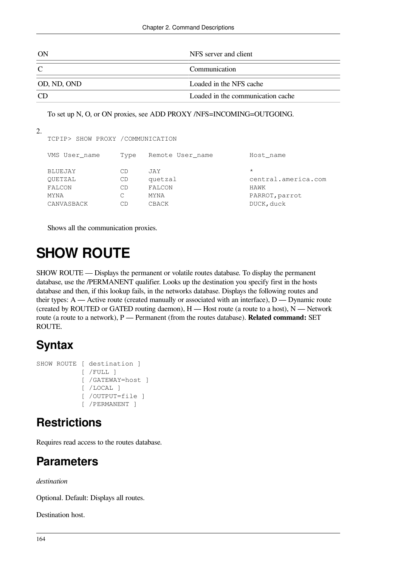| ON          | NFS server and client             |
|-------------|-----------------------------------|
|             | Communication                     |
| OD, ND, OND | Loaded in the NFS cache           |
|             | Loaded in the communication cache |

To set up N, O, or ON proxies, see ADD PROXY /NFS=INCOMING=OUTGOING.

| 2. |                                   |      |                  |                     |  |
|----|-----------------------------------|------|------------------|---------------------|--|
|    | TCPIP> SHOW PROXY / COMMUNICATION |      |                  |                     |  |
|    | VMS User name                     | Type | Remote User name | Host name           |  |
|    | <b>BLUEJAY</b>                    | CD   | JAY              | $\star$             |  |
|    | OUETZAL                           | CD   | quetzal          | central.america.com |  |
|    | FALCON                            | CD   | FALCON           | HAWK                |  |
|    | <b>MYNA</b>                       | С    | MYNA             | PARROT, parrot      |  |
|    | CANVASBACK                        | СD   | CBACK            | DUCK, duck          |  |

Shows all the communication proxies.

# **SHOW ROUTE**

SHOW ROUTE — Displays the permanent or volatile routes database. To display the permanent database, use the /PERMANENT qualifier. Looks up the destination you specify first in the hosts database and then, if this lookup fails, in the networks database. Displays the following routes and their types:  $A$  — Active route (created manually or associated with an interface),  $D$  — Dynamic route (created by ROUTED or GATED routing daemon),  $H$  — Host route (a route to a host),  $N$  — Network route (a route to a network), P — Permanent (from the routes database). **Related command:** SET ROUTE.

# **Syntax**

```
SHOW ROUTE [ destination ]
             [ /FULL ]
             [ /GATEWAY=host ]
             [ /LOCAL ]
             [ /OUTPUT=file ]
             [ /PERMANENT ]
```
# **Restrictions**

Requires read access to the routes database.

# **Parameters**

*destination*

Optional. Default: Displays all routes.

Destination host.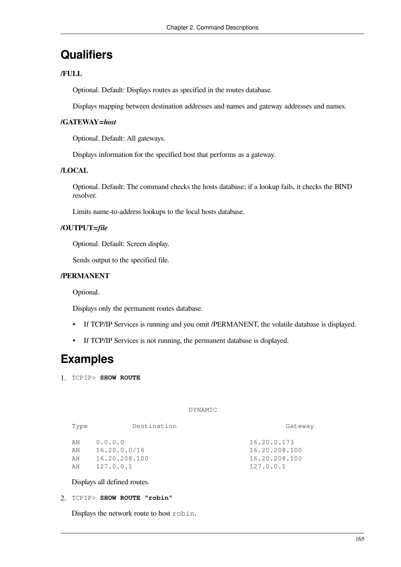### **Qualifiers**

### **/FULL**

Optional. Default: Displays routes as specified in the routes database.

Displays mapping between destination addresses and names and gateway addresses and names.

### **/GATEWAY=***host*

Optional. Default: All gateways.

Displays information for the specified host that performs as a gateway.

#### **/LOCAL**

Optional. Default: The command checks the hosts database; if a lookup fails, it checks the BIND resolver.

Limits name-to-address lookups to the local hosts database.

### **/OUTPUT=***file*

Optional. Default: Screen display.

Sends output to the specified file.

### **/PERMANENT**

Optional.

Displays only the permanent routes database.

- If TCP/IP Services is running and you omit /PERMANENT, the volatile database is displayed.
- If TCP/IP Services is not running, the permanent database is displayed.

### **Examples**

1. TCPIP> **SHOW ROUTE** 

#### DYNAMIC

| Type                 | Destination                                           | Gateway                                                    |
|----------------------|-------------------------------------------------------|------------------------------------------------------------|
| AN<br>ΆN<br>AH<br>AH | 0.0.0.0<br>16.20.0.0/16<br>16.20.208.100<br>127.0.0.1 | 16.20.0.173<br>16.20.208.100<br>16.20.208.100<br>127.0.0.1 |
|                      |                                                       |                                                            |

Displays all defined routes.

#### 2. TCPIP> **SHOW ROUTE "robin"**

Displays the network route to host robin.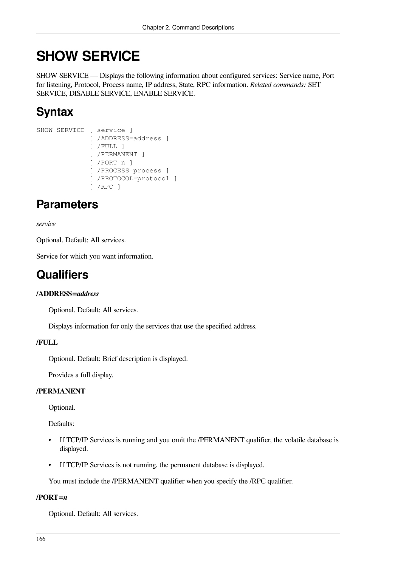# **SHOW SERVICE**

SHOW SERVICE — Displays the following information about configured services: Service name, Port for listening, Protocol, Process name, IP address, State, RPC information. *Related commands:* SET SERVICE, DISABLE SERVICE, ENABLE SERVICE.

# **Syntax**

```
SHOW SERVICE [ service ]
              [ /ADDRESS=address ]
               [ /FULL ]
               [ /PERMANENT ]
               [ /PORT=n ]
               [ /PROCESS=process ]
               [ /PROTOCOL=protocol ]
               [ /RPC ]
```
# **Parameters**

*service*

Optional. Default: All services.

Service for which you want information.

# **Qualifiers**

### **/ADDRESS=***address*

Optional. Default: All services.

Displays information for only the services that use the specified address.

### **/FULL**

Optional. Default: Brief description is displayed.

Provides a full display.

### **/PERMANENT**

Optional.

Defaults:

- If TCP/IP Services is running and you omit the /PERMANENT qualifier, the volatile database is displayed.
- If TCP/IP Services is not running, the permanent database is displayed.

You must include the /PERMANENT qualifier when you specify the /RPC qualifier.

### **/PORT=***n*

Optional. Default: All services.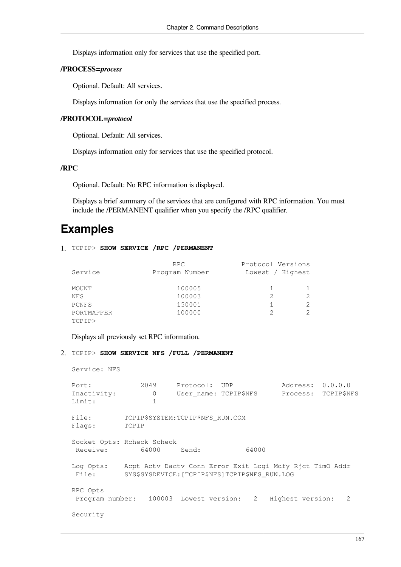Displays information only for services that use the specified port.

#### **/PROCESS=***process*

Optional. Default: All services.

Displays information for only the services that use the specified process.

#### **/PROTOCOL=***protocol*

Optional. Default: All services.

Displays information only for services that use the specified protocol.

### **/RPC**

Optional. Default: No RPC information is displayed.

Displays a brief summary of the services that are configured with RPC information. You must include the /PERMANENT qualifier when you specify the /RPC qualifier.

## **Examples**

### 1. TCPIP> **SHOW SERVICE /RPC /PERMANENT**

| Service    | RPC.<br>Program Number | Protocol Versions<br>Lowest / Highest |   |
|------------|------------------------|---------------------------------------|---|
| MOUNT      | 100005                 |                                       |   |
| NFS        | 100003                 |                                       | 2 |
| PCNFS      | 150001                 |                                       | 2 |
| PORTMAPPER | 100000                 |                                       | 2 |
| TCPIP>     |                        |                                       |   |

Displays all previously set RPC information.

### 2. TCPIP> **SHOW SERVICE NFS /FULL /PERMANENT**

Service: NFS

| Port:                                  | 2049                                           | Protocol: UDP         |       | Address: 0.0.0.0                                          |                     |
|----------------------------------------|------------------------------------------------|-----------------------|-------|-----------------------------------------------------------|---------------------|
| Inactivity:                            | $\mathbf{0}$                                   | User_name: TCPIP\$NFS |       |                                                           | Process: TCPIP\$NFS |
| Limit:                                 | 1                                              |                       |       |                                                           |                     |
| File:<br>Flags:                        | TCPIP\$SYSTEM: TCPIP\$NFS RUN.COM<br>TCPIP     |                       |       |                                                           |                     |
| Socket Opts: Rcheck Scheck<br>Receive: | 64000                                          | Send:                 | 64000 |                                                           |                     |
| Log Opts:<br>File:                     | SYS\$SYSDEVICE: [TCPIP\$NFS]TCPIP\$NFS_RUN.LOG |                       |       | Acpt Acty Dacty Conn Error Exit Logi Mdfy Rjct TimO Addr  |                     |
| RPC Opts                               |                                                |                       |       | Program number: 100003 Lowest version: 2 Highest version: | 2                   |
| Security                               |                                                |                       |       |                                                           |                     |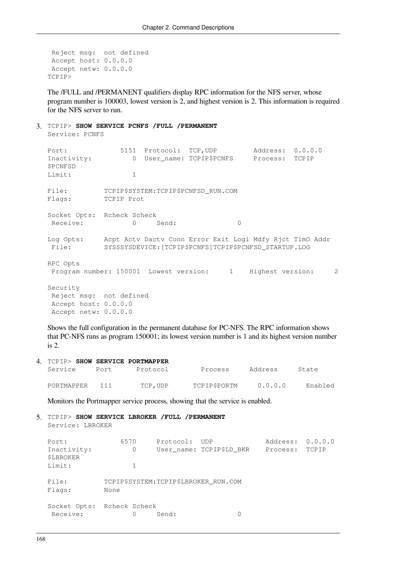```
 Reject msg: not defined
 Accept host: 0.0.0.0
 Accept netw: 0.0.0.0
TCPIP>
```
The /FULL and /PERMANENT qualifiers display RPC information for the NFS server, whose program number is 100003, lowest version is 2, and highest version is 2. This information is required for the NFS server to run.

3. TCPIP> **SHOW SERVICE PCNFS /FULL /PERMANENT**

Service: PCNFS

Port: 5151 Protocol: TCP, UDP Address: 0.0.0.0 Inactivity: 0 User\_name: TCPIP\$PCNFS Process: TCPIP \$PCNFSD Limit: 1 File: TCPIP\$SYSTEM:TCPIP\$PCNFSD\_RUN.COM Flags: TCPIP Prot Socket Opts: Rcheck Scheck Receive: 0 Send: 0 0 Log Opts: Acpt Actv Dactv Conn Error Exit Logi Mdfy Rjct TimO Addr File: SYS\$SYSDEVICE:[TCPIP\$PCNFS]TCPIP\$PCNFSD\_STARTUP.LOG RPC Opts Program number: 150001 Lowest version: 1 Highest version: 2 Security Reject msg: not defined Accept host: 0.0.0.0 Accept netw: 0.0.0.0

Shows the full configuration in the permanent database for PC-NFS. The RPC information shows that PC-NFS runs as program 150001; its lowest version number is 1 and its highest version number is 2.

| 4 TCPIP> SHOW SERVICE PORTMAPPER |      |          |              |         |         |
|----------------------------------|------|----------|--------------|---------|---------|
| Service                          | Port | Protocol | Process      | Address | State   |
| PORTMAPPER 111                   |      | TCP.UDP  | TCPIP\$PORTM | 0.0.0.0 | Enabled |

Monitors the Portmapper service process, showing that the service is enabled.

```
5. TCPIP> SHOW SERVICE LBROKER /FULL /PERMANENT
  Service: LBROKER
```

| Port:                      | 6570 | Protocol:                             | UDP)                     | Address: 0.0.0.0 |       |
|----------------------------|------|---------------------------------------|--------------------------|------------------|-------|
| Inactivity:<br>\$LBROKER   | 0    |                                       | User name: TCPIP\$LD BKR | Process:         | TCPIP |
| Limit:                     |      |                                       |                          |                  |       |
| File:<br>Flags:            | None | TCPIP\$SYSTEM: TCPIP\$LBROKER RUN.COM |                          |                  |       |
| Socket Opts: Rcheck Scheck |      |                                       |                          |                  |       |
| Receive:                   | 0    | Send:                                 |                          |                  |       |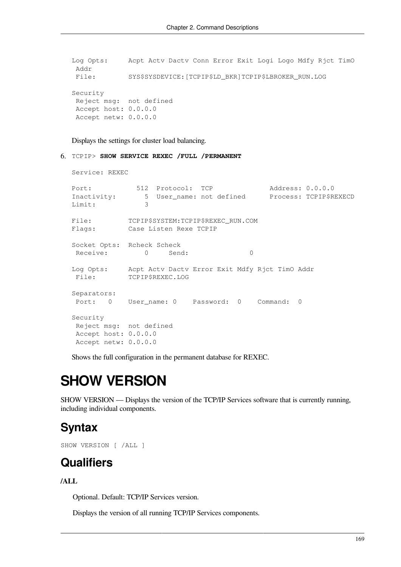```
Log Opts: Acpt Actv Dactv Conn Error Exit Logi Logo Mdfy Rjct TimO
 Addr
 File: SYS$SYSDEVICE:[TCPIP$LD_BKR]TCPIP$LBROKER_RUN.LOG
Security
 Reject msg: not defined
 Accept host: 0.0.0.0
 Accept netw: 0.0.0.0
```
Displays the settings for cluster load balancing.

6. TCPIP> **SHOW SERVICE REXEC /FULL /PERMANENT**

```
Service: REXEC
Port: 512 Protocol: TCP Address: 0.0.0.0
Inactivity: 5 User name: not defined Process: TCPIP$REXECD
Limit: 3
File: TCPIP$SYSTEM:TCPIP$REXEC_RUN.COM
Flags: Case Listen Rexe TCPIP
Socket Opts: Rcheck Scheck
Receive: 0 Send: 0
Log Opts: Acpt Actv Dactv Error Exit Mdfy Rjct TimO Addr
 File: TCPIP$REXEC.LOG
Separators:
 Port: 0 User_name: 0 Password: 0 Command: 0
Security
 Reject msg: not defined
 Accept host: 0.0.0.0
 Accept netw: 0.0.0.0
```
Shows the full configuration in the permanent database for REXEC.

# **SHOW VERSION**

SHOW VERSION — Displays the version of the TCP/IP Services software that is currently running, including individual components.

## **Syntax**

SHOW VERSION [ /ALL ]

### **Qualifiers**

### **/ALL**

Optional. Default: TCP/IP Services version.

Displays the version of all running TCP/IP Services components.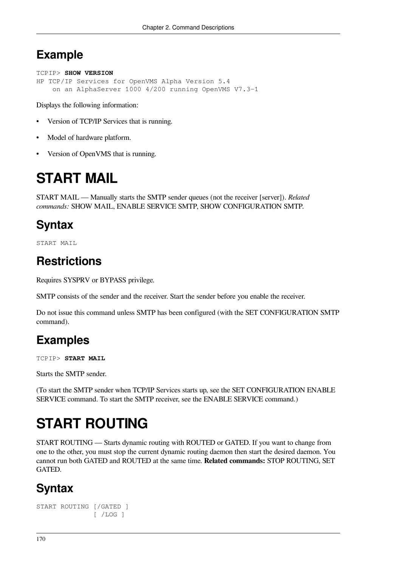# **Example**

```
TCPIP> SHOW VERSION
HP TCP/IP Services for OpenVMS Alpha Version 5.4
     on an AlphaServer 1000 4/200 running OpenVMS V7.3-1
```
Displays the following information:

- Version of TCP/IP Services that is running.
- Model of hardware platform.
- Version of OpenVMS that is running.

# **START MAIL**

START MAIL — Manually starts the SMTP sender queues (not the receiver [server]). *Related commands:* SHOW MAIL, ENABLE SERVICE SMTP, SHOW CONFIGURATION SMTP.

# **Syntax**

START MAIL

## **Restrictions**

Requires SYSPRV or BYPASS privilege.

SMTP consists of the sender and the receiver. Start the sender before you enable the receiver.

Do not issue this command unless SMTP has been configured (with the SET CONFIGURATION SMTP command).

# **Examples**

TCPIP> **START MAIL**

Starts the SMTP sender.

(To start the SMTP sender when TCP/IP Services starts up, see the SET [CONFIGURATION](#page-95-0) ENABLE [SERVICE](#page-95-0) command. To start the SMTP receiver, see the ENABLE [SERVICE](#page-56-0) command.)

# **START ROUTING**

START ROUTING — Starts dynamic routing with ROUTED or GATED. If you want to change from one to the other, you must stop the current dynamic routing daemon then start the desired daemon. You cannot run both GATED and ROUTED at the same time. **Related commands:** STOP ROUTING, SET **GATED** 

# **Syntax**

```
START ROUTING [/GATED ]
                [ /LOG ]
```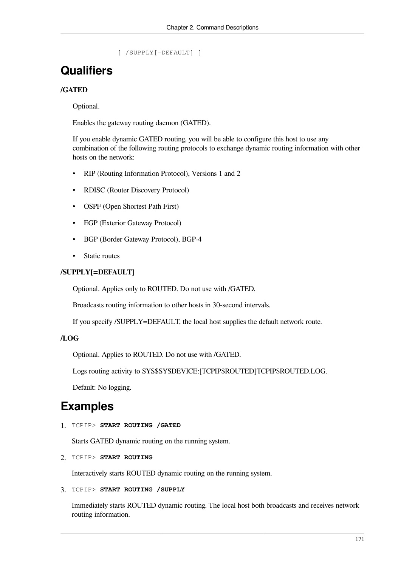```
 [ /SUPPLY[=DEFAULT] ]
```
#### **Qualifiers**

#### **/GATED**

Optional.

Enables the gateway routing daemon (GATED).

If you enable dynamic GATED routing, you will be able to configure this host to use any combination of the following routing protocols to exchange dynamic routing information with other hosts on the network:

- RIP (Routing Information Protocol), Versions 1 and 2
- RDISC (Router Discovery Protocol)
- OSPF (Open Shortest Path First)
- EGP (Exterior Gateway Protocol)
- BGP (Border Gateway Protocol), BGP-4
- Static routes

#### **/SUPPLY[=DEFAULT]**

Optional. Applies only to ROUTED. Do not use with /GATED.

Broadcasts routing information to other hosts in 30-second intervals.

If you specify /SUPPLY=DEFAULT, the local host supplies the default network route.

#### **/LOG**

Optional. Applies to ROUTED. Do not use with /GATED.

Logs routing activity to SYS\$SYSDEVICE:[TCPIP\$ROUTED]TCPIP\$ROUTED.LOG.

Default: No logging.

#### **Examples**

1. TCPIP> **START ROUTING /GATED**

Starts GATED dynamic routing on the running system.

2. TCPIP> **START ROUTING**

Interactively starts ROUTED dynamic routing on the running system.

3. TCPIP> **START ROUTING /SUPPLY**

Immediately starts ROUTED dynamic routing. The local host both broadcasts and receives network routing information.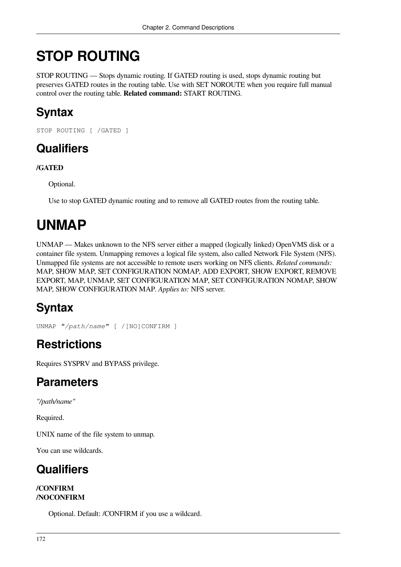# **STOP ROUTING**

STOP ROUTING — Stops dynamic routing. If GATED routing is used, stops dynamic routing but preserves GATED routes in the routing table. Use with SET NOROUTE when you require full manual control over the routing table. **Related command:** START ROUTING.

# **Syntax**

STOP ROUTING [ /GATED ]

### **Qualifiers**

#### **/GATED**

Optional.

Use to stop GATED dynamic routing and to remove all GATED routes from the routing table.

# **UNMAP**

UNMAP — Makes unknown to the NFS server either a mapped (logically linked) OpenVMS disk or a container file system. Unmapping removes a logical file system, also called Network File System (NFS). Unmapped file systems are not accessible to remote users working on NFS clients. *Related commands:* MAP, SHOW MAP, SET CONFIGURATION NOMAP, ADD EXPORT, SHOW EXPORT, REMOVE EXPORT, MAP, UNMAP, SET CONFIGURATION MAP, SET CONFIGURATION NOMAP, SHOW MAP, SHOW CONFIGURATION MAP. *Applies to:* NFS server.

# **Syntax**

```
UNMAP "/path/name" [ /[NO]CONFIRM ]
```
## **Restrictions**

Requires SYSPRV and BYPASS privilege.

### **Parameters**

*"/path/name"*

Required.

UNIX name of the file system to unmap.

You can use wildcards.

## **Qualifiers**

#### **/CONFIRM /NOCONFIRM**

Optional. Default: /CONFIRM if you use a wildcard.